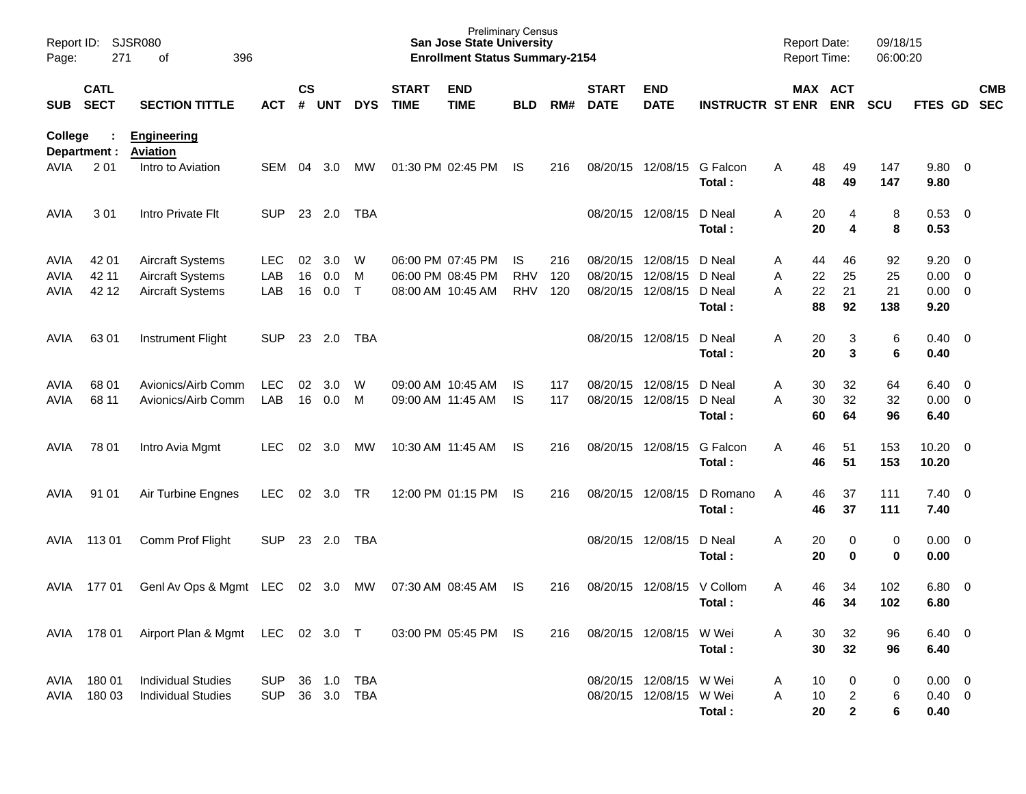| Page:       | Report ID: SJSR080<br>271<br>396<br>of |                                       |            |                |            |              |                             | <b>Preliminary Census</b><br><b>San Jose State University</b><br><b>Enrollment Status Summary-2154</b> |            |     |                             |                           |                         | <b>Report Date:</b><br>Report Time: |                       | 09/18/15<br>06:00:20 |                |                          |            |
|-------------|----------------------------------------|---------------------------------------|------------|----------------|------------|--------------|-----------------------------|--------------------------------------------------------------------------------------------------------|------------|-----|-----------------------------|---------------------------|-------------------------|-------------------------------------|-----------------------|----------------------|----------------|--------------------------|------------|
| <b>SUB</b>  | <b>CATL</b><br><b>SECT</b>             | <b>SECTION TITTLE</b>                 | <b>ACT</b> | <b>CS</b><br># | <b>UNT</b> | <b>DYS</b>   | <b>START</b><br><b>TIME</b> | <b>END</b><br><b>TIME</b>                                                                              | <b>BLD</b> | RM# | <b>START</b><br><b>DATE</b> | <b>END</b><br><b>DATE</b> | <b>INSTRUCTR ST ENR</b> |                                     | MAX ACT<br><b>ENR</b> | <b>SCU</b>           | FTES GD SEC    |                          | <b>CMB</b> |
| College     | Department :                           | <b>Engineering</b><br><b>Aviation</b> |            |                |            |              |                             |                                                                                                        |            |     |                             |                           |                         |                                     |                       |                      |                |                          |            |
| <b>AVIA</b> | 2 0 1                                  | Intro to Aviation                     | <b>SEM</b> | 04             | 3.0        | МW           |                             | 01:30 PM 02:45 PM                                                                                      | IS.        | 216 |                             | 08/20/15 12/08/15         | G Falcon<br>Total:      | 48<br>Α<br>48                       | 49<br>49              | 147<br>147           | 9.80<br>9.80   | $\overline{\phantom{0}}$ |            |
| AVIA        | 301                                    | Intro Private Flt                     | <b>SUP</b> | 23             | 2.0        | <b>TBA</b>   |                             |                                                                                                        |            |     |                             | 08/20/15 12/08/15         | D Neal<br>Total:        | Α<br>20<br>20                       | 4<br>4                | 8<br>8               | 0.53<br>0.53   | $\overline{\mathbf{0}}$  |            |
| <b>AVIA</b> | 42 01                                  | <b>Aircraft Systems</b>               | <b>LEC</b> | 02             | 3.0        | W            |                             | 06:00 PM 07:45 PM                                                                                      | <b>IS</b>  | 216 | 08/20/15 12/08/15           |                           | D Neal                  | 44<br>Α                             | 46                    | 92                   | 9.20           | - 0                      |            |
| <b>AVIA</b> | 42 11                                  | <b>Aircraft Systems</b>               | LAB        | 16             | 0.0        | м            |                             | 06:00 PM 08:45 PM                                                                                      | <b>RHV</b> | 120 | 08/20/15                    | 12/08/15                  | D Neal                  | 22<br>Α                             | 25                    | 25                   | 0.00           | $\overline{0}$           |            |
| <b>AVIA</b> | 42 12                                  | <b>Aircraft Systems</b>               | LAB        | 16             | 0.0        | $\mathsf{T}$ |                             | 08:00 AM 10:45 AM                                                                                      | <b>RHV</b> | 120 |                             | 08/20/15 12/08/15         | D Neal<br>Total:        | 22<br>A<br>88                       | 21<br>92              | 21<br>138            | 0.00<br>9.20   | $\overline{0}$           |            |
| <b>AVIA</b> | 63 01                                  | <b>Instrument Flight</b>              | <b>SUP</b> | 23             | 2.0        | TBA          |                             |                                                                                                        |            |     |                             | 08/20/15 12/08/15         | D Neal                  | 20<br>A                             | 3                     | 6                    | 0.40           | $\overline{\phantom{0}}$ |            |
|             |                                        |                                       |            |                |            |              |                             |                                                                                                        |            |     |                             |                           | Total:                  | 20                                  | 3                     | 6                    | 0.40           |                          |            |
| <b>AVIA</b> | 68 01                                  | Avionics/Airb Comm                    | <b>LEC</b> | 02             | 3.0        | W            |                             | 09:00 AM 10:45 AM                                                                                      | IS         | 117 | 08/20/15 12/08/15           |                           | D Neal                  | 30<br>Α                             | 32                    | 64                   | 6.40           | - 0                      |            |
| <b>AVIA</b> | 68 11                                  | Avionics/Airb Comm                    | LAB        | 16             | 0.0        | M            |                             | 09:00 AM 11:45 AM                                                                                      | <b>IS</b>  | 117 |                             | 08/20/15 12/08/15         | D Neal                  | 30<br>A                             | 32                    | 32                   | 0.00           | $\overline{\mathbf{0}}$  |            |
|             |                                        |                                       |            |                |            |              |                             |                                                                                                        |            |     |                             |                           | Total:                  | 60                                  | 64                    | 96                   | 6.40           |                          |            |
| AVIA        | 78 01                                  | Intro Avia Mgmt                       | <b>LEC</b> | 02             | 3.0        | МW           |                             | 10:30 AM 11:45 AM                                                                                      | IS.        | 216 |                             | 08/20/15 12/08/15         | G Falcon                | 46<br>A                             | 51                    | 153                  | 10.20          | $\overline{\phantom{0}}$ |            |
|             |                                        |                                       |            |                |            |              |                             |                                                                                                        |            |     |                             |                           | Total:                  | 46                                  | 51                    | 153                  | 10.20          |                          |            |
| AVIA        | 91 01                                  | Air Turbine Engnes                    | <b>LEC</b> | 02             | 3.0        | <b>TR</b>    |                             | 12:00 PM 01:15 PM                                                                                      | IS.        | 216 | 08/20/15 12/08/15           |                           | D Romano<br>Total:      | A<br>46<br>46                       | 37<br>37              | 111<br>111           | 7.40<br>7.40   | $\overline{\phantom{0}}$ |            |
| AVIA        | 113 01                                 | Comm Prof Flight                      | <b>SUP</b> | 23             | 2.0        | TBA          |                             |                                                                                                        |            |     |                             | 08/20/15 12/08/15         | D Neal<br>Total:        | A<br>20<br>20                       | 0<br>0                | 0<br>0               | 0.00<br>0.00   | $\overline{\phantom{0}}$ |            |
| AVIA        | 17701                                  | GenI Av Ops & Mgmt LEC                |            | 02             | 3.0        | МW           |                             | 07:30 AM 08:45 AM                                                                                      | IS.        | 216 |                             | 08/20/15 12/08/15         | V Collom<br>Total:      | 46<br>Α<br>46                       | 34<br>34              | 102<br>102           | 6.80<br>6.80   | $\overline{\mathbf{0}}$  |            |
|             | AVIA 178 01                            | Airport Plan & Mgmt LEC 02 3.0 T      |            |                |            |              |                             | 03:00 PM 05:45 PM IS                                                                                   |            | 216 |                             | 08/20/15 12/08/15 W Wei   |                         | 30<br>Α                             | 32                    | 96                   | $6.40 \quad 0$ |                          |            |
|             |                                        |                                       |            |                |            |              |                             |                                                                                                        |            |     |                             |                           | Total:                  | 30                                  | 32                    | 96                   | 6.40           |                          |            |
| AVIA        | 18001                                  | <b>Individual Studies</b>             | SUP        |                | 36 1.0     | <b>TBA</b>   |                             |                                                                                                        |            |     |                             | 08/20/15 12/08/15 W Wei   |                         | 10<br>A                             | $\boldsymbol{0}$      | 0                    | $0.00 \t 0$    |                          |            |
| AVIA        | 180 03                                 | <b>Individual Studies</b>             | <b>SUP</b> |                | 36 3.0     | TBA          |                             |                                                                                                        |            |     |                             | 08/20/15 12/08/15 W Wei   |                         | 10<br>Α                             | $\overline{c}$        | 6                    | $0.40 \ 0$     |                          |            |
|             |                                        |                                       |            |                |            |              |                             |                                                                                                        |            |     |                             |                           | Total:                  | 20                                  | $\mathbf{2}$          | 6                    | 0.40           |                          |            |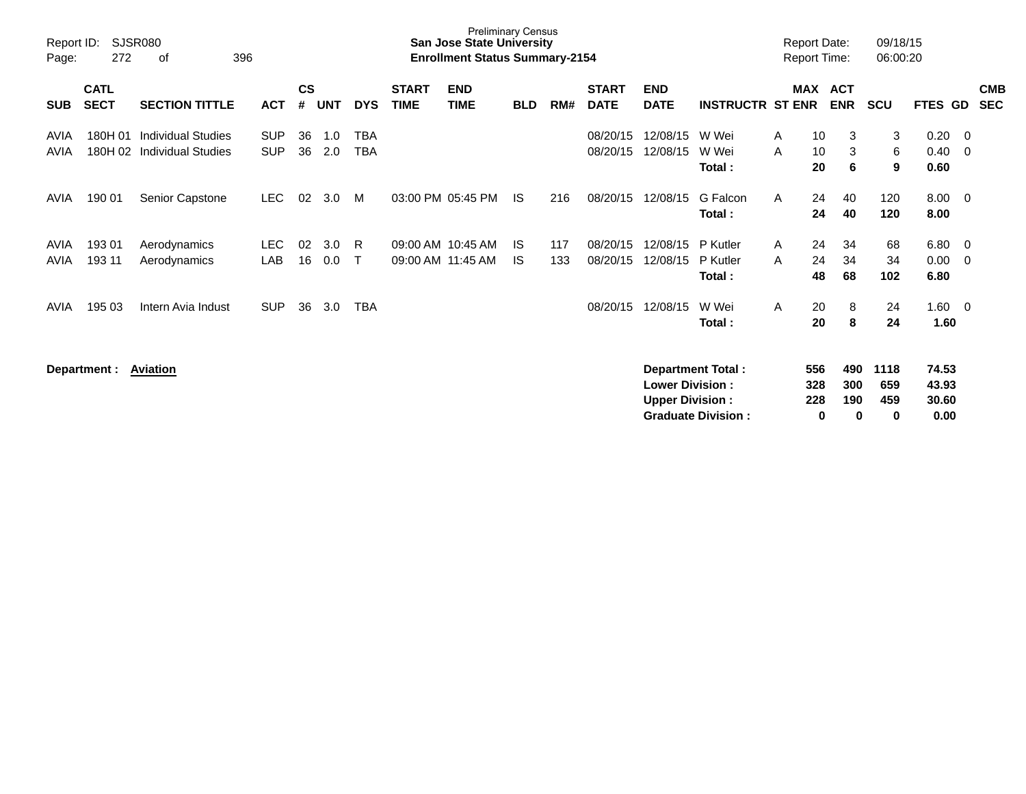| Report ID:<br>Page: | 272                        | <b>SJSR080</b><br>396<br>οf                            |                          |                    |            |                          |                             | <b>Preliminary Census</b><br><b>San Jose State University</b><br><b>Enrollment Status Summary-2154</b> |                  |            |                             |                                                   |                                | <b>Report Date:</b><br><b>Report Time:</b> |                       | 09/18/15<br>06:00:20 |                         |          |                          |
|---------------------|----------------------------|--------------------------------------------------------|--------------------------|--------------------|------------|--------------------------|-----------------------------|--------------------------------------------------------------------------------------------------------|------------------|------------|-----------------------------|---------------------------------------------------|--------------------------------|--------------------------------------------|-----------------------|----------------------|-------------------------|----------|--------------------------|
| <b>SUB</b>          | <b>CATL</b><br><b>SECT</b> | <b>SECTION TITTLE</b>                                  | <b>ACT</b>               | $\mathsf{cs}$<br># | <b>UNT</b> | <b>DYS</b>               | <b>START</b><br><b>TIME</b> | <b>END</b><br><b>TIME</b>                                                                              | <b>BLD</b>       | RM#        | <b>START</b><br><b>DATE</b> | <b>END</b><br><b>DATE</b>                         | <b>INSTRUCTR ST ENR</b>        |                                            | MAX ACT<br><b>ENR</b> | <b>SCU</b>           | <b>FTES GD</b>          |          | <b>CMB</b><br><b>SEC</b> |
| AVIA<br>AVIA        | 180H 01<br>180H 02         | <b>Individual Studies</b><br><b>Individual Studies</b> | <b>SUP</b><br><b>SUP</b> | 36<br>36           | 1.0<br>2.0 | <b>TBA</b><br><b>TBA</b> |                             |                                                                                                        |                  |            | 08/20/15<br>08/20/15        | 12/08/15<br>12/08/15                              | W Wei<br>W Wei<br>Total:       | 10<br>A<br>10<br>A<br>20                   | 3<br>3<br>6           | 3<br>6<br>9          | 0.20<br>0.40<br>0.60    | 0<br>0   |                          |
| AVIA                | 190 01                     | Senior Capstone                                        | LEC.                     | 02                 | 3.0        | M                        |                             | 03:00 PM 05:45 PM                                                                                      | IS               | 216        | 08/20/15                    | 12/08/15                                          | G Falcon<br>Total:             | 24<br>A<br>24                              | 40<br>40              | 120<br>120           | 8.00<br>8.00            | - 0      |                          |
| AVIA<br><b>AVIA</b> | 193 01<br>193 11           | Aerodynamics<br>Aerodynamics                           | LEC.<br>LAB              | 02<br>16           | 3.0<br>0.0 | R<br>т                   |                             | 09:00 AM 10:45 AM<br>09:00 AM 11:45 AM                                                                 | IS.<br><b>IS</b> | 117<br>133 | 08/20/15<br>08/20/15        | 12/08/15<br>12/08/15                              | P Kutler<br>P Kutler<br>Total: | 24<br>A<br>24<br>A<br>48                   | 34<br>34<br>68        | 68<br>34<br>102      | 6.80<br>0.00<br>6.80    | - 0<br>0 |                          |
| AVIA                | 195 03                     | Intern Avia Indust                                     | <b>SUP</b>               | 36                 | 3.0        | <b>TBA</b>               |                             |                                                                                                        |                  |            | 08/20/15                    | 12/08/15                                          | W Wei<br>Total:                | A<br>20<br>20                              | 8<br>8                | 24<br>24             | 1.60<br>1.60            | - 0      |                          |
|                     | Department :               | Aviation                                               |                          |                    |            |                          |                             |                                                                                                        |                  |            |                             | <b>Lower Division :</b><br><b>Upper Division:</b> | <b>Department Total:</b>       | 556<br>328<br>228                          | 490<br>300<br>190     | 1118<br>659<br>459   | 74.53<br>43.93<br>30.60 |          |                          |

**Graduate Division : 0 0 0 0.00**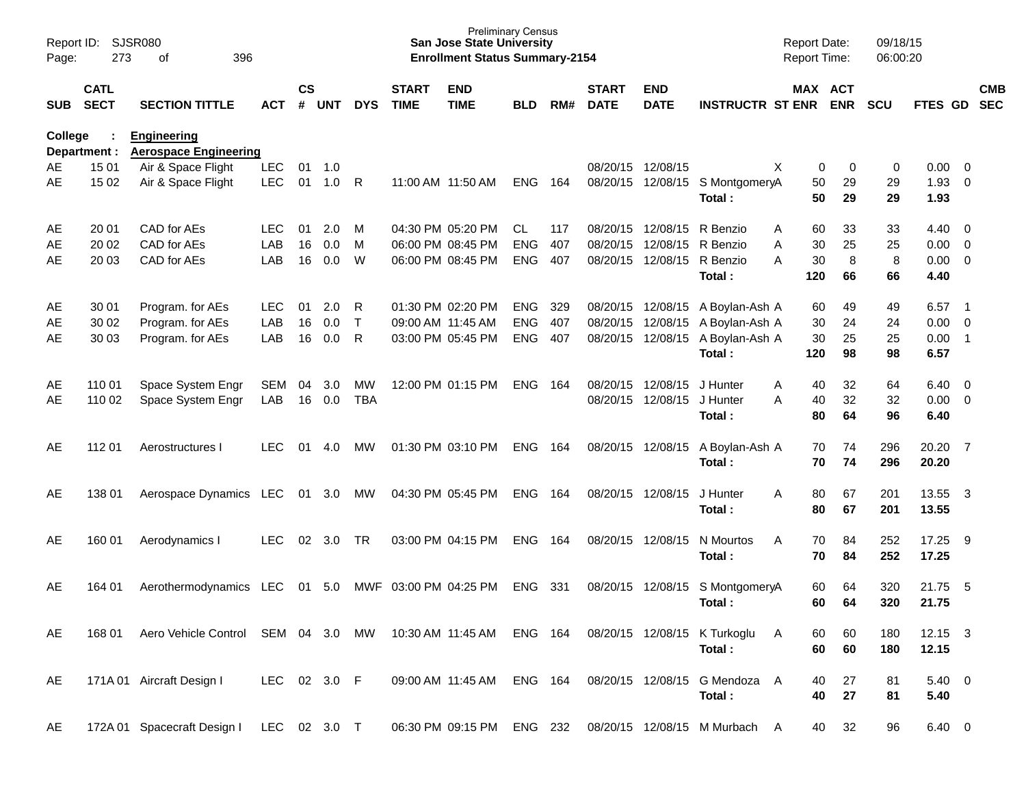| Page:      | Report ID: SJSR080<br>273  | 396<br>of                                          |              |                    |            |              |                             | <b>San Jose State University</b><br><b>Enrollment Status Summary-2154</b> | <b>Preliminary Census</b> |     |                             |                           |                               | <b>Report Date:</b><br>Report Time: |                       | 09/18/15<br>06:00:20 |                |                            |            |
|------------|----------------------------|----------------------------------------------------|--------------|--------------------|------------|--------------|-----------------------------|---------------------------------------------------------------------------|---------------------------|-----|-----------------------------|---------------------------|-------------------------------|-------------------------------------|-----------------------|----------------------|----------------|----------------------------|------------|
| <b>SUB</b> | <b>CATL</b><br><b>SECT</b> | <b>SECTION TITTLE</b>                              | <b>ACT</b>   | $\mathsf{cs}$<br># | <b>UNT</b> | <b>DYS</b>   | <b>START</b><br><b>TIME</b> | <b>END</b><br><b>TIME</b>                                                 | <b>BLD</b>                | RM# | <b>START</b><br><b>DATE</b> | <b>END</b><br><b>DATE</b> | <b>INSTRUCTR ST ENR</b>       |                                     | MAX ACT<br><b>ENR</b> | <b>SCU</b>           | FTES GD SEC    |                            | <b>CMB</b> |
| College    | Department :               | <b>Engineering</b><br><b>Aerospace Engineering</b> |              |                    |            |              |                             |                                                                           |                           |     |                             |                           |                               |                                     |                       |                      |                |                            |            |
| AE         | 15 01                      | Air & Space Flight                                 | <b>LEC</b>   | 01                 | $-1.0$     |              |                             |                                                                           |                           |     | 08/20/15 12/08/15           |                           |                               | X                                   | 0<br>0                | 0                    | 0.00           | - 0                        |            |
| AE         | 15 02                      | Air & Space Flight                                 | <b>LEC</b>   | 01                 | 1.0        | R            |                             | 11:00 AM 11:50 AM                                                         | <b>ENG</b>                | 164 |                             | 08/20/15 12/08/15         | S MontgomeryA<br>Total:       | 50<br>50                            | 29<br>29              | 29<br>29             | 1.93<br>1.93   | $\mathbf 0$                |            |
| AE         | 20 01                      | CAD for AEs                                        | LEC.         | 01                 | 2.0        | M            |                             | 04:30 PM 05:20 PM                                                         | CL.                       | 117 |                             | 08/20/15 12/08/15         | R Benzio                      | 60<br>Α                             | 33                    | 33                   | 4.40           | - 0                        |            |
| AE         | 20 02                      | CAD for AEs                                        | LAB          | 16                 | 0.0        | M            |                             | 06:00 PM 08:45 PM                                                         | <b>ENG</b>                | 407 |                             | 08/20/15 12/08/15         | R Benzio                      | 30<br>Α                             | 25                    | 25                   | 0.00           | $\overline{0}$             |            |
| AE         | 20 03                      | CAD for AEs                                        | LAB          | 16                 | 0.0        | W            |                             | 06:00 PM 08:45 PM                                                         | <b>ENG</b>                | 407 |                             | 08/20/15 12/08/15         | R Benzio                      | A<br>30                             | 8                     | 8                    | 0.00           | $\overline{0}$             |            |
|            |                            |                                                    |              |                    |            |              |                             |                                                                           |                           |     |                             |                           | Total:                        | 120                                 | 66                    | 66                   | 4.40           |                            |            |
| AE         | 30 01                      | Program. for AEs                                   | <b>LEC</b>   | 01                 | 2.0        | R            |                             | 01:30 PM 02:20 PM                                                         | <b>ENG</b>                | 329 |                             | 08/20/15 12/08/15         | A Boylan-Ash A                | 60                                  | 49                    | 49                   | 6.57           | - 1                        |            |
| AE         | 30 02                      | Program. for AEs                                   | LAB          | 16                 | 0.0        | $\mathsf{T}$ |                             | 09:00 AM 11:45 AM                                                         | <b>ENG</b>                | 407 |                             | 08/20/15 12/08/15         | A Boylan-Ash A                | 30                                  | 24                    | 24                   | 0.00           | $\overline{0}$             |            |
| AE         | 30 03                      | Program. for AEs                                   | LAB          | 16                 | 0.0        | R            |                             | 03:00 PM 05:45 PM                                                         | <b>ENG</b>                | 407 |                             | 08/20/15 12/08/15         | A Boylan-Ash A                | 30                                  | 25                    | 25                   | 0.00           | $\overline{\phantom{0}}$ 1 |            |
|            |                            |                                                    |              |                    |            |              |                             |                                                                           |                           |     |                             |                           | Total:                        | 120                                 | 98                    | 98                   | 6.57           |                            |            |
| AE         | 110 01                     | Space System Engr                                  | SEM          | 04                 | 3.0        | MW           |                             | 12:00 PM 01:15 PM                                                         | <b>ENG</b>                | 164 |                             | 08/20/15 12/08/15         | J Hunter                      | 40<br>A                             | 32                    | 64                   | 6.40           | $\overline{\phantom{0}}$   |            |
| AE         | 110 02                     | Space System Engr                                  | LAB          | 16                 | 0.0        | <b>TBA</b>   |                             |                                                                           |                           |     |                             | 08/20/15 12/08/15         | J Hunter                      | A<br>40                             | 32                    | 32                   | 0.00           | $\overline{\phantom{0}}$   |            |
|            |                            |                                                    |              |                    |            |              |                             |                                                                           |                           |     |                             |                           | Total:                        | 80                                  | 64                    | 96                   | 6.40           |                            |            |
| AE         | 112 01                     | Aerostructures I                                   | <b>LEC</b>   | 01                 | 4.0        | MW           |                             | 01:30 PM 03:10 PM                                                         | <b>ENG</b>                | 164 |                             | 08/20/15 12/08/15         | A Boylan-Ash A                | 70                                  | 74                    | 296                  | 20.20          | $\overline{7}$             |            |
|            |                            |                                                    |              |                    |            |              |                             |                                                                           |                           |     |                             |                           | Total:                        | 70                                  | 74                    | 296                  | 20.20          |                            |            |
| AE         | 138 01                     | Aerospace Dynamics LEC                             |              | 01                 | 3.0        | MW           |                             | 04:30 PM 05:45 PM                                                         | ENG                       | 164 | 08/20/15 12/08/15           |                           | J Hunter                      | 80<br>A                             | 67                    | 201                  | 13.55          | $\overline{\mathbf{3}}$    |            |
|            |                            |                                                    |              |                    |            |              |                             |                                                                           |                           |     |                             |                           | Total:                        | 80                                  | 67                    | 201                  | 13.55          |                            |            |
| AE         | 160 01                     | Aerodynamics I                                     | <b>LEC</b>   | 02                 | 3.0        | TR           |                             | 03:00 PM 04:15 PM                                                         | <b>ENG</b>                | 164 | 08/20/15 12/08/15           |                           | N Mourtos                     | 70<br>A                             | 84                    | 252                  | 17.25          | - 9                        |            |
|            |                            |                                                    |              |                    |            |              |                             |                                                                           |                           |     |                             |                           | Total:                        | 70                                  | 84                    | 252                  | 17.25          |                            |            |
| AE         | 164 01                     | Aerothermodynamics                                 | LEC          | 01                 | 5.0        | MWF          |                             | 03:00 PM 04:25 PM                                                         | <b>ENG</b>                | 331 | 08/20/15 12/08/15           |                           | S MontgomeryA                 | 60                                  | 64                    | 320                  | 21.75          | $-5$                       |            |
|            |                            |                                                    |              |                    |            |              |                             |                                                                           |                           |     |                             |                           | Total:                        | 60                                  | 64                    | 320                  | 21.75          |                            |            |
| AE         | 168 01                     | Aero Vehicle Control                               | SEM 04 3.0   |                    |            | MW           |                             | 10:30 AM 11:45 AM                                                         | ENG 164                   |     |                             |                           | 08/20/15 12/08/15 K Turkoglu  | A<br>60                             | 60                    | 180                  | $12.15$ 3      |                            |            |
|            |                            |                                                    |              |                    |            |              |                             |                                                                           |                           |     |                             |                           | Total:                        | 60                                  | 60                    | 180                  | 12.15          |                            |            |
| AE         |                            |                                                    | LEC 02 3.0 F |                    |            |              |                             | 09:00 AM 11:45 AM                                                         | ENG 164                   |     |                             | 08/20/15 12/08/15         | G Mendoza                     | 40                                  | 27                    |                      | $5.40 \ 0$     |                            |            |
|            |                            | 171A 01 Aircraft Design I                          |              |                    |            |              |                             |                                                                           |                           |     |                             |                           | Total:                        | A<br>40                             | 27                    | 81<br>81             | 5.40           |                            |            |
| AE         |                            | 172A 01 Spacecraft Design I                        | LEC 02 3.0 T |                    |            |              |                             | 06:30 PM 09:15 PM                                                         | ENG 232                   |     |                             |                           | 08/20/15 12/08/15 M Murbach A | 40                                  | 32                    | 96                   | $6.40 \quad 0$ |                            |            |
|            |                            |                                                    |              |                    |            |              |                             |                                                                           |                           |     |                             |                           |                               |                                     |                       |                      |                |                            |            |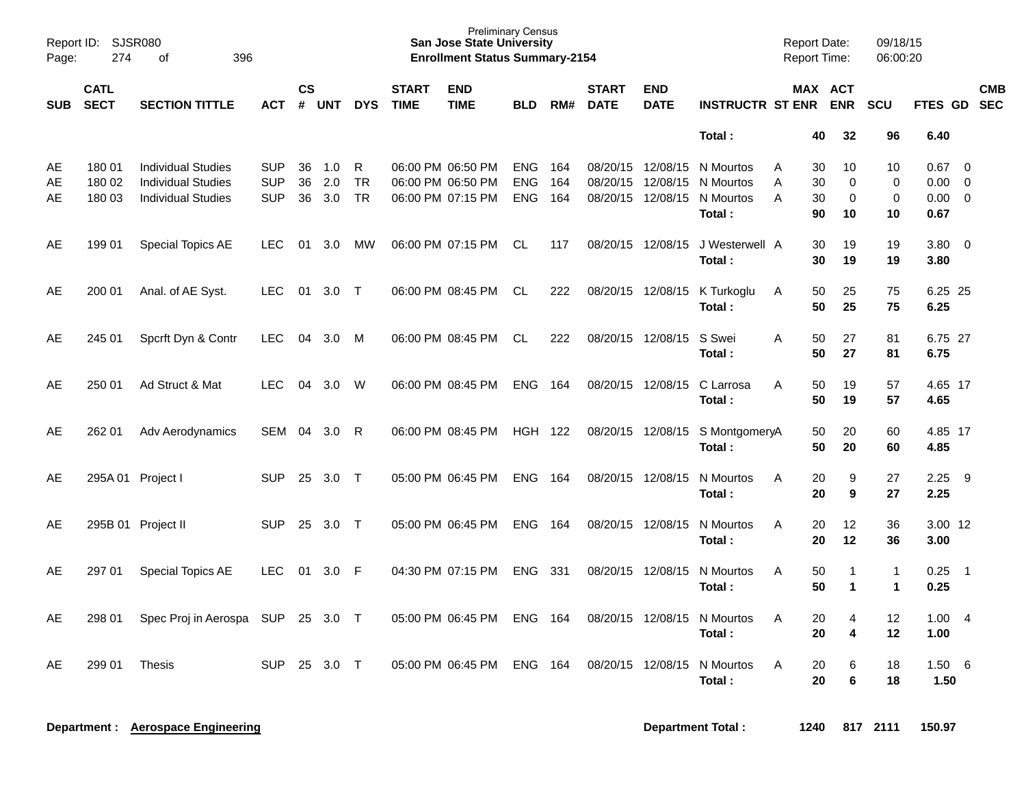| Page:          | Report ID: SJSR080<br>274<br>396<br>of |                                                                                     |                                        |                |                   |                             |                             | <b>Preliminary Census</b><br><b>San Jose State University</b><br><b>Enrollment Status Summary-2154</b> |                                        |                    |                                        |                           |                                               | <b>Report Date:</b><br><b>Report Time:</b> |                      |                              | 09/18/15<br>06:00:20          |                              |                                                             |            |
|----------------|----------------------------------------|-------------------------------------------------------------------------------------|----------------------------------------|----------------|-------------------|-----------------------------|-----------------------------|--------------------------------------------------------------------------------------------------------|----------------------------------------|--------------------|----------------------------------------|---------------------------|-----------------------------------------------|--------------------------------------------|----------------------|------------------------------|-------------------------------|------------------------------|-------------------------------------------------------------|------------|
| <b>SUB</b>     | <b>CATL</b><br><b>SECT</b>             | <b>SECTION TITTLE</b>                                                               | <b>ACT</b>                             | <b>CS</b><br># | <b>UNT</b>        | <b>DYS</b>                  | <b>START</b><br><b>TIME</b> | <b>END</b><br><b>TIME</b>                                                                              | <b>BLD</b>                             | RM#                | <b>START</b><br><b>DATE</b>            | <b>END</b><br><b>DATE</b> | <b>INSTRUCTR ST ENR</b>                       |                                            |                      | MAX ACT<br><b>ENR</b>        | <b>SCU</b>                    | FTES GD SEC                  |                                                             | <b>CMB</b> |
|                |                                        |                                                                                     |                                        |                |                   |                             |                             |                                                                                                        |                                        |                    |                                        |                           | Total:                                        |                                            | 40                   | 32                           | 96                            | 6.40                         |                                                             |            |
| AE<br>AE<br>AE | 180 01<br>180 02<br>180 03             | <b>Individual Studies</b><br><b>Individual Studies</b><br><b>Individual Studies</b> | <b>SUP</b><br><b>SUP</b><br><b>SUP</b> | 36<br>36<br>36 | 1.0<br>2.0<br>3.0 | R<br><b>TR</b><br><b>TR</b> |                             | 06:00 PM 06:50 PM<br>06:00 PM 06:50 PM<br>06:00 PM 07:15 PM                                            | <b>ENG</b><br><b>ENG</b><br><b>ENG</b> | -164<br>164<br>164 | 08/20/15 12/08/15<br>08/20/15 12/08/15 | 08/20/15 12/08/15         | N Mourtos<br>N Mourtos<br>N Mourtos<br>Total: | A<br>A<br>A                                | 30<br>30<br>30<br>90 | 10<br>$\mathbf 0$<br>0<br>10 | 10<br>0<br>$\mathbf 0$<br>10  | 0.67<br>0.00<br>0.00<br>0.67 | $\overline{0}$<br>$\overline{0}$<br>$\overline{\mathbf{0}}$ |            |
| AE             | 199 01                                 | <b>Special Topics AE</b>                                                            | LEC.                                   | 01             | 3.0               | MW                          |                             | 06:00 PM 07:15 PM                                                                                      | CL                                     | 117                | 08/20/15 12/08/15                      |                           | J Westerwell A<br>Total:                      |                                            | 30<br>30             | 19<br>19                     | 19<br>19                      | $3.80 \ 0$<br>3.80           |                                                             |            |
| AE             | 200 01                                 | Anal. of AE Syst.                                                                   | <b>LEC</b>                             | 01             | $3.0$ T           |                             |                             | 06:00 PM 08:45 PM                                                                                      | CL                                     | 222                | 08/20/15 12/08/15                      |                           | K Turkoglu<br>Total:                          | A                                          | 50<br>50             | 25<br>25                     | 75<br>75                      | 6.25 25<br>6.25              |                                                             |            |
| AE             | 245 01                                 | Spcrft Dyn & Contr                                                                  | <b>LEC</b>                             |                | 04 3.0            | M                           |                             | 06:00 PM 08:45 PM                                                                                      | CL                                     | 222                | 08/20/15 12/08/15                      |                           | S Swei<br>Total:                              | A                                          | 50<br>50             | 27<br>27                     | 81<br>81                      | 6.75 27<br>6.75              |                                                             |            |
| AE             | 250 01                                 | Ad Struct & Mat                                                                     | LEC.                                   | 04             | 3.0               | W                           |                             | 06:00 PM 08:45 PM                                                                                      | <b>ENG 164</b>                         |                    | 08/20/15 12/08/15                      |                           | C Larrosa<br>Total:                           | A                                          | 50<br>50             | 19<br>19                     | 57<br>57                      | 4.65 17<br>4.65              |                                                             |            |
| AE             | 262 01                                 | Adv Aerodynamics                                                                    | SEM                                    |                | 04 3.0            | R                           |                             | 06:00 PM 08:45 PM                                                                                      | HGH 122                                |                    | 08/20/15 12/08/15                      |                           | S MontgomeryA<br>Total:                       |                                            | 50<br>50             | 20<br>20                     | 60<br>60                      | 4.85 17<br>4.85              |                                                             |            |
| AE             | 295A 01 Project I                      |                                                                                     | <b>SUP</b>                             | 25             | 3.0               | $\top$                      |                             | 05:00 PM 06:45 PM                                                                                      | <b>ENG 164</b>                         |                    | 08/20/15 12/08/15                      |                           | N Mourtos<br>Total:                           | A                                          | 20<br>20             | 9<br>9                       | 27<br>27                      | 2.25<br>2.25                 | - 9                                                         |            |
| AE             |                                        | 295B 01 Project II                                                                  | <b>SUP</b>                             | -25            | 3.0               | $\top$                      |                             | 05:00 PM 06:45 PM                                                                                      | ENG                                    | 164                | 08/20/15 12/08/15                      |                           | N Mourtos<br>Total:                           | A                                          | 20<br>20             | 12<br>12                     | 36<br>36                      | 3.00 12<br>3.00              |                                                             |            |
| AE             | 297 01                                 | Special Topics AE                                                                   | <b>LEC</b>                             | 01             | $3.0$ F           |                             |                             | 04:30 PM 07:15 PM                                                                                      | ENG 331                                |                    | 08/20/15 12/08/15                      |                           | N Mourtos<br>Total:                           | Α                                          | 50<br>50             | -1<br>$\mathbf 1$            | $\overline{1}$<br>$\mathbf 1$ | 0.25<br>0.25                 | - 1                                                         |            |
| AE             | 298 01                                 | Spec Proj in Aerospa SUP 25 3.0 T                                                   |                                        |                |                   |                             |                             | 05:00 PM 06:45 PM ENG 164                                                                              |                                        |                    |                                        |                           | 08/20/15 12/08/15 N Mourtos<br>Total:         | Α                                          | 20<br>20             | 4<br>4                       | 12<br>12                      | 1.004<br>1.00                |                                                             |            |
| AE             | 299 01                                 | <b>Thesis</b>                                                                       | SUP 25 3.0 T                           |                |                   |                             |                             | 05:00 PM 06:45 PM ENG 164                                                                              |                                        |                    |                                        |                           | 08/20/15 12/08/15 N Mourtos<br>Total:         | Α                                          | 20<br>20             | 6<br>6                       | 18<br>18                      | $1.50\ 6$<br>1.50            |                                                             |            |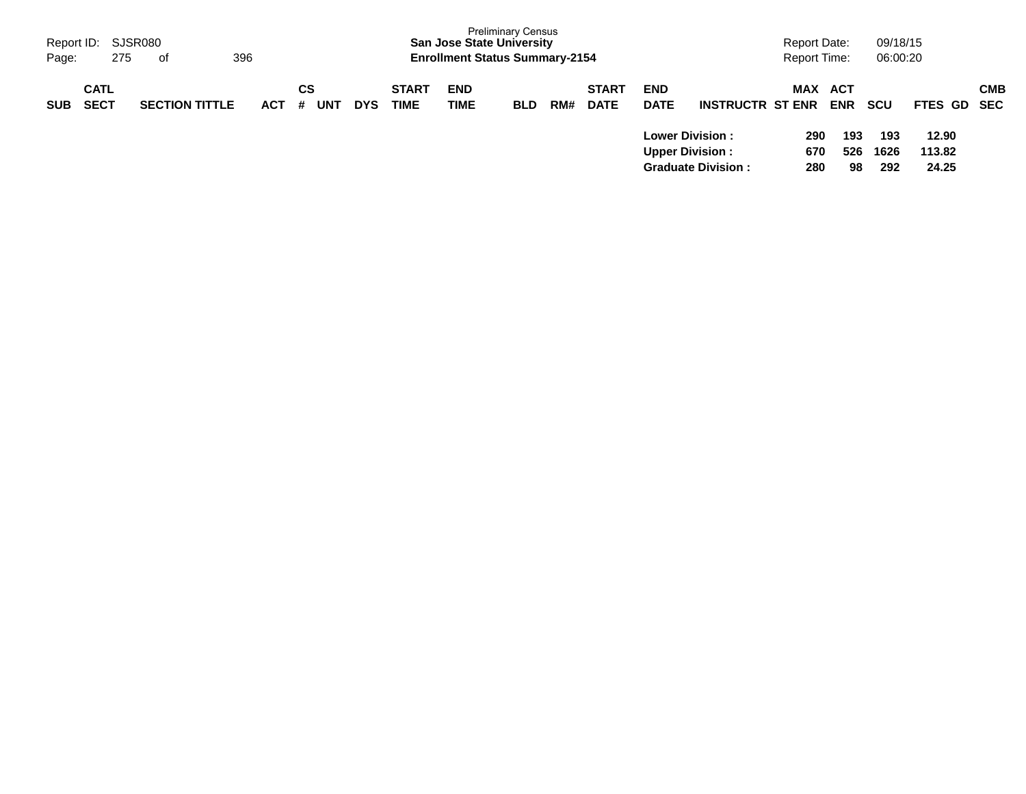| Page:      | Report ID: SJSR080<br>275  | 396<br>. of           |            |                |            |                             | <b>San Jose State University</b><br><b>Enrollment Status Summary-2154</b> | <b>Preliminary Census</b> |     |                             |                                                      |                           | Report Date:<br><b>Report Time:</b> |                                 | 09/18/15<br>06:00:20 |                      |            |
|------------|----------------------------|-----------------------|------------|----------------|------------|-----------------------------|---------------------------------------------------------------------------|---------------------------|-----|-----------------------------|------------------------------------------------------|---------------------------|-------------------------------------|---------------------------------|----------------------|----------------------|------------|
| <b>SUB</b> | <b>CATL</b><br><b>SECT</b> | <b>SECTION TITTLE</b> | <b>ACT</b> | СS<br>UNT<br># | <b>DYS</b> | <b>START</b><br><b>TIME</b> | <b>END</b><br>TIME                                                        | <b>BLD</b>                | RM# | <b>START</b><br><b>DATE</b> | <b>END</b><br><b>DATE</b><br><b>Lower Division :</b> | <b>INSTRUCTR ST ENR</b>   | MAX<br>290                          | <b>ACT</b><br><b>ENR</b><br>193 | <b>SCU</b><br>193    | FTES GD SEC<br>12.90 | <b>CMB</b> |
|            |                            |                       |            |                |            |                             |                                                                           |                           |     |                             | <b>Upper Division:</b>                               | <b>Graduate Division:</b> | 670<br>280                          | 526<br>98                       | 1626<br>292          | 113.82<br>24.25      |            |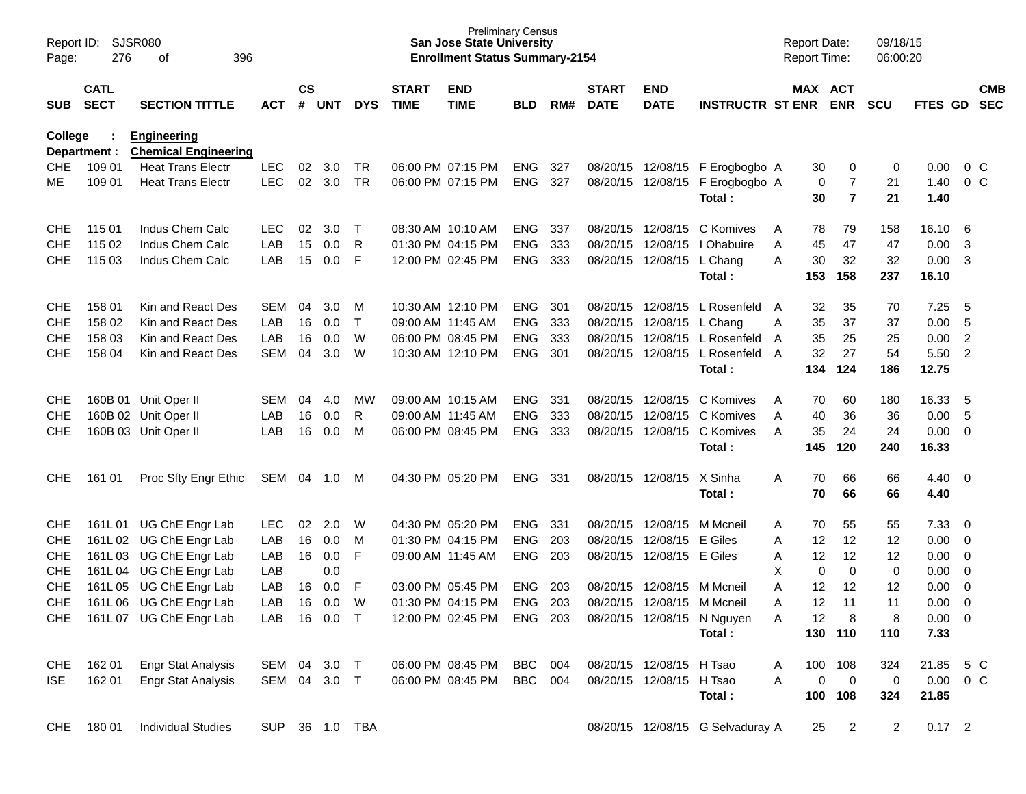| Page:          | SJSR080<br>Report ID:<br>276<br>396<br>оf<br><b>CATL</b> |                                                    |                     |                             |              |            |                             | <b>Preliminary Census</b><br><b>San Jose State University</b><br><b>Enrollment Status Summary-2154</b> |                |     |                             |                            |                                  | <b>Report Date:</b><br>Report Time: |                          | 09/18/15<br>06:00:20 |                        |                          |                          |
|----------------|----------------------------------------------------------|----------------------------------------------------|---------------------|-----------------------------|--------------|------------|-----------------------------|--------------------------------------------------------------------------------------------------------|----------------|-----|-----------------------------|----------------------------|----------------------------------|-------------------------------------|--------------------------|----------------------|------------------------|--------------------------|--------------------------|
| <b>SUB</b>     | <b>SECT</b>                                              | <b>SECTION TITTLE</b>                              | <b>ACT</b>          | $\mathsf{cs}$<br>$\pmb{\#}$ | <b>UNT</b>   | <b>DYS</b> | <b>START</b><br><b>TIME</b> | <b>END</b><br><b>TIME</b>                                                                              | <b>BLD</b>     | RM# | <b>START</b><br><b>DATE</b> | <b>END</b><br><b>DATE</b>  | <b>INSTRUCTR ST ENR</b>          |                                     | MAX ACT<br><b>ENR</b>    | <b>SCU</b>           | FTES GD                |                          | <b>CMB</b><br><b>SEC</b> |
| <b>College</b> | Department :                                             | <b>Engineering</b><br><b>Chemical Engineering</b>  |                     |                             |              |            |                             |                                                                                                        |                |     |                             |                            |                                  |                                     |                          |                      |                        |                          |                          |
| <b>CHE</b>     | 109 01                                                   | <b>Heat Trans Electr</b>                           | <b>LEC</b>          | 02                          | 3.0          | <b>TR</b>  |                             | 06:00 PM 07:15 PM                                                                                      | <b>ENG</b>     | 327 |                             |                            | 08/20/15 12/08/15 F Erogbogbo A  | 30                                  | 0                        | 0                    | 0.00                   |                          | $0\,$ C                  |
| MЕ             | 109 01                                                   | <b>Heat Trans Electr</b>                           | <b>LEC</b>          | 02                          | 3.0          | <b>TR</b>  |                             | 06:00 PM 07:15 PM                                                                                      | <b>ENG</b>     | 327 | 08/20/15                    |                            | 12/08/15 F Erogbogbo A<br>Total: | 30                                  | 7<br>0<br>$\overline{7}$ | 21<br>21             | 1.40<br>1.40           |                          | 0 <sup>o</sup>           |
| <b>CHE</b>     | 115 01                                                   | Indus Chem Calc                                    | <b>LEC</b>          | 02                          | 3.0          | Т          |                             | 08:30 AM 10:10 AM                                                                                      | <b>ENG</b>     | 337 | 08/20/15                    | 12/08/15                   | C Komives                        | 78<br>Α                             | 79                       | 158                  | 16.10                  | -6                       |                          |
| <b>CHE</b>     | 115 02                                                   | Indus Chem Calc                                    | LAB                 | 15                          | 0.0          | R          |                             | 01:30 PM 04:15 PM                                                                                      | <b>ENG</b>     | 333 | 08/20/15                    | 12/08/15                   | I Ohabuire                       | 45<br>Α                             | 47                       | 47                   | 0.00                   | 3                        |                          |
| <b>CHE</b>     | 115 03                                                   | Indus Chem Calc                                    | LAB                 | 15                          | 0.0          | F          |                             | 12:00 PM 02:45 PM                                                                                      | <b>ENG</b>     | 333 | 08/20/15                    | 12/08/15                   | L Chang                          | 30<br>A                             | 32                       | 32                   | 0.00                   | 3                        |                          |
|                |                                                          |                                                    |                     |                             |              |            |                             |                                                                                                        |                |     |                             |                            | Total:                           | 153                                 | 158                      | 237                  | 16.10                  |                          |                          |
| <b>CHE</b>     | 158 01                                                   | Kin and React Des                                  | <b>SEM</b>          | 04                          | 3.0          | м          |                             | 10:30 AM 12:10 PM                                                                                      | <b>ENG</b>     | 301 | 08/20/15                    | 12/08/15                   | L Rosenfeld                      | 32<br>A                             | 35                       | 70                   | 7.25                   | - 5                      |                          |
| <b>CHE</b>     | 158 02                                                   | Kin and React Des                                  | LAB                 | 16                          | 0.0          | Т          | 09:00 AM 11:45 AM           |                                                                                                        | <b>ENG</b>     | 333 | 08/20/15                    | 12/08/15                   | L Chang                          | 35<br>Α                             | 37                       | 37                   | 0.00                   | 5                        |                          |
| <b>CHE</b>     | 158 03                                                   | Kin and React Des                                  | LAB                 | 16                          | 0.0          | W          |                             | 06:00 PM 08:45 PM                                                                                      | <b>ENG</b>     | 333 | 08/20/15                    | 12/08/15                   | L Rosenfeld                      | 35<br>A                             | 25                       | 25                   | 0.00                   | 2                        |                          |
| <b>CHE</b>     | 158 04                                                   | Kin and React Des                                  | <b>SEM</b>          | 04                          | 3.0          | W          |                             | 10:30 AM 12:10 PM                                                                                      | <b>ENG</b>     | 301 | 08/20/15                    | 12/08/15                   | L Rosenfeld                      | 32<br>A                             | 27                       | 54                   | 5.50                   | $\overline{2}$           |                          |
|                |                                                          |                                                    |                     |                             |              |            |                             |                                                                                                        |                |     |                             |                            | Total:                           | 134                                 | 124                      | 186                  | 12.75                  |                          |                          |
| <b>CHE</b>     |                                                          | 160B 01 Unit Oper II                               | <b>SEM</b>          | 04                          | 4.0          | MW         |                             | 09:00 AM 10:15 AM                                                                                      | <b>ENG</b>     | 331 | 08/20/15                    | 12/08/15                   | C Komives                        | 70<br>A                             | 60                       | 180                  | 16.33                  | - 5                      |                          |
| <b>CHE</b>     |                                                          | 160B 02 Unit Oper II                               | LAB                 | 16                          | 0.0          | R          |                             | 09:00 AM 11:45 AM                                                                                      | <b>ENG</b>     | 333 | 08/20/15                    | 12/08/15                   | C Komives                        | 40<br>A                             | 36                       | 36                   | 0.00                   | -5                       |                          |
| <b>CHE</b>     |                                                          | 160B 03 Unit Oper II                               | LAB                 | 16                          | 0.0          | M          |                             | 06:00 PM 08:45 PM                                                                                      | <b>ENG</b>     | 333 | 08/20/15                    | 12/08/15                   | C Komives                        | 35<br>A                             | 24                       | 24                   | 0.00                   | $\overline{0}$           |                          |
|                |                                                          |                                                    |                     |                             |              |            |                             |                                                                                                        |                |     |                             |                            | Total:                           | 145                                 | 120                      | 240                  | 16.33                  |                          |                          |
| <b>CHE</b>     | 161 01                                                   | Proc Sfty Engr Ethic                               | SEM                 | 04                          | 1.0          | M          |                             | 04:30 PM 05:20 PM                                                                                      | <b>ENG</b>     | 331 | 08/20/15                    | 12/08/15                   | X Sinha<br>Total:                | 70<br>Α<br>70                       | 66<br>66                 | 66<br>66             | $4.40 \quad 0$<br>4.40 |                          |                          |
|                |                                                          |                                                    |                     |                             |              |            |                             |                                                                                                        |                |     |                             |                            |                                  |                                     |                          |                      |                        |                          |                          |
| <b>CHE</b>     | 161L01                                                   | UG ChE Engr Lab                                    | LEC                 | 02                          | 2.0          | W          |                             | 04:30 PM 05:20 PM                                                                                      | <b>ENG</b>     | 331 | 08/20/15                    | 12/08/15                   | M Mcneil                         | 70<br>Α                             | 55                       | 55                   | 7.33                   | $\overline{\phantom{0}}$ |                          |
| <b>CHE</b>     | 161L 02                                                  | UG ChE Engr Lab                                    | LAB                 | 16                          | 0.0          | M          |                             | 01:30 PM 04:15 PM                                                                                      | <b>ENG</b>     | 203 | 08/20/15                    | 12/08/15                   | E Giles                          | 12<br>A                             | 12                       | 12                   | 0.00                   | $\overline{\mathbf{0}}$  |                          |
| <b>CHE</b>     | 161L03                                                   | UG ChE Engr Lab                                    | LAB                 | 16                          | 0.0          | F          | 09:00 AM 11:45 AM           |                                                                                                        | <b>ENG</b>     | 203 | 08/20/15                    | 12/08/15 E Giles           |                                  | 12<br>Α                             | 12                       | 12                   | 0.00                   | 0                        |                          |
| <b>CHE</b>     | 161L 04                                                  | UG ChE Engr Lab                                    | LAB                 |                             | 0.0          |            |                             |                                                                                                        |                |     |                             |                            |                                  | х                                   | $\mathbf 0$<br>0         | 0                    | 0.00                   | 0                        |                          |
| <b>CHE</b>     | 161L05                                                   | UG ChE Engr Lab                                    | LAB                 | 16                          | 0.0          | F<br>W     |                             | 03:00 PM 05:45 PM                                                                                      | <b>ENG</b>     | 203 | 08/20/15                    | 12/08/15                   | M Mcneil                         | Α<br>12<br>12                       | 12<br>11                 | 12                   | 0.00<br>0.00           | $\overline{0}$           |                          |
| <b>CHE</b>     |                                                          | 161L 06 UG ChE Engr Lab<br>161L 07 UG ChE Engr Lab | LAB<br>LAB 16 0.0 T | 16                          | 0.0          |            |                             | 01:30 PM 04:15 PM<br>12:00 PM 02:45 PM ENG 203                                                         | <b>ENG</b>     | 203 |                             | 08/20/15 12/08/15 M Mcneil | 08/20/15 12/08/15 N Nguyen       | Α<br>12                             |                          | 11<br>8              | $0.00 \t 0$            | 0                        |                          |
| CHE            |                                                          |                                                    |                     |                             |              |            |                             |                                                                                                        |                |     |                             |                            | Total:                           | A                                   | 8<br>130 110             | 110                  | 7.33                   |                          |                          |
| CHE            | 162 01                                                   | <b>Engr Stat Analysis</b>                          | SEM 04 3.0          |                             |              | $\top$     |                             | 06:00 PM 08:45 PM                                                                                      | <b>BBC</b> 004 |     |                             | 08/20/15 12/08/15 H Tsao   |                                  | 100<br>A                            | 108                      | 324                  | 21.85 5 C              |                          |                          |
| ISE.           | 162 01                                                   | <b>Engr Stat Analysis</b>                          | SEM 04 3.0 T        |                             |              |            |                             | 06:00 PM 08:45 PM                                                                                      | BBC 004        |     |                             | 08/20/15 12/08/15 H Tsao   |                                  | A                                   | 0<br>$\overline{0}$      | 0                    | $0.00 \t 0 C$          |                          |                          |
|                |                                                          |                                                    |                     |                             |              |            |                             |                                                                                                        |                |     |                             |                            | Total:                           |                                     | 100 108                  | 324                  | 21.85                  |                          |                          |
| <b>CHE</b>     | 180 01                                                   | <b>Individual Studies</b>                          | <b>SUP</b>          |                             | 36  1.0  TBA |            |                             |                                                                                                        |                |     |                             |                            | 08/20/15 12/08/15 G Selvaduray A | 25                                  | $\overline{2}$           | $\mathbf{2}$         | $0.17$ 2               |                          |                          |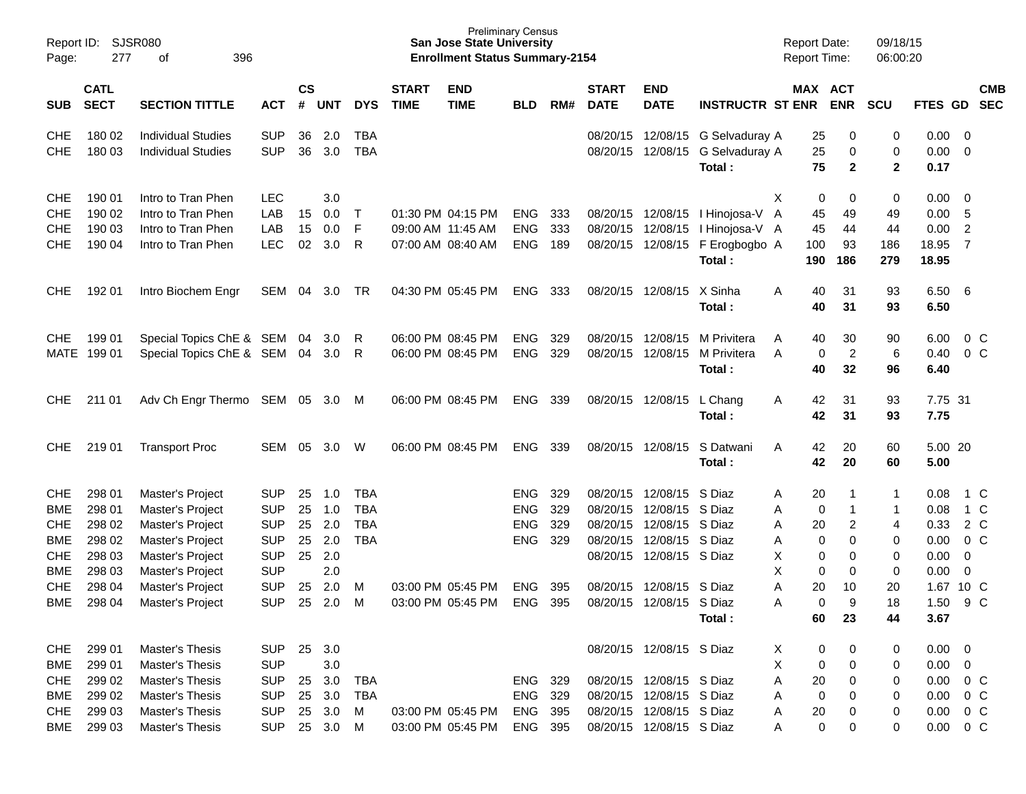| Report ID:<br>Page:                                                              | 277                                                          | <b>SJSR080</b><br>396<br>οf                                                                                          |                                                                                  |                            |                                                      |                                               |                             | <b>San Jose State University</b><br><b>Enrollment Status Summary-2154</b> | <b>Preliminary Census</b>                            |                          |                             |                                                                                                                                          |                                                                                                                   | <b>Report Date:</b><br>Report Time: |                                                            | 09/18/15<br>06:00:20        |                                                                                                   |                                                         |                                     |
|----------------------------------------------------------------------------------|--------------------------------------------------------------|----------------------------------------------------------------------------------------------------------------------|----------------------------------------------------------------------------------|----------------------------|------------------------------------------------------|-----------------------------------------------|-----------------------------|---------------------------------------------------------------------------|------------------------------------------------------|--------------------------|-----------------------------|------------------------------------------------------------------------------------------------------------------------------------------|-------------------------------------------------------------------------------------------------------------------|-------------------------------------|------------------------------------------------------------|-----------------------------|---------------------------------------------------------------------------------------------------|---------------------------------------------------------|-------------------------------------|
| <b>SUB</b>                                                                       | <b>CATL</b><br><b>SECT</b>                                   | <b>SECTION TITTLE</b>                                                                                                | <b>ACT</b>                                                                       | <b>CS</b><br>#             | <b>UNT</b>                                           | <b>DYS</b>                                    | <b>START</b><br><b>TIME</b> | <b>END</b><br><b>TIME</b>                                                 | <b>BLD</b>                                           | RM#                      | <b>START</b><br><b>DATE</b> | <b>END</b><br><b>DATE</b>                                                                                                                | <b>INSTRUCTR ST ENR</b>                                                                                           |                                     | MAX ACT<br><b>ENR</b>                                      | <b>SCU</b>                  | FTES GD SEC                                                                                       |                                                         | <b>CMB</b>                          |
| <b>CHE</b><br>CHE                                                                | 180 02<br>180 03                                             | <b>Individual Studies</b><br><b>Individual Studies</b>                                                               | <b>SUP</b><br><b>SUP</b>                                                         | 36<br>36                   | 2.0<br>3.0                                           | TBA<br><b>TBA</b>                             |                             |                                                                           |                                                      |                          |                             | 08/20/15 12/08/15                                                                                                                        | 08/20/15 12/08/15 G Selvaduray A<br>G Selvaduray A<br>Total:                                                      |                                     | 25<br>0<br>25<br>0<br>75<br>$\mathbf{2}$                   | 0<br>0<br>$\mathbf{2}$      | 0.00<br>0.00<br>0.17                                                                              | $\overline{0}$<br>$\overline{0}$                        |                                     |
| <b>CHE</b><br><b>CHE</b><br><b>CHE</b><br><b>CHE</b>                             | 190 01<br>190 02<br>190 03<br>190 04                         | Intro to Tran Phen<br>Intro to Tran Phen<br>Intro to Tran Phen<br>Intro to Tran Phen                                 | <b>LEC</b><br>LAB<br>LAB<br><b>LEC</b>                                           | 15<br>15<br>02             | 3.0<br>0.0<br>0.0<br>3.0                             | $\top$<br>F<br>R                              |                             | 01:30 PM 04:15 PM<br>09:00 AM 11:45 AM<br>07:00 AM 08:40 AM               | <b>ENG</b><br><b>ENG</b><br><b>ENG</b>               | 333<br>333<br>189        |                             |                                                                                                                                          | 08/20/15 12/08/15   Hinojosa-V A<br>08/20/15 12/08/15 I Hinojosa-V A<br>08/20/15 12/08/15 F Erogbogbo A<br>Total: | Χ<br>100<br>190                     | 0<br>0<br>45<br>49<br>45<br>44<br>93<br>186                | 0<br>49<br>44<br>186<br>279 | 0.00<br>0.00<br>0.00<br>18.95<br>18.95                                                            | $\overline{0}$<br>5<br>$\overline{2}$<br>$\overline{7}$ |                                     |
| <b>CHE</b>                                                                       | 192 01                                                       | Intro Biochem Engr                                                                                                   | SEM                                                                              | 04                         | 3.0                                                  | TR                                            |                             | 04:30 PM 05:45 PM                                                         | <b>ENG</b>                                           | 333                      |                             | 08/20/15 12/08/15                                                                                                                        | X Sinha<br>Total:                                                                                                 | A                                   | 31<br>40<br>40<br>31                                       | 93<br>93                    | 6.50<br>6.50                                                                                      | - 6                                                     |                                     |
| <b>CHE</b><br><b>MATE</b>                                                        | 199 01<br>19901                                              | Special Topics ChE & SEM 04<br>Special Topics ChE & SEM 04                                                           |                                                                                  |                            | 3.0<br>- 3.0                                         | R<br>R                                        |                             | 06:00 PM 08:45 PM<br>06:00 PM 08:45 PM                                    | <b>ENG</b><br><b>ENG</b>                             | 329<br>329               |                             | 08/20/15 12/08/15<br>08/20/15 12/08/15                                                                                                   | M Privitera<br>M Privitera<br>Total:                                                                              | A<br>A                              | 30<br>40<br>$\overline{c}$<br>0<br>40<br>32                | 90<br>6<br>96               | 6.00<br>0.40<br>6.40                                                                              |                                                         | $0\,$ C<br>0 <sup>C</sup>           |
| <b>CHE</b>                                                                       | 211 01                                                       | Adv Ch Engr Thermo SEM 05 3.0                                                                                        |                                                                                  |                            |                                                      | - M                                           |                             | 06:00 PM 08:45 PM                                                         | <b>ENG</b>                                           | 339                      |                             | 08/20/15 12/08/15                                                                                                                        | L Chang<br>Total:                                                                                                 | A                                   | 31<br>42<br>42<br>31                                       | 93<br>93                    | 7.75 31<br>7.75                                                                                   |                                                         |                                     |
| <b>CHE</b>                                                                       | 219 01                                                       | <b>Transport Proc</b>                                                                                                | SEM                                                                              | 05                         | 3.0                                                  | W                                             |                             | 06:00 PM 08:45 PM                                                         | <b>ENG</b>                                           | 339                      |                             | 08/20/15 12/08/15                                                                                                                        | S Datwani<br>Total:                                                                                               | A                                   | 20<br>42<br>42<br>20                                       | 60<br>60                    | 5.00 20<br>5.00                                                                                   |                                                         |                                     |
| <b>CHE</b><br><b>BME</b><br><b>CHE</b><br><b>BME</b><br><b>CHE</b><br><b>BME</b> | 298 01<br>298 01<br>298 02<br>298 02<br>298 03<br>298 03     | Master's Project<br>Master's Project<br>Master's Project<br>Master's Project<br>Master's Project<br>Master's Project | <b>SUP</b><br><b>SUP</b><br><b>SUP</b><br><b>SUP</b><br><b>SUP</b><br><b>SUP</b> | 25<br>25<br>25<br>25<br>25 | 1.0<br>1.0<br>2.0<br>2.0<br>2.0<br>2.0               | TBA<br><b>TBA</b><br><b>TBA</b><br><b>TBA</b> |                             |                                                                           | <b>ENG</b><br><b>ENG</b><br><b>ENG</b><br><b>ENG</b> | 329<br>329<br>329<br>329 | 08/20/15<br>08/20/15        | 08/20/15 12/08/15 S Diaz<br>12/08/15 S Diaz<br>12/08/15 S Diaz<br>08/20/15 12/08/15 S Diaz<br>08/20/15 12/08/15 S Diaz                   |                                                                                                                   | A<br>Α<br>Α<br>Α<br>Х<br>X          | 20<br>0<br>20<br>2<br>0<br>0<br>0<br>0<br>0<br>0           | 1<br>1<br>4<br>0<br>0<br>0  | 0.08<br>0.08<br>0.33<br>0.00<br>0.00<br>0.00                                                      | 0<br>0                                                  | 1 C<br>1 C<br>2 C<br>0 <sup>C</sup> |
| <b>CHE</b><br><b>BME</b>                                                         | 298 04<br>298 04                                             | Master's Project<br>Master's Project                                                                                 | <b>SUP</b><br><b>SUP</b>                                                         | 25<br>25                   | 2.0<br>2.0                                           | м<br>M                                        |                             | 03:00 PM 05:45 PM<br>03:00 PM 05:45 PM                                    | <b>ENG</b><br><b>ENG</b>                             | 395<br>395               | 08/20/15                    | 12/08/15 S Diaz<br>08/20/15 12/08/15 S Diaz                                                                                              | Total:                                                                                                            | A<br>Α                              | 20<br>10<br>0<br>9<br>60<br>23                             | 20<br>18<br>44              | 1.67<br>1.50<br>3.67                                                                              | 10 C                                                    | 9 C                                 |
| <b>CHE</b><br>BME<br>CHE<br>BME<br><b>CHE</b>                                    | 299 01<br>299 01<br>299 02<br>299 02<br>299 03<br>BME 299 03 | Master's Thesis<br>Master's Thesis<br>Master's Thesis<br>Master's Thesis<br>Master's Thesis<br>Master's Thesis       | <b>SUP</b><br><b>SUP</b><br><b>SUP</b><br><b>SUP</b><br><b>SUP</b><br><b>SUP</b> | 25                         | 3.0<br>3.0<br>25 3.0<br>25 3.0<br>25 3.0<br>25 3.0 M | <b>TBA</b><br><b>TBA</b><br>M                 |                             | 03:00 PM 05:45 PM<br>03:00 PM 05:45 PM                                    | ENG 329<br>ENG 329<br>ENG 395<br>ENG 395             |                          |                             | 08/20/15 12/08/15 S Diaz<br>08/20/15 12/08/15 S Diaz<br>08/20/15 12/08/15 S Diaz<br>08/20/15 12/08/15 S Diaz<br>08/20/15 12/08/15 S Diaz |                                                                                                                   | X<br>X<br>Α<br>A<br>A<br>A          | 0<br>0<br>0<br>0<br>20<br>0<br>0<br>0<br>20<br>0<br>0<br>0 | 0<br>0<br>0<br>0<br>0<br>0  | $0.00 \quad 0$<br>$0.00 \t 0$<br>$0.00 \t 0 C$<br>$0.00 \t 0 C$<br>$0.00 \t 0 C$<br>$0.00 \t 0 C$ |                                                         |                                     |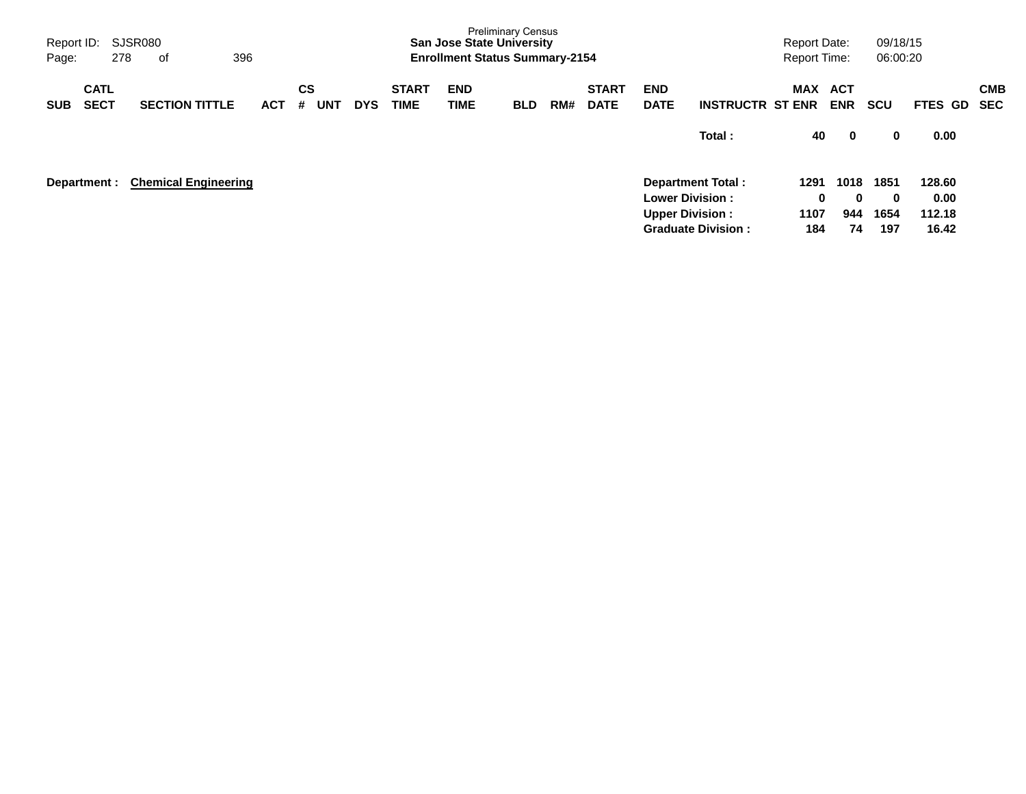| Report ID:<br>Page: |                            | 278 | SJSR080<br>οf               | 396        |         |            |            |                             | <b>San Jose State University</b><br><b>Enrollment Status Summary-2154</b> | <b>Preliminary Census</b> |     |                             |                                                  |                           | <b>Report Date:</b><br><b>Report Time:</b> |                          | 09/18/15<br>06:00:20 |                          |                          |
|---------------------|----------------------------|-----|-----------------------------|------------|---------|------------|------------|-----------------------------|---------------------------------------------------------------------------|---------------------------|-----|-----------------------------|--------------------------------------------------|---------------------------|--------------------------------------------|--------------------------|----------------------|--------------------------|--------------------------|
| <b>SUB</b>          | <b>CATL</b><br><b>SECT</b> |     | <b>SECTION TITTLE</b>       | <b>ACT</b> | CS<br># | <b>UNT</b> | <b>DYS</b> | <b>START</b><br><b>TIME</b> | <b>END</b><br>TIME                                                        | <b>BLD</b>                | RM# | <b>START</b><br><b>DATE</b> | <b>END</b><br><b>DATE</b>                        | <b>INSTRUCTR ST ENR</b>   | MAX                                        | <b>ACT</b><br><b>ENR</b> | <b>SCU</b>           | FTES GD                  | <b>CMB</b><br><b>SEC</b> |
|                     |                            |     |                             |            |         |            |            |                             |                                                                           |                           |     |                             |                                                  | Total:                    | 40                                         | $\mathbf 0$              | 0                    | 0.00                     |                          |
|                     | Department :               |     | <b>Chemical Engineering</b> |            |         |            |            |                             |                                                                           |                           |     |                             | <b>Lower Division:</b><br><b>Upper Division:</b> | <b>Department Total:</b>  | 1291<br>0<br>1107                          | 1018<br>$\bf{0}$<br>944  | 1851<br>0<br>1654    | 128.60<br>0.00<br>112.18 |                          |
|                     |                            |     |                             |            |         |            |            |                             |                                                                           |                           |     |                             |                                                  | <b>Graduate Division:</b> | 184                                        | 74                       | 197                  | 16.42                    |                          |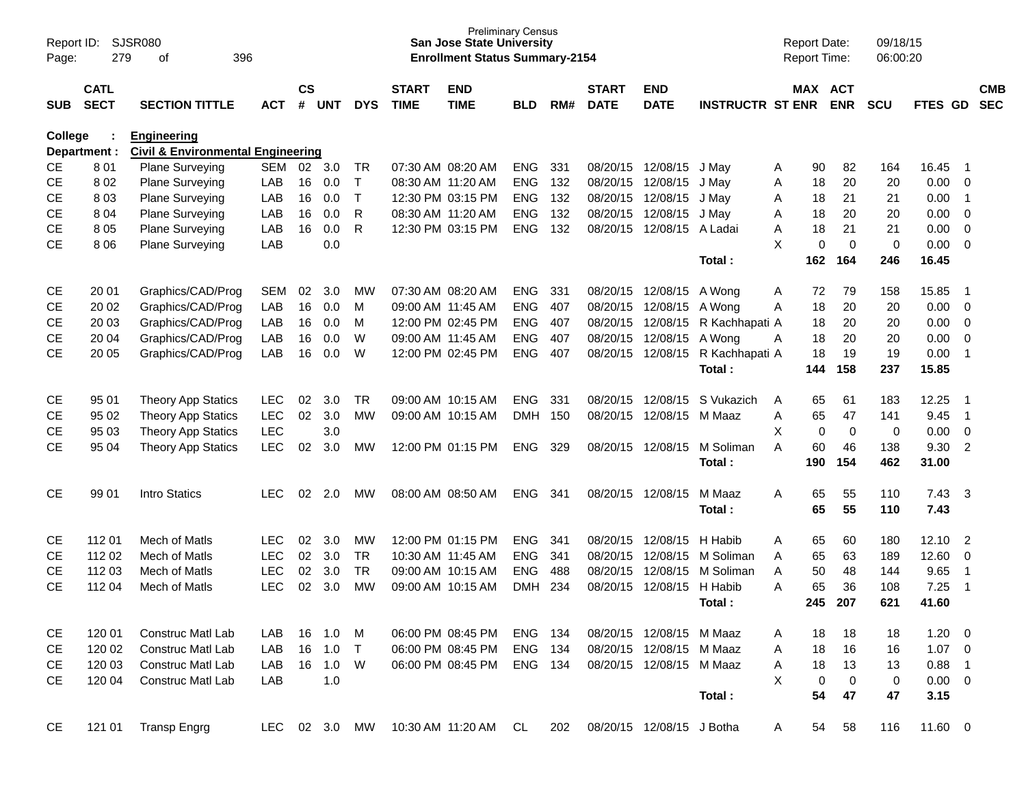| Report ID:<br>Page: | 279                        | <b>SJSR080</b><br>396<br>of                                        |            |                    |           |            |                             | <b>San Jose State University</b><br><b>Enrollment Status Summary-2154</b> | <b>Preliminary Census</b> |     |                             |                           |                         |   | <b>Report Date:</b><br>Report Time: |                              | 09/18/15<br>06:00:20 |             |                            |                          |
|---------------------|----------------------------|--------------------------------------------------------------------|------------|--------------------|-----------|------------|-----------------------------|---------------------------------------------------------------------------|---------------------------|-----|-----------------------------|---------------------------|-------------------------|---|-------------------------------------|------------------------------|----------------------|-------------|----------------------------|--------------------------|
| <b>SUB</b>          | <b>CATL</b><br><b>SECT</b> | <b>SECTION TITTLE</b>                                              | <b>ACT</b> | $\mathsf{cs}$<br># | UNT       | <b>DYS</b> | <b>START</b><br><b>TIME</b> | <b>END</b><br><b>TIME</b>                                                 | <b>BLD</b>                | RM# | <b>START</b><br><b>DATE</b> | <b>END</b><br><b>DATE</b> | <b>INSTRUCTR ST ENR</b> |   |                                     | <b>MAX ACT</b><br><b>ENR</b> | <b>SCU</b>           | FTES GD     |                            | <b>CMB</b><br><b>SEC</b> |
| College             | Department :               | <b>Engineering</b><br><b>Civil &amp; Environmental Engineering</b> |            |                    |           |            |                             |                                                                           |                           |     |                             |                           |                         |   |                                     |                              |                      |             |                            |                          |
| CE                  | 801                        | Plane Surveying                                                    | <b>SEM</b> | 02                 | 3.0       | <b>TR</b>  |                             | 07:30 AM 08:20 AM                                                         | <b>ENG</b>                | 331 |                             | 08/20/15 12/08/15         | J May                   | A | 90                                  | 82                           | 164                  | 16.45       | - 1                        |                          |
| <b>CE</b>           | 8 0 2                      | Plane Surveying                                                    | LAB        | 16                 | 0.0       | T          |                             | 08:30 AM 11:20 AM                                                         | <b>ENG</b>                | 132 | 08/20/15                    | 12/08/15                  | J May                   | Α | 18                                  | 20                           | 20                   | 0.00        | - 0                        |                          |
| <b>CE</b>           | 803                        | <b>Plane Surveying</b>                                             | LAB        | 16                 | 0.0       | T.         |                             | 12:30 PM 03:15 PM                                                         | <b>ENG</b>                | 132 | 08/20/15                    | 12/08/15                  | J May                   | A | 18                                  | 21                           | 21                   | 0.00        | $\overline{1}$             |                          |
| <b>CE</b>           | 8 0 4                      | <b>Plane Surveying</b>                                             | LAB        | 16                 | 0.0       | R          |                             | 08:30 AM 11:20 AM                                                         | <b>ENG</b>                | 132 | 08/20/15                    | 12/08/15                  | J May                   | Α | 18                                  | 20                           | 20                   | 0.00        | $\overline{\mathbf{0}}$    |                          |
| <b>CE</b>           | 805                        | <b>Plane Surveying</b>                                             | LAB        | 16                 | 0.0       | R          |                             | 12:30 PM 03:15 PM                                                         | <b>ENG</b>                | 132 | 08/20/15                    | 12/08/15                  | A Ladai                 | Α | 18                                  | 21                           | 21                   | 0.00        | 0                          |                          |
| <b>CE</b>           | 8 0 6                      | <b>Plane Surveying</b>                                             | LAB        |                    | 0.0       |            |                             |                                                                           |                           |     |                             |                           |                         | X | $\mathbf 0$                         | $\mathbf 0$                  | 0                    | 0.00        | $\overline{\mathbf{0}}$    |                          |
|                     |                            |                                                                    |            |                    |           |            |                             |                                                                           |                           |     |                             |                           | Total:                  |   | 162                                 | 164                          | 246                  | 16.45       |                            |                          |
| <b>CE</b>           | 20 01                      | Graphics/CAD/Prog                                                  | <b>SEM</b> | 02                 | 3.0       | МW         |                             | 07:30 AM 08:20 AM                                                         | <b>ENG</b>                | 331 |                             | 08/20/15 12/08/15         | A Wong                  | A | 72                                  | 79                           | 158                  | 15.85       | $\overline{\phantom{0}}$ 1 |                          |
| <b>CE</b>           | 20 02                      | Graphics/CAD/Prog                                                  | LAB        | 16                 | 0.0       | M          |                             | 09:00 AM 11:45 AM                                                         | <b>ENG</b>                | 407 | 08/20/15                    | 12/08/15                  | A Wona                  | A | 18                                  | 20                           | 20                   | 0.00        | 0                          |                          |
| <b>CE</b>           | 20 03                      | Graphics/CAD/Prog                                                  | LAB        | 16                 | 0.0       | м          |                             | 12:00 PM 02:45 PM                                                         | <b>ENG</b>                | 407 | 08/20/15                    | 12/08/15                  | R Kachhapati A          |   | 18                                  | 20                           | 20                   | 0.00        | $\overline{0}$             |                          |
| <b>CE</b>           | 20 04                      | Graphics/CAD/Prog                                                  | LAB        | 16                 | 0.0       | W          |                             | 09:00 AM 11:45 AM                                                         | <b>ENG</b>                | 407 | 08/20/15                    | 12/08/15                  | A Wona                  | A | 18                                  | 20                           | 20                   | 0.00        | $\overline{0}$             |                          |
| <b>CE</b>           | 20 05                      | Graphics/CAD/Prog                                                  | LAB        | 16                 | 0.0       | W          |                             | 12:00 PM 02:45 PM                                                         | <b>ENG</b>                | 407 |                             | 08/20/15 12/08/15         | R Kachhapati A          |   | 18                                  | 19                           | 19                   | 0.00        | $\overline{1}$             |                          |
|                     |                            |                                                                    |            |                    |           |            |                             |                                                                           |                           |     |                             |                           | Total:                  |   | 144                                 | 158                          | 237                  | 15.85       |                            |                          |
| <b>CE</b>           | 95 01                      | <b>Theory App Statics</b>                                          | <b>LEC</b> | 02                 | 3.0       | <b>TR</b>  |                             | 09:00 AM 10:15 AM                                                         | <b>ENG</b>                | 331 | 08/20/15                    | 12/08/15                  | S Vukazich              | A | 65                                  | 61                           | 183                  | 12.25       | $\overline{\phantom{0}}$ 1 |                          |
| <b>CE</b>           | 95 02                      | <b>Theory App Statics</b>                                          | <b>LEC</b> | 02                 | 3.0       | <b>MW</b>  |                             | 09:00 AM 10:15 AM                                                         | <b>DMH</b>                | 150 | 08/20/15                    | 12/08/15                  | M Maaz                  | A | 65                                  | 47                           | 141                  | 9.45        | $\overline{1}$             |                          |
| <b>CE</b>           | 95 03                      | <b>Theory App Statics</b>                                          | <b>LEC</b> |                    | 3.0       |            |                             |                                                                           |                           |     |                             |                           |                         | X | 0                                   | $\mathbf 0$                  | 0                    | 0.00        | $\overline{0}$             |                          |
| <b>CE</b>           | 95 04                      | <b>Theory App Statics</b>                                          | <b>LEC</b> | 02                 | 3.0       | МW         |                             | 12:00 PM 01:15 PM                                                         | <b>ENG</b>                | 329 |                             | 08/20/15 12/08/15         | M Soliman               | A | 60                                  | 46                           | 138                  | 9.30        | $\overline{2}$             |                          |
|                     |                            |                                                                    |            |                    |           |            |                             |                                                                           |                           |     |                             |                           | Total:                  |   | 190                                 | 154                          | 462                  | 31.00       |                            |                          |
| <b>CE</b>           | 99 01                      | Intro Statics                                                      | <b>LEC</b> | 02                 | 2.0       | <b>MW</b>  |                             | 08:00 AM 08:50 AM                                                         | <b>ENG</b>                | 341 |                             | 08/20/15 12/08/15         | M Maaz                  | A | 65                                  | 55                           | 110                  | 7.43        | $\mathbf{3}$               |                          |
|                     |                            |                                                                    |            |                    |           |            |                             |                                                                           |                           |     |                             |                           | Total:                  |   | 65                                  | 55                           | 110                  | 7.43        |                            |                          |
| <b>CE</b>           | 112 01                     | Mech of Matls                                                      | <b>LEC</b> | 02                 | 3.0       | MW         |                             | 12:00 PM 01:15 PM                                                         | <b>ENG</b>                | 341 |                             | 08/20/15 12/08/15         | H Habib                 | A | 65                                  | 60                           | 180                  | 12.10       | $\overline{2}$             |                          |
| CE                  | 112 02                     | Mech of Matls                                                      | <b>LEC</b> | 02                 | 3.0       | <b>TR</b>  |                             | 10:30 AM 11:45 AM                                                         | <b>ENG</b>                | 341 | 08/20/15                    | 12/08/15                  | M Soliman               | A | 65                                  | 63                           | 189                  | 12.60       | 0                          |                          |
| <b>CE</b>           | 112 03                     | Mech of Matls                                                      | <b>LEC</b> | 02                 | 3.0       | <b>TR</b>  |                             | 09:00 AM 10:15 AM                                                         | <b>ENG</b>                | 488 | 08/20/15                    | 12/08/15                  | M Soliman               | A | 50                                  | 48                           | 144                  | 9.65        | $\overline{1}$             |                          |
| <b>CE</b>           | 112 04                     | Mech of Matls                                                      | LEC        | 02                 | 3.0       | <b>MW</b>  |                             | 09:00 AM 10:15 AM                                                         | <b>DMH</b>                | 234 | 08/20/15                    | 12/08/15                  | H Habib                 | A | 65                                  | 36                           | 108                  | 7.25        | $\overline{1}$             |                          |
|                     |                            |                                                                    |            |                    |           |            |                             |                                                                           |                           |     |                             |                           | Total:                  |   | 245                                 | 207                          | 621                  | 41.60       |                            |                          |
| <b>CE</b>           | 120 01                     | <b>Construc Matl Lab</b>                                           | LAB        | 16                 | 1.0       | M          |                             | 06:00 PM 08:45 PM                                                         | <b>ENG</b>                | 134 |                             | 08/20/15 12/08/15         | M Maaz                  | A | 18                                  | 18                           | 18                   | 1.20        | $\overline{\phantom{0}}$   |                          |
| <b>CE</b>           | 120 02                     | <b>Construc Matl Lab</b>                                           | LAB        | 16                 | 1.0       | $\top$     |                             | 06:00 PM 08:45 PM                                                         | ENG                       | 134 |                             | 08/20/15 12/08/15         | M Maaz                  | A | 18                                  | 16                           | 16                   | $1.07 \t 0$ |                            |                          |
| CE                  | 120 03                     | <b>Construc Matl Lab</b>                                           | LAB        |                    | 16 1.0    | W          |                             | 06:00 PM 08:45 PM                                                         | ENG 134                   |     |                             | 08/20/15 12/08/15 M Maaz  |                         | Α | 18                                  | 13                           | 13                   | 0.88        | $\overline{\phantom{0}}$ 1 |                          |
| <b>CE</b>           | 120 04                     | Construc Matl Lab                                                  | LAB        |                    | 1.0       |            |                             |                                                                           |                           |     |                             |                           |                         | X | 0                                   | 0                            | 0                    | $0.00 \t 0$ |                            |                          |
|                     |                            |                                                                    |            |                    |           |            |                             |                                                                           |                           |     |                             |                           | Total:                  |   | 54                                  | 47                           | 47                   | 3.15        |                            |                          |
| <b>CE</b>           | 121 01                     | <b>Transp Engrg</b>                                                | LEC        |                    | 02 3.0 MW |            |                             | 10:30 AM 11:20 AM                                                         | CL                        | 202 |                             | 08/20/15 12/08/15 J Botha |                         | A | 54                                  | 58                           | 116                  | 11.60 0     |                            |                          |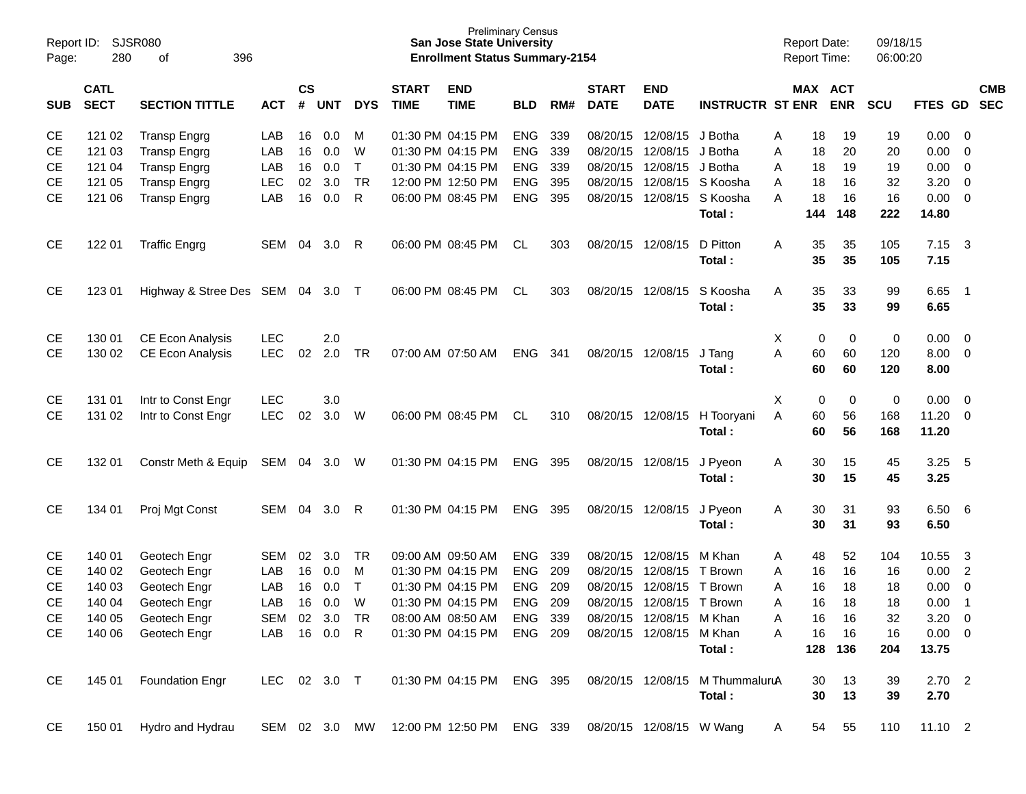| Page:      | Report ID:<br>SJSR080<br>280<br>396<br>оf |                         |               |                    |            |              |                             | <b>Preliminary Census</b><br><b>San Jose State University</b><br><b>Enrollment Status Summary-2154</b> |            |     |                             |                           |                                 | <b>Report Date:</b><br><b>Report Time:</b> |     |                       | 09/18/15<br>06:00:20 |             |                |                          |
|------------|-------------------------------------------|-------------------------|---------------|--------------------|------------|--------------|-----------------------------|--------------------------------------------------------------------------------------------------------|------------|-----|-----------------------------|---------------------------|---------------------------------|--------------------------------------------|-----|-----------------------|----------------------|-------------|----------------|--------------------------|
| <b>SUB</b> | <b>CATL</b><br><b>SECT</b>                | <b>SECTION TITTLE</b>   | <b>ACT</b>    | $\mathsf{cs}$<br># | <b>UNT</b> | <b>DYS</b>   | <b>START</b><br><b>TIME</b> | <b>END</b><br><b>TIME</b>                                                                              | <b>BLD</b> | RM# | <b>START</b><br><b>DATE</b> | <b>END</b><br><b>DATE</b> | <b>INSTRUCTR ST ENR</b>         |                                            |     | MAX ACT<br><b>ENR</b> | <b>SCU</b>           | FTES GD     |                | <b>CMB</b><br><b>SEC</b> |
| <b>CE</b>  | 121 02                                    | <b>Transp Engrg</b>     | LAB           | 16                 | 0.0        | M            |                             | 01:30 PM 04:15 PM                                                                                      | ENG        | 339 | 08/20/15                    | 12/08/15                  | J Botha                         | A                                          | 18  | 19                    | 19                   | 0.00        | 0              |                          |
| <b>CE</b>  | 121 03                                    | <b>Transp Engrg</b>     | LAB           | 16                 | 0.0        | W            |                             | 01:30 PM 04:15 PM                                                                                      | <b>ENG</b> | 339 | 08/20/15                    | 12/08/15                  | J Botha                         | Α                                          | 18  | 20                    | 20                   | 0.00        | 0              |                          |
| CЕ         | 121 04                                    | <b>Transp Engrg</b>     | LAB           | 16                 | 0.0        | Τ            |                             | 01:30 PM 04:15 PM                                                                                      | <b>ENG</b> | 339 | 08/20/15                    | 12/08/15                  | J Botha                         | Α                                          | 18  | 19                    | 19                   | 0.00        | 0              |                          |
| <b>CE</b>  | 121 05                                    | <b>Transp Engrg</b>     | LEC           | 02                 | 3.0        | <b>TR</b>    |                             | 12:00 PM 12:50 PM                                                                                      | <b>ENG</b> | 395 | 08/20/15                    | 12/08/15                  | S Koosha                        | A                                          | 18  | 16                    | 32                   | 3.20        | $\mathbf 0$    |                          |
| <b>CE</b>  | 121 06                                    | <b>Transp Engrg</b>     | LAB           | 16                 | 0.0        | $\mathsf{R}$ |                             | 06:00 PM 08:45 PM                                                                                      | <b>ENG</b> | 395 | 08/20/15                    | 12/08/15                  | S Koosha                        | A                                          | 18  | 16                    | 16                   | 0.00        | $\mathbf 0$    |                          |
|            |                                           |                         |               |                    |            |              |                             |                                                                                                        |            |     |                             |                           | Total:                          |                                            | 144 | 148                   | 222                  | 14.80       |                |                          |
| <b>CE</b>  | 122 01                                    | <b>Traffic Engrg</b>    | <b>SEM</b>    | 04                 | 3.0        | R            |                             | 06:00 PM 08:45 PM                                                                                      | CL         | 303 | 08/20/15                    | 12/08/15                  | D Pitton                        | Α                                          | 35  | 35                    | 105                  | 7.15        | -3             |                          |
|            |                                           |                         |               |                    |            |              |                             |                                                                                                        |            |     |                             |                           | Total:                          |                                            | 35  | 35                    | 105                  | 7.15        |                |                          |
| <b>CE</b>  | 123 01                                    | Highway & Stree Des SEM |               | 04                 | 3.0        | $\top$       |                             | 06:00 PM 08:45 PM                                                                                      | CL         | 303 | 08/20/15                    | 12/08/15                  | S Koosha                        | A                                          | 35  | 33                    | 99                   | 6.65        | $\overline{1}$ |                          |
|            |                                           |                         |               |                    |            |              |                             |                                                                                                        |            |     |                             |                           | Total:                          |                                            | 35  | 33                    | 99                   | 6.65        |                |                          |
| CЕ         | 130 01                                    | <b>CE Econ Analysis</b> | <b>LEC</b>    |                    | 2.0        |              |                             |                                                                                                        |            |     |                             |                           |                                 | Χ                                          | 0   | 0                     | 0                    | 0.00        | 0              |                          |
| <b>CE</b>  | 130 02                                    | <b>CE Econ Analysis</b> | <b>LEC</b>    | 02                 | 2.0        | <b>TR</b>    |                             | 07:00 AM 07:50 AM                                                                                      | <b>ENG</b> | 341 |                             | 08/20/15 12/08/15         | J Tang                          | A                                          | 60  | 60                    | 120                  | 8.00        | $\mathbf 0$    |                          |
|            |                                           |                         |               |                    |            |              |                             |                                                                                                        |            |     |                             |                           | Total:                          |                                            | 60  | 60                    | 120                  | 8.00        |                |                          |
| CЕ         | 131 01                                    | Intr to Const Engr      | <b>LEC</b>    |                    | 3.0        |              |                             |                                                                                                        |            |     |                             |                           |                                 | Χ                                          | 0   | 0                     | 0                    | 0.00        | 0              |                          |
| <b>CE</b>  | 131 02                                    | Intr to Const Engr      | <b>LEC</b>    | 02                 | 3.0        | W            |                             | 06:00 PM 08:45 PM                                                                                      | CL         | 310 |                             | 08/20/15 12/08/15         | H Tooryani                      | A                                          | 60  | 56                    | 168                  | 11.20       | $\overline{0}$ |                          |
|            |                                           |                         |               |                    |            |              |                             |                                                                                                        |            |     |                             |                           | Total:                          |                                            | 60  | 56                    | 168                  | 11.20       |                |                          |
| <b>CE</b>  | 132 01                                    | Constr Meth & Equip     | SEM           | 04                 | 3.0        | W            |                             | 01:30 PM 04:15 PM                                                                                      | ENG        | 395 |                             | 08/20/15 12/08/15         | J Pyeon                         | A                                          | 30  | 15                    | 45                   | 3.25        | -5             |                          |
|            |                                           |                         |               |                    |            |              |                             |                                                                                                        |            |     |                             |                           | Total:                          |                                            | 30  | 15                    | 45                   | 3.25        |                |                          |
| <b>CE</b>  | 134 01                                    | Proj Mgt Const          | <b>SEM</b>    | 04                 | 3.0        | R            |                             | 01:30 PM 04:15 PM                                                                                      | <b>ENG</b> | 395 |                             | 08/20/15 12/08/15         | J Pyeon                         | A                                          | 30  | 31                    | 93                   | 6.50        | -6             |                          |
|            |                                           |                         |               |                    |            |              |                             |                                                                                                        |            |     |                             |                           | Total:                          |                                            | 30  | 31                    | 93                   | 6.50        |                |                          |
| CЕ         | 140 01                                    | Geotech Engr            | <b>SEM</b>    | 02                 | 3.0        | TR           |                             | 09:00 AM 09:50 AM                                                                                      | ENG        | 339 | 08/20/15                    | 12/08/15                  | M Khan                          | A                                          | 48  | 52                    | 104                  | 10.55       | -3             |                          |
| CЕ         | 140 02                                    | Geotech Engr            | LAB           | 16                 | 0.0        | M            |                             | 01:30 PM 04:15 PM                                                                                      | <b>ENG</b> | 209 | 08/20/15                    | 12/08/15                  | T Brown                         | A                                          | 16  | 16                    | 16                   | 0.00        | $\overline{2}$ |                          |
| <b>CE</b>  | 140 03                                    | Geotech Engr            | LAB           | 16                 | 0.0        | Τ            |                             | 01:30 PM 04:15 PM                                                                                      | <b>ENG</b> | 209 | 08/20/15                    | 12/08/15                  | T Brown                         | Α                                          | 16  | 18                    | 18                   | 0.00        | 0              |                          |
| CE         | 140 04                                    | Geotech Engr            | LAB           | 16                 | 0.0        | W            |                             | 01:30 PM 04:15 PM                                                                                      | <b>ENG</b> | 209 | 08/20/15                    | 12/08/15                  | T Brown                         | A                                          | 16  | 18                    | 18                   | 0.00        | $\overline{1}$ |                          |
| <b>CE</b>  | 140 05                                    | Geotech Engr            | SEM           |                    | 02 3.0     | TR           |                             | 08:00 AM 08:50 AM                                                                                      | ENG 339    |     |                             | 08/20/15 12/08/15 M Khan  |                                 | Α                                          | 16  | 16                    | 32                   | 3.20        | $\overline{0}$ |                          |
| <b>CE</b>  | 140 06                                    | Geotech Engr            | LAB           |                    | 16 0.0     | R.           |                             | 01:30 PM 04:15 PM                                                                                      | ENG 209    |     |                             | 08/20/15 12/08/15 M Khan  |                                 | Α                                          | 16  | 16                    | 16                   | $0.00 \t 0$ |                |                          |
|            |                                           |                         |               |                    |            |              |                             |                                                                                                        |            |     |                             |                           | Total:                          |                                            | 128 | 136                   | 204                  | 13.75       |                |                          |
| CE         | 145 01                                    | <b>Foundation Engr</b>  | LEC 02 3.0 T  |                    |            |              |                             | 01:30 PM 04:15 PM                                                                                      | ENG 395    |     |                             |                           | 08/20/15 12/08/15 M ThummaluruA |                                            | 30  | 13                    | 39                   | $2.70$ 2    |                |                          |
|            |                                           |                         |               |                    |            |              |                             |                                                                                                        |            |     |                             |                           | Total:                          |                                            | 30  | 13                    | 39                   | 2.70        |                |                          |
| CE         | 150 01                                    | Hydro and Hydrau        | SEM 02 3.0 MW |                    |            |              |                             | 12:00 PM 12:50 PM                                                                                      | ENG 339    |     |                             | 08/20/15 12/08/15 W Wang  |                                 | A                                          | 54  | 55                    | 110                  | $11.10$ 2   |                |                          |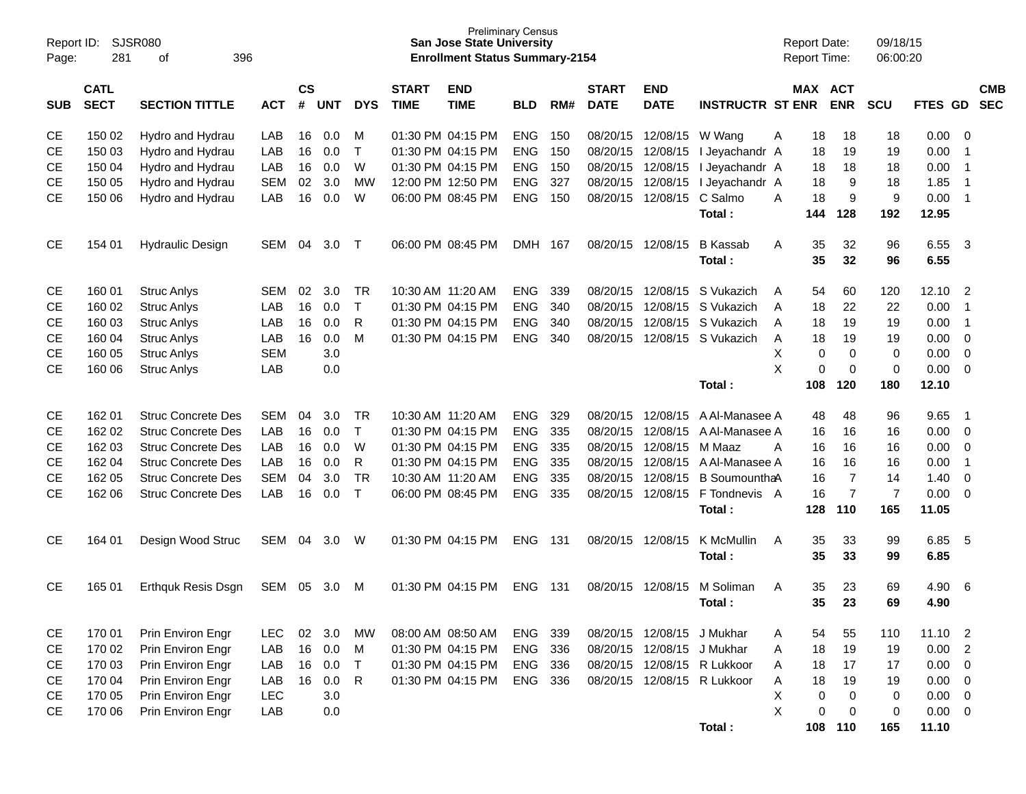| Report ID:<br>Page: | <b>SJSR080</b><br>281                                             |                           |            |    |            |              | <b>Preliminary Census</b><br><b>San Jose State University</b><br><b>Enrollment Status Summary-2154</b> |                           |            |     |                             |                            | <b>Report Date:</b><br><b>Report Time:</b> |                | 09/18/15<br>06:00:20 |                |         |                          |  |
|---------------------|-------------------------------------------------------------------|---------------------------|------------|----|------------|--------------|--------------------------------------------------------------------------------------------------------|---------------------------|------------|-----|-----------------------------|----------------------------|--------------------------------------------|----------------|----------------------|----------------|---------|--------------------------|--|
| <b>SUB</b>          | <b>CATL</b><br><b>SECT</b><br><b>SECTION TITTLE</b><br><b>ACT</b> |                           |            |    | <b>UNT</b> | <b>DYS</b>   | <b>START</b><br><b>TIME</b>                                                                            | <b>END</b><br><b>TIME</b> | <b>BLD</b> | RM# | <b>START</b><br><b>DATE</b> | <b>END</b><br><b>DATE</b>  | <b>INSTRUCTR ST ENR</b>                    | <b>MAX ACT</b> | <b>ENR</b>           | <b>SCU</b>     | FTES GD | <b>CMB</b><br><b>SEC</b> |  |
| <b>CE</b>           | 150 02                                                            | Hydro and Hydrau          | LAB        | 16 | 0.0        | M            |                                                                                                        | 01:30 PM 04:15 PM         | <b>ENG</b> | 150 | 08/20/15                    | 12/08/15                   | W Wang                                     | Α<br>18        | 18                   | 18             | 0.00    | 0                        |  |
| <b>CE</b>           | 150 03                                                            | Hydro and Hydrau          | LAB        | 16 | 0.0        | $\mathsf{T}$ |                                                                                                        | 01:30 PM 04:15 PM         | <b>ENG</b> | 150 | 08/20/15                    | 12/08/15                   | I Jeyachandr A                             | 18             | 19                   | 19             | 0.00    | -1                       |  |
| <b>CE</b>           | 150 04                                                            | Hydro and Hydrau          | LAB        | 16 | 0.0        | W            |                                                                                                        | 01:30 PM 04:15 PM         | <b>ENG</b> | 150 | 08/20/15                    | 12/08/15                   | I Jeyachandr A                             | 18             | 18                   | 18             | 0.00    | $\mathbf 1$              |  |
| <b>CE</b>           | 150 05                                                            | Hydro and Hydrau          | <b>SEM</b> | 02 | 3.0        | <b>MW</b>    |                                                                                                        | 12:00 PM 12:50 PM         | <b>ENG</b> | 327 | 08/20/15                    | 12/08/15                   | I Jeyachandr A                             | 18             | 9                    | 18             | 1.85    | $\overline{\mathbf{1}}$  |  |
| <b>CE</b>           | 150 06                                                            | Hydro and Hydrau          | LAB        | 16 | 0.0        | W            |                                                                                                        | 06:00 PM 08:45 PM         | <b>ENG</b> | 150 | 08/20/15                    | 12/08/15                   | C Salmo                                    | 18<br>A        | 9                    | 9              | 0.00    | -1                       |  |
|                     |                                                                   |                           |            |    |            |              |                                                                                                        |                           |            |     |                             |                            | Total:                                     | 144            | 128                  | 192            | 12.95   |                          |  |
| <b>CE</b>           | 154 01                                                            | <b>Hydraulic Design</b>   | SEM        | 04 | 3.0        | $\top$       |                                                                                                        | 06:00 PM 08:45 PM         | DMH 167    |     | 08/20/15                    | 12/08/15                   | <b>B</b> Kassab                            | 35<br>A        | 32                   | 96             | 6.55    | -3                       |  |
|                     |                                                                   |                           |            |    |            |              |                                                                                                        |                           |            |     |                             |                            | Total:                                     | 35             | 32                   | 96             | 6.55    |                          |  |
| СE                  | 160 01                                                            | <b>Struc Anlys</b>        | SEM        | 02 | 3.0        | TR           | 10:30 AM 11:20 AM                                                                                      |                           | <b>ENG</b> | 339 | 08/20/15                    | 12/08/15                   | S Vukazich                                 | 54<br>A        | 60                   | 120            | 12.10   | $\overline{2}$           |  |
| <b>CE</b>           | 160 02                                                            | <b>Struc Anlys</b>        | LAB        | 16 | 0.0        | $\mathsf{T}$ |                                                                                                        | 01:30 PM 04:15 PM         | <b>ENG</b> | 340 | 08/20/15                    | 12/08/15                   | S Vukazich                                 | 18<br>A        | 22                   | 22             | 0.00    | -1                       |  |
| <b>CE</b>           | 160 03                                                            | <b>Struc Anlys</b>        | LAB        | 16 | 0.0        | R            |                                                                                                        | 01:30 PM 04:15 PM         | <b>ENG</b> | 340 | 08/20/15                    | 12/08/15                   | S Vukazich                                 | 18<br>A        | 19                   | 19             | 0.00    | -1                       |  |
| <b>CE</b>           | 160 04                                                            | <b>Struc Anlys</b>        | LAB        | 16 | 0.0        | M            |                                                                                                        | 01:30 PM 04:15 PM         | <b>ENG</b> | 340 | 08/20/15                    |                            | 12/08/15 S Vukazich                        | 18<br>A        | 19                   | 19             | 0.00    | $\mathbf 0$              |  |
| <b>CE</b>           | 160 05                                                            | <b>Struc Anlys</b>        | <b>SEM</b> |    | 3.0        |              |                                                                                                        |                           |            |     |                             |                            |                                            | X<br>0         | $\mathbf 0$          | 0              | 0.00    | $\mathbf 0$              |  |
| <b>CE</b>           | 160 06                                                            | <b>Struc Anlys</b>        | LAB        |    | 0.0        |              |                                                                                                        |                           |            |     |                             |                            |                                            | X<br>0         | $\mathbf 0$          | $\mathbf 0$    | 0.00    | $\mathbf 0$              |  |
|                     |                                                                   |                           |            |    |            |              |                                                                                                        |                           |            |     |                             |                            | Total:                                     | 108            | 120                  | 180            | 12.10   |                          |  |
| <b>CE</b>           | 162 01                                                            | <b>Struc Concrete Des</b> | SEM        | 04 | 3.0        | <b>TR</b>    |                                                                                                        | 10:30 AM 11:20 AM         | <b>ENG</b> | 329 | 08/20/15                    | 12/08/15                   | A Al-Manasee A                             | 48             | 48                   | 96             | 9.65    | $\overline{1}$           |  |
| <b>CE</b>           | 162 02                                                            | <b>Struc Concrete Des</b> | LAB        | 16 | 0.0        | $\mathsf{T}$ |                                                                                                        | 01:30 PM 04:15 PM         | <b>ENG</b> | 335 | 08/20/15                    | 12/08/15                   | A Al-Manasee A                             | 16             | 16                   | 16             | 0.00    | $\mathbf 0$              |  |
| <b>CE</b>           | 162 03                                                            | <b>Struc Concrete Des</b> | LAB        | 16 | 0.0        | W            |                                                                                                        | 01:30 PM 04:15 PM         | <b>ENG</b> | 335 | 08/20/15                    | 12/08/15                   | M Maaz                                     | 16<br>A        | 16                   | 16             | 0.00    | $\mathbf 0$              |  |
| <b>CE</b>           | 162 04                                                            | <b>Struc Concrete Des</b> | LAB        | 16 | 0.0        | R            |                                                                                                        | 01:30 PM 04:15 PM         | <b>ENG</b> | 335 | 08/20/15                    | 12/08/15                   | A Al-Manasee A                             | 16             | 16                   | 16             | 0.00    | -1                       |  |
| <b>CE</b>           | 162 05                                                            | <b>Struc Concrete Des</b> | <b>SEM</b> | 04 | 3.0        | <b>TR</b>    | 10:30 AM 11:20 AM                                                                                      |                           | <b>ENG</b> | 335 | 08/20/15                    | 12/08/15                   | <b>B</b> SoumounthaA                       | 16             | $\overline{7}$       | 14             | 1.40    | $\mathbf 0$              |  |
| <b>CE</b>           | 162 06                                                            | <b>Struc Concrete Des</b> | LAB        | 16 | 0.0        | $\mathsf{T}$ |                                                                                                        | 06:00 PM 08:45 PM         | <b>ENG</b> | 335 | 08/20/15                    | 12/08/15                   | F Tondnevis A                              | 16             | $\overline{7}$       | $\overline{7}$ | 0.00    | $\mathbf 0$              |  |
|                     |                                                                   |                           |            |    |            |              |                                                                                                        |                           |            |     |                             |                            | Total:                                     | 128            | 110                  | 165            | 11.05   |                          |  |
| <b>CE</b>           | 164 01                                                            | Design Wood Struc         | SEM        | 04 | 3.0        | W            |                                                                                                        | 01:30 PM 04:15 PM         | <b>ENG</b> | 131 | 08/20/15                    | 12/08/15                   | K McMullin                                 | 35<br>A        | 33                   | 99             | 6.85    | -5                       |  |
|                     |                                                                   |                           |            |    |            |              |                                                                                                        |                           |            |     |                             |                            | Total :                                    | 35             | 33                   | 99             | 6.85    |                          |  |
| СE                  | 165 01                                                            | Erthquk Resis Dsgn        | SEM        | 05 | 3.0        | M            |                                                                                                        | 01:30 PM 04:15 PM         | <b>ENG</b> | 131 | 08/20/15                    | 12/08/15                   | M Soliman                                  | 35<br>A        | 23                   | 69             | 4.90    | 6                        |  |
|                     |                                                                   |                           |            |    |            |              |                                                                                                        |                           |            |     |                             |                            | Total:                                     | 35             | 23                   | 69             | 4.90    |                          |  |
| <b>CE</b>           | 170 01                                                            | Prin Environ Engr         | <b>LEC</b> | 02 | 3.0        | MW           |                                                                                                        | 08:00 AM 08:50 AM         | ENG        | 339 |                             | 08/20/15 12/08/15 J Mukhar |                                            | 54<br>A        | 55                   | 110            | 11.10   | $\overline{2}$           |  |
| <b>CE</b>           | 170 02                                                            | Prin Environ Engr         | LAB        | 16 | 0.0        | M            |                                                                                                        | 01:30 PM 04:15 PM         | ENG        | 336 |                             | 08/20/15 12/08/15 J Mukhar |                                            | 18<br>A        | 19                   | 19             | 0.00    | $\overline{2}$           |  |
| <b>CE</b>           | 170 03                                                            | Prin Environ Engr         | LAB        | 16 | 0.0        | $\mathsf{T}$ |                                                                                                        | 01:30 PM 04:15 PM         | ENG        | 336 |                             |                            | 08/20/15 12/08/15 R Lukkoor                | A<br>18        | 17                   | 17             | 0.00    | $\mathbf 0$              |  |
| <b>CE</b>           | 170 04                                                            | Prin Environ Engr         | LAB        | 16 | 0.0        | $\mathsf{R}$ |                                                                                                        | 01:30 PM 04:15 PM         | ENG 336    |     |                             |                            | 08/20/15 12/08/15 R Lukkoor                | Α<br>18        | 19                   | 19             | 0.00    | $\mathbf 0$              |  |
| <b>CE</b>           | 170 05                                                            | Prin Environ Engr         | <b>LEC</b> |    | 3.0        |              |                                                                                                        |                           |            |     |                             |                            |                                            | X<br>0         | $\mathbf 0$          | 0              | 0.00    | $\mathbf 0$              |  |
| <b>CE</b>           | 170 06                                                            | Prin Environ Engr         | LAB        |    | 0.0        |              |                                                                                                        |                           |            |     |                             |                            |                                            | X<br>0         | $\mathbf 0$          | 0              | 0.00    | $\mathbf 0$              |  |
|                     |                                                                   |                           |            |    |            |              |                                                                                                        |                           |            |     |                             |                            | Total:                                     | 108            | 110                  | 165            | 11.10   |                          |  |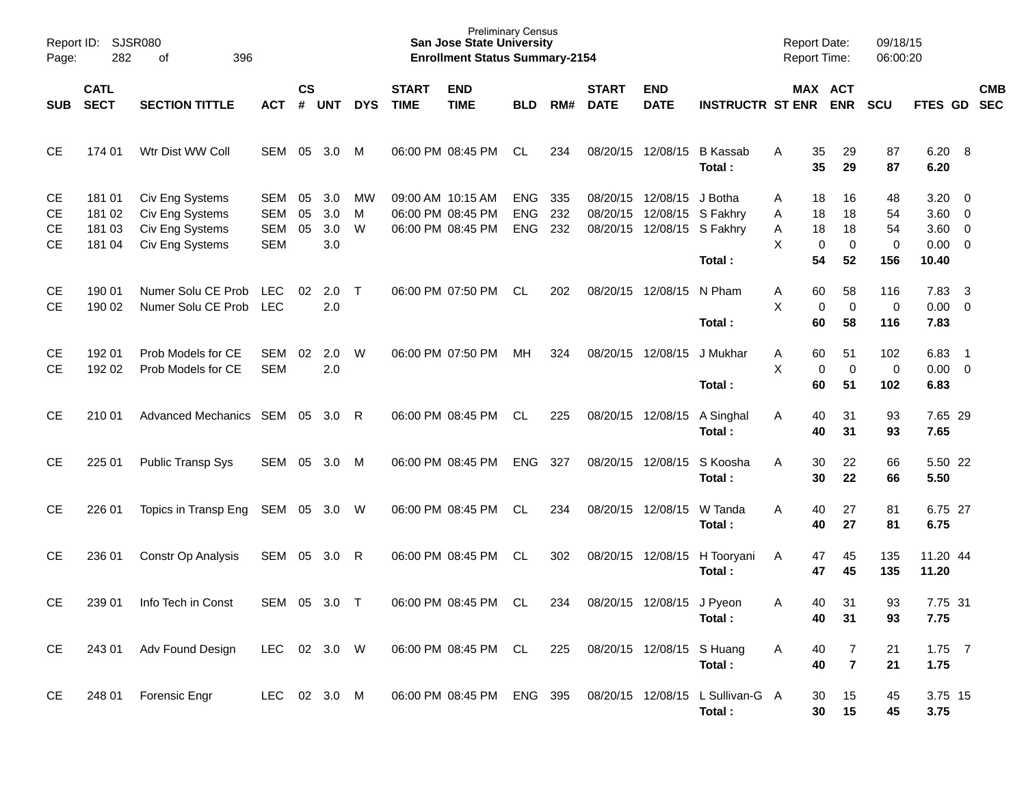| Page:                              | Report ID: SJSR080<br>282<br>396<br>of |                                                                          |                                        |                |                          |              |                             | <b>Preliminary Census</b><br><b>San Jose State University</b><br><b>Enrollment Status Summary-2154</b> |                                        |                   |                             |                                        |                                        | <b>Report Date:</b><br><b>Report Time:</b> |                                                        | 09/18/15<br>06:00:20       |                                                          |                          |            |
|------------------------------------|----------------------------------------|--------------------------------------------------------------------------|----------------------------------------|----------------|--------------------------|--------------|-----------------------------|--------------------------------------------------------------------------------------------------------|----------------------------------------|-------------------|-----------------------------|----------------------------------------|----------------------------------------|--------------------------------------------|--------------------------------------------------------|----------------------------|----------------------------------------------------------|--------------------------|------------|
| <b>SUB</b>                         | <b>CATL</b><br><b>SECT</b>             | <b>SECTION TITTLE</b>                                                    | <b>ACT</b>                             | <b>CS</b><br># | UNT                      | <b>DYS</b>   | <b>START</b><br><b>TIME</b> | <b>END</b><br><b>TIME</b>                                                                              | <b>BLD</b>                             | RM#               | <b>START</b><br><b>DATE</b> | <b>END</b><br><b>DATE</b>              | <b>INSTRUCTR ST ENR</b>                |                                            | MAX ACT<br><b>ENR</b>                                  | <b>SCU</b>                 | FTES GD SEC                                              |                          | <b>CMB</b> |
| <b>CE</b>                          | 174 01                                 | Wtr Dist WW Coll                                                         | SEM                                    | 05             | 3.0                      | M            |                             | 06:00 PM 08:45 PM                                                                                      | CL                                     | 234               |                             | 08/20/15 12/08/15                      | <b>B</b> Kassab<br>Total:              | Α                                          | 35<br>29<br>35<br>29                                   | 87<br>87                   | $6.20\ 8$<br>6.20                                        |                          |            |
| <b>CE</b><br>СE<br>СE<br><b>CE</b> | 181 01<br>181 02<br>181 03<br>181 04   | Civ Eng Systems<br>Civ Eng Systems<br>Civ Eng Systems<br>Civ Eng Systems | SEM<br>SEM<br><b>SEM</b><br><b>SEM</b> | 05<br>05<br>05 | 3.0<br>3.0<br>3.0<br>3.0 | МW<br>M<br>W |                             | 09:00 AM 10:15 AM<br>06:00 PM 08:45 PM<br>06:00 PM 08:45 PM                                            | <b>ENG</b><br><b>ENG</b><br><b>ENG</b> | 335<br>232<br>232 | 08/20/15<br>08/20/15        | 08/20/15 12/08/15<br>12/08/15 S Fakhry | J Botha<br>12/08/15 S Fakhry<br>Total: | Α<br>Α<br>Α<br>Χ                           | 18<br>16<br>18<br>18<br>18<br>18<br>0<br>0<br>54<br>52 | 48<br>54<br>54<br>0<br>156 | 3.20<br>$3.60 \ 0$<br>$3.60 \ 0$<br>$0.00 \t 0$<br>10.40 | $\overline{\phantom{0}}$ |            |
| <b>CE</b><br><b>CE</b>             | 190 01<br>190 02                       | Numer Solu CE Prob<br>Numer Solu CE Prob                                 | <b>LEC</b><br><b>LEC</b>               | 02             | 2.0<br>2.0               | $\top$       |                             | 06:00 PM 07:50 PM                                                                                      | <b>CL</b>                              | 202               |                             | 08/20/15 12/08/15                      | N Pham<br>Total:                       | A<br>Χ                                     | 60<br>58<br>$\mathbf 0$<br>0<br>60<br>58               | 116<br>0<br>116            | 7.83<br>$0.00 \t 0$<br>7.83                              | $\overline{\mathbf{3}}$  |            |
| CЕ<br>СE                           | 192 01<br>192 02                       | Prob Models for CE<br>Prob Models for CE                                 | SEM<br><b>SEM</b>                      | 02             | 2.0<br>2.0               | W            |                             | 06:00 PM 07:50 PM                                                                                      | МH                                     | 324               |                             | 08/20/15 12/08/15                      | J Mukhar<br>Total:                     | A<br>X                                     | 51<br>60<br>$\pmb{0}$<br>$\mathbf 0$<br>60<br>51       | 102<br>$\mathbf 0$<br>102  | 6.83<br>$0.00 \t 0$<br>6.83                              | $\overline{\phantom{0}}$ |            |
| <b>CE</b>                          | 210 01                                 | Advanced Mechanics SEM 05                                                |                                        |                | -3.0                     | -R           |                             | 06:00 PM 08:45 PM                                                                                      | CL                                     | 225               |                             | 08/20/15 12/08/15                      | A Singhal<br>Total:                    | A                                          | 31<br>40<br>40<br>31                                   | 93<br>93                   | 7.65 29<br>7.65                                          |                          |            |
| <b>CE</b>                          | 225 01                                 | <b>Public Transp Sys</b>                                                 | SEM                                    | 05             | 3.0                      | M            |                             | 06:00 PM 08:45 PM                                                                                      | <b>ENG</b>                             | 327               |                             | 08/20/15 12/08/15                      | S Koosha<br>Total:                     | A                                          | 22<br>30<br>30<br>22                                   | 66<br>66                   | 5.50 22<br>5.50                                          |                          |            |
| <b>CE</b>                          | 226 01                                 | Topics in Transp Eng                                                     | SEM 05                                 |                | 3.0                      | - W          |                             | 06:00 PM 08:45 PM                                                                                      | CL                                     | 234               |                             | 08/20/15 12/08/15                      | W Tanda<br>Total:                      | Α                                          | 40<br>27<br>40<br>27                                   | 81<br>81                   | 6.75 27<br>6.75                                          |                          |            |
| <b>CE</b>                          | 236 01                                 | Constr Op Analysis                                                       | SEM                                    | 05             | 3.0                      | R            |                             | 06:00 PM 08:45 PM                                                                                      | CL                                     | 302               |                             | 08/20/15 12/08/15                      | H Tooryani<br>Total:                   | A                                          | 47<br>45<br>47<br>45                                   | 135<br>135                 | 11.20 44<br>11.20                                        |                          |            |
| <b>CE</b>                          | 239 01                                 | Info Tech in Const                                                       | SEM 05                                 |                | 3.0                      | $\top$       |                             | 06:00 PM 08:45 PM                                                                                      | CL                                     | 234               |                             | 08/20/15 12/08/15 J Pyeon              | Total:                                 | A                                          | 31<br>40<br>40<br>31                                   | 93<br>93                   | 7.75 31<br>7.75                                          |                          |            |
| CE                                 | 243 01                                 | Adv Found Design                                                         | LEC                                    |                | 02 3.0 W                 |              |                             | 06:00 PM 08:45 PM CL                                                                                   |                                        | 225               |                             | 08/20/15 12/08/15 S Huang              | Total:                                 | Α                                          | 40<br>7<br>$\overline{7}$<br>40                        | 21<br>21                   | $1.75$ 7<br>1.75                                         |                          |            |
| <b>CE</b>                          | 248 01                                 | Forensic Engr                                                            | LEC 02 3.0 M                           |                |                          |              |                             | 06:00 PM 08:45 PM ENG 395                                                                              |                                        |                   | 08/20/15 12/08/15           |                                        | L Sullivan-G A<br>Total:               |                                            | 15<br>30<br>30<br>15                                   | 45<br>45                   | 3.75 15<br>3.75                                          |                          |            |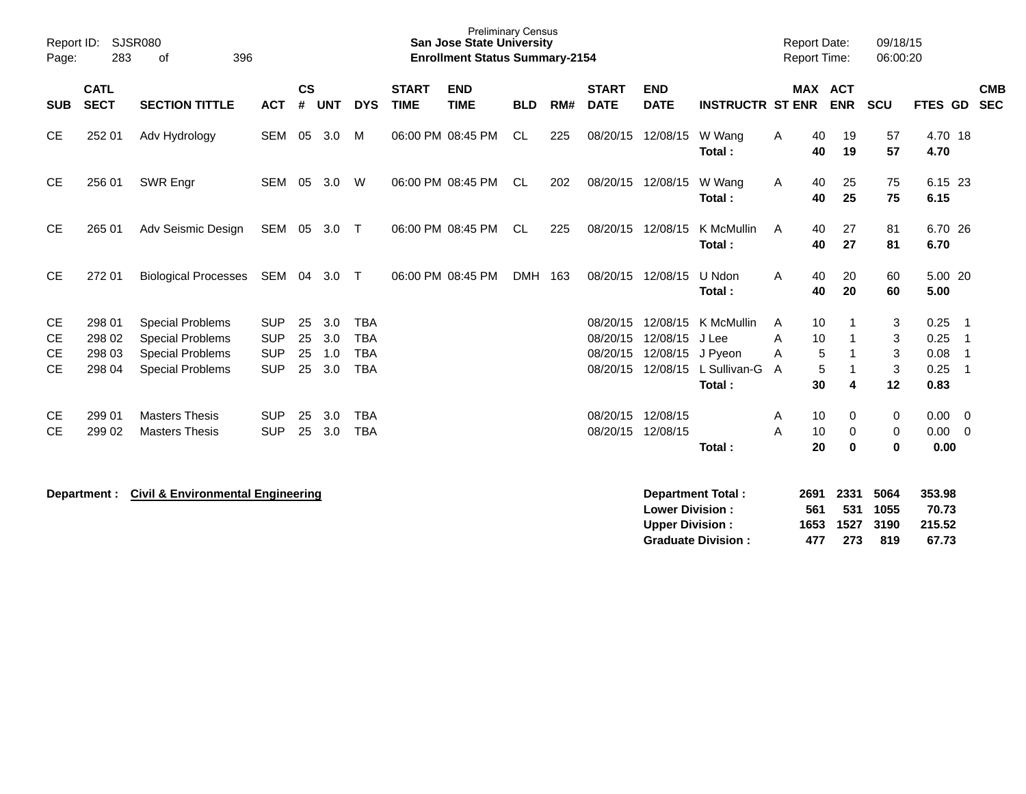| Report ID:<br>Page:                | 283                                  | <b>SJSR080</b><br>396<br>оf                                                                              |                                                      |                      |                          |                                                      |                             | <b>Preliminary Census</b><br><b>San Jose State University</b><br><b>Enrollment Status Summary-2154</b> |            |     |                                              |                                              |                                                          | <b>Report Date:</b><br><b>Report Time:</b> |                          |                       | 09/18/15<br>06:00:20              |                                      |                                                                   |                          |
|------------------------------------|--------------------------------------|----------------------------------------------------------------------------------------------------------|------------------------------------------------------|----------------------|--------------------------|------------------------------------------------------|-----------------------------|--------------------------------------------------------------------------------------------------------|------------|-----|----------------------------------------------|----------------------------------------------|----------------------------------------------------------|--------------------------------------------|--------------------------|-----------------------|-----------------------------------|--------------------------------------|-------------------------------------------------------------------|--------------------------|
| <b>SUB</b>                         | <b>CATL</b><br><b>SECT</b>           | <b>SECTION TITTLE</b>                                                                                    | <b>ACT</b>                                           | $\mathsf{cs}$<br>#   | <b>UNT</b>               | <b>DYS</b>                                           | <b>START</b><br><b>TIME</b> | <b>END</b><br><b>TIME</b>                                                                              | <b>BLD</b> | RM# | <b>START</b><br><b>DATE</b>                  | <b>END</b><br><b>DATE</b>                    | <b>INSTRUCTR ST ENR</b>                                  |                                            |                          | MAX ACT<br><b>ENR</b> | <b>SCU</b>                        | FTES GD                              |                                                                   | <b>CMB</b><br><b>SEC</b> |
| <b>CE</b>                          | 252 01                               | Adv Hydrology                                                                                            | SEM                                                  | 05                   | 3.0                      | M                                                    |                             | 06:00 PM 08:45 PM                                                                                      | CL.        | 225 | 08/20/15                                     | 12/08/15                                     | W Wang<br>Total:                                         | A                                          | 40<br>40                 | 19<br>19              | 57<br>57                          | 4.70 18<br>4.70                      |                                                                   |                          |
| <b>CE</b>                          | 256 01                               | SWR Engr                                                                                                 | <b>SEM</b>                                           | 05                   | 3.0                      | W                                                    |                             | 06:00 PM 08:45 PM                                                                                      | <b>CL</b>  | 202 | 08/20/15                                     | 12/08/15                                     | W Wang<br>Total:                                         | Α                                          | 40<br>40                 | 25<br>25              | 75<br>75                          | 6.15 23<br>6.15                      |                                                                   |                          |
| <b>CE</b>                          | 265 01                               | Adv Seismic Design                                                                                       | SEM                                                  | 05                   | 3.0                      | $\top$                                               |                             | 06:00 PM 08:45 PM                                                                                      | CL         | 225 |                                              | 08/20/15 12/08/15                            | K McMullin<br>Total:                                     | A                                          | 40<br>40                 | 27<br>27              | 81<br>81                          | 6.70 26<br>6.70                      |                                                                   |                          |
| <b>CE</b>                          | 272 01                               | <b>Biological Processes</b>                                                                              | SEM                                                  | 04                   | 3.0                      | $\top$                                               |                             | 06:00 PM 08:45 PM                                                                                      | <b>DMH</b> | 163 |                                              | 08/20/15 12/08/15                            | U Ndon<br>Total:                                         | A                                          | 40<br>40                 | 20<br>20              | 60<br>60                          | 5.00 20<br>5.00                      |                                                                   |                          |
| <b>CE</b><br>СE<br>СE<br><b>CE</b> | 298 01<br>298 02<br>298 03<br>298 04 | <b>Special Problems</b><br><b>Special Problems</b><br><b>Special Problems</b><br><b>Special Problems</b> | <b>SUP</b><br><b>SUP</b><br><b>SUP</b><br><b>SUP</b> | 25<br>25<br>25<br>25 | 3.0<br>3.0<br>1.0<br>3.0 | <b>TBA</b><br><b>TBA</b><br><b>TBA</b><br><b>TBA</b> |                             |                                                                                                        |            |     | 08/20/15<br>08/20/15<br>08/20/15<br>08/20/15 | 12/08/15<br>12/08/15<br>12/08/15<br>12/08/15 | K McMullin<br>J Lee<br>J Pyeon<br>L Sullivan-G<br>Total: | A<br>A<br>A<br>A                           | 10<br>10<br>5<br>5<br>30 | -1<br>-1<br>4         | 3<br>3<br>$\mathbf{3}$<br>3<br>12 | 0.25<br>0.25<br>0.08<br>0.25<br>0.83 | $\overline{\phantom{0}}$ 1<br>-1<br>$\overline{\mathbf{1}}$<br>-1 |                          |
| <b>CE</b><br><b>CE</b>             | 299 01<br>299 02                     | <b>Masters Thesis</b><br><b>Masters Thesis</b>                                                           | <b>SUP</b><br><b>SUP</b>                             | 25<br>25             | 3.0<br>3.0               | <b>TBA</b><br><b>TBA</b>                             |                             |                                                                                                        |            |     | 08/20/15<br>08/20/15                         | 12/08/15<br>12/08/15                         | Total:                                                   | A<br>A                                     | 10<br>10<br>20           | 0<br>0<br>$\bf{0}$    | 0<br>0<br>0                       | $0.00 \t 0$<br>0.00<br>0.00          | 0                                                                 |                          |
|                                    |                                      | Department : Civil & Environmental Engineering                                                           |                                                      |                      |                          |                                                      |                             |                                                                                                        |            |     |                                              |                                              | Department Total:                                        |                                            | 2691                     | 2331                  | 5064                              | 353.98                               |                                                                   |                          |

|     |     |      | -------                                  |
|-----|-----|------|------------------------------------------|
| 561 |     |      | 70.73                                    |
|     |     |      | 215.52                                   |
| 477 | 273 | -819 | 67.73                                    |
|     |     |      | ----------<br>531 1055<br>1653 1527 3190 |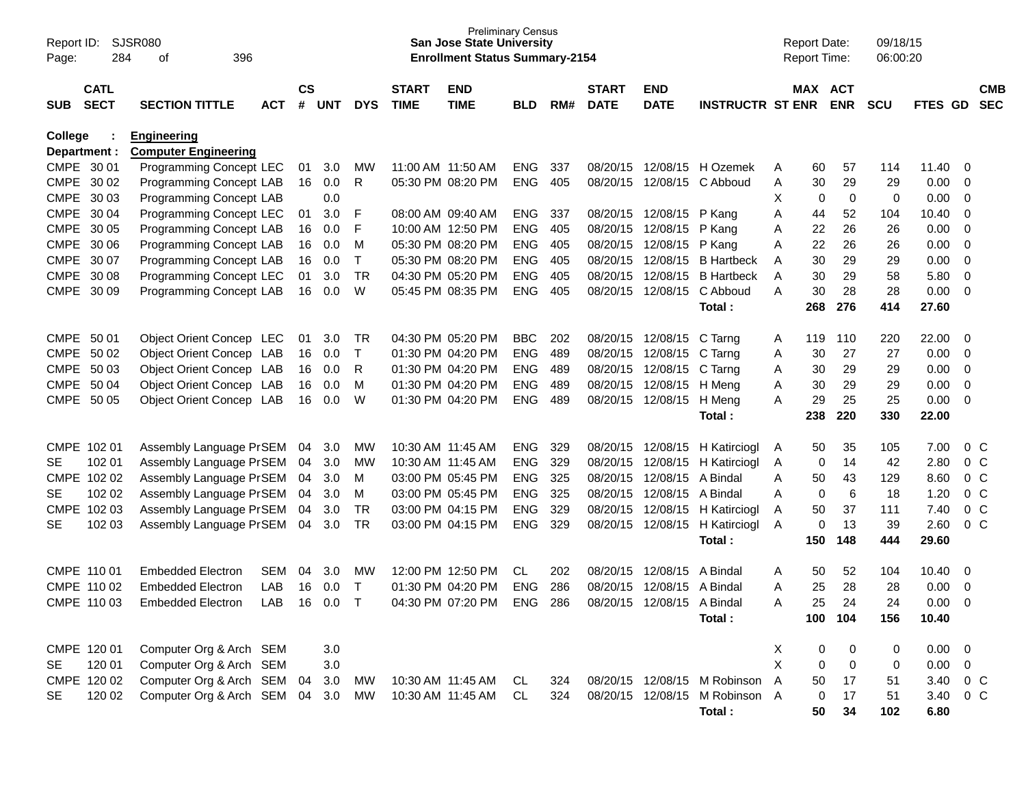| Page:       | Report ID:<br>SJSR080<br>284<br>396<br>οf |                                                   |            |                    |            |              |                             | <b>San Jose State University</b><br><b>Enrollment Status Summary-2154</b> | <b>Preliminary Census</b> |     |                             |                           |                         |                | <b>Report Date:</b><br>Report Time: |             | 09/18/15<br>06:00:20 |                |                |                          |
|-------------|-------------------------------------------|---------------------------------------------------|------------|--------------------|------------|--------------|-----------------------------|---------------------------------------------------------------------------|---------------------------|-----|-----------------------------|---------------------------|-------------------------|----------------|-------------------------------------|-------------|----------------------|----------------|----------------|--------------------------|
| <b>SUB</b>  | <b>CATL</b><br><b>SECT</b>                | <b>SECTION TITTLE</b>                             | <b>ACT</b> | $\mathsf{cs}$<br># | <b>UNT</b> | <b>DYS</b>   | <b>START</b><br><b>TIME</b> | <b>END</b><br><b>TIME</b>                                                 | <b>BLD</b>                | RM# | <b>START</b><br><b>DATE</b> | <b>END</b><br><b>DATE</b> | <b>INSTRUCTR ST ENR</b> |                | MAX ACT                             | <b>ENR</b>  | <b>SCU</b>           | <b>FTES GD</b> |                | <b>CMB</b><br><b>SEC</b> |
| College     | Department :                              | <b>Engineering</b><br><b>Computer Engineering</b> |            |                    |            |              |                             |                                                                           |                           |     |                             |                           |                         |                |                                     |             |                      |                |                |                          |
| CMPE 30 01  |                                           | Programming Concept LEC                           |            | 01                 | 3.0        | MW           |                             | 11:00 AM 11:50 AM                                                         | <b>ENG</b>                | 337 | 08/20/15                    | 12/08/15                  | H Ozemek                | A              | 60                                  | 57          | 114                  | 11.40          | - 0            |                          |
|             | CMPE 30 02                                | Programming Concept LAB                           |            | 16                 | 0.0        | R            |                             | 05:30 PM 08:20 PM                                                         | <b>ENG</b>                | 405 | 08/20/15                    | 12/08/15                  | C Abboud                | Α              | 30                                  | 29          | 29                   | 0.00           | $\mathbf 0$    |                          |
|             | CMPE 30 03                                | Programming Concept LAB                           |            |                    | 0.0        |              |                             |                                                                           |                           |     |                             |                           |                         | X              | 0                                   | 0           | 0                    | 0.00           | $\mathbf 0$    |                          |
|             | CMPE 30 04                                | Programming Concept LEC                           |            | 01                 | 3.0        | F            |                             | 08:00 AM 09:40 AM                                                         | <b>ENG</b>                | 337 | 08/20/15                    | 12/08/15                  | P Kang                  | Α              | 44                                  | 52          | 104                  | 10.40          | $\mathbf 0$    |                          |
|             | CMPE 30 05                                | Programming Concept LAB                           |            | 16                 | 0.0        | F            |                             | 10:00 AM 12:50 PM                                                         | <b>ENG</b>                | 405 | 08/20/15                    | 12/08/15                  | P Kang                  | Α              | 22                                  | 26          | 26                   | 0.00           | $\overline{0}$ |                          |
|             | CMPE 30 06                                | Programming Concept LAB                           |            | 16                 | 0.0        | M            |                             | 05:30 PM 08:20 PM                                                         | <b>ENG</b>                | 405 | 08/20/15                    | 12/08/15                  | P Kang                  | Α              | 22                                  | 26          | 26                   | 0.00           | $\overline{0}$ |                          |
|             | CMPE 30 07                                | Programming Concept LAB                           |            | 16                 | 0.0        | $\mathsf{T}$ |                             | 05:30 PM 08:20 PM                                                         | <b>ENG</b>                | 405 | 08/20/15                    | 12/08/15                  | <b>B</b> Hartbeck       | Α              | 30                                  | 29          | 29                   | 0.00           | 0              |                          |
|             | CMPE 30 08                                | Programming Concept LEC                           |            | 01                 | 3.0        | <b>TR</b>    |                             | 04:30 PM 05:20 PM                                                         | <b>ENG</b>                | 405 | 08/20/15                    | 12/08/15                  | <b>B</b> Hartbeck       | Α              | 30                                  | 29          | 58                   | 5.80           | $\overline{0}$ |                          |
|             | CMPE 30 09                                | Programming Concept LAB                           |            | 16                 | 0.0        | W            |                             | 05:45 PM 08:35 PM                                                         | <b>ENG</b>                | 405 | 08/20/15                    | 12/08/15                  | C Abboud                | A              | 30                                  | 28          | 28                   | 0.00           | $\overline{0}$ |                          |
|             |                                           |                                                   |            |                    |            |              |                             |                                                                           |                           |     |                             |                           | Total:                  |                | 268                                 | 276         | 414                  | 27.60          |                |                          |
| CMPE 50 01  |                                           | Object Orient Concep LEC                          |            | 01                 | 3.0        | <b>TR</b>    |                             | 04:30 PM 05:20 PM                                                         | <b>BBC</b>                | 202 | 08/20/15                    | 12/08/15                  | C Tarng                 | A              | 119                                 | 110         | 220                  | 22.00          | - 0            |                          |
|             | CMPE 50 02                                | Object Orient Concep LAB                          |            | 16                 | 0.0        | $\top$       |                             | 01:30 PM 04:20 PM                                                         | <b>ENG</b>                | 489 | 08/20/15                    | 12/08/15                  | C Tarng                 | Α              | 30                                  | 27          | 27                   | 0.00           | $\mathbf 0$    |                          |
|             | CMPE 50 03                                | Object Orient Concep LAB                          |            | 16                 | 0.0        | R            |                             | 01:30 PM 04:20 PM                                                         | <b>ENG</b>                | 489 | 08/20/15                    | 12/08/15                  | C Tarng                 | Α              | 30                                  | 29          | 29                   | 0.00           | $\mathbf 0$    |                          |
|             | CMPE 50 04                                | Object Orient Concep LAB                          |            | 16                 | 0.0        | M            |                             | 01:30 PM 04:20 PM                                                         | <b>ENG</b>                | 489 | 08/20/15                    | 12/08/15                  | H Meng                  | Α              | 30                                  | 29          | 29                   | 0.00           | $\mathbf 0$    |                          |
|             | CMPE 50 05                                | Object Orient Concep LAB                          |            | 16                 | 0.0        | W            |                             | 01:30 PM 04:20 PM                                                         | <b>ENG</b>                | 489 | 08/20/15                    | 12/08/15                  | H Meng                  | A              | 29                                  | 25          | 25                   | 0.00           | $\overline{0}$ |                          |
|             |                                           |                                                   |            |                    |            |              |                             |                                                                           |                           |     |                             |                           | Total:                  |                | 238                                 | 220         | 330                  | 22.00          |                |                          |
|             |                                           |                                                   |            |                    |            |              |                             |                                                                           |                           |     |                             |                           |                         |                |                                     |             |                      |                |                |                          |
|             | CMPE 102 01                               | Assembly Language PrSEM                           |            | 04                 | 3.0        | MW           |                             | 10:30 AM 11:45 AM                                                         | <b>ENG</b>                | 329 | 08/20/15                    | 12/08/15                  | H Katirciogl            | A              | 50                                  | 35          | 105                  | 7.00           | $0\,$ C        |                          |
| <b>SE</b>   | 102 01                                    | Assembly Language PrSEM                           |            | 04                 | 3.0        | MW           |                             | 10:30 AM 11:45 AM                                                         | <b>ENG</b>                | 329 | 08/20/15                    | 12/08/15                  | H Katirciogl            | A              | 0                                   | 14          | 42                   | 2.80           | 0 <sup>o</sup> |                          |
|             | CMPE 102 02                               | Assembly Language PrSEM                           |            | 04                 | 3.0        | M            |                             | 03:00 PM 05:45 PM                                                         | <b>ENG</b>                | 325 | 08/20/15                    | 12/08/15                  | A Bindal                | Α              | 50                                  | 43          | 129                  | 8.60           | 0 <sup>o</sup> |                          |
| <b>SE</b>   | 102 02                                    | Assembly Language PrSEM                           |            | 04                 | 3.0        | M            |                             | 03:00 PM 05:45 PM                                                         | <b>ENG</b>                | 325 | 08/20/15                    | 12/08/15                  | A Bindal                | A              | 0                                   | 6           | 18                   | 1.20           | 0 <sup>o</sup> |                          |
| <b>CMPE</b> | 102 03                                    | Assembly Language PrSEM                           |            | 04                 | 3.0        | <b>TR</b>    |                             | 03:00 PM 04:15 PM                                                         | <b>ENG</b>                | 329 | 08/20/15                    | 12/08/15                  | H Katirciogl            | Α              | 50                                  | 37          | 111                  | 7.40           | 0 <sup>o</sup> |                          |
| <b>SE</b>   | 102 03                                    | Assembly Language PrSEM                           |            | 04                 | 3.0        | <b>TR</b>    |                             | 03:00 PM 04:15 PM                                                         | <b>ENG</b>                | 329 | 08/20/15                    | 12/08/15                  | H Katirciogl            | Α              | 0                                   | 13          | 39                   | 2.60           | 0 <sup>o</sup> |                          |
|             |                                           |                                                   |            |                    |            |              |                             |                                                                           |                           |     |                             |                           | Total:                  |                | 150                                 | 148         | 444                  | 29.60          |                |                          |
|             | CMPE 110 01                               | <b>Embedded Electron</b>                          | <b>SEM</b> | 04                 | 3.0        | MW           |                             | 12:00 PM 12:50 PM                                                         | CL.                       | 202 | 08/20/15                    | 12/08/15                  | A Bindal                | A              | 50                                  | 52          | 104                  | 10.40          | 0              |                          |
|             | CMPE 110 02                               | <b>Embedded Electron</b>                          | LAB        | 16                 | 0.0        | $\mathsf{T}$ |                             | 01:30 PM 04:20 PM                                                         | <b>ENG</b>                | 286 | 08/20/15                    | 12/08/15                  | A Bindal                | Α              | 25                                  | 28          | 28                   | 0.00           | 0              |                          |
|             | CMPE 110 03                               | <b>Embedded Electron</b>                          | LAB        | 16                 | 0.0        | $\mathsf{T}$ |                             | 04:30 PM 07:20 PM                                                         | <b>ENG</b>                | 286 | 08/20/15                    | 12/08/15                  | A Bindal                | Α              | 25                                  | 24          | 24                   | 0.00           | $\overline{0}$ |                          |
|             |                                           |                                                   |            |                    |            |              |                             |                                                                           |                           |     |                             |                           | Total:                  |                |                                     | 100 104     | 156                  | 10.40          |                |                          |
|             |                                           |                                                   |            |                    |            |              |                             |                                                                           |                           |     |                             |                           |                         |                |                                     |             |                      |                |                |                          |
|             | CMPE 120 01                               | Computer Org & Arch SEM                           |            |                    | 3.0        |              |                             |                                                                           |                           |     |                             |                           |                         | X              | 0                                   | 0           | 0                    | $0.00 \t 0$    |                |                          |
| SE          | 120 01                                    | Computer Org & Arch SEM                           |            |                    | $3.0\,$    |              |                             |                                                                           |                           |     |                             |                           |                         | X              | 0                                   | $\mathbf 0$ | 0                    | $0.00 \t 0$    |                |                          |
|             | CMPE 120 02                               | Computer Org & Arch SEM                           |            | 04                 | 3.0        | МW           |                             | 10:30 AM 11:45 AM                                                         | CL                        | 324 |                             | 08/20/15 12/08/15         | M Robinson              | $\overline{A}$ | 50                                  | 17          | 51                   | 3.40           | $0\,C$         |                          |
| SE          | 120 02                                    | Computer Org & Arch SEM                           |            |                    | 04 3.0     | <b>MW</b>    |                             | 10:30 AM 11:45 AM                                                         | CL                        | 324 | 08/20/15                    | 12/08/15                  | M Robinson A            |                | 0                                   | 17          | 51                   | 3.40           | $0\,C$         |                          |
|             |                                           |                                                   |            |                    |            |              |                             |                                                                           |                           |     |                             |                           | Total:                  |                | 50                                  | 34          | 102                  | 6.80           |                |                          |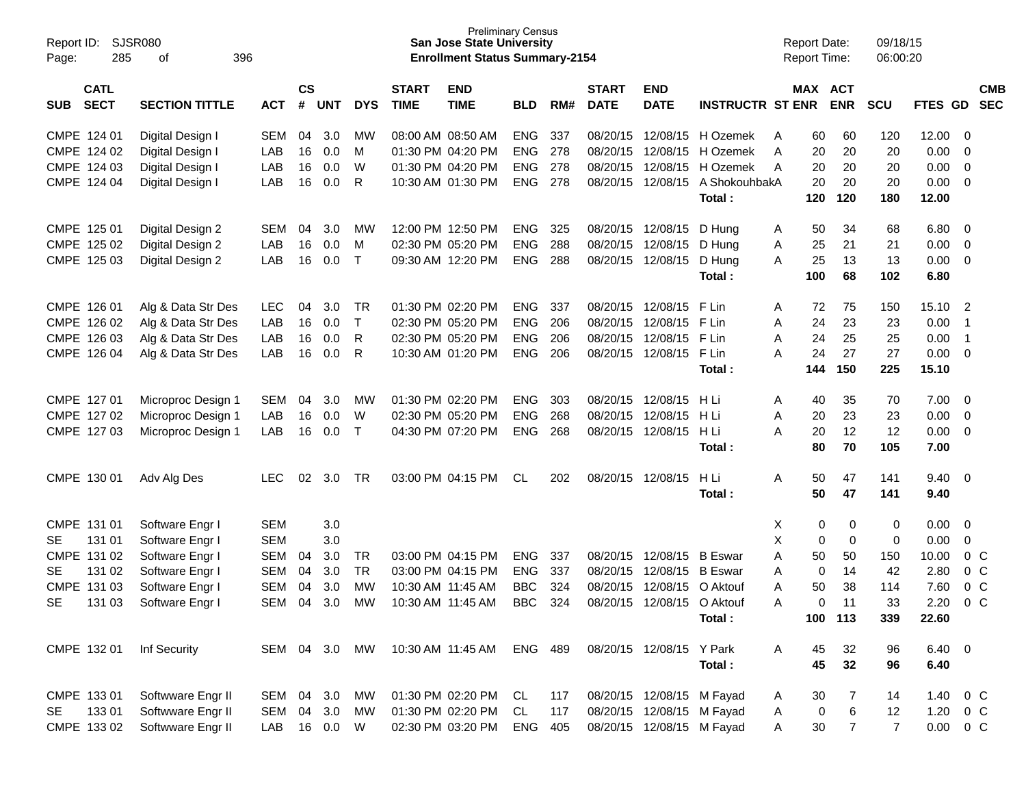| Page:       | <b>SJSR080</b><br>Report ID:<br>285<br>of<br>396 |                       |            |               |            |              |              | <b>Preliminary Census</b><br><b>San Jose State University</b><br><b>Enrollment Status Summary-2154</b> |            |     |              |                           |                         | <b>Report Date:</b><br><b>Report Time:</b> |                  | 09/18/15<br>06:00:20 |               |                |
|-------------|--------------------------------------------------|-----------------------|------------|---------------|------------|--------------|--------------|--------------------------------------------------------------------------------------------------------|------------|-----|--------------|---------------------------|-------------------------|--------------------------------------------|------------------|----------------------|---------------|----------------|
|             | <b>CATL</b>                                      |                       |            | $\mathsf{cs}$ |            |              | <b>START</b> | <b>END</b>                                                                                             |            |     | <b>START</b> | <b>END</b>                |                         |                                            | MAX ACT          |                      |               | <b>CMB</b>     |
| SUB         | <b>SECT</b>                                      | <b>SECTION TITTLE</b> | <b>ACT</b> | #             | <b>UNT</b> | <b>DYS</b>   | <b>TIME</b>  | <b>TIME</b>                                                                                            | <b>BLD</b> | RM# | <b>DATE</b>  | <b>DATE</b>               | <b>INSTRUCTR ST ENR</b> |                                            | <b>ENR</b>       | <b>SCU</b>           | FTES GD       | <b>SEC</b>     |
| CMPE 124 01 |                                                  | Digital Design I      | <b>SEM</b> | 04            | 3.0        | MW           |              | 08:00 AM 08:50 AM                                                                                      | <b>ENG</b> | 337 | 08/20/15     | 12/08/15                  | H Ozemek                | A<br>60                                    | 60               | 120                  | 12.00         | - 0            |
|             | CMPE 124 02                                      | Digital Design I      | LAB        | 16            | 0.0        | м            |              | 01:30 PM 04:20 PM                                                                                      | <b>ENG</b> | 278 | 08/20/15     | 12/08/15                  | H Ozemek                | 20<br>A                                    | 20               | 20                   | 0.00          | - 0            |
|             | CMPE 124 03                                      | Digital Design I      | LAB        | 16            | 0.0        | W            |              | 01:30 PM 04:20 PM                                                                                      | <b>ENG</b> | 278 | 08/20/15     | 12/08/15                  | H Ozemek                | 20<br>A                                    | 20               | 20                   | 0.00          | - 0            |
|             | CMPE 124 04                                      | Digital Design I      | LAB        | 16            | 0.0        | R            |              | 10:30 AM 01:30 PM                                                                                      | <b>ENG</b> | 278 | 08/20/15     | 12/08/15                  | A ShokouhbakA           | 20                                         | 20               | 20                   | 0.00          | $\overline{0}$ |
|             |                                                  |                       |            |               |            |              |              |                                                                                                        |            |     |              |                           | Total:                  | 120                                        | 120              | 180                  | 12.00         |                |
| CMPE 125 01 |                                                  | Digital Design 2      | <b>SEM</b> | 04            | 3.0        | МW           |              | 12:00 PM 12:50 PM                                                                                      | <b>ENG</b> | 325 | 08/20/15     | 12/08/15                  | D Hung                  | 50<br>A                                    | 34               | 68                   | 6.80          | - 0            |
|             | CMPE 125 02                                      | Digital Design 2      | LAB        | 16            | 0.0        | м            |              | 02:30 PM 05:20 PM                                                                                      | <b>ENG</b> | 288 | 08/20/15     | 12/08/15                  | D Hung                  | 25<br>Α                                    | 21               | 21                   | 0.00          | - 0            |
|             | CMPE 125 03                                      | Digital Design 2      | LAB        | 16            | 0.0        | $\mathsf{T}$ |              | 09:30 AM 12:20 PM                                                                                      | <b>ENG</b> | 288 | 08/20/15     | 12/08/15                  | D Hung                  | 25<br>A                                    | 13               | 13                   | 0.00          | - 0            |
|             |                                                  |                       |            |               |            |              |              |                                                                                                        |            |     |              |                           | Total :                 | 100                                        | 68               | 102                  | 6.80          |                |
| CMPE 126 01 |                                                  | Alg & Data Str Des    | <b>LEC</b> | 04            | 3.0        | <b>TR</b>    |              | 01:30 PM 02:20 PM                                                                                      | <b>ENG</b> | 337 | 08/20/15     | 12/08/15                  | F Lin                   | 72<br>A                                    | 75               | 150                  | 15.10         | $\overline{2}$ |
|             | CMPE 126 02                                      | Alg & Data Str Des    | LAB        | 16            | 0.0        | T            |              | 02:30 PM 05:20 PM                                                                                      | <b>ENG</b> | 206 | 08/20/15     | 12/08/15                  | F Lin                   | 24<br>A                                    | 23               | 23                   | 0.00          | $\overline{1}$ |
|             | CMPE 126 03                                      | Alg & Data Str Des    | LAB        | 16            | 0.0        | R            |              | 02:30 PM 05:20 PM                                                                                      | <b>ENG</b> | 206 | 08/20/15     | 12/08/15                  | F Lin                   | 24<br>Α                                    | 25               | 25                   | 0.00          | -1             |
|             | CMPE 126 04                                      | Alg & Data Str Des    | LAB        | 16            | 0.0        | R            |              | 10:30 AM 01:20 PM                                                                                      | <b>ENG</b> | 206 | 08/20/15     | 12/08/15                  | F Lin                   | 24<br>Α                                    | 27               | 27                   | 0.00          | $\overline{0}$ |
|             |                                                  |                       |            |               |            |              |              |                                                                                                        |            |     |              |                           | Total:                  | 144                                        | 150              | 225                  | 15.10         |                |
| CMPE 127 01 |                                                  | Microproc Design 1    | <b>SEM</b> | 04            | 3.0        | МW           |              | 01:30 PM 02:20 PM                                                                                      | <b>ENG</b> | 303 | 08/20/15     | 12/08/15                  | H Li                    | 40<br>Α                                    | 35               | 70                   | 7.00          | - 0            |
|             | CMPE 127 02                                      | Microproc Design 1    | LAB        | 16            | 0.0        | W            |              | 02:30 PM 05:20 PM                                                                                      | <b>ENG</b> | 268 | 08/20/15     | 12/08/15                  | H Li                    | 20<br>Α                                    | 23               | 23                   | 0.00          | - 0            |
|             | CMPE 127 03                                      | Microproc Design 1    | LAB        | 16            | 0.0        | $\mathsf{T}$ |              | 04:30 PM 07:20 PM                                                                                      | <b>ENG</b> | 268 | 08/20/15     | 12/08/15                  | H Li                    | A<br>20                                    | 12               | 12                   | 0.00          | - 0            |
|             |                                                  |                       |            |               |            |              |              |                                                                                                        |            |     |              |                           | Total:                  | 80                                         | 70               | 105                  | 7.00          |                |
| CMPE 130 01 |                                                  | Adv Alg Des           | <b>LEC</b> | 02            | 3.0        | <b>TR</b>    |              | 03:00 PM 04:15 PM                                                                                      | <b>CL</b>  | 202 | 08/20/15     | 12/08/15                  | H Li                    | Α<br>50                                    | 47               | 141                  | 9.40          | - 0            |
|             |                                                  |                       |            |               |            |              |              |                                                                                                        |            |     |              |                           | Total :                 | 50                                         | 47               | 141                  | 9.40          |                |
| CMPE 131 01 |                                                  | Software Engr I       | <b>SEM</b> |               | 3.0        |              |              |                                                                                                        |            |     |              |                           |                         | Χ                                          | 0<br>0           | 0                    | 0.00          | - 0            |
| <b>SE</b>   | 131 01                                           | Software Engr I       | <b>SEM</b> |               | 3.0        |              |              |                                                                                                        |            |     |              |                           |                         | X                                          | $\mathbf 0$<br>0 | $\mathbf 0$          | 0.00          | $\overline{0}$ |
|             | CMPE 131 02                                      | Software Engr I       | <b>SEM</b> | 04            | 3.0        | <b>TR</b>    |              | 03:00 PM 04:15 PM                                                                                      | <b>ENG</b> | 337 | 08/20/15     | 12/08/15                  | <b>B</b> Eswar          | A<br>50                                    | 50               | 150                  | 10.00         | 0 <sup>o</sup> |
| <b>SE</b>   | 131 02                                           | Software Engr I       | <b>SEM</b> | 04            | 3.0        | <b>TR</b>    |              | 03:00 PM 04:15 PM                                                                                      | <b>ENG</b> | 337 | 08/20/15     | 12/08/15                  | <b>B</b> Eswar          | A                                          | 0<br>14          | 42                   | 2.80          | 0 <sup>o</sup> |
|             | CMPE 131 03                                      | Software Engr I       | <b>SEM</b> | 04            | 3.0        | <b>MW</b>    |              | 10:30 AM 11:45 AM                                                                                      | <b>BBC</b> | 324 | 08/20/15     | 12/08/15                  | O Aktouf                | 50<br>A                                    | 38               | 114                  | 7.60          | 0 <sup>o</sup> |
| SE          | 131 03                                           | Software Engr I       | <b>SEM</b> | 04            | 3.0        | <b>MW</b>    |              | 10:30 AM 11:45 AM                                                                                      | <b>BBC</b> | 324 | 08/20/15     | 12/08/15 O Aktouf         |                         |                                            | 11<br>0          | 33                   | 2.20          | $0\,C$         |
|             |                                                  |                       |            |               |            |              |              |                                                                                                        |            |     |              |                           | Total:                  |                                            | 100 113          | 339                  | 22.60         |                |
|             | CMPE 132 01                                      | Inf Security          | SEM 04 3.0 |               |            | MW           |              | 10:30 AM 11:45 AM                                                                                      | ENG 489    |     |              | 08/20/15 12/08/15 Y Park  |                         | A<br>45                                    | 32               | 96                   | $6.40\quad 0$ |                |
|             |                                                  |                       |            |               |            |              |              |                                                                                                        |            |     |              |                           | Total:                  | 45                                         | 32               | 96                   | 6.40          |                |
|             | CMPE 133 01                                      | Softwware Engr II     | SEM        |               | 04 3.0     | МW           |              | 01:30 PM 02:20 PM                                                                                      | CL         | 117 |              | 08/20/15 12/08/15 M Fayad |                         | 30<br>A                                    | 7                | 14                   | 1.40          | $0\,$ C        |
| SE.         | 13301                                            | Softwware Engr II     | SEM        | 04            | 3.0        | MW           |              | 01:30 PM 02:20 PM                                                                                      | CL.        | 117 |              | 08/20/15 12/08/15 M Fayad |                         | Α                                          | $\,6$<br>0       | 12                   | 1.20          | $0\,$ C        |
|             | CMPE 133 02                                      | Softwware Engr II     | LAB        |               | 16 0.0     | W            |              | 02:30 PM 03:20 PM                                                                                      | ENG        | 405 |              | 08/20/15 12/08/15 M Fayad |                         | $30\,$<br>A                                | $\overline{7}$   | $\overline{7}$       |               | $0.00 \t 0 C$  |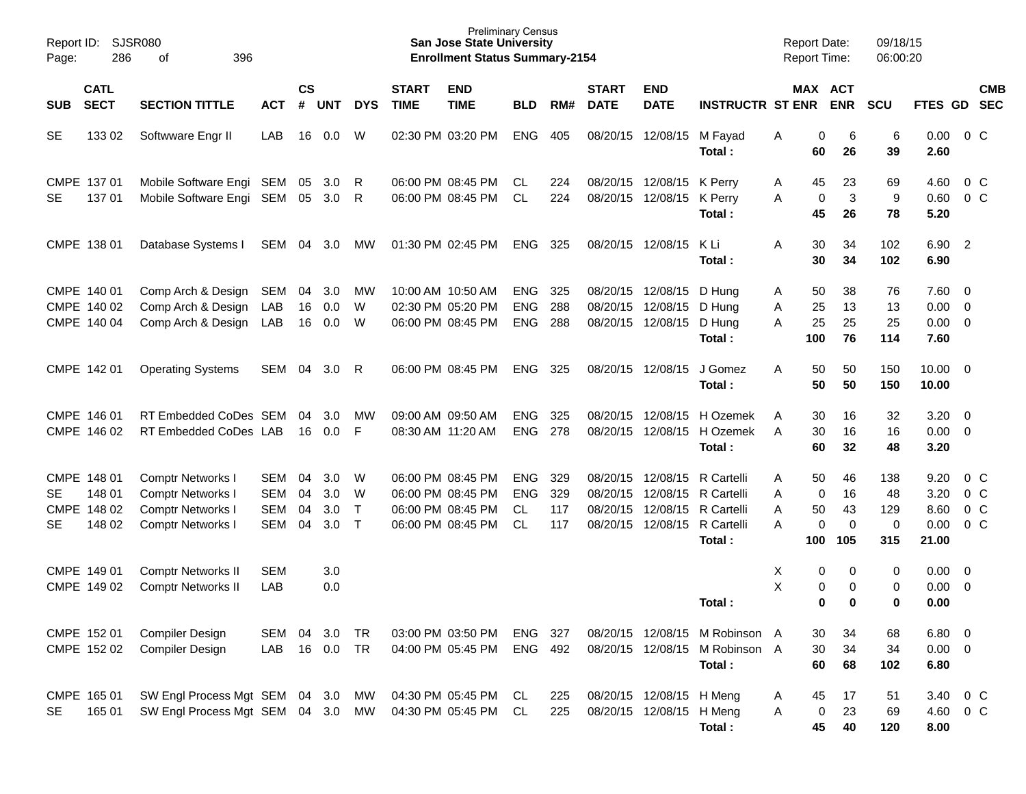| Page:           | Report ID:<br>SJSR080<br>286<br>396<br>of      |                                                                                                |                                        |                      |                          |                                  |                                                             | <b>Preliminary Census</b><br><b>San Jose State University</b><br><b>Enrollment Status Summary-2154</b> |                                             |                          |                                              |                                                      |                                                                                  | <b>Report Date:</b><br><b>Report Time:</b> |                                           | 09/18/15<br>06:00:20                   |                                               |                                                              |
|-----------------|------------------------------------------------|------------------------------------------------------------------------------------------------|----------------------------------------|----------------------|--------------------------|----------------------------------|-------------------------------------------------------------|--------------------------------------------------------------------------------------------------------|---------------------------------------------|--------------------------|----------------------------------------------|------------------------------------------------------|----------------------------------------------------------------------------------|--------------------------------------------|-------------------------------------------|----------------------------------------|-----------------------------------------------|--------------------------------------------------------------|
| <b>SUB</b>      | <b>CATL</b><br><b>SECT</b>                     | <b>SECTION TITTLE</b>                                                                          | <b>ACT</b>                             | <b>CS</b><br>#       | <b>UNT</b>               | <b>DYS</b>                       | <b>START</b><br><b>TIME</b>                                 | <b>END</b><br><b>TIME</b>                                                                              | <b>BLD</b>                                  | RM#                      | <b>START</b><br><b>DATE</b>                  | <b>END</b><br><b>DATE</b>                            | <b>INSTRUCTR ST ENR</b>                                                          |                                            | MAX ACT<br><b>ENR</b>                     | <b>SCU</b>                             | FTES GD SEC                                   | <b>CMB</b>                                                   |
| <b>SE</b>       | 133 02                                         | Softwware Engr II                                                                              | LAB                                    | 16                   | 0.0                      | W                                | 02:30 PM 03:20 PM                                           |                                                                                                        | <b>ENG</b>                                  | 405                      | 08/20/15                                     | 12/08/15                                             | M Fayad<br>Total:                                                                | Α<br>60                                    | 0<br>6<br>26                              | 6<br>39                                | 0.00<br>2.60                                  | $0\,$ C                                                      |
| <b>SE</b>       | CMPE 137 01<br>137 01                          | Mobile Software Engi SEM<br>Mobile Software Engi                                               | SEM                                    | 05<br>05             | 3.0<br>3.0               | R<br>R                           |                                                             | 06:00 PM 08:45 PM<br>06:00 PM 08:45 PM                                                                 | CL.<br><b>CL</b>                            | 224<br>224               | 08/20/15                                     | 08/20/15 12/08/15<br>12/08/15                        | K Perry<br>K Perry<br>Total:                                                     | Α<br>45<br>A<br>45                         | 23<br>$\mathbf{3}$<br>0<br>26             | 69<br>9<br>78                          | 4.60<br>0.60<br>5.20                          | $0\,$ C<br>0 <sup>o</sup>                                    |
|                 | CMPE 138 01                                    | Database Systems I                                                                             | SEM 04                                 |                      | 3.0                      | MW                               | 01:30 PM 02:45 PM                                           |                                                                                                        | <b>ENG</b>                                  | 325                      |                                              | 08/20/15 12/08/15                                    | K Li<br>Total:                                                                   | A<br>30<br>30                              | 34<br>34                                  | 102<br>102                             | 6.90<br>6.90                                  | $\overline{2}$                                               |
|                 | CMPE 140 01<br>CMPE 140 02<br>CMPE 140 04      | Comp Arch & Design<br>Comp Arch & Design<br>Comp Arch & Design                                 | SEM<br>LAB<br>LAB                      | 04<br>16<br>16       | 3.0<br>0.0<br>0.0        | МW<br>W<br>W                     | 10:00 AM 10:50 AM<br>06:00 PM 08:45 PM                      | 02:30 PM 05:20 PM                                                                                      | <b>ENG</b><br><b>ENG</b><br><b>ENG</b>      | 325<br>288<br>288        | 08/20/15<br>08/20/15                         | 12/08/15<br>12/08/15<br>08/20/15 12/08/15            | D Hung<br>D Hung<br>D Hung<br>Total:                                             | 50<br>A<br>25<br>Α<br>25<br>A<br>100       | 38<br>13<br>25<br>76                      | 76<br>13<br>25<br>114                  | $7.60 \quad 0$<br>0.00<br>$0.00 \t 0$<br>7.60 | $\overline{\phantom{0}}$                                     |
|                 | CMPE 142 01                                    | <b>Operating Systems</b>                                                                       | SEM                                    | 04                   | 3.0                      | R                                |                                                             | 06:00 PM 08:45 PM                                                                                      | <b>ENG</b>                                  | 325                      |                                              | 08/20/15 12/08/15                                    | J Gomez<br>Total:                                                                | A<br>50<br>50                              | 50<br>50                                  | 150<br>150                             | $10.00 \t 0$<br>10.00                         |                                                              |
|                 | CMPE 146 01<br>CMPE 146 02                     | RT Embedded CoDes SEM<br>RT Embedded CoDes LAB                                                 |                                        | 04<br>16             | 3.0 <sub>2</sub><br>0.0  | МW<br>F                          | 09:00 AM 09:50 AM<br>08:30 AM 11:20 AM                      |                                                                                                        | <b>ENG</b><br><b>ENG</b>                    | 325<br>278               | 08/20/15<br>08/20/15                         | 12/08/15<br>12/08/15                                 | H Ozemek<br>H Ozemek<br>Total:                                                   | 30<br>Α<br>30<br>A<br>60                   | 16<br>16<br>32                            | 32<br>16<br>48                         | $3.20 \ 0$<br>$0.00 \t 0$<br>3.20             |                                                              |
| SE<br><b>SE</b> | CMPE 148 01<br>148 01<br>CMPE 148 02<br>148 02 | <b>Comptr Networks I</b><br>Comptr Networks I<br>Comptr Networks I<br><b>Comptr Networks I</b> | SEM<br>SEM<br><b>SEM</b><br><b>SEM</b> | 04<br>04<br>04<br>04 | 3.0<br>3.0<br>3.0<br>3.0 | W<br>W<br>$\mathsf{T}$<br>$\top$ | 06:00 PM 08:45 PM<br>06:00 PM 08:45 PM<br>06:00 PM 08:45 PM | 06:00 PM 08:45 PM                                                                                      | <b>ENG</b><br><b>ENG</b><br>CL<br><b>CL</b> | 329<br>329<br>117<br>117 | 08/20/15<br>08/20/15<br>08/20/15<br>08/20/15 | 12/08/15<br>12/08/15                                 | R Cartelli<br>R Cartelli<br>12/08/15 R Cartelli<br>12/08/15 R Cartelli<br>Total: | 50<br>Α<br>A<br>0<br>50<br>Α<br>A<br>100   | 46<br>16<br>43<br>0<br>$\mathbf 0$<br>105 | 138<br>48<br>129<br>$\mathbf 0$<br>315 | 9.20<br>3.20<br>8.60<br>0.00<br>21.00         | $0\,C$<br>0 <sup>o</sup><br>0 <sup>o</sup><br>0 <sup>o</sup> |
|                 | CMPE 149 01<br>CMPE 149 02                     | <b>Comptr Networks II</b><br><b>Comptr Networks II</b>                                         | <b>SEM</b><br>LAB                      |                      | 3.0<br>0.0               |                                  |                                                             |                                                                                                        |                                             |                          |                                              |                                                      | Total:                                                                           | Χ<br>X                                     | 0<br>0<br>0<br>0<br>0<br>0                | 0<br>0<br>0                            | 0.00<br>0.00<br>0.00                          | $\overline{\mathbf{0}}$<br>$\overline{\phantom{0}}$          |
|                 | CMPE 152 01<br>CMPE 152 02                     | Compiler Design<br>Compiler Design                                                             | <b>SEM</b><br>LAB                      | 04                   | 3.0<br>16  0.0  TR       | <b>TR</b>                        |                                                             | 03:00 PM 03:50 PM<br>04:00 PM 05:45 PM                                                                 | <b>ENG</b><br>ENG                           | 327<br>492               |                                              | 08/20/15 12/08/15<br>08/20/15 12/08/15               | M Robinson A<br>M Robinson A<br>Total:                                           | 30<br>30<br>60                             | 34<br>34<br>68                            | 68<br>34<br>102                        | 6.80 0<br>$0.00 \t 0$<br>6.80                 |                                                              |
| <b>SE</b>       | CMPE 165 01<br>165 01                          | SW Engl Process Mgt SEM 04 3.0<br>SW Engl Process Mgt SEM 04 3.0 MW                            |                                        |                      |                          | МW                               |                                                             | 04:30 PM 05:45 PM<br>04:30 PM 05:45 PM                                                                 | CL<br>CL                                    | 225<br>225               |                                              | 08/20/15 12/08/15 H Meng<br>08/20/15 12/08/15 H Meng | Total:                                                                           | 45<br>A<br>0<br>Α<br>45                    | 17<br>23<br>40                            | 51<br>69<br>120                        | 3.40<br>4.60 0 C<br>8.00                      | 0 <sup>o</sup>                                               |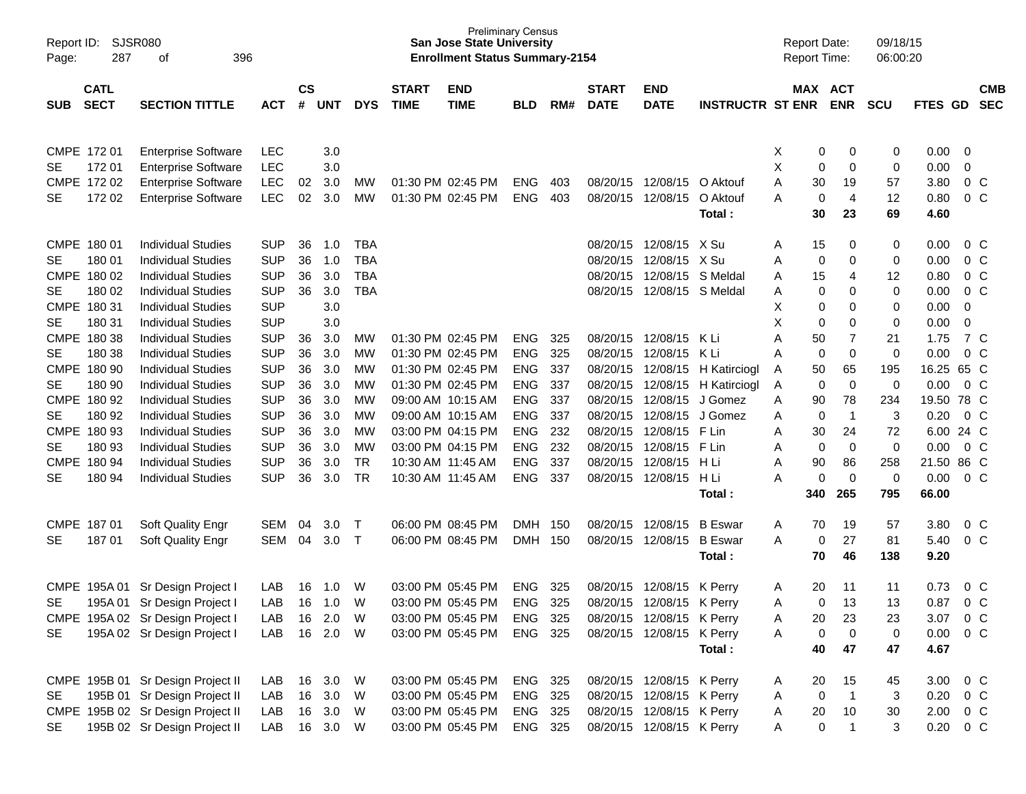| Page:       | SJSR080<br>Report ID:<br>287<br>396<br>οf |                                   |              |                    |            |            |                             | <b>Preliminary Census</b><br><b>San Jose State University</b><br><b>Enrollment Status Summary-2154</b> |            |     |                             |                           |                         | <b>Report Date:</b><br><b>Report Time:</b> |             |                       | 09/18/15<br>06:00:20 |               |                |                          |
|-------------|-------------------------------------------|-----------------------------------|--------------|--------------------|------------|------------|-----------------------------|--------------------------------------------------------------------------------------------------------|------------|-----|-----------------------------|---------------------------|-------------------------|--------------------------------------------|-------------|-----------------------|----------------------|---------------|----------------|--------------------------|
| <b>SUB</b>  | <b>CATL</b><br><b>SECT</b>                | <b>SECTION TITTLE</b>             | <b>ACT</b>   | $\mathsf{cs}$<br># | <b>UNT</b> | <b>DYS</b> | <b>START</b><br><b>TIME</b> | <b>END</b><br><b>TIME</b>                                                                              | <b>BLD</b> | RM# | <b>START</b><br><b>DATE</b> | <b>END</b><br><b>DATE</b> | <b>INSTRUCTR ST ENR</b> |                                            |             | MAX ACT<br><b>ENR</b> | <b>SCU</b>           | FTES GD       |                | <b>CMB</b><br><b>SEC</b> |
|             |                                           |                                   |              |                    |            |            |                             |                                                                                                        |            |     |                             |                           |                         |                                            |             |                       |                      |               |                |                          |
|             |                                           |                                   |              |                    |            |            |                             |                                                                                                        |            |     |                             |                           |                         |                                            |             |                       |                      |               |                |                          |
| CMPE 172 01 |                                           | <b>Enterprise Software</b>        | <b>LEC</b>   |                    | 3.0        |            |                             |                                                                                                        |            |     |                             |                           |                         | X                                          | 0           | 0                     | 0                    | 0.00          | 0              |                          |
| SE          | 17201                                     | <b>Enterprise Software</b>        | <b>LEC</b>   |                    | 3.0        |            |                             |                                                                                                        |            |     |                             |                           |                         | Χ                                          | 0           | $\mathbf 0$           | $\mathbf 0$          | 0.00          | $\mathbf 0$    |                          |
|             | CMPE 172 02                               | <b>Enterprise Software</b>        | <b>LEC</b>   | 02                 | 3.0        | MW         |                             | 01:30 PM 02:45 PM                                                                                      | <b>ENG</b> | 403 |                             | 08/20/15 12/08/15         | O Aktouf                | A                                          | 30          | 19                    | 57                   | 3.80          | 0 <sup>C</sup> |                          |
| <b>SE</b>   | 172 02                                    | <b>Enterprise Software</b>        | <b>LEC</b>   | 02                 | 3.0        | <b>MW</b>  | 01:30 PM 02:45 PM           |                                                                                                        | <b>ENG</b> | 403 | 08/20/15                    | 12/08/15                  | O Aktouf                | Α                                          | 0           | $\overline{4}$        | 12                   | 0.80          | 0 <sub>C</sub> |                          |
|             |                                           |                                   |              |                    |            |            |                             |                                                                                                        |            |     |                             |                           | Total:                  |                                            | 30          | 23                    | 69                   | 4.60          |                |                          |
| CMPE 180 01 |                                           | <b>Individual Studies</b>         | <b>SUP</b>   | 36                 | 1.0        | TBA        |                             |                                                                                                        |            |     | 08/20/15                    | 12/08/15 X Su             |                         | Α                                          | 15          | 0                     | 0                    | 0.00          | $0\,C$         |                          |
| <b>SE</b>   | 180 01                                    | <b>Individual Studies</b>         | <b>SUP</b>   | 36                 | 1.0        | <b>TBA</b> |                             |                                                                                                        |            |     | 08/20/15                    | 12/08/15                  | X Su                    | A                                          | 0           | $\mathbf 0$           | 0                    | 0.00          | 0 <sup>o</sup> |                          |
|             | CMPE 180 02                               | <b>Individual Studies</b>         | <b>SUP</b>   | 36                 | 3.0        | <b>TBA</b> |                             |                                                                                                        |            |     | 08/20/15                    | 12/08/15                  | S Meldal                | A                                          | 15          | 4                     | 12                   | 0.80          | 0 <sup>C</sup> |                          |
| <b>SE</b>   | 180 02                                    | <b>Individual Studies</b>         | <b>SUP</b>   | 36                 | 3.0        | <b>TBA</b> |                             |                                                                                                        |            |     | 08/20/15                    | 12/08/15 S Meldal         |                         | Α                                          | 0           | 0                     | 0                    | 0.00          | $0\,C$         |                          |
| CMPE 180 31 |                                           | <b>Individual Studies</b>         | <b>SUP</b>   |                    | 3.0        |            |                             |                                                                                                        |            |     |                             |                           |                         | х                                          | 0           | $\mathbf 0$           | 0                    | 0.00          | $\mathbf 0$    |                          |
| <b>SE</b>   | 180 31                                    | <b>Individual Studies</b>         | <b>SUP</b>   |                    | 3.0        |            |                             |                                                                                                        |            |     |                             |                           |                         | X                                          | $\mathbf 0$ | $\mathbf 0$           | 0                    | 0.00          | $\mathbf 0$    |                          |
|             | CMPE 180 38                               | <b>Individual Studies</b>         | <b>SUP</b>   | 36                 | 3.0        | МW         |                             | 01:30 PM 02:45 PM                                                                                      | <b>ENG</b> | 325 | 08/20/15                    | 12/08/15                  | K Li                    | A                                          | 50          | 7                     | 21                   | 1.75          | 7 C            |                          |
| <b>SE</b>   | 180 38                                    | <b>Individual Studies</b>         | <b>SUP</b>   | 36                 | 3.0        | MW         |                             | 01:30 PM 02:45 PM                                                                                      | <b>ENG</b> | 325 | 08/20/15                    | 12/08/15                  | K Li                    | A                                          | 0           | $\pmb{0}$             | $\mathbf 0$          | 0.00          | 0 <sup>o</sup> |                          |
|             | CMPE 180 90                               | <b>Individual Studies</b>         | <b>SUP</b>   | 36                 | 3.0        | МW         |                             | 01:30 PM 02:45 PM                                                                                      | <b>ENG</b> | 337 | 08/20/15                    | 12/08/15                  | H Katirciogl            | Α                                          | 50          | 65                    | 195                  | 16.25 65 C    |                |                          |
| <b>SE</b>   | 180 90                                    | <b>Individual Studies</b>         | <b>SUP</b>   | 36                 | 3.0        | МW         |                             | 01:30 PM 02:45 PM                                                                                      | <b>ENG</b> | 337 | 08/20/15                    | 12/08/15                  | H Katirciogl            | Α                                          | 0           | $\mathbf 0$           | 0                    | 0.00          | $0\,C$         |                          |
|             | CMPE 180 92                               | <b>Individual Studies</b>         | <b>SUP</b>   | 36                 | 3.0        | МW         |                             | 09:00 AM 10:15 AM                                                                                      | <b>ENG</b> | 337 | 08/20/15                    | 12/08/15                  | J Gomez                 | Α                                          | 90          | 78                    | 234                  | 19.50 78 C    |                |                          |
| <b>SE</b>   | 180 92                                    | <b>Individual Studies</b>         | <b>SUP</b>   | 36                 | 3.0        | МW         |                             | 09:00 AM 10:15 AM                                                                                      | <b>ENG</b> | 337 | 08/20/15                    | 12/08/15                  | J Gomez                 | Α                                          | 0           | $\overline{1}$        | 3                    | 0.20          | 0 <sup>o</sup> |                          |
|             | CMPE 180 93                               | <b>Individual Studies</b>         | <b>SUP</b>   | 36                 | 3.0        | <b>MW</b>  |                             | 03:00 PM 04:15 PM                                                                                      | <b>ENG</b> | 232 | 08/20/15                    | 12/08/15                  | F Lin                   | A                                          | 30          | 24                    | 72                   | 6.00 24 C     |                |                          |
| <b>SE</b>   | 180 93                                    | <b>Individual Studies</b>         | <b>SUP</b>   | 36                 | 3.0        | <b>MW</b>  |                             | 03:00 PM 04:15 PM                                                                                      | <b>ENG</b> | 232 | 08/20/15                    | 12/08/15                  | F Lin                   | Α                                          | 0           | $\mathbf 0$           | $\mathbf 0$          | 0.00          | 0 <sup>o</sup> |                          |
|             | CMPE 180 94                               | <b>Individual Studies</b>         | <b>SUP</b>   | 36                 | 3.0        | <b>TR</b>  |                             | 10:30 AM 11:45 AM                                                                                      | <b>ENG</b> | 337 | 08/20/15                    | 12/08/15                  | H Li                    | Α                                          | 90          | 86                    | 258                  | 21.50 86 C    |                |                          |
| <b>SE</b>   | 180 94                                    | <b>Individual Studies</b>         | <b>SUP</b>   | 36                 | 3.0        | <b>TR</b>  |                             | 10:30 AM 11:45 AM                                                                                      | <b>ENG</b> | 337 | 08/20/15                    | 12/08/15                  | H Li                    | Α                                          | 0           | $\mathbf 0$           | 0                    | 0.00          | 0 <sup>o</sup> |                          |
|             |                                           |                                   |              |                    |            |            |                             |                                                                                                        |            |     |                             |                           | Total:                  |                                            | 340         | 265                   | 795                  | 66.00         |                |                          |
|             |                                           |                                   |              |                    |            |            |                             |                                                                                                        |            |     |                             |                           |                         |                                            |             |                       |                      |               |                |                          |
| CMPE 187 01 |                                           | Soft Quality Engr                 | SEM          | 04                 | 3.0        | $\top$     | 06:00 PM 08:45 PM           |                                                                                                        | <b>DMH</b> | 150 | 08/20/15                    | 12/08/15                  | <b>B</b> Eswar          | Α                                          | 70          | 19                    | 57                   | 3.80          | $0\,C$         |                          |
| <b>SE</b>   | 18701                                     | Soft Quality Engr                 | SEM          | 04                 | 3.0        | $\top$     |                             | 06:00 PM 08:45 PM                                                                                      | <b>DMH</b> | 150 |                             | 08/20/15 12/08/15         | <b>B</b> Eswar          | A                                          | 0           | 27                    | 81                   | 5.40          | 0 <sup>o</sup> |                          |
|             |                                           |                                   |              |                    |            |            |                             |                                                                                                        |            |     |                             |                           | Total:                  |                                            | 70          | 46                    | 138                  | 9.20          |                |                          |
|             | CMPE 195A 01                              | Sr Design Project I               | LAB          | 16                 | 1.0        | W          |                             | 03:00 PM 05:45 PM                                                                                      | <b>ENG</b> | 325 | 08/20/15                    | 12/08/15                  | K Perry                 | A                                          | 20          | 11                    | 11                   | 0.73          | 0 <sup>C</sup> |                          |
| <b>SE</b>   | 195A01                                    | Sr Design Project I               | <b>LAB</b>   | 16                 | 1.0        | W          |                             | 03:00 PM 05:45 PM                                                                                      | <b>ENG</b> | 325 | 08/20/15                    | 12/08/15                  | K Perry                 | A                                          | 0           | 13                    | 13                   | 0.87          | $0\,C$         |                          |
|             |                                           | CMPE 195A 02 Sr Design Project I  | LAB          | 16                 | 2.0        | W          |                             | 03:00 PM 05:45 PM                                                                                      | ENG 325    |     |                             | 08/20/15 12/08/15 K Perry |                         | Α                                          | 20          | 23                    | 23                   | 3.07          | $0\,C$         |                          |
| <b>SE</b>   |                                           | 195A 02 Sr Design Project I       | LAB 16 2.0 W |                    |            |            |                             | 03:00 PM 05:45 PM                                                                                      | ENG 325    |     |                             | 08/20/15 12/08/15 K Perry |                         | A                                          | 0           | $\overline{0}$        | $\pmb{0}$            | 0.00          | $0\,C$         |                          |
|             |                                           |                                   |              |                    |            |            |                             |                                                                                                        |            |     |                             |                           | Total:                  |                                            | 40          | 47                    | 47                   | 4.67          |                |                          |
|             |                                           |                                   |              |                    |            |            |                             |                                                                                                        |            |     |                             |                           |                         |                                            |             |                       |                      |               |                |                          |
|             |                                           | CMPE 195B 01 Sr Design Project II | LAB          |                    | 16 3.0     | W          |                             | 03:00 PM 05:45 PM                                                                                      | ENG 325    |     |                             | 08/20/15 12/08/15 K Perry |                         | A                                          | 20          | 15                    | 45                   | 3.00          | $0\,C$         |                          |
| SE          |                                           | 195B 01 Sr Design Project II      | LAB 16 3.0   |                    |            | W          |                             | 03:00 PM 05:45 PM                                                                                      | ENG 325    |     |                             | 08/20/15 12/08/15 K Perry |                         | Α                                          | 0           | $\overline{1}$        | 3                    | 0.20          | $0\,$ C        |                          |
|             |                                           | CMPE 195B 02 Sr Design Project II | LAB          |                    | 16 3.0     | W          |                             | 03:00 PM 05:45 PM                                                                                      | ENG 325    |     |                             | 08/20/15 12/08/15 K Perry |                         | Α                                          | 20          | 10                    | 30                   | 2.00          | $0\,C$         |                          |
| SE          |                                           | 195B 02 Sr Design Project II      | LAB 16 3.0 W |                    |            |            |                             | 03:00 PM 05:45 PM                                                                                      | ENG 325    |     |                             | 08/20/15 12/08/15 K Perry |                         | A                                          | 0           | $\overline{1}$        | 3                    | $0.20 \t 0 C$ |                |                          |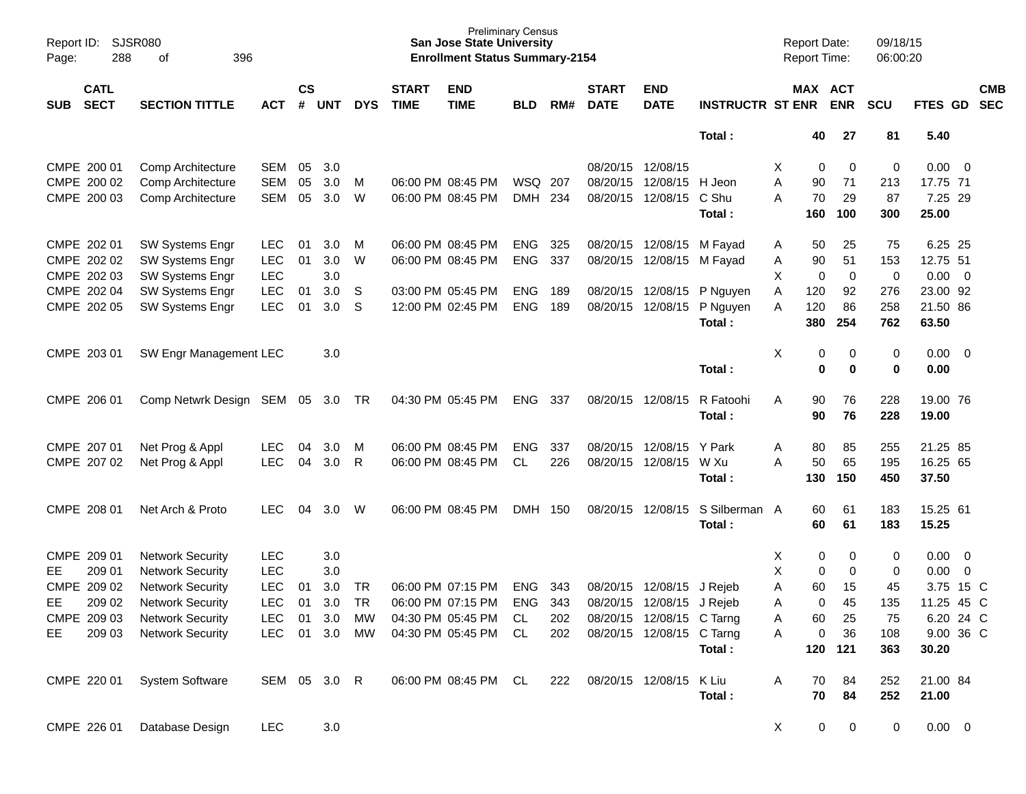| Page:      | SJSR080<br>Report ID:<br>288<br>396<br>of |                          |              |                    |            |            |                             | <b>San Jose State University</b><br><b>Enrollment Status Summary-2154</b> | <b>Preliminary Census</b> |     |                             |                           |                         | <b>Report Date:</b><br>Report Time: |                            | 09/18/15<br>06:00:20 |             |                          |
|------------|-------------------------------------------|--------------------------|--------------|--------------------|------------|------------|-----------------------------|---------------------------------------------------------------------------|---------------------------|-----|-----------------------------|---------------------------|-------------------------|-------------------------------------|----------------------------|----------------------|-------------|--------------------------|
| <b>SUB</b> | <b>CATL</b><br><b>SECT</b>                | <b>SECTION TITTLE</b>    | <b>ACT</b>   | $\mathsf{cs}$<br># | <b>UNT</b> | <b>DYS</b> | <b>START</b><br><b>TIME</b> | <b>END</b><br><b>TIME</b>                                                 | <b>BLD</b>                | RM# | <b>START</b><br><b>DATE</b> | <b>END</b><br><b>DATE</b> | <b>INSTRUCTR ST ENR</b> |                                     | MAX ACT<br><b>ENR</b>      | <b>SCU</b>           | FTES GD     | <b>CMB</b><br><b>SEC</b> |
|            |                                           |                          |              |                    |            |            |                             |                                                                           |                           |     |                             |                           | Total:                  | 40                                  | 27                         | 81                   | 5.40        |                          |
|            | CMPE 200 01                               | Comp Architecture        | <b>SEM</b>   | 05                 | 3.0        |            |                             |                                                                           |                           |     | 08/20/15 12/08/15           |                           |                         | Х                                   | 0<br>0                     | 0                    | 0.00        | $\overline{\phantom{0}}$ |
|            | CMPE 200 02                               | <b>Comp Architecture</b> | <b>SEM</b>   | 05                 | 3.0        | м          |                             | 06:00 PM 08:45 PM                                                         | WSQ                       | 207 | 08/20/15                    | 12/08/15                  | H Jeon                  | A<br>90                             | 71                         | 213                  | 17.75 71    |                          |
|            | CMPE 200 03                               | Comp Architecture        | <b>SEM</b>   | 05                 | 3.0        | W          |                             | 06:00 PM 08:45 PM                                                         | <b>DMH</b>                | 234 | 08/20/15                    | 12/08/15                  | C Shu                   | A<br>70                             | 29                         | 87                   | 7.25 29     |                          |
|            |                                           |                          |              |                    |            |            |                             |                                                                           |                           |     |                             |                           | Total:                  | 160                                 | 100                        | 300                  | 25.00       |                          |
|            | CMPE 202 01                               | <b>SW Systems Engr</b>   | LEC.         | 01                 | 3.0        | M          |                             | 06:00 PM 08:45 PM                                                         | ENG                       | 325 |                             | 08/20/15 12/08/15         | M Fayad                 | 50<br>A                             | 25                         | 75                   | 6.25 25     |                          |
|            | CMPE 202 02                               | SW Systems Engr          | <b>LEC</b>   | 01                 | 3.0        | W          |                             | 06:00 PM 08:45 PM                                                         | <b>ENG</b>                | 337 | 08/20/15                    | 12/08/15                  | M Fayad                 | 90<br>Α                             | 51                         | 153                  | 12.75 51    |                          |
|            | CMPE 202 03                               | SW Systems Engr          | <b>LEC</b>   |                    | 3.0        |            |                             |                                                                           |                           |     |                             |                           |                         | X                                   | $\mathbf 0$<br>$\mathbf 0$ | 0                    | 0.00        | $\overline{\mathbf{0}}$  |
|            | CMPE 202 04                               | SW Systems Engr          | <b>LEC</b>   | 01                 | 3.0        | S          |                             | 03:00 PM 05:45 PM                                                         | <b>ENG</b>                | 189 |                             | 08/20/15 12/08/15         | P Nguyen                | 120<br>Α                            | 92                         | 276                  | 23.00 92    |                          |
|            | CMPE 202 05                               | SW Systems Engr          | <b>LEC</b>   | 01                 | 3.0        | S          |                             | 12:00 PM 02:45 PM                                                         | <b>ENG</b>                | 189 | 08/20/15                    | 12/08/15                  | P Nguyen                | 120<br>Α                            | 86                         | 258                  | 21.50 86    |                          |
|            |                                           |                          |              |                    |            |            |                             |                                                                           |                           |     |                             |                           | Total:                  | 380                                 | 254                        | 762                  | 63.50       |                          |
|            | CMPE 203 01                               | SW Engr Management LEC   |              |                    | 3.0        |            |                             |                                                                           |                           |     |                             |                           |                         | X                                   | 0<br>0                     | 0                    | 0.00        | $\overline{\mathbf{0}}$  |
|            |                                           |                          |              |                    |            |            |                             |                                                                           |                           |     |                             |                           | Total:                  |                                     | $\mathbf 0$<br>0           | $\bf{0}$             | 0.00        |                          |
|            | CMPE 206 01                               | Comp Netwrk Design       | SEM 05       |                    | 3.0        | TR         |                             | 04:30 PM 05:45 PM                                                         | <b>ENG</b>                | 337 |                             | 08/20/15 12/08/15         | R Fatoohi               | 90<br>A                             | 76                         | 228                  | 19.00 76    |                          |
|            |                                           |                          |              |                    |            |            |                             |                                                                           |                           |     |                             |                           | Total:                  | 90                                  | 76                         | 228                  | 19.00       |                          |
|            | CMPE 207 01                               | Net Prog & Appl          | <b>LEC</b>   | 04                 | 3.0        | M          |                             | 06:00 PM 08:45 PM                                                         | <b>ENG</b>                | 337 | 08/20/15                    | 12/08/15                  | Y Park                  | 80<br>A                             | 85                         | 255                  | 21.25 85    |                          |
|            | CMPE 207 02                               | Net Prog & Appl          | <b>LEC</b>   | 04                 | 3.0        | R          |                             | 06:00 PM 08:45 PM                                                         | CL.                       | 226 | 08/20/15                    | 12/08/15                  | W Xu                    | A<br>50                             | 65                         | 195                  | 16.25 65    |                          |
|            |                                           |                          |              |                    |            |            |                             |                                                                           |                           |     |                             |                           | Total:                  | 130                                 | 150                        | 450                  | 37.50       |                          |
|            | CMPE 208 01                               | Net Arch & Proto         | <b>LEC</b>   | 04                 | 3.0        | W          |                             | 06:00 PM 08:45 PM                                                         | <b>DMH</b>                | 150 | 08/20/15                    | 12/08/15                  | S Silberman A           | 60                                  | 61                         | 183                  | 15.25 61    |                          |
|            |                                           |                          |              |                    |            |            |                             |                                                                           |                           |     |                             |                           | Total:                  | 60                                  | 61                         | 183                  | 15.25       |                          |
|            | CMPE 209 01                               | <b>Network Security</b>  | <b>LEC</b>   |                    | 3.0        |            |                             |                                                                           |                           |     |                             |                           |                         | X                                   | 0<br>0                     | 0                    | 0.00        | - 0                      |
| EE.        | 209 01                                    | <b>Network Security</b>  | <b>LEC</b>   |                    | 3.0        |            |                             |                                                                           |                           |     |                             |                           |                         | X                                   | 0<br>0                     | 0                    | 0.00        | $\overline{0}$           |
|            | CMPE 209 02                               | <b>Network Security</b>  | LEC          | 01                 | 3.0        | TR         |                             | 06:00 PM 07:15 PM                                                         | <b>ENG</b>                | 343 | 08/20/15                    | 12/08/15                  | J Reieb                 | Α<br>60                             | 15                         | 45                   | 3.75        | 15 C                     |
| EЕ         | 209 02                                    | <b>Network Security</b>  | <b>LEC</b>   | 01                 | 3.0        | <b>TR</b>  |                             | 06:00 PM 07:15 PM                                                         | <b>ENG</b>                | 343 | 08/20/15                    | 12/08/15 J Rejeb          |                         | A                                   | 45<br>0                    | 135                  | 11.25 45 C  |                          |
|            | CMPE 209 03                               | <b>Network Security</b>  | LEC.         | 01                 | 3.0        | MW         |                             | 04:30 PM 05:45 PM                                                         | CL                        | 202 |                             | 08/20/15 12/08/15 C Tarng |                         | 60<br>A                             | 25                         | 75                   | 6.20 24 C   |                          |
| EE.        | 209 03                                    | <b>Network Security</b>  | LEC          |                    | 01 3.0     | MW         |                             | 04:30 PM 05:45 PM                                                         | - CL                      | 202 |                             | 08/20/15 12/08/15 C Tarng |                         | A                                   | 0<br>36                    | 108                  | 9.00 36 C   |                          |
|            |                                           |                          |              |                    |            |            |                             |                                                                           |                           |     |                             |                           | Total:                  |                                     | 120 121                    | 363                  | 30.20       |                          |
|            | CMPE 220 01                               | <b>System Software</b>   | SEM 05 3.0 R |                    |            |            |                             | 06:00 PM 08:45 PM CL                                                      |                           |     | 222 08/20/15 12/08/15       |                           | K Liu                   | A<br>70                             | 84                         | 252                  | 21.00 84    |                          |
|            |                                           |                          |              |                    |            |            |                             |                                                                           |                           |     |                             |                           | Total:                  | 70                                  | 84                         | 252                  | 21.00       |                          |
|            | CMPE 226 01                               | Database Design          | <b>LEC</b>   |                    | 3.0        |            |                             |                                                                           |                           |     |                             |                           |                         | X                                   | 0<br>$\mathbf 0$           | 0                    | $0.00 \t 0$ |                          |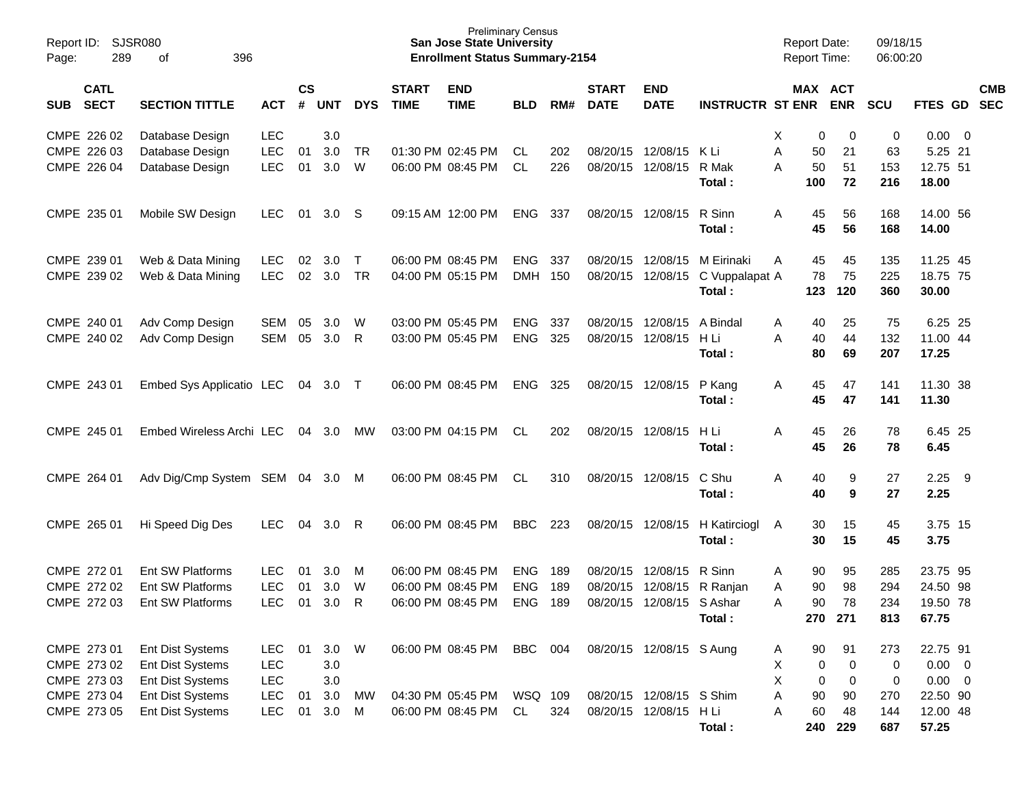| Page:      | SJSR080<br>Report ID:<br>289<br>396<br>of |                                                                 |                          |                    |                   |                |                             | <b>Preliminary Census</b><br><b>San Jose State University</b><br><b>Enrollment Status Summary-2154</b> |                          |            |                             |                                        |                                        | <b>Report Date:</b><br>Report Time: |                                  | 09/18/15<br>06:00:20 |                                        |     |            |
|------------|-------------------------------------------|-----------------------------------------------------------------|--------------------------|--------------------|-------------------|----------------|-----------------------------|--------------------------------------------------------------------------------------------------------|--------------------------|------------|-----------------------------|----------------------------------------|----------------------------------------|-------------------------------------|----------------------------------|----------------------|----------------------------------------|-----|------------|
| <b>SUB</b> | <b>CATL</b><br><b>SECT</b>                | <b>SECTION TITTLE</b>                                           | <b>ACT</b>               | $\mathsf{cs}$<br># | <b>UNT</b>        | <b>DYS</b>     | <b>START</b><br><b>TIME</b> | <b>END</b><br><b>TIME</b>                                                                              | <b>BLD</b>               | RM#        | <b>START</b><br><b>DATE</b> | <b>END</b><br><b>DATE</b>              | <b>INSTRUCTR ST ENR</b>                | MAX ACT                             | <b>ENR</b>                       | <b>SCU</b>           | FTES GD SEC                            |     | <b>CMB</b> |
|            | CMPE 226 02                               | Database Design                                                 | <b>LEC</b>               |                    | 3.0               |                |                             |                                                                                                        |                          |            |                             |                                        |                                        | Χ<br>0                              | 0                                | 0                    | $0.00 \t 0$                            |     |            |
|            | CMPE 226 03<br>CMPE 226 04                | Database Design<br>Database Design                              | <b>LEC</b><br><b>LEC</b> | 01<br>01           | 3.0<br>3.0        | <b>TR</b><br>W |                             | 01:30 PM 02:45 PM<br>06:00 PM 08:45 PM                                                                 | CL.<br><b>CL</b>         | 202<br>226 |                             | 08/20/15 12/08/15<br>08/20/15 12/08/15 | K Li<br>R Mak<br>Total:                | A<br>50<br>A<br>50<br>100           | 21<br>51<br>72                   | 63<br>153<br>216     | 5.25 21<br>12.75 51<br>18.00           |     |            |
|            | CMPE 235 01                               | Mobile SW Design                                                | LEC.                     | 01                 | 3.0               | -S             |                             | 09:15 AM 12:00 PM                                                                                      | <b>ENG</b>               | 337        | 08/20/15 12/08/15           |                                        | R Sinn<br>Total:                       | A<br>45<br>45                       | 56<br>56                         | 168<br>168           | 14.00 56<br>14.00                      |     |            |
|            | CMPE 239 01<br>CMPE 239 02                | Web & Data Mining<br>Web & Data Mining                          | LEC.<br><b>LEC</b>       | 02<br>02           | 3.0<br>3.0        | $\top$<br>TR   |                             | 06:00 PM 08:45 PM<br>04:00 PM 05:15 PM                                                                 | <b>ENG</b><br><b>DMH</b> | 337<br>150 | 08/20/15 12/08/15           | 08/20/15 12/08/15                      | M Eirinaki<br>C Vuppalapat A<br>Total: | 45<br>A<br>78<br>123                | 45<br>75<br>120                  | 135<br>225<br>360    | 11.25 45<br>18.75 75<br>30.00          |     |            |
|            | CMPE 240 01<br>CMPE 240 02                | Adv Comp Design<br>Adv Comp Design                              | SEM<br><b>SEM</b>        | 05<br>05           | 3.0<br>3.0        | W<br>R         |                             | 03:00 PM 05:45 PM<br>03:00 PM 05:45 PM                                                                 | <b>ENG</b><br><b>ENG</b> | 337<br>325 | 08/20/15 12/08/15           | 08/20/15 12/08/15                      | A Bindal<br>H Li<br>Total:             | 40<br>A<br>A<br>40<br>80            | 25<br>44<br>69                   | 75<br>132<br>207     | 6.25 25<br>11.00 44<br>17.25           |     |            |
|            | CMPE 243 01                               | Embed Sys Applicatio LEC                                        |                          | 04                 | 3.0               | $\top$         |                             | 06:00 PM 08:45 PM                                                                                      | <b>ENG</b>               | 325        | 08/20/15 12/08/15           |                                        | P Kang<br>Total:                       | 45<br>A<br>45                       | 47<br>47                         | 141<br>141           | 11.30 38<br>11.30                      |     |            |
|            | CMPE 245 01                               | Embed Wireless Archi LEC                                        |                          | 04                 | 3.0               | МW             |                             | 03:00 PM 04:15 PM                                                                                      | CL.                      | 202        | 08/20/15 12/08/15           |                                        | H Li<br>Total:                         | 45<br>Α<br>45                       | 26<br>26                         | 78<br>78             | 6.45 25<br>6.45                        |     |            |
|            | CMPE 264 01                               | Adv Dig/Cmp System SEM 04                                       |                          |                    | 3.0               | M              |                             | 06:00 PM 08:45 PM                                                                                      | CL                       | 310        | 08/20/15 12/08/15           |                                        | C Shu<br>Total:                        | Α<br>40<br>40                       | 9<br>9                           | 27<br>27             | 2.25<br>2.25                           | - 9 |            |
|            | CMPE 265 01                               | Hi Speed Dig Des                                                | <b>LEC</b>               | 04                 | 3.0               | R              |                             | 06:00 PM 08:45 PM                                                                                      | <b>BBC</b>               | 223        | 08/20/15 12/08/15           |                                        | H Katirciogl<br>Total:                 | 30<br>A<br>30                       | 15<br>15                         | 45<br>45             | 3.75 15<br>3.75                        |     |            |
|            | CMPE 272 01                               | Ent SW Platforms                                                | <b>LEC</b>               | 01                 | 3.0               | M              |                             | 06:00 PM 08:45 PM                                                                                      | <b>ENG</b>               | 189        | 08/20/15 12/08/15           |                                        | R Sinn                                 | 90<br>A                             | 95                               | 285                  | 23.75 95                               |     |            |
|            | CMPE 272 02                               | Ent SW Platforms                                                | <b>LEC</b>               | 01                 | 3.0               | W              |                             | 06:00 PM 08:45 PM                                                                                      | <b>ENG</b>               | 189        | 08/20/15                    | 12/08/15                               | R Ranjan                               | 90<br>A                             | 98                               | 294                  | 24.50 98                               |     |            |
|            | CMPE 272 03                               | Ent SW Platforms                                                | <b>LEC</b>               | 01                 | 3.0               | R              |                             | 06:00 PM 08:45 PM                                                                                      | <b>ENG</b>               | 189        |                             | 08/20/15 12/08/15                      | S Ashar<br>Total:                      | 90<br>Α                             | 78<br>270 271                    | 234<br>813           | 19.50 78<br>67.75                      |     |            |
|            | CMPE 273 01<br>CMPE 273 02<br>CMPE 273 03 | Ent Dist Systems<br><b>Ent Dist Systems</b><br>Ent Dist Systems | <b>LEC</b><br>LEC<br>LEC | 01                 | 3.0<br>3.0<br>3.0 | W              |                             | 06:00 PM 08:45 PM                                                                                      | BBC                      | 004        |                             | 08/20/15 12/08/15 S Aung               |                                        | 90<br>A<br>Χ<br>0<br>X<br>0         | 91<br>$\mathbf 0$<br>$\mathbf 0$ | 273<br>0<br>0        | 22.75 91<br>$0.00 \t 0$<br>$0.00 \t 0$ |     |            |
|            | CMPE 273 04                               | Ent Dist Systems                                                | LEC                      | 01                 | 3.0               | МW             |                             | 04:30 PM 05:45 PM                                                                                      | WSQ 109                  |            |                             | 08/20/15 12/08/15 S Shim               |                                        | 90<br>Α                             | 90                               | 270                  | 22.50 90                               |     |            |
|            | CMPE 273 05                               | Ent Dist Systems                                                | <b>LEC</b>               | 01                 | 3.0               | M              |                             | 06:00 PM 08:45 PM                                                                                      | CL                       | 324        |                             | 08/20/15 12/08/15                      | H Li<br>Total:                         | 60<br>A                             | 48<br>240 229                    | 144<br>687           | 12.00 48<br>57.25                      |     |            |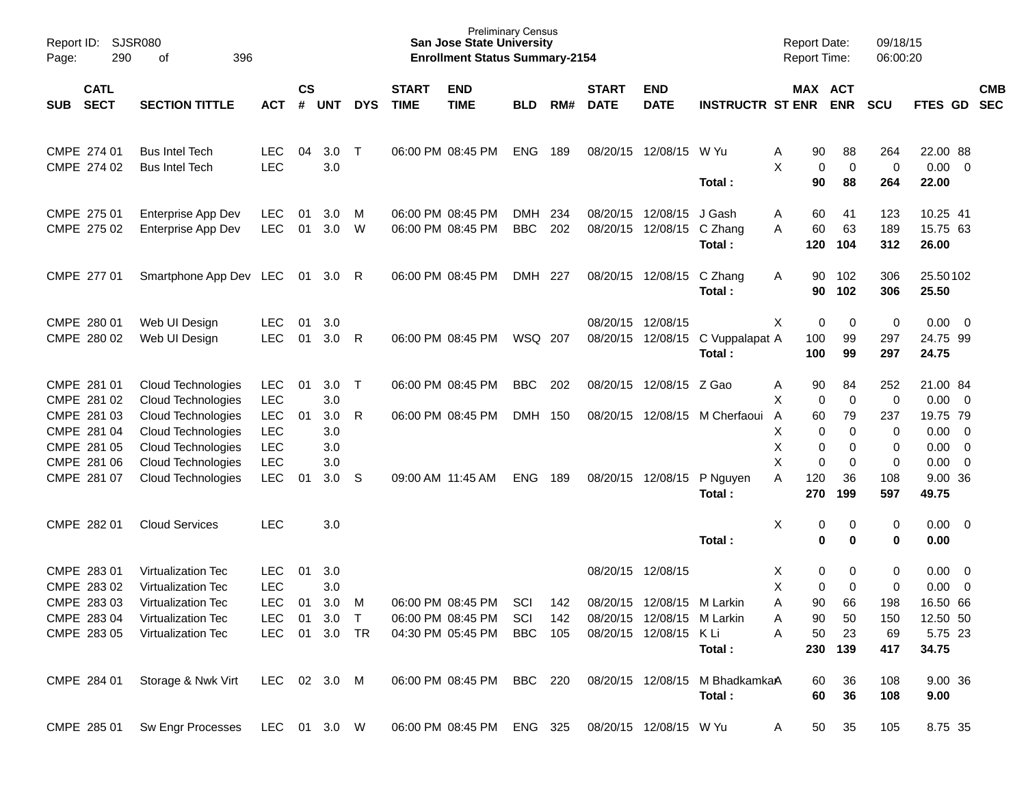| Report ID:<br>Page: | 290                                                                     | <b>SJSR080</b><br>396<br>оf                                                                                       |                                                                |                    |                                 |             |                             | <b>Preliminary Census</b><br><b>San Jose State University</b><br><b>Enrollment Status Summary-2154</b> |                          |                   |                             |                                                                                                |                                          | <b>Report Date:</b><br><b>Report Time:</b>       |                                     | 09/18/15<br>06:00:20              |                                                                                             |                          |
|---------------------|-------------------------------------------------------------------------|-------------------------------------------------------------------------------------------------------------------|----------------------------------------------------------------|--------------------|---------------------------------|-------------|-----------------------------|--------------------------------------------------------------------------------------------------------|--------------------------|-------------------|-----------------------------|------------------------------------------------------------------------------------------------|------------------------------------------|--------------------------------------------------|-------------------------------------|-----------------------------------|---------------------------------------------------------------------------------------------|--------------------------|
| <b>SUB</b>          | <b>CATL</b><br><b>SECT</b>                                              | <b>SECTION TITTLE</b>                                                                                             | <b>ACT</b>                                                     | $\mathsf{cs}$<br># | <b>UNT</b>                      | <b>DYS</b>  | <b>START</b><br><b>TIME</b> | <b>END</b><br><b>TIME</b>                                                                              | <b>BLD</b>               | RM#               | <b>START</b><br><b>DATE</b> | <b>END</b><br><b>DATE</b>                                                                      | <b>INSTRUCTR ST ENR</b>                  | MAX ACT                                          | <b>ENR</b>                          | <b>SCU</b>                        | <b>FTES GD</b>                                                                              | <b>CMB</b><br><b>SEC</b> |
|                     | CMPE 274 01<br>CMPE 274 02                                              | <b>Bus Intel Tech</b><br><b>Bus Intel Tech</b>                                                                    | <b>LEC</b><br><b>LEC</b>                                       | 04                 | 3.0<br>3.0                      | $\top$      |                             | 06:00 PM 08:45 PM                                                                                      | <b>ENG</b>               | 189               | 08/20/15                    | 12/08/15                                                                                       | W Yu<br>Total:                           | 90<br>A<br>Χ<br>$\mathbf 0$<br>90                | 88<br>0<br>88                       | 264<br>0<br>264                   | 22.00 88<br>$0.00 \t 0$<br>22.00                                                            |                          |
|                     | CMPE 275 01<br>CMPE 275 02                                              | Enterprise App Dev<br>Enterprise App Dev                                                                          | <b>LEC</b><br><b>LEC</b>                                       | 01<br>01           | 3.0<br>3.0                      | M<br>W      |                             | 06:00 PM 08:45 PM<br>06:00 PM 08:45 PM                                                                 | <b>DMH</b><br><b>BBC</b> | 234<br>202        | 08/20/15<br>08/20/15        | 12/08/15<br>12/08/15                                                                           | J Gash<br>C Zhang<br>Total:              | 60<br>Α<br>60<br>A<br>120                        | 41<br>63<br>104                     | 123<br>189<br>312                 | 10.25 41<br>15.75 63<br>26.00                                                               |                          |
|                     | CMPE 277 01                                                             | Smartphone App Dev LEC 01                                                                                         |                                                                |                    | 3.0                             | - R         |                             | 06:00 PM 08:45 PM                                                                                      | DMH 227                  |                   |                             | 08/20/15 12/08/15                                                                              | C Zhang<br>Total:                        | 90<br>A<br>90                                    | 102<br>102                          | 306<br>306                        | 25.50102<br>25.50                                                                           |                          |
|                     | CMPE 280 01<br>CMPE 280 02                                              | Web UI Design<br>Web UI Design                                                                                    | <b>LEC</b><br><b>LEC</b>                                       | 01<br>01           | 3.0<br>3.0                      | R           |                             | 06:00 PM 08:45 PM                                                                                      | WSQ 207                  |                   | 08/20/15<br>08/20/15        | 12/08/15<br>12/08/15                                                                           | C Vuppalapat A<br>Total:                 | Χ<br>0<br>100<br>100                             | 0<br>99<br>99                       | 0<br>297<br>297                   | $0.00 \t 0$<br>24.75 99<br>24.75                                                            |                          |
|                     | CMPE 281 01<br>CMPE 281 02<br>CMPE 281 03<br>CMPE 281 04<br>CMPE 281 05 | Cloud Technologies<br><b>Cloud Technologies</b><br>Cloud Technologies<br>Cloud Technologies<br>Cloud Technologies | LEC.<br><b>LEC</b><br>LEC<br><b>LEC</b><br><b>LEC</b>          | 01<br>01           | 3.0<br>3.0<br>3.0<br>3.0<br>3.0 | $\top$<br>R |                             | 06:00 PM 08:45 PM<br>06:00 PM 08:45 PM                                                                 | <b>BBC</b><br>DMH        | 202<br>150        | 08/20/15<br>08/20/15        | 12/08/15 Z Gao<br>12/08/15                                                                     | M Cherfaoui                              | 90<br>A<br>Χ<br>0<br>60<br>A<br>х<br>0<br>Χ<br>0 | 84<br>0<br>79<br>0<br>0             | 252<br>0<br>237<br>0<br>0         | 21.00 84<br>$0.00 \t 0$<br>19.75 79<br>$0.00 \t 0$<br>$0.00 \t 0$                           |                          |
|                     | CMPE 281 06<br>CMPE 281 07                                              | Cloud Technologies<br><b>Cloud Technologies</b>                                                                   | <b>LEC</b><br><b>LEC</b>                                       | 01                 | 3.0<br>3.0                      | S           |                             | 09:00 AM 11:45 AM                                                                                      | <b>ENG</b>               | 189               | 08/20/15                    | 12/08/15                                                                                       | P Nguyen<br>Total:                       | X<br>0<br>A<br>120<br>270                        | 0<br>36<br>199                      | 0<br>108<br>597                   | $0.00 \t 0$<br>9.00 36<br>49.75                                                             |                          |
|                     | CMPE 282 01                                                             | <b>Cloud Services</b>                                                                                             | <b>LEC</b>                                                     |                    | 3.0                             |             |                             |                                                                                                        |                          |                   |                             |                                                                                                | Total:                                   | х<br>0<br>$\bf{0}$                               | 0<br>0                              | 0<br>0                            | $0.00 \t 0$<br>0.00                                                                         |                          |
|                     | CMPE 283 01<br>CMPE 283 02<br>CMPE 283 03<br>CMPE 283 04<br>CMPE 283 05 | Virtualization Tec<br>Virtualization Tec<br><b>Virtualization Tec</b><br>Virtualization Tec<br>Virtualization Tec | <b>LEC</b><br><b>LEC</b><br><b>LEC</b><br>LEC<br>LEC 01 3.0 TR | 01<br>01<br>01     | 3.0<br>3.0<br>3.0<br>$3.0$ T    | M           |                             | 06:00 PM 08:45 PM<br>06:00 PM 08:45 PM<br>04:30 PM 05:45 PM                                            | SCI<br>SCI<br>BBC        | 142<br>142<br>105 | 08/20/15                    | 08/20/15 12/08/15<br>12/08/15 M Larkin<br>08/20/15 12/08/15 M Larkin<br>08/20/15 12/08/15 K Li | Total:                                   | 0<br>X<br>Χ<br>0<br>90<br>Α<br>90<br>50<br>A     | 0<br>0<br>66<br>50<br>23<br>230 139 | 0<br>0<br>198<br>150<br>69<br>417 | $0.00 \t 0$<br>0.00<br>$\overline{\phantom{0}}$<br>16.50 66<br>12.50 50<br>5.75 23<br>34.75 |                          |
|                     | CMPE 284 01                                                             | Storage & Nwk Virt                                                                                                | LEC 02 3.0 M                                                   |                    |                                 |             |                             | 06:00 PM 08:45 PM BBC 220                                                                              |                          |                   |                             |                                                                                                | 08/20/15 12/08/15 M BhadkamkaA<br>Total: | 60<br>60                                         | 36<br>36                            | 108<br>108                        | 9.00 36<br>9.00                                                                             |                          |
|                     |                                                                         | CMPE 285 01 Sw Engr Processes LEC 01 3.0 W                                                                        |                                                                |                    |                                 |             |                             | 06:00 PM 08:45 PM ENG 325 08/20/15 12/08/15 W Yu                                                       |                          |                   |                             |                                                                                                |                                          | 50<br>A                                          | 35                                  | 105                               | 8.75 35                                                                                     |                          |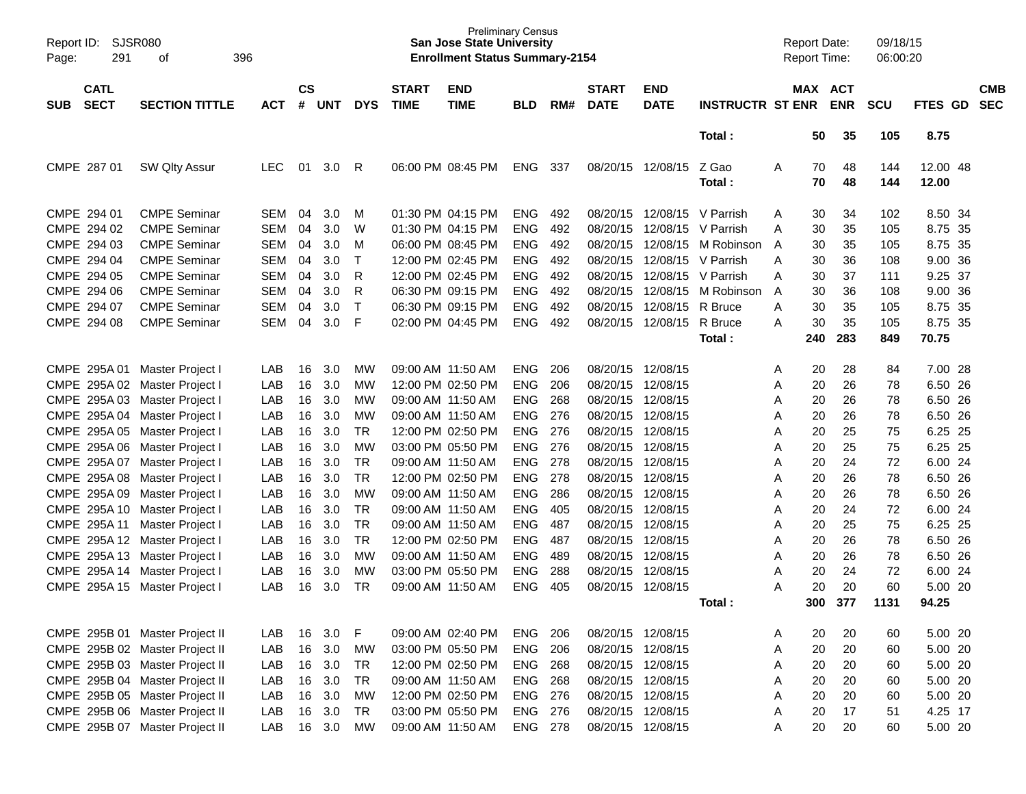| Report ID:<br>Page: | SJSR080<br>291             | 396<br>οf                      |            |                    |            |              |                             | <b>San Jose State University</b><br><b>Enrollment Status Summary-2154</b> | <b>Preliminary Census</b> |     |                             |                           |                         | <b>Report Date:</b><br><b>Report Time:</b> |          |                       | 09/18/15<br>06:00:20 |                   |                          |
|---------------------|----------------------------|--------------------------------|------------|--------------------|------------|--------------|-----------------------------|---------------------------------------------------------------------------|---------------------------|-----|-----------------------------|---------------------------|-------------------------|--------------------------------------------|----------|-----------------------|----------------------|-------------------|--------------------------|
| <b>SUB</b>          | <b>CATL</b><br><b>SECT</b> | <b>SECTION TITTLE</b>          | <b>ACT</b> | $\mathsf{cs}$<br># | <b>UNT</b> | <b>DYS</b>   | <b>START</b><br><b>TIME</b> | <b>END</b><br><b>TIME</b>                                                 | <b>BLD</b>                | RM# | <b>START</b><br><b>DATE</b> | <b>END</b><br><b>DATE</b> | <b>INSTRUCTR ST ENR</b> |                                            |          | MAX ACT<br><b>ENR</b> | <b>SCU</b>           | FTES GD           | <b>CMB</b><br><b>SEC</b> |
|                     |                            |                                |            |                    |            |              |                             |                                                                           |                           |     |                             |                           | Total:                  |                                            | 50       | 35                    | 105                  | 8.75              |                          |
|                     | CMPE 287 01                | SW Qlty Assur                  | <b>LEC</b> | 01                 | 3.0        | R            |                             | 06:00 PM 08:45 PM                                                         | <b>ENG</b>                | 337 | 08/20/15 12/08/15           |                           | Z Gao<br>Total:         | A                                          | 70<br>70 | 48<br>48              | 144<br>144           | 12.00 48<br>12.00 |                          |
|                     | CMPE 294 01                | <b>CMPE Seminar</b>            | <b>SEM</b> | 04                 | 3.0        | м            |                             | 01:30 PM 04:15 PM                                                         | <b>ENG</b>                | 492 | 08/20/15                    |                           | 12/08/15 V Parrish      | A                                          | 30       | 34                    | 102                  | 8.50 34           |                          |
|                     | CMPE 294 02                | <b>CMPE Seminar</b>            | <b>SEM</b> | 04                 | 3.0        | W            |                             | 01:30 PM 04:15 PM                                                         | <b>ENG</b>                | 492 | 08/20/15                    | 12/08/15                  | V Parrish               | A                                          | 30       | 35                    | 105                  | 8.75 35           |                          |
|                     | CMPE 294 03                | <b>CMPE Seminar</b>            | <b>SEM</b> | 04                 | 3.0        | M            |                             | 06:00 PM 08:45 PM                                                         | <b>ENG</b>                | 492 | 08/20/15                    | 12/08/15                  | M Robinson              | A                                          | 30       | 35                    | 105                  | 8.75 35           |                          |
|                     | CMPE 294 04                | <b>CMPE Seminar</b>            | <b>SEM</b> | 04                 | 3.0        | $\mathsf{T}$ |                             | 12:00 PM 02:45 PM                                                         | <b>ENG</b>                | 492 | 08/20/15                    | 12/08/15                  | V Parrish               | A                                          | 30       | 36                    | 108                  | 9.00 36           |                          |
|                     | CMPE 294 05                | <b>CMPE Seminar</b>            | <b>SEM</b> | 04                 | 3.0        | R            |                             | 12:00 PM 02:45 PM                                                         | <b>ENG</b>                | 492 | 08/20/15                    | 12/08/15                  | V Parrish               | A                                          | 30       | 37                    | 111                  | 9.25 37           |                          |
|                     | CMPE 294 06                | <b>CMPE Seminar</b>            | <b>SEM</b> | 04                 | 3.0        | R            |                             | 06:30 PM 09:15 PM                                                         | <b>ENG</b>                | 492 | 08/20/15                    | 12/08/15                  | M Robinson              | A                                          | 30       | 36                    | 108                  | 9.00 36           |                          |
|                     | CMPE 294 07                | <b>CMPE Seminar</b>            | <b>SEM</b> | 04                 | 3.0        | $\mathsf{T}$ |                             | 06:30 PM 09:15 PM                                                         | <b>ENG</b>                | 492 | 08/20/15                    | 12/08/15                  | R Bruce                 | A                                          | 30       | 35                    | 105                  | 8.75 35           |                          |
|                     | CMPE 294 08                | <b>CMPE Seminar</b>            | <b>SEM</b> | 04                 | 3.0        | F            |                             | 02:00 PM 04:45 PM                                                         | <b>ENG</b>                | 492 | 08/20/15                    | 12/08/15                  | R Bruce                 | A                                          | 30       | 35                    | 105                  | 8.75 35           |                          |
|                     |                            |                                |            |                    |            |              |                             |                                                                           |                           |     |                             |                           | Total:                  |                                            | 240      | 283                   | 849                  | 70.75             |                          |
|                     |                            |                                |            |                    |            |              |                             |                                                                           |                           |     |                             |                           |                         |                                            |          |                       |                      |                   |                          |
|                     | CMPE 295A 01               | Master Project I               | LAB        | 16                 | 3.0        | МW           |                             | 09:00 AM 11:50 AM                                                         | <b>ENG</b>                | 206 |                             | 08/20/15 12/08/15         |                         | Α                                          | 20       | 28                    | 84                   | 7.00 28           |                          |
|                     | CMPE 295A 02               | Master Project I               | LAB        | 16                 | 3.0        | МW           |                             | 12:00 PM 02:50 PM                                                         | <b>ENG</b>                | 206 | 08/20/15                    | 12/08/15                  |                         | Α                                          | 20       | 26                    | 78                   | 6.50 26           |                          |
|                     | CMPE 295A03                | Master Project I               | LAB        | 16                 | 3.0        | МW           |                             | 09:00 AM 11:50 AM                                                         | <b>ENG</b>                | 268 | 08/20/15                    | 12/08/15                  |                         | Α                                          | 20       | 26                    | 78                   | 6.50 26           |                          |
|                     | CMPE 295A 04               | Master Project I               | LAB        | 16                 | 3.0        | МW           |                             | 09:00 AM 11:50 AM                                                         | <b>ENG</b>                | 276 | 08/20/15                    | 12/08/15                  |                         | Α                                          | 20       | 26                    | 78                   | 6.50 26           |                          |
|                     | CMPE 295A 05               | Master Project I               | LAB        | 16                 | 3.0        | <b>TR</b>    |                             | 12:00 PM 02:50 PM                                                         | <b>ENG</b>                | 276 | 08/20/15                    | 12/08/15                  |                         | A                                          | 20       | 25                    | 75                   | 6.25 25           |                          |
|                     | CMPE 295A 06               | Master Project I               | LAB        | 16                 | 3.0        | МW           |                             | 03:00 PM 05:50 PM                                                         | <b>ENG</b>                | 276 | 08/20/15                    | 12/08/15                  |                         | Α                                          | 20       | 25                    | 75                   | 6.25 25           |                          |
|                     | CMPE 295A 07               | Master Project I               | LAB        | 16                 | 3.0        | <b>TR</b>    |                             | 09:00 AM 11:50 AM                                                         | <b>ENG</b>                | 278 | 08/20/15                    | 12/08/15                  |                         | Α                                          | 20       | 24                    | 72                   | 6.00 24           |                          |
|                     | CMPE 295A 08               | Master Project I               | LAB        | 16                 | 3.0        | <b>TR</b>    |                             | 12:00 PM 02:50 PM                                                         | <b>ENG</b>                | 278 | 08/20/15                    | 12/08/15                  |                         | Α                                          | 20       | 26                    | 78                   | 6.50 26           |                          |
|                     | CMPE 295A 09               | Master Project I               | LAB        | 16                 | 3.0        | МW           |                             | 09:00 AM 11:50 AM                                                         | <b>ENG</b>                | 286 | 08/20/15                    | 12/08/15                  |                         | Α                                          | 20       | 26                    | 78                   | 6.50 26           |                          |
|                     | CMPE 295A 10               | Master Project I               | LAB        | 16                 | 3.0        | <b>TR</b>    |                             | 09:00 AM 11:50 AM                                                         | <b>ENG</b>                | 405 | 08/20/15                    | 12/08/15                  |                         | Α                                          | 20       | 24                    | 72                   | 6.00 24           |                          |
|                     | CMPE 295A 11               | Master Project I               | LAB        | 16                 | 3.0        | <b>TR</b>    |                             | 09:00 AM 11:50 AM                                                         | <b>ENG</b>                | 487 | 08/20/15                    | 12/08/15                  |                         | Α                                          | 20       | 25                    | 75                   | 6.25 25           |                          |
|                     |                            | CMPE 295A 12 Master Project I  | LAB        | 16                 | 3.0        | <b>TR</b>    |                             | 12:00 PM 02:50 PM                                                         | <b>ENG</b>                | 487 | 08/20/15                    | 12/08/15                  |                         | A                                          | 20       | 26                    | 78                   | 6.50 26           |                          |
|                     |                            | CMPE 295A 13 Master Project I  | LAB        | 16                 | 3.0        | МW           |                             | 09:00 AM 11:50 AM                                                         | <b>ENG</b>                | 489 | 08/20/15                    | 12/08/15                  |                         | Α                                          | 20       | 26                    | 78                   | 6.50 26           |                          |
|                     |                            | CMPE 295A 14 Master Project I  | LAB        | 16                 | 3.0        | MW           |                             | 03:00 PM 05:50 PM                                                         | <b>ENG</b>                | 288 | 08/20/15                    | 12/08/15                  |                         | A                                          | 20       | 24                    | 72                   | 6.00 24           |                          |
| <b>CMPE</b>         | 295A 15                    | Master Project I               | LAB        | 16                 | 3.0        | TR           |                             | 09:00 AM 11:50 AM                                                         | <b>ENG</b>                | 405 | 08/20/15                    | 12/08/15                  |                         | A                                          | 20       | 20                    | 60                   | 5.00 20           |                          |
|                     |                            |                                |            |                    |            |              |                             |                                                                           |                           |     |                             |                           | Total:                  |                                            | 300      | 377                   | 1131                 | 94.25             |                          |
|                     |                            | CMPE 295B 01 Master Project II | LAB        | 16                 | 3.0        | F            |                             | 09:00 AM 02:40 PM                                                         | ENG                       | 206 | 08/20/15 12/08/15           |                           |                         | A                                          | 20       | 20                    | 60                   | 5.00 20           |                          |
|                     |                            | CMPE 295B 02 Master Project II | LAB        | 16                 | 3.0        | MW           |                             | 03:00 PM 05:50 PM                                                         | <b>ENG 206</b>            |     | 08/20/15 12/08/15           |                           |                         | A                                          | 20       | 20                    | 60                   | 5.00 20           |                          |
|                     |                            | CMPE 295B 03 Master Project II | LAB        |                    | 16 3.0     | TR           |                             | 12:00 PM 02:50 PM                                                         | <b>ENG 268</b>            |     | 08/20/15 12/08/15           |                           |                         | A                                          | 20       | 20                    | 60                   | 5.00 20           |                          |
|                     |                            | CMPE 295B 04 Master Project II | LAB        | 16                 | 3.0        | <b>TR</b>    |                             | 09:00 AM 11:50 AM                                                         | <b>ENG 268</b>            |     | 08/20/15 12/08/15           |                           |                         | Α                                          | 20       | 20                    | 60                   | 5.00 20           |                          |
|                     |                            | CMPE 295B 05 Master Project II | LAB        | 16                 | 3.0        | MW           |                             | 12:00 PM 02:50 PM                                                         | ENG 276                   |     | 08/20/15 12/08/15           |                           |                         | Α                                          | 20       | 20                    | 60                   | 5.00 20           |                          |
|                     |                            | CMPE 295B 06 Master Project II | LAB        | 16                 | 3.0        | <b>TR</b>    |                             | 03:00 PM 05:50 PM                                                         | ENG 276                   |     | 08/20/15 12/08/15           |                           |                         | Α                                          | 20       | 17                    | 51                   | 4.25 17           |                          |
|                     |                            | CMPE 295B 07 Master Project II | LAB        |                    | 16 3.0     | MW           |                             | 09:00 AM 11:50 AM                                                         | ENG 278                   |     | 08/20/15 12/08/15           |                           |                         | Α                                          | 20       | 20                    | 60                   | 5.00 20           |                          |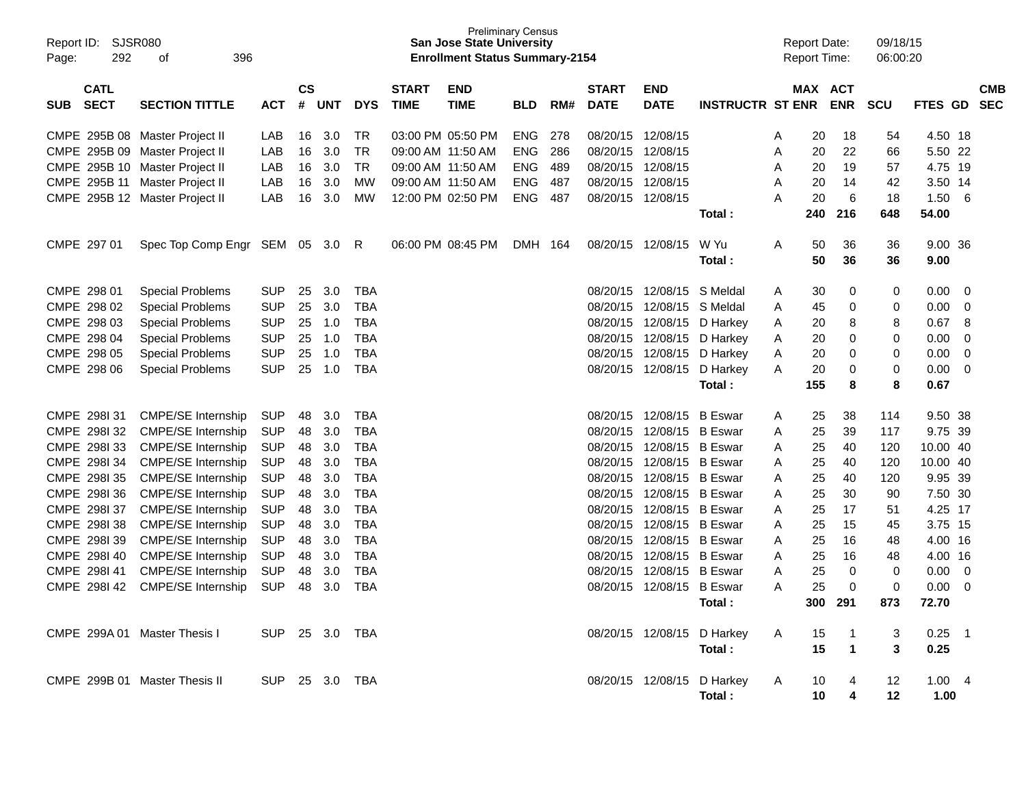| Report ID: SJSR080<br>292<br>Page:       | 396<br>οf                       |            |                    |            |            |                             | <b>San Jose State University</b><br><b>Enrollment Status Summary-2154</b> | <b>Preliminary Census</b> |     |                             |                            |                         |   | <b>Report Date:</b><br><b>Report Time:</b> |                | 09/18/15<br>06:00:20 |                   |                            |                          |
|------------------------------------------|---------------------------------|------------|--------------------|------------|------------|-----------------------------|---------------------------------------------------------------------------|---------------------------|-----|-----------------------------|----------------------------|-------------------------|---|--------------------------------------------|----------------|----------------------|-------------------|----------------------------|--------------------------|
| <b>CATL</b><br><b>SECT</b><br><b>SUB</b> | <b>SECTION TITTLE</b>           | <b>ACT</b> | $\mathsf{cs}$<br># | <b>UNT</b> | <b>DYS</b> | <b>START</b><br><b>TIME</b> | <b>END</b><br><b>TIME</b>                                                 | <b>BLD</b>                | RM# | <b>START</b><br><b>DATE</b> | <b>END</b><br><b>DATE</b>  | <b>INSTRUCTR ST ENR</b> |   | MAX ACT                                    | <b>ENR</b>     | <b>SCU</b>           | <b>FTES GD</b>    |                            | <b>CMB</b><br><b>SEC</b> |
| CMPE 295B 08 Master Project II           |                                 | LAB        | 16                 | 3.0        | TR         |                             | 03:00 PM 05:50 PM                                                         | <b>ENG</b>                | 278 |                             | 08/20/15 12/08/15          |                         | A | 20                                         | 18             | 54                   | 4.50 18           |                            |                          |
| CMPE 295B 09 Master Project II           |                                 | LAB        | 16                 | 3.0        | <b>TR</b>  |                             | 09:00 AM 11:50 AM                                                         | <b>ENG</b>                | 286 | 08/20/15 12/08/15           |                            |                         | A | 20                                         | 22             | 66                   | 5.50 22           |                            |                          |
| CMPE 295B 10 Master Project II           |                                 | LAB        | 16                 | 3.0        | <b>TR</b>  |                             | 09:00 AM 11:50 AM                                                         | <b>ENG</b>                | 489 |                             | 08/20/15 12/08/15          |                         | A | 20                                         | 19             | 57                   | 4.75 19           |                            |                          |
| CMPE 295B 11 Master Project II           |                                 | LAB        | 16                 | 3.0        | <b>MW</b>  |                             | 09:00 AM 11:50 AM                                                         | ENG                       | 487 |                             | 08/20/15 12/08/15          |                         | A | 20                                         | 14             | 42                   | 3.50 14           |                            |                          |
| CMPE 295B 12 Master Project II           |                                 | LAB        | 16                 | 3.0        | MW         |                             | 12:00 PM 02:50 PM                                                         | ENG.                      | 487 |                             | 08/20/15 12/08/15          |                         | A | 20                                         | $\,6\,$        | 18                   | 1.50              | - 6                        |                          |
|                                          |                                 |            |                    |            |            |                             |                                                                           |                           |     |                             |                            | Total:                  |   | 240                                        | 216            | 648                  | 54.00             |                            |                          |
| CMPE 297 01                              | Spec Top Comp Engr SEM 05 3.0 R |            |                    |            |            |                             | 06:00 PM 08:45 PM                                                         | DMH 164                   |     |                             | 08/20/15 12/08/15          | W Yu                    | A | 50                                         | 36             | 36                   | 9.00 36           |                            |                          |
|                                          |                                 |            |                    |            |            |                             |                                                                           |                           |     |                             |                            | Total:                  |   | 50                                         | 36             | 36                   | 9.00              |                            |                          |
| CMPE 298 01                              | <b>Special Problems</b>         | <b>SUP</b> | 25                 | 3.0        | <b>TBA</b> |                             |                                                                           |                           |     |                             | 08/20/15 12/08/15 S Meldal |                         | A | 30                                         | 0              | 0                    | 0.00              | $\overline{0}$             |                          |
| CMPE 298 02                              | <b>Special Problems</b>         | <b>SUP</b> | 25                 | 3.0        | <b>TBA</b> |                             |                                                                           |                           |     |                             | 08/20/15 12/08/15          | S Meldal                | A | 45                                         | 0              | 0                    | 0.00              | $\overline{0}$             |                          |
| CMPE 298 03                              | <b>Special Problems</b>         | <b>SUP</b> | 25                 | 1.0        | <b>TBA</b> |                             |                                                                           |                           |     |                             | 08/20/15 12/08/15          | D Harkey                | A | 20                                         | 8              | 8                    | 0.67              | 8                          |                          |
| CMPE 298 04                              | <b>Special Problems</b>         | <b>SUP</b> | 25                 | 1.0        | <b>TBA</b> |                             |                                                                           |                           |     |                             | 08/20/15 12/08/15          | D Harkey                | Α | 20                                         | 0              | 0                    | 0.00              | $\mathbf 0$                |                          |
| CMPE 298 05                              | <b>Special Problems</b>         | <b>SUP</b> | 25                 | 1.0        | <b>TBA</b> |                             |                                                                           |                           |     |                             | 08/20/15 12/08/15          | D Harkey                | A | 20                                         | 0              | 0                    | 0.00              | 0                          |                          |
| CMPE 298 06                              | <b>Special Problems</b>         | <b>SUP</b> | 25                 | 1.0        | <b>TBA</b> |                             |                                                                           |                           |     |                             | 08/20/15 12/08/15 D Harkey |                         | A | 20                                         | 0              | 0                    | 0.00              | 0                          |                          |
|                                          |                                 |            |                    |            |            |                             |                                                                           |                           |     |                             |                            | Total:                  |   | 155                                        | 8              | 8                    | 0.67              |                            |                          |
| CMPE 298131                              | <b>CMPE/SE Internship</b>       | <b>SUP</b> | 48                 | 3.0        | <b>TBA</b> |                             |                                                                           |                           |     |                             | 08/20/15 12/08/15 B Eswar  |                         | A | 25                                         | 38             | 114                  | 9.50 38           |                            |                          |
| CMPE 298132                              | <b>CMPE/SE Internship</b>       | <b>SUP</b> | 48                 | 3.0        | <b>TBA</b> |                             |                                                                           |                           |     |                             | 08/20/15 12/08/15 B Eswar  |                         | A | 25                                         | 39             | 117                  | 9.75 39           |                            |                          |
| CMPE 2981 33                             | <b>CMPE/SE Internship</b>       | <b>SUP</b> | 48                 | 3.0        | <b>TBA</b> |                             |                                                                           |                           |     |                             | 08/20/15 12/08/15 B Eswar  |                         | A | 25                                         | 40             | 120                  | 10.00 40          |                            |                          |
| CMPE 298134                              | <b>CMPE/SE Internship</b>       | <b>SUP</b> | 48                 | 3.0        | <b>TBA</b> |                             |                                                                           |                           |     |                             | 08/20/15 12/08/15 B Eswar  |                         | A | 25                                         | 40             | 120                  | 10.00 40          |                            |                          |
| CMPE 2981 35                             | CMPE/SE Internship              | <b>SUP</b> | 48                 | 3.0        | <b>TBA</b> |                             |                                                                           |                           |     |                             | 08/20/15 12/08/15 B Eswar  |                         | A | 25                                         | 40             | 120                  | 9.95 39           |                            |                          |
| CMPE 298136                              | <b>CMPE/SE Internship</b>       | <b>SUP</b> | 48                 | 3.0        | <b>TBA</b> |                             |                                                                           |                           |     |                             | 08/20/15 12/08/15 B Eswar  |                         | A | 25                                         | 30             | 90                   | 7.50 30           |                            |                          |
| CMPE 298137                              | <b>CMPE/SE Internship</b>       | <b>SUP</b> | 48                 | 3.0        | <b>TBA</b> |                             |                                                                           |                           |     |                             | 08/20/15 12/08/15 B Eswar  |                         | A | 25                                         | 17             | 51                   | 4.25 17           |                            |                          |
| CMPE 298138                              | <b>CMPE/SE Internship</b>       | <b>SUP</b> | 48                 | 3.0        | <b>TBA</b> |                             |                                                                           |                           |     |                             | 08/20/15 12/08/15 B Eswar  |                         | A | 25                                         | 15             | 45                   | 3.75 15           |                            |                          |
| CMPE 298139                              | <b>CMPE/SE Internship</b>       | <b>SUP</b> | 48                 | 3.0        | <b>TBA</b> |                             |                                                                           |                           |     |                             | 08/20/15 12/08/15 B Eswar  |                         | A | 25                                         | 16             | 48                   | 4.00 16           |                            |                          |
| CMPE 2981 40                             | <b>CMPE/SE Internship</b>       | <b>SUP</b> | 48                 | 3.0        | <b>TBA</b> |                             |                                                                           |                           |     |                             | 08/20/15 12/08/15 B Eswar  |                         | A | 25                                         | 16             | 48                   | 4.00 16           |                            |                          |
| CMPE 298141                              | <b>CMPE/SE Internship</b>       | <b>SUP</b> | 48                 | 3.0        | <b>TBA</b> |                             |                                                                           |                           |     |                             | 08/20/15 12/08/15 B Eswar  |                         | A | 25                                         | $\mathbf 0$    | $\Omega$             | 0.00              | - 0                        |                          |
| CMPE 298142                              | <b>CMPE/SE Internship</b>       | <b>SUP</b> | 48                 | 3.0        | <b>TBA</b> |                             |                                                                           |                           |     |                             | 08/20/15 12/08/15 B Eswar  |                         | A | 25                                         | 0              | $\mathbf 0$          | 0.00              | 0                          |                          |
|                                          |                                 |            |                    |            |            |                             |                                                                           |                           |     |                             |                            | Total:                  |   | 300                                        | 291            | 873                  | 72.70             |                            |                          |
| CMPE 299A 01 Master Thesis I             |                                 | <b>SUP</b> |                    | 25 3.0     | TBA        |                             |                                                                           |                           |     |                             | 08/20/15 12/08/15          | D Harkey                | A | 15                                         | $\mathbf 1$    | 3                    | 0.25              | $\overline{\phantom{0}}$ 1 |                          |
|                                          |                                 |            |                    |            |            |                             |                                                                           |                           |     |                             |                            | Total:                  |   | 15                                         | $\overline{1}$ | 3                    | 0.25              |                            |                          |
| CMPE 299B 01 Master Thesis II            |                                 | <b>SUP</b> |                    | 25 3.0     | TBA        |                             |                                                                           |                           |     |                             | 08/20/15 12/08/15          | D Harkey                | A | 10                                         | 4              | 12                   | 1.00 <sub>1</sub> | $\overline{4}$             |                          |
|                                          |                                 |            |                    |            |            |                             |                                                                           |                           |     |                             |                            | Total:                  |   | 10                                         | 4              | 12                   | 1.00              |                            |                          |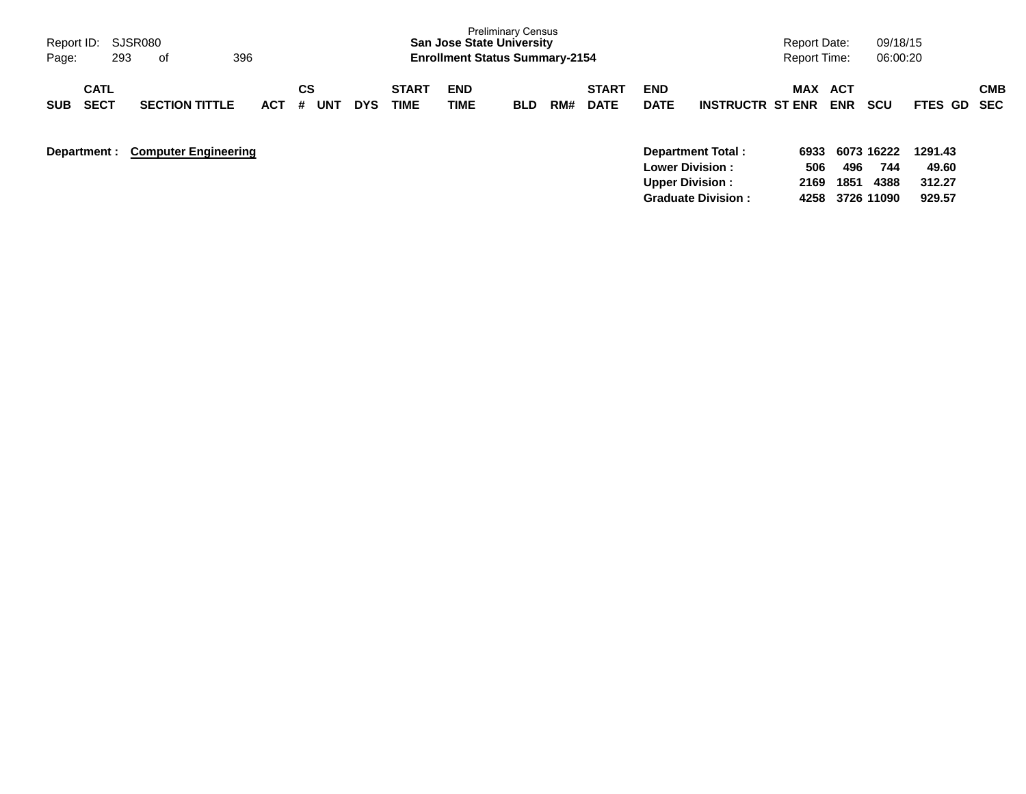| Report ID:<br>293<br>Page:               | SJSR080<br>0f               | 396        |                |            |                             | <b>San Jose State University</b><br><b>Enrollment Status Summary-2154</b> | <b>Preliminary Census</b> |     |                             |                           |                                                    | Report Date:<br><b>Report Time:</b> |                   | 09/18/15<br>06:00:20    |                  |            |
|------------------------------------------|-----------------------------|------------|----------------|------------|-----------------------------|---------------------------------------------------------------------------|---------------------------|-----|-----------------------------|---------------------------|----------------------------------------------------|-------------------------------------|-------------------|-------------------------|------------------|------------|
| <b>CATL</b><br><b>SECT</b><br><b>SUB</b> | <b>SECTION TITTLE</b>       | <b>ACT</b> | CS<br>UNT<br># | <b>DYS</b> | <b>START</b><br><b>TIME</b> | <b>END</b><br>TIME                                                        | <b>BLD</b>                | RM# | <b>START</b><br><b>DATE</b> | <b>END</b><br><b>DATE</b> | <b>INSTRUCTR ST ENR</b>                            | <b>MAX</b>                          | ACT<br><b>ENR</b> | scu                     | FTES GD SEC      | <b>CMB</b> |
| Department :                             | <b>Computer Engineering</b> |            |                |            |                             |                                                                           |                           |     |                             |                           | <b>Department Total:</b><br><b>Lower Division:</b> | 6933<br>506                         | 496               | 6073 16222<br>744       | 1291.43<br>49.60 |            |
|                                          |                             |            |                |            |                             |                                                                           |                           |     |                             | <b>Upper Division:</b>    | <b>Graduate Division:</b>                          | 2169                                | 1851              | 4388<br>4258 3726 11090 | 312.27<br>929.57 |            |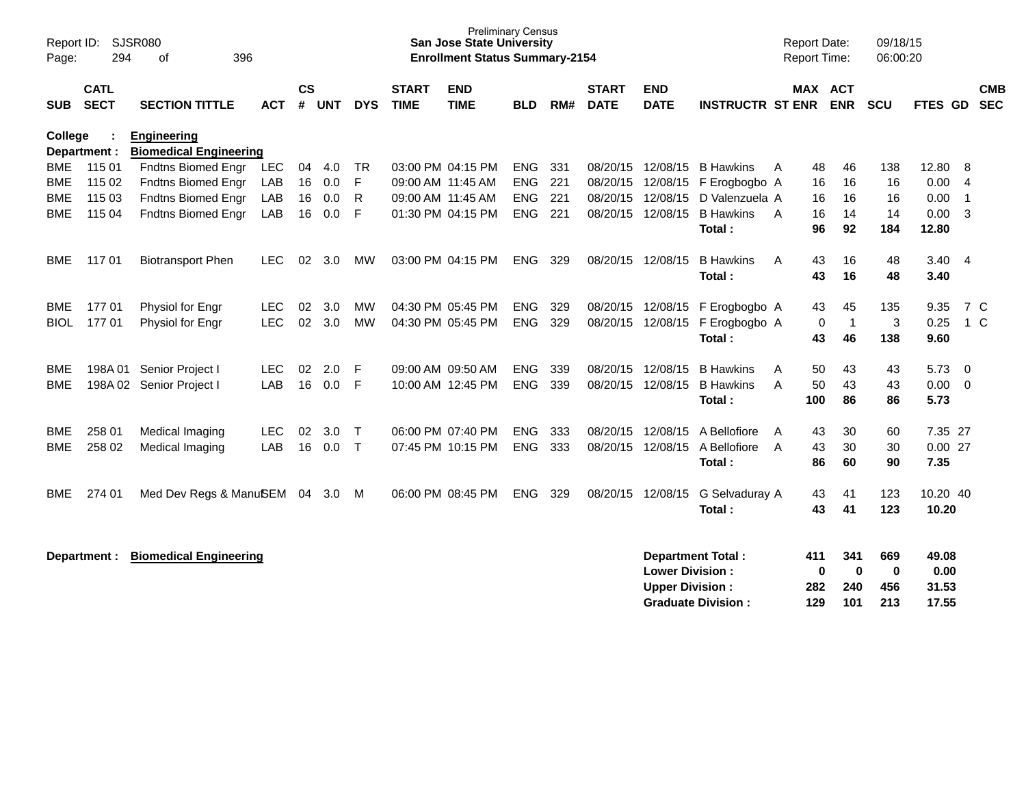| Report ID:<br>Page: | 294                        | SJSR080<br>396<br>оf                                |            |                    |            |             |                             | <b>Preliminary Census</b><br><b>San Jose State University</b><br><b>Enrollment Status Summary-2154</b> |            |     |                             |                                                  |                          |                | <b>Report Date:</b><br>Report Time: | 09/18/15<br>06:00:20               |                        |                         |            |
|---------------------|----------------------------|-----------------------------------------------------|------------|--------------------|------------|-------------|-----------------------------|--------------------------------------------------------------------------------------------------------|------------|-----|-----------------------------|--------------------------------------------------|--------------------------|----------------|-------------------------------------|------------------------------------|------------------------|-------------------------|------------|
| <b>SUB</b>          | <b>CATL</b><br><b>SECT</b> | <b>SECTION TITTLE</b>                               | <b>ACT</b> | $\mathsf{cs}$<br># | <b>UNT</b> | <b>DYS</b>  | <b>START</b><br><b>TIME</b> | <b>END</b><br><b>TIME</b>                                                                              | <b>BLD</b> | RM# | <b>START</b><br><b>DATE</b> | <b>END</b><br><b>DATE</b>                        | <b>INSTRUCTR ST ENR</b>  |                | <b>MAX ACT</b><br><b>ENR</b>        | SCU                                | FTES GD                | <b>SEC</b>              | <b>CMB</b> |
| College             | Department :               | <b>Engineering</b><br><b>Biomedical Engineering</b> |            |                    |            |             |                             |                                                                                                        |            |     |                             |                                                  |                          |                |                                     |                                    |                        |                         |            |
| BME                 | 115 01                     | Fndtns Biomed Engr                                  | LEC        | 04                 | 4.0        | <b>TR</b>   |                             | 03:00 PM 04:15 PM                                                                                      | <b>ENG</b> | 331 | 08/20/15                    | 12/08/15                                         | <b>B</b> Hawkins         | A              | 48<br>46                            | 138                                | 12.80                  | 8                       |            |
| <b>BME</b>          | 115 02                     | Fndtns Biomed Engr                                  | LAB        | 16                 | 0.0        | F           | 09:00 AM 11:45 AM           |                                                                                                        | <b>ENG</b> | 221 | 08/20/15                    | 12/08/15                                         | F Erogbogbo A            |                | 16<br>16                            | 16                                 | 0.00                   | $\overline{4}$          |            |
| <b>BME</b>          | 115 03                     | <b>Fndtns Biomed Engr</b>                           | LAB        | 16                 | 0.0        | R           | 09:00 AM 11:45 AM           |                                                                                                        | <b>ENG</b> | 221 | 08/20/15                    | 12/08/15                                         | D Valenzuela A           |                | 16<br>16                            | 16                                 | 0.00                   | $\overline{1}$          |            |
| <b>BME</b>          | 115 04                     | <b>Fndtns Biomed Engr</b>                           | LAB        | 16                 | 0.0        | F           |                             | 01:30 PM 04:15 PM                                                                                      | ENG        | 221 |                             | 08/20/15 12/08/15                                | <b>B</b> Hawkins         | A              | 16<br>14                            | 14                                 | 0.00                   | $\overline{\mathbf{3}}$ |            |
|                     |                            |                                                     |            |                    |            |             |                             |                                                                                                        |            |     |                             |                                                  | Total:                   |                | 96<br>92                            | 184                                | 12.80                  |                         |            |
| <b>BME</b>          | 11701                      | <b>Biotransport Phen</b>                            | <b>LEC</b> | 02                 | 3.0        | <b>MW</b>   |                             | 03:00 PM 04:15 PM                                                                                      | <b>ENG</b> | 329 | 08/20/15                    | 12/08/15                                         | <b>B</b> Hawkins         | A              | 43<br>16                            | 48                                 | 3.40                   | $\overline{4}$          |            |
|                     |                            |                                                     |            |                    |            |             |                             |                                                                                                        |            |     |                             |                                                  | Total:                   |                | 43<br>16                            | 48                                 | 3.40                   |                         |            |
| <b>BME</b>          | 17701                      | Physiol for Engr                                    | <b>LEC</b> | 02                 | 3.0        | <b>MW</b>   |                             | 04:30 PM 05:45 PM                                                                                      | <b>ENG</b> | 329 | 08/20/15                    | 12/08/15                                         | F Erogbogbo A            |                | 43<br>45                            | 135                                | 9.35                   | 7 C                     |            |
| <b>BIOL</b>         | 17701                      | Physiol for Engr                                    | <b>LEC</b> | 02                 | 3.0        | <b>MW</b>   |                             | 04:30 PM 05:45 PM                                                                                      | <b>ENG</b> | 329 | 08/20/15                    | 12/08/15                                         | F Erogbogbo A            |                | 0<br>$\overline{1}$                 | 3                                  | 0.25                   | $1\,C$                  |            |
|                     |                            |                                                     |            |                    |            |             |                             |                                                                                                        |            |     |                             |                                                  | Total:                   |                | 43<br>46                            | 138                                | 9.60                   |                         |            |
| <b>BME</b>          | 198A 01                    | Senior Project I                                    | <b>LEC</b> | 02                 | 2.0        | F           |                             | 09:00 AM 09:50 AM                                                                                      | <b>ENG</b> | 339 |                             | 08/20/15 12/08/15                                | <b>B</b> Hawkins         | A              | 43<br>50                            | 43                                 | 5.73                   | - 0                     |            |
| <b>BME</b>          |                            | 198A 02 Senior Project I                            | LAB        | 16                 | 0.0        | F           |                             | 10:00 AM 12:45 PM                                                                                      | <b>ENG</b> | 339 |                             | 08/20/15 12/08/15                                | <b>B</b> Hawkins         | A              | 50<br>43                            | 43                                 | 0.00                   | $\overline{0}$          |            |
|                     |                            |                                                     |            |                    |            |             |                             |                                                                                                        |            |     |                             |                                                  | Total:                   |                | 100<br>86                           | 86                                 | 5.73                   |                         |            |
| BME                 | 258 01                     | Medical Imaging                                     | <b>LEC</b> | 02                 | 3.0        | Т           |                             | 06:00 PM 07:40 PM                                                                                      | <b>ENG</b> | 333 | 08/20/15                    | 12/08/15                                         | A Bellofiore             | A              | 30<br>43                            | 60                                 | 7.35 27                |                         |            |
| <b>BME</b>          | 258 02                     | Medical Imaging                                     | LAB        | 16                 | 0.0        | $\mathsf T$ |                             | 07:45 PM 10:15 PM                                                                                      | <b>ENG</b> | 333 | 08/20/15                    | 12/08/15                                         | A Bellofiore             | $\overline{A}$ | 43<br>30                            | 30                                 | 0.0027                 |                         |            |
|                     |                            |                                                     |            |                    |            |             |                             |                                                                                                        |            |     |                             |                                                  | Total:                   |                | 86<br>60                            | 90                                 | 7.35                   |                         |            |
| <b>BME</b>          | 274 01                     | Med Dev Regs & ManuSEM                              |            | 04                 | 3.0        | м           |                             | 06:00 PM 08:45 PM                                                                                      | <b>ENG</b> | 329 |                             | 08/20/15 12/08/15                                | G Selvaduray A           |                | 43<br>41                            | 123                                | 10.20 40               |                         |            |
|                     |                            |                                                     |            |                    |            |             |                             |                                                                                                        |            |     |                             |                                                  | Total:                   |                | 43<br>41                            | 123                                | 10.20                  |                         |            |
|                     | Department :               | <b>Biomedical Engineering</b>                       |            |                    |            |             |                             |                                                                                                        |            |     |                             | <b>Lower Division:</b><br><b>Upper Division:</b> | <b>Department Total:</b> | 411            | 341<br>$\bf{0}$<br>282<br>240       | 669<br>$\bf{0}$<br>$\bf{0}$<br>456 | 49.08<br>0.00<br>31.53 |                         |            |

**Graduate Division : 129 101 213 17.55**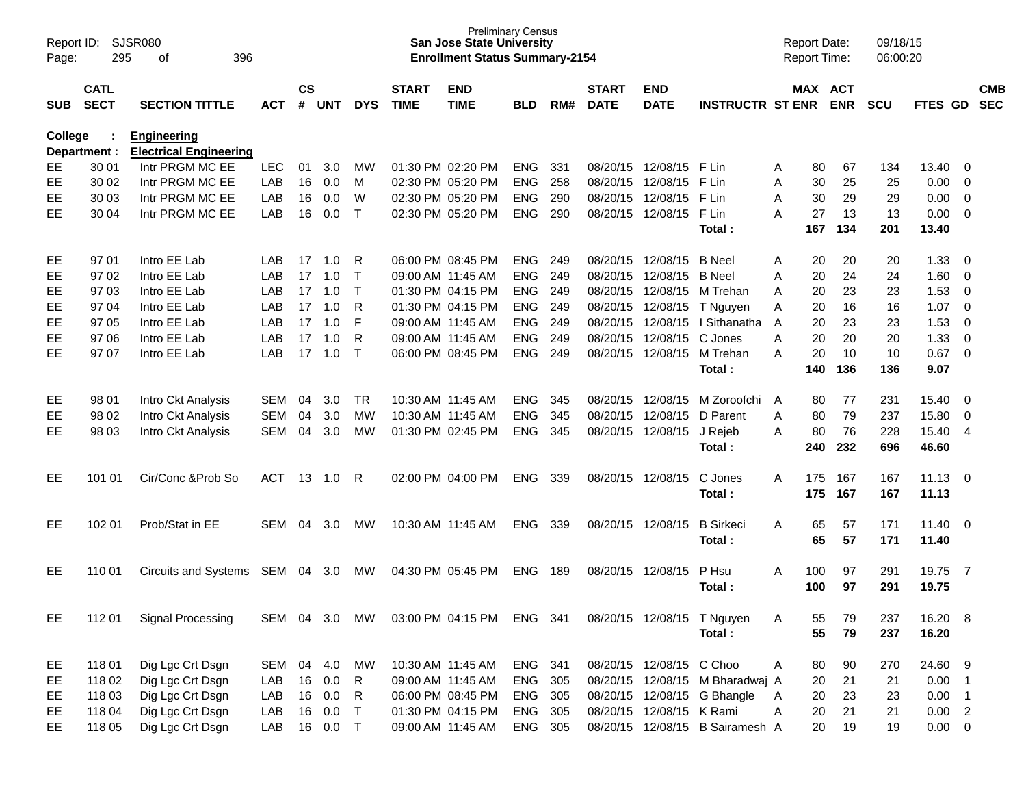| Page:      | SJSR080<br>Report ID:<br>295<br>of<br>396 |                                                     |            |                    |            |              |                             | <b>Preliminary Census</b><br><b>San Jose State University</b><br><b>Enrollment Status Summary-2154</b> |            |     |                             |                           |                                 |   |     | <b>Report Date:</b><br>Report Time: | 09/18/15<br>06:00:20 |             |                            |                          |
|------------|-------------------------------------------|-----------------------------------------------------|------------|--------------------|------------|--------------|-----------------------------|--------------------------------------------------------------------------------------------------------|------------|-----|-----------------------------|---------------------------|---------------------------------|---|-----|-------------------------------------|----------------------|-------------|----------------------------|--------------------------|
| <b>SUB</b> | <b>CATL</b><br><b>SECT</b>                | <b>SECTION TITTLE</b>                               | <b>ACT</b> | $\mathsf{cs}$<br># | <b>UNT</b> | <b>DYS</b>   | <b>START</b><br><b>TIME</b> | <b>END</b><br><b>TIME</b>                                                                              | <b>BLD</b> | RM# | <b>START</b><br><b>DATE</b> | <b>END</b><br><b>DATE</b> | <b>INSTRUCTR ST ENR</b>         |   |     | MAX ACT<br><b>ENR</b>               | <b>SCU</b>           | FTES GD     |                            | <b>CMB</b><br><b>SEC</b> |
| College    | Department :                              | <b>Engineering</b><br><b>Electrical Engineering</b> |            |                    |            |              |                             |                                                                                                        |            |     |                             |                           |                                 |   |     |                                     |                      |             |                            |                          |
| EE.        | 30 01                                     | Intr PRGM MC EE                                     | <b>LEC</b> | 01                 | 3.0        | МW           |                             | 01:30 PM 02:20 PM                                                                                      | <b>ENG</b> | 331 | 08/20/15                    | 12/08/15 F Lin            |                                 | A | 80  | 67                                  | 134                  | 13.40       | 0                          |                          |
| EE         | 30 02                                     | Intr PRGM MC EE                                     | LAB        | 16                 | 0.0        | M            |                             | 02:30 PM 05:20 PM                                                                                      | <b>ENG</b> | 258 | 08/20/15                    | 12/08/15                  | F Lin                           | A | 30  | 25                                  | 25                   | 0.00        | 0                          |                          |
| EE         | 30 03                                     | Intr PRGM MC EE                                     | LAB        | 16                 | 0.0        | W            |                             | 02:30 PM 05:20 PM                                                                                      | <b>ENG</b> | 290 | 08/20/15                    | 12/08/15                  | F Lin                           | A | 30  | 29                                  | 29                   | 0.00        | $\mathbf 0$                |                          |
| EE         | 30 04                                     | Intr PRGM MC EE                                     | LAB        | 16                 | 0.0        | Т            |                             | 02:30 PM 05:20 PM                                                                                      | <b>ENG</b> | 290 | 08/20/15                    | 12/08/15                  | F Lin                           | A | 27  | 13                                  | 13                   | 0.00        | - 0                        |                          |
|            |                                           |                                                     |            |                    |            |              |                             |                                                                                                        |            |     |                             |                           | Total:                          |   | 167 | 134                                 | 201                  | 13.40       |                            |                          |
| EE         | 97 01                                     | Intro EE Lab                                        | LAB        | 17                 | 1.0        | R            |                             | 06:00 PM 08:45 PM                                                                                      | <b>ENG</b> | 249 | 08/20/15                    | 12/08/15                  | <b>B</b> Neel                   | A | 20  | 20                                  | 20                   | 1.33        | 0                          |                          |
| EЕ         | 97 02                                     | Intro EE Lab                                        | LAB        | 17                 | 1.0        | Т            |                             | 09:00 AM 11:45 AM                                                                                      | <b>ENG</b> | 249 | 08/20/15                    | 12/08/15                  | <b>B</b> Neel                   | A | 20  | 24                                  | 24                   | 1.60        | 0                          |                          |
| EE         | 97 03                                     | Intro EE Lab                                        | LAB        | 17                 | 1.0        | Т            |                             | 01:30 PM 04:15 PM                                                                                      | <b>ENG</b> | 249 | 08/20/15                    | 12/08/15                  | M Trehan                        | A | 20  | 23                                  | 23                   | 1.53        | 0                          |                          |
| EE         | 97 04                                     | Intro EE Lab                                        | LAB        | 17                 | 1.0        | R            |                             | 01:30 PM 04:15 PM                                                                                      | <b>ENG</b> | 249 | 08/20/15                    | 12/08/15                  | T Nguyen                        | Α | 20  | 16                                  | 16                   | 1.07        | $\mathbf 0$                |                          |
| EE         | 97 05                                     | Intro EE Lab                                        | LAB        | 17                 | 1.0        | F            |                             | 09:00 AM 11:45 AM                                                                                      | <b>ENG</b> | 249 | 08/20/15                    | 12/08/15                  | I Sithanatha                    | A | 20  | 23                                  | 23                   | 1.53        | $\mathbf 0$                |                          |
| EE         | 97 06                                     | Intro EE Lab                                        | LAB        | 17                 | 1.0        | R            |                             | 09:00 AM 11:45 AM                                                                                      | <b>ENG</b> | 249 | 08/20/15                    | 12/08/15                  | C Jones                         | А | 20  | 20                                  | 20                   | 1.33        | $\mathbf 0$                |                          |
| EE         | 97 07                                     | Intro EE Lab                                        | LAB        | 17                 | 1.0        | Т            |                             | 06:00 PM 08:45 PM                                                                                      | <b>ENG</b> | 249 | 08/20/15                    | 12/08/15                  | M Trehan                        | A | 20  | 10                                  | 10                   | 0.67        | $\overline{0}$             |                          |
|            |                                           |                                                     |            |                    |            |              |                             |                                                                                                        |            |     |                             |                           | Total:                          |   | 140 | 136                                 | 136                  | 9.07        |                            |                          |
| EE         | 98 01                                     | Intro Ckt Analysis                                  | <b>SEM</b> | 04                 | 3.0        | TR.          |                             | 10:30 AM 11:45 AM                                                                                      | <b>ENG</b> | 345 | 08/20/15                    | 12/08/15                  | M Zoroofchi                     | A | 80  | 77                                  | 231                  | 15.40       | - 0                        |                          |
| EE         | 98 02                                     | Intro Ckt Analysis                                  | <b>SEM</b> | 04                 | 3.0        | <b>MW</b>    |                             | 10:30 AM 11:45 AM                                                                                      | <b>ENG</b> | 345 | 08/20/15                    | 12/08/15                  | D Parent                        | A | 80  | 79                                  | 237                  | 15.80       | 0                          |                          |
| EЕ         | 98 03                                     | Intro Ckt Analysis                                  | <b>SEM</b> | 04                 | 3.0        | MW           |                             | 01:30 PM 02:45 PM                                                                                      | <b>ENG</b> | 345 | 08/20/15                    | 12/08/15                  | J Rejeb                         | A | 80  | 76                                  | 228                  | 15.40       | $\overline{4}$             |                          |
|            |                                           |                                                     |            |                    |            |              |                             |                                                                                                        |            |     |                             |                           | Total:                          |   | 240 | 232                                 | 696                  | 46.60       |                            |                          |
| EE         | 101 01                                    | Cir/Conc & Prob So                                  | <b>ACT</b> | 13                 | 1.0        | R            |                             | 02:00 PM 04:00 PM                                                                                      | <b>ENG</b> | 339 | 08/20/15                    | 12/08/15                  | C Jones                         | A | 175 | 167                                 | 167                  | 11.13       | - 0                        |                          |
|            |                                           |                                                     |            |                    |            |              |                             |                                                                                                        |            |     |                             |                           | Total:                          |   | 175 | 167                                 | 167                  | 11.13       |                            |                          |
| EE         | 102 01                                    | Prob/Stat in EE                                     | <b>SEM</b> | 04                 | 3.0        | МW           |                             | 10:30 AM 11:45 AM                                                                                      | ENG.       | 339 | 08/20/15                    | 12/08/15                  | <b>B</b> Sirkeci                | A | 65  | 57                                  | 171                  | 11.40       | - 0                        |                          |
|            |                                           |                                                     |            |                    |            |              |                             |                                                                                                        |            |     |                             |                           | Total:                          |   | 65  | 57                                  | 171                  | 11.40       |                            |                          |
| EЕ         | 110 01                                    | <b>Circuits and Systems</b>                         | SEM        | 04                 | 3.0        | MW           |                             | 04:30 PM 05:45 PM                                                                                      | <b>ENG</b> | 189 | 08/20/15                    | 12/08/15                  | P Hsu                           | A | 100 | 97                                  | 291                  | 19.75       | $\overline{7}$             |                          |
|            |                                           |                                                     |            |                    |            |              |                             |                                                                                                        |            |     |                             |                           | Total:                          |   | 100 | 97                                  | 291                  | 19.75       |                            |                          |
| EE         | 112 01                                    | Signal Processing                                   | SEM 04 3.0 |                    |            | MW           |                             | 03:00 PM 04:15 PM                                                                                      | ENG 341    |     |                             |                           | 08/20/15 12/08/15 T Nguyen      | Α | 55  | 79                                  | 237                  | 16.20 8     |                            |                          |
|            |                                           |                                                     |            |                    |            |              |                             |                                                                                                        |            |     |                             |                           | Total:                          |   | 55  | 79                                  | 237                  | 16.20       |                            |                          |
| EE         | 118 01                                    | Dig Lgc Crt Dsgn                                    | SEM        | 04                 | 4.0        | <b>MW</b>    |                             | 10:30 AM 11:45 AM                                                                                      | ENG 341    |     |                             | 08/20/15 12/08/15 C Choo  |                                 | A | 80  | 90                                  | 270                  | 24.60 9     |                            |                          |
| EE         | 118 02                                    | Dig Lgc Crt Dsgn                                    | LAB        |                    | 16 0.0     | R            |                             | 09:00 AM 11:45 AM                                                                                      | ENG 305    |     |                             |                           | 08/20/15 12/08/15 M Bharadwaj A |   | 20  | 21                                  | 21                   | $0.00$ 1    |                            |                          |
| EE         | 118 03                                    | Dig Lgc Crt Dsgn                                    | LAB        |                    | 16 0.0     | R            |                             | 06:00 PM 08:45 PM                                                                                      | ENG 305    |     |                             |                           | 08/20/15 12/08/15 G Bhangle     | A | 20  | 23                                  | 23                   | 0.00        | $\overline{\phantom{0}}$ 1 |                          |
| EE         | 118 04                                    | Dig Lgc Crt Dsgn                                    | LAB        | 16                 | 0.0        | $\mathsf{T}$ |                             | 01:30 PM 04:15 PM                                                                                      | ENG 305    |     |                             | 08/20/15 12/08/15 K Rami  |                                 | A | 20  | 21                                  | 21                   | $0.00$ 2    |                            |                          |
| EE.        | 118 05                                    | Dig Lgc Crt Dsgn                                    | LAB        |                    | 16 0.0     | $\top$       |                             | 09:00 AM 11:45 AM                                                                                      | ENG 305    |     |                             |                           | 08/20/15 12/08/15 B Sairamesh A |   | 20  | 19                                  | 19                   | $0.00 \t 0$ |                            |                          |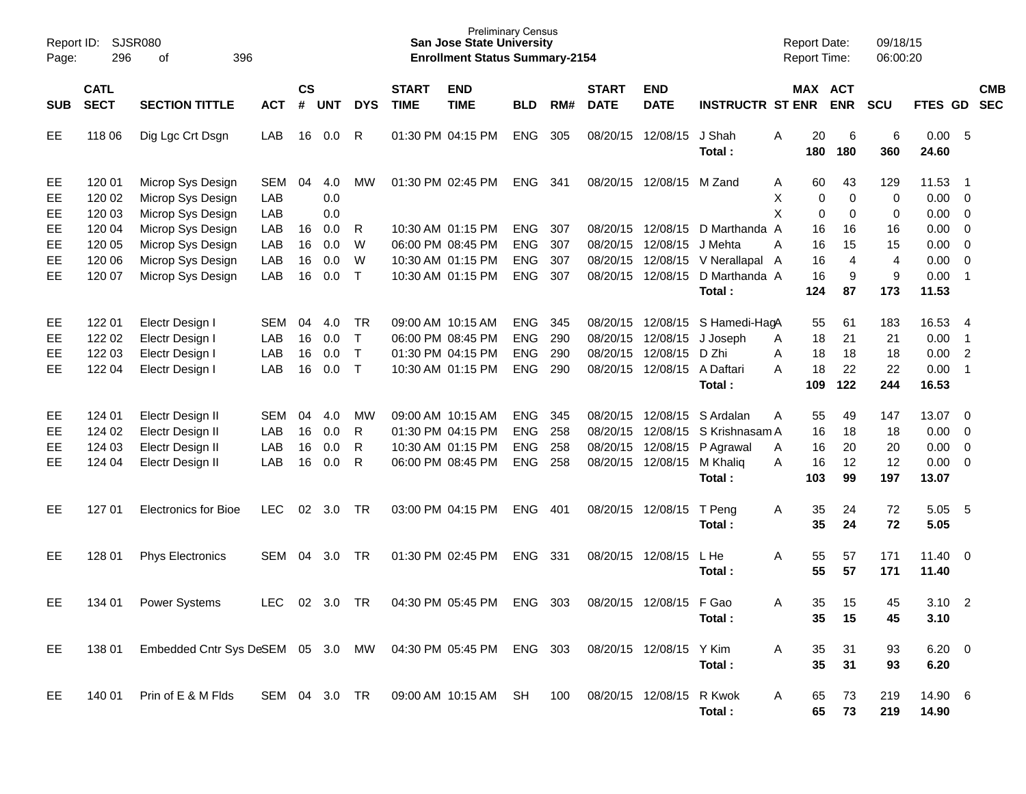| SJSR080<br>Report ID:<br>296<br>396<br>Page:<br>оf |                                      |                                                                                  |                                 |                      |                          |                                  |                             | <b>Preliminary Census</b><br><b>San Jose State University</b><br><b>Enrollment Status Summary-2154</b> |                                                      |                          |                             |                                                                          |                                                                                      | <b>Report Date:</b><br><b>Report Time:</b> |                             | 09/18/15<br>06:00:20         |                                        |                                                              |                          |
|----------------------------------------------------|--------------------------------------|----------------------------------------------------------------------------------|---------------------------------|----------------------|--------------------------|----------------------------------|-----------------------------|--------------------------------------------------------------------------------------------------------|------------------------------------------------------|--------------------------|-----------------------------|--------------------------------------------------------------------------|--------------------------------------------------------------------------------------|--------------------------------------------|-----------------------------|------------------------------|----------------------------------------|--------------------------------------------------------------|--------------------------|
| <b>SUB</b>                                         | <b>CATL</b><br><b>SECT</b>           | <b>SECTION TITTLE</b>                                                            | <b>ACT</b>                      | $\mathsf{cs}$<br>#   | <b>UNT</b>               | <b>DYS</b>                       | <b>START</b><br><b>TIME</b> | <b>END</b><br><b>TIME</b>                                                                              | <b>BLD</b>                                           | RM#                      | <b>START</b><br><b>DATE</b> | <b>END</b><br><b>DATE</b>                                                | <b>INSTRUCTR ST ENR</b>                                                              | MAX ACT                                    | <b>ENR</b>                  | <b>SCU</b>                   | FTES GD                                |                                                              | <b>CMB</b><br><b>SEC</b> |
| EE                                                 | 118 06                               | Dig Lgc Crt Dsgn                                                                 | LAB                             | 16                   | 0.0                      | R                                |                             | 01:30 PM 04:15 PM                                                                                      | <b>ENG</b>                                           | 305                      |                             | 08/20/15 12/08/15                                                        | J Shah<br>Total:                                                                     | 20<br>Α<br>180                             | 6<br>180                    | 6<br>360                     | 0.00<br>24.60                          | - 5                                                          |                          |
| EE<br>EE<br>EE                                     | 120 01<br>120 02<br>120 03           | Microp Sys Design<br>Microp Sys Design<br>Microp Sys Design                      | <b>SEM</b><br>LAB<br>LAB        | 04                   | 4.0<br>0.0<br>0.0        | мw                               |                             | 01:30 PM 02:45 PM                                                                                      | ENG                                                  | 341                      |                             | 08/20/15 12/08/15 M Zand                                                 |                                                                                      | 60<br>A<br>X<br>0<br>X<br>0                | 43<br>0<br>0                | 129<br>0<br>0                | 11.53<br>0.00<br>0.00                  | - 1<br>$\overline{\mathbf{0}}$<br>0                          |                          |
| EE<br>EE<br>EE<br>EЕ                               | 120 04<br>120 05<br>120 06<br>120 07 | Microp Sys Design<br>Microp Sys Design<br>Microp Sys Design<br>Microp Sys Design | LAB<br>LAB<br>LAB<br>LAB        | 16<br>16<br>16<br>16 | 0.0<br>0.0<br>0.0<br>0.0 | R<br>W<br>W<br>$\top$            |                             | 10:30 AM 01:15 PM<br>06:00 PM 08:45 PM<br>10:30 AM 01:15 PM<br>10:30 AM 01:15 PM                       | <b>ENG</b><br><b>ENG</b><br><b>ENG</b><br>ENG        | 307<br>307<br>307<br>307 | 08/20/15<br>08/20/15        | 12/08/15<br>08/20/15 12/08/15                                            | 08/20/15 12/08/15 D Marthanda A<br>J Mehta<br>12/08/15 V Nerallapal<br>D Marthanda A | 16<br>16<br>A<br>16<br>A<br>16             | 16<br>15<br>4<br>9          | 16<br>15<br>4<br>9           | 0.00<br>0.00<br>0.00<br>0.00           | 0<br>0<br>$\overline{0}$<br>$\overline{1}$                   |                          |
|                                                    |                                      |                                                                                  |                                 |                      |                          |                                  |                             |                                                                                                        |                                                      |                          |                             |                                                                          | Total:                                                                               | 124                                        | 87                          | 173                          | 11.53                                  |                                                              |                          |
| EE<br>EE<br>EE<br>EЕ                               | 122 01<br>122 02<br>122 03<br>122 04 | Electr Design I<br>Electr Design I<br>Electr Design I<br>Electr Design I         | SEM<br>LAB<br>LAB<br>LAB        | 04<br>16<br>16<br>16 | 4.0<br>0.0<br>0.0<br>0.0 | TR<br>$\top$<br>$\top$<br>$\top$ |                             | 09:00 AM 10:15 AM<br>06:00 PM 08:45 PM<br>01:30 PM 04:15 PM<br>10:30 AM 01:15 PM                       | <b>ENG</b><br><b>ENG</b><br><b>ENG</b><br><b>ENG</b> | 345<br>290<br>290<br>290 | 08/20/15<br>08/20/15        | 08/20/15 12/08/15<br>12/08/15<br>12/08/15<br>08/20/15 12/08/15 A Daftari | S Hamedi-HagA<br>J Joseph<br>D Zhi<br>Total:                                         | 55<br>18<br>A<br>Α<br>18<br>18<br>A<br>109 | 61<br>21<br>18<br>22<br>122 | 183<br>21<br>18<br>22<br>244 | 16.53<br>0.00<br>0.00<br>0.00<br>16.53 | -4<br>$\overline{1}$<br>$\overline{c}$<br>$\overline{1}$     |                          |
| EE<br>EE<br>EE<br>EЕ                               | 124 01<br>124 02<br>124 03<br>124 04 | Electr Design II<br>Electr Design II<br>Electr Design II<br>Electr Design II     | <b>SEM</b><br>LAB<br>LAB<br>LAB | 04<br>16<br>16<br>16 | 4.0<br>0.0<br>0.0<br>0.0 | МW<br>R<br>R<br>R                |                             | 09:00 AM 10:15 AM<br>01:30 PM 04:15 PM<br>10:30 AM 01:15 PM<br>06:00 PM 08:45 PM                       | <b>ENG</b><br><b>ENG</b><br><b>ENG</b><br>ENG        | 345<br>258<br>258<br>258 | 08/20/15<br>08/20/15        | 12/08/15<br>12/08/15<br>08/20/15 12/08/15                                | S Ardalan<br>S Krishnasam A<br>08/20/15 12/08/15 P Agrawal<br>M Khaliq<br>Total:     | 55<br>Α<br>16<br>16<br>A<br>16<br>Α<br>103 | 49<br>18<br>20<br>12<br>99  | 147<br>18<br>20<br>12<br>197 | 13.07<br>0.00<br>0.00<br>0.00<br>13.07 | $\overline{\mathbf{0}}$<br>$\overline{\mathbf{0}}$<br>0<br>0 |                          |
| EE                                                 | 127 01                               | <b>Electronics for Bioe</b>                                                      | <b>LEC</b>                      | 02                   | 3.0                      | TR                               |                             | 03:00 PM 04:15 PM                                                                                      | <b>ENG</b>                                           | 401                      |                             | 08/20/15 12/08/15                                                        | T Peng<br>Total :                                                                    | 35<br>A<br>35                              | 24<br>24                    | 72<br>72                     | 5.05<br>5.05                           | -5                                                           |                          |
| EE                                                 | 128 01                               | <b>Phys Electronics</b>                                                          | SEM                             | 04                   | 3.0                      | TR                               |                             | 01:30 PM 02:45 PM                                                                                      | <b>ENG</b>                                           | 331                      |                             | 08/20/15 12/08/15                                                        | L He<br>Total :                                                                      | 55<br>Α<br>55                              | 57<br>57                    | 171<br>171                   | $11.40 \t 0$<br>11.40                  |                                                              |                          |
| EE                                                 | 134 01                               | <b>Power Systems</b>                                                             | <b>LEC</b>                      | 02                   | 3.0                      | <b>TR</b>                        |                             | 04:30 PM 05:45 PM                                                                                      | <b>ENG</b>                                           | 303                      | 08/20/15                    | 12/08/15                                                                 | F Gao<br>Total:                                                                      | 35<br>A<br>35                              | 15<br>15                    | 45<br>45                     | 3.10<br>3.10                           | $\overline{\phantom{a}}$                                     |                          |
| EE                                                 | 138 01                               | Embedded Cntr Sys DeSEM 05 3.0 MW 04:30 PM 05:45 PM ENG 303                      |                                 |                      |                          |                                  |                             |                                                                                                        |                                                      |                          |                             | 08/20/15 12/08/15                                                        | Y Kim<br>Total:                                                                      | A<br>35<br>35                              | 31<br>31                    | 93<br>93                     | $6.20 \t 0$<br>6.20                    |                                                              |                          |
| EE                                                 | 140 01                               | Prin of E & M Flds                                                               | SEM 04 3.0 TR                   |                      |                          |                                  |                             | 09:00 AM 10:15 AM SH                                                                                   |                                                      | 100                      |                             | 08/20/15 12/08/15                                                        | R Kwok<br>Total:                                                                     | A<br>65<br>65                              | 73<br>73                    | 219<br>219                   | 14.90 6<br>14.90                       |                                                              |                          |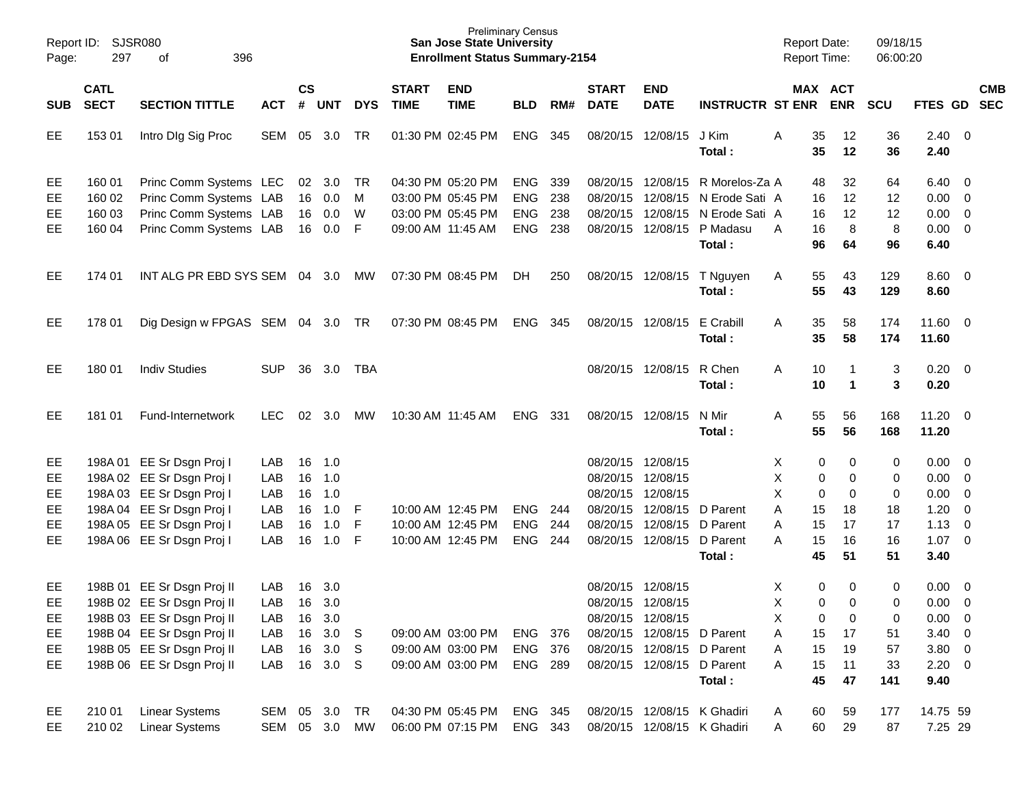|            | Report ID: SJSR080         |                                  |               |                    |                  |            |                             | <b>Preliminary Census</b><br><b>San Jose State University</b> |                |       |                             |                            |                                      | <b>Report Date:</b> |          |                      | 09/18/15    |                        |                          |            |
|------------|----------------------------|----------------------------------|---------------|--------------------|------------------|------------|-----------------------------|---------------------------------------------------------------|----------------|-------|-----------------------------|----------------------------|--------------------------------------|---------------------|----------|----------------------|-------------|------------------------|--------------------------|------------|
| Page:      | 297                        | 396<br>of                        |               |                    |                  |            |                             | <b>Enrollment Status Summary-2154</b>                         |                |       |                             |                            |                                      | <b>Report Time:</b> |          |                      | 06:00:20    |                        |                          |            |
| <b>SUB</b> | <b>CATL</b><br><b>SECT</b> | <b>SECTION TITTLE</b>            | <b>ACT</b>    | $\mathsf{cs}$<br># | UNT              | <b>DYS</b> | <b>START</b><br><b>TIME</b> | <b>END</b><br><b>TIME</b>                                     | <b>BLD</b>     | RM#   | <b>START</b><br><b>DATE</b> | <b>END</b><br><b>DATE</b>  | <b>INSTRUCTR ST ENR ENR</b>          |                     | MAX ACT  |                      | <b>SCU</b>  | FTES GD SEC            |                          | <b>CMB</b> |
| EE         | 153 01                     | Intro DIg Sig Proc               | SEM           | 05                 | 3.0              | TR         |                             | 01:30 PM 02:45 PM                                             | <b>ENG</b>     | 345   |                             | 08/20/15 12/08/15          | J Kim<br>Total:                      | A                   | 35<br>35 | $12 \,$<br>12        | 36<br>36    | 2.40<br>2.40           | $\overline{\phantom{0}}$ |            |
| EE         | 160 01                     | Princ Comm Systems LEC           |               |                    | $02 \quad 3.0$   | TR         |                             | 04:30 PM 05:20 PM                                             | <b>ENG</b>     | 339   |                             |                            | 08/20/15 12/08/15 R Morelos-Za A     |                     | 48       | 32                   | 64          | 6.40                   | - 0                      |            |
| EE         | 160 02                     | Princ Comm Systems LAB           |               | 16                 | 0.0              | M          |                             | 03:00 PM 05:45 PM                                             | <b>ENG</b>     | 238   |                             |                            | 08/20/15 12/08/15 N Erode Sati A     |                     | 16       | 12                   | 12          | 0.00                   | $\overline{0}$           |            |
| EE         | 160 03                     | Princ Comm Systems LAB           |               | 16                 | 0.0              | W          |                             | 03:00 PM 05:45 PM                                             | <b>ENG</b>     | 238   |                             |                            | 08/20/15 12/08/15 N Erode Sati A     |                     | 16       | 12                   | 12          | 0.00                   | $\overline{0}$           |            |
| EE         | 160 04                     | Princ Comm Systems LAB           |               | 16                 | 0.0              | F          |                             | 09:00 AM 11:45 AM                                             | ENG            | 238   |                             |                            | 08/20/15 12/08/15 P Madasu<br>Total: | A                   | 16<br>96 | 8<br>64              | 8<br>96     | 0.00<br>6.40           | $\overline{\mathbf{0}}$  |            |
| EE         | 174 01                     | INT ALG PR EBD SYS SEM 04 3.0    |               |                    |                  | MW         |                             | 07:30 PM 08:45 PM                                             | DH.            | 250   |                             |                            | 08/20/15 12/08/15 T Nguyen<br>Total: | A                   | 55<br>55 | 43<br>43             | 129<br>129  | $8.60 \quad 0$<br>8.60 |                          |            |
| EE         | 178 01                     | Dig Design w FPGAS SEM 04 3.0 TR |               |                    |                  |            |                             | 07:30 PM 08:45 PM                                             | ENG            | - 345 |                             | 08/20/15 12/08/15          | E Crabill<br>Total:                  | A                   | 35<br>35 | 58<br>58             | 174<br>174  | $11.60 \t 0$<br>11.60  |                          |            |
| EE.        | 180 01                     | <b>Indiv Studies</b>             | <b>SUP</b>    | 36                 | 3.0              | TBA        |                             |                                                               |                |       |                             | 08/20/15 12/08/15          | R Chen<br>Total:                     | Α                   | 10<br>10 | $\blacktriangleleft$ | 3<br>3      | 0.20<br>0.20           | $\overline{\mathbf{0}}$  |            |
| EE.        | 181 01                     | Fund-Internetwork                | <b>LEC</b>    | 02                 | 3.0              | МW         |                             | 10:30 AM 11:45 AM                                             | <b>ENG</b>     | 331   |                             | 08/20/15 12/08/15          | N Mir<br>Total:                      | Α                   | 55<br>55 | 56<br>56             | 168<br>168  | $11.20 \t 0$<br>11.20  |                          |            |
| EE         |                            | 198A 01 EE Sr Dsgn Proj I        | LAB           | 16                 | 1.0              |            |                             |                                                               |                |       | 08/20/15 12/08/15           |                            |                                      | X                   | 0        | 0                    | 0           | 0.00                   | - 0                      |            |
| EE         |                            | 198A 02 EE Sr Dsgn Proj I        | LAB           | 16                 | 1.0              |            |                             |                                                               |                |       | 08/20/15 12/08/15           |                            |                                      | X                   | 0        | $\Omega$             | 0           | 0.00                   | $\overline{0}$           |            |
| EE         |                            | 198A 03 EE Sr Dsgn Proj I        | LAB           | 16                 | 1.0              |            |                             |                                                               |                |       | 08/20/15 12/08/15           |                            |                                      | X                   | 0        | $\Omega$             | $\mathbf 0$ | 0.00                   | $\overline{0}$           |            |
| EE         |                            | 198A 04 EE Sr Dsgn Proj I        | LAB           | 16                 | 1.0              | -F         |                             | 10:00 AM 12:45 PM                                             | <b>ENG</b>     | 244   |                             | 08/20/15 12/08/15 D Parent |                                      | A                   | 15       | 18                   | 18          | 1.20                   | $\overline{0}$           |            |
| EE         |                            | 198A 05 EE Sr Dsgn Proj I        | LAB           | 16                 | 1.0              | F          |                             | 10:00 AM 12:45 PM                                             | <b>ENG</b>     | 244   |                             | 08/20/15 12/08/15 D Parent |                                      | A                   | 15       | 17                   | 17          | 1.13                   | $\overline{0}$           |            |
| EE         |                            | 198A 06 EE Sr Dsgn Proj I        | LAB           | 16                 | 1.0              | -F         |                             | 10:00 AM 12:45 PM                                             | <b>ENG</b>     | 244   |                             | 08/20/15 12/08/15 D Parent |                                      | A                   | 15       | 16                   | 16          | $1.07 \t 0$            |                          |            |
|            |                            |                                  |               |                    |                  |            |                             |                                                               |                |       |                             |                            | Total:                               |                     | 45       | 51                   | 51          | 3.40                   |                          |            |
| EE         |                            | 198B 01 EE Sr Dsgn Proj II       | LAB           | 16                 | 3.0              |            |                             |                                                               |                |       | 08/20/15 12/08/15           |                            |                                      | Χ                   | 0        | $\mathbf 0$          | 0           | 0.00                   | $\overline{0}$           |            |
| EE.        |                            | 198B 02 EE Sr Dsgn Proj II       | LAB           |                    | 16 3.0           |            |                             |                                                               |                |       | 08/20/15 12/08/15           |                            |                                      | X                   | 0        | $\Omega$             | 0           | 0.00                   | $\overline{0}$           |            |
| EE         |                            | 198B 03 EE Sr Dsgn Proj II       | LAB           | 16                 | 3.0              |            |                             |                                                               |                |       | 08/20/15 12/08/15           |                            |                                      | Χ                   | 0        | $\Omega$             | 0           | 0.00                   | $\overline{\phantom{0}}$ |            |
| EE         |                            | 198B 04 EE Sr Dsgn Proj II       | LAB           | 16                 | 3.0              | - S        |                             | 09:00 AM 03:00 PM                                             | ENG 376        |       |                             | 08/20/15 12/08/15 D Parent |                                      | Α                   | 15       | 17                   | 51          | $3.40 \ 0$             |                          |            |
| EE         |                            | 198B 05 EE Sr Dsgn Proj II       | LAB           | 16                 | 3.0 <sub>S</sub> |            |                             | 09:00 AM 03:00 PM                                             | ENG 376        |       |                             | 08/20/15 12/08/15 D Parent |                                      | Α                   | 15       | 19                   | 57          | $3.80\ 0$              |                          |            |
| EE         |                            | 198B 06 EE Sr Dsgn Proj II       | LAB           |                    | 16 3.0 S         |            |                             | 09:00 AM 03:00 PM                                             | <b>ENG 289</b> |       |                             | 08/20/15 12/08/15 D Parent | Total:                               | Α                   | 15<br>45 | 11<br>47             | 33<br>141   | $2.20 \t 0$<br>9.40    |                          |            |
| EE         | 210 01                     | <b>Linear Systems</b>            | SEM 05 3.0 TR |                    |                  |            |                             | 04:30 PM 05:45 PM                                             | ENG 345        |       |                             |                            | 08/20/15 12/08/15 K Ghadiri          | A                   | 60       | 59                   | 177         | 14.75 59               |                          |            |
| EE         | 210 02                     | <b>Linear Systems</b>            | SEM 05 3.0 MW |                    |                  |            |                             | 06:00 PM 07:15 PM                                             | ENG 343        |       |                             |                            | 08/20/15 12/08/15 K Ghadiri          | Α                   | 60       | 29                   | 87          | 7.25 29                |                          |            |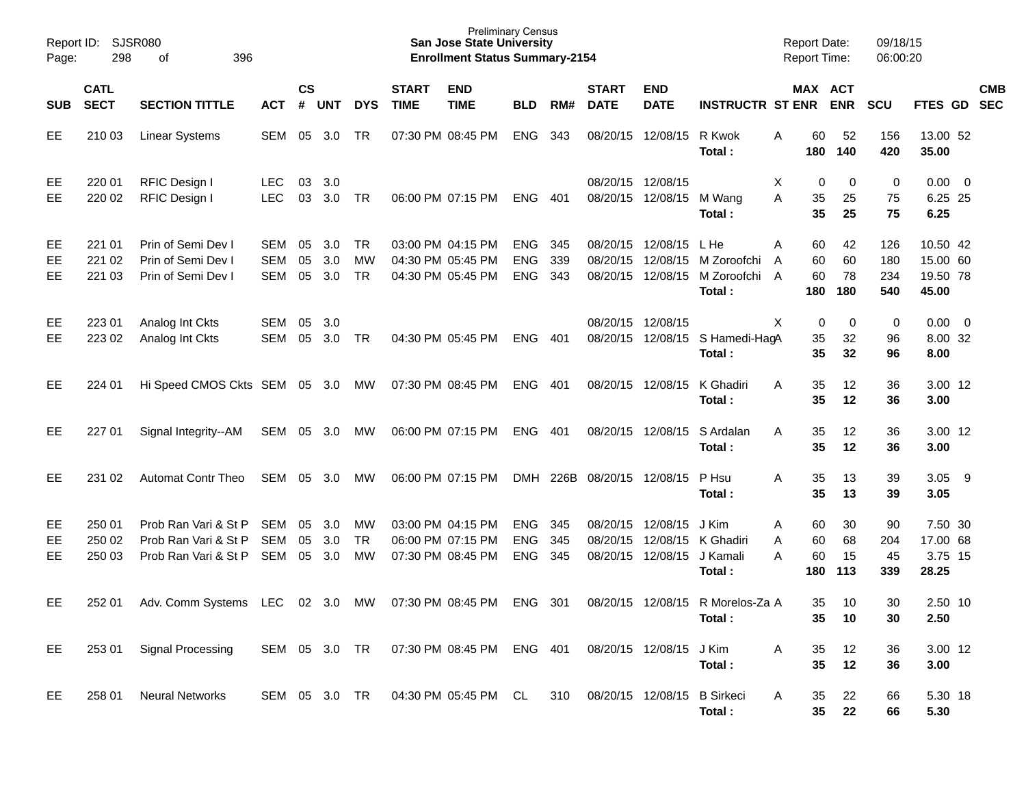| Report ID:<br>Page: | 298                        | <b>SJSR080</b><br>396<br>of                                          |                          |                |                   |                              |                                                             | <b>Preliminary Census</b><br><b>San Jose State University</b><br><b>Enrollment Status Summary-2154</b> |                                        |                   |                                  |                                  |                                                | <b>Report Date:</b><br><b>Report Time:</b> |                       | 09/18/15<br>06:00:20     |                                           |            |
|---------------------|----------------------------|----------------------------------------------------------------------|--------------------------|----------------|-------------------|------------------------------|-------------------------------------------------------------|--------------------------------------------------------------------------------------------------------|----------------------------------------|-------------------|----------------------------------|----------------------------------|------------------------------------------------|--------------------------------------------|-----------------------|--------------------------|-------------------------------------------|------------|
| <b>SUB</b>          | <b>CATL</b><br><b>SECT</b> | <b>SECTION TITTLE</b>                                                | <b>ACT</b>               | <b>CS</b><br># | UNT               | <b>DYS</b>                   | <b>START</b><br><b>TIME</b>                                 | <b>END</b><br><b>TIME</b>                                                                              | <b>BLD</b>                             | RM#               | <b>START</b><br><b>DATE</b>      | <b>END</b><br><b>DATE</b>        | <b>INSTRUCTR ST ENR</b>                        | MAX ACT                                    | <b>ENR</b>            | <b>SCU</b>               | FTES GD SEC                               | <b>CMB</b> |
| EE                  | 210 03                     | <b>Linear Systems</b>                                                | SEM                      | 05             | 3.0               | TR                           | 07:30 PM 08:45 PM                                           |                                                                                                        | <b>ENG</b>                             | 343               |                                  | 08/20/15 12/08/15                | R Kwok<br>Total:                               | 60<br>Α<br>180                             | 52<br>140             | 156<br>420               | 13.00 52<br>35.00                         |            |
| EE<br>EE            | 220 01<br>220 02           | RFIC Design I<br>RFIC Design I                                       | <b>LEC</b><br><b>LEC</b> | 03<br>03       | 3.0<br>3.0        | TR                           |                                                             | 06:00 PM 07:15 PM                                                                                      | <b>ENG</b>                             | 401               | 08/20/15 12/08/15                | 08/20/15 12/08/15                | M Wang<br>Total:                               | 0<br>X<br>A<br>35<br>35                    | 0<br>25<br>25         | 0<br>75<br>75            | $0.00 \t 0$<br>6.25 25<br>6.25            |            |
| EE<br>EE<br>EE      | 221 01<br>221 02<br>221 03 | Prin of Semi Dev I<br>Prin of Semi Dev I<br>Prin of Semi Dev I       | SEM<br>SEM<br>SEM        | 05<br>05<br>05 | 3.0<br>3.0<br>3.0 | <b>TR</b><br>MW<br><b>TR</b> | 03:00 PM 04:15 PM<br>04:30 PM 05:45 PM<br>04:30 PM 05:45 PM |                                                                                                        | <b>ENG</b><br><b>ENG</b><br><b>ENG</b> | 345<br>339<br>343 | 08/20/15<br>08/20/15<br>08/20/15 | 12/08/15<br>12/08/15<br>12/08/15 | L He<br>M Zoroofchi<br>M Zoroofchi A<br>Total: | 60<br>A<br>60<br>A<br>60<br>180            | 42<br>60<br>78<br>180 | 126<br>180<br>234<br>540 | 10.50 42<br>15.00 60<br>19.50 78<br>45.00 |            |
| EE<br>EE            | 223 01<br>223 02           | Analog Int Ckts<br>Analog Int Ckts                                   | SEM<br>SEM               | 05<br>05       | - 3.0<br>3.0      | <b>TR</b>                    | 04:30 PM 05:45 PM                                           |                                                                                                        | <b>ENG</b>                             | 401               | 08/20/15                         | 08/20/15 12/08/15<br>12/08/15    | S Hamedi-HagA<br>Total:                        | Χ<br>0<br>35<br>35                         | 0<br>32<br>32         | 0<br>96<br>96            | $0.00 \t 0$<br>8.00 32<br>8.00            |            |
| EE                  | 224 01                     | Hi Speed CMOS Ckts SEM 05 3.0 MW                                     |                          |                |                   |                              | 07:30 PM 08:45 PM                                           |                                                                                                        | ENG                                    | 401               |                                  | 08/20/15 12/08/15                | K Ghadiri<br>Total:                            | A<br>35<br>35                              | 12<br>12              | 36<br>36                 | 3.00 12<br>3.00                           |            |
| EE                  | 227 01                     | Signal Integrity--AM                                                 | SEM 05 3.0               |                |                   | MW                           |                                                             | 06:00 PM 07:15 PM                                                                                      | ENG 401                                |                   |                                  | 08/20/15 12/08/15                | S Ardalan<br>Total:                            | 35<br>A<br>35                              | 12<br>12              | 36<br>36                 | 3.00 12<br>3.00                           |            |
| EE                  | 231 02                     | <b>Automat Contr Theo</b>                                            | SEM                      | 05             | 3.0               | MW                           | 06:00 PM 07:15 PM                                           |                                                                                                        |                                        |                   | DMH 226B 08/20/15 12/08/15       |                                  | P Hsu<br>Total:                                | 35<br>A<br>35                              | 13<br>13              | 39<br>39                 | 3.05<br>3.05                              | - 9        |
| EE<br>EE<br>EE      | 250 01<br>250 02<br>250 03 | Prob Ran Vari & St P<br>Prob Ran Vari & St P<br>Prob Ran Vari & St P | SEM<br>SEM<br>SEM        | 05<br>05<br>05 | 3.0<br>3.0<br>3.0 | МW<br><b>TR</b><br>МW        | 03:00 PM 04:15 PM<br>06:00 PM 07:15 PM<br>07:30 PM 08:45 PM |                                                                                                        | <b>ENG</b><br><b>ENG</b><br><b>ENG</b> | 345<br>345<br>345 | 08/20/15<br>08/20/15<br>08/20/15 | 12/08/15<br>12/08/15<br>12/08/15 | J Kim<br>K Ghadiri<br>J Kamali<br>Total:       | 60<br>A<br>60<br>A<br>60<br>A<br>180       | 30<br>68<br>15<br>113 | 90<br>204<br>45<br>339   | 7.50 30<br>17.00 68<br>3.75 15<br>28.25   |            |
| EE.                 | 252 01                     | Adv. Comm Systems LEC                                                |                          |                | 02 3.0            | MW                           |                                                             | 07:30 PM 08:45 PM                                                                                      | <b>ENG</b>                             | -301              |                                  |                                  | 08/20/15 12/08/15 R Morelos-Za A<br>Total:     | 35<br>35                                   | 10<br>10              | 30<br>30                 | 2.50 10<br>2.50                           |            |
| EE                  | 253 01                     | <b>Signal Processing</b>                                             | SEM 05 3.0 TR            |                |                   |                              |                                                             | 07:30 PM 08:45 PM ENG 401                                                                              |                                        |                   | 08/20/15 12/08/15                |                                  | J Kim<br>Total:                                | A<br>35<br>35                              | 12<br>12              | 36<br>36                 | 3.00 12<br>3.00                           |            |
| EE                  | 258 01                     | <b>Neural Networks</b>                                               | SEM 05 3.0 TR            |                |                   |                              |                                                             | 04:30 PM 05:45 PM CL                                                                                   |                                        | 310               | 08/20/15 12/08/15                |                                  | <b>B</b> Sirkeci<br>Total:                     | 35<br>A<br>35                              | 22<br>22              | 66<br>66                 | 5.30 18<br>5.30                           |            |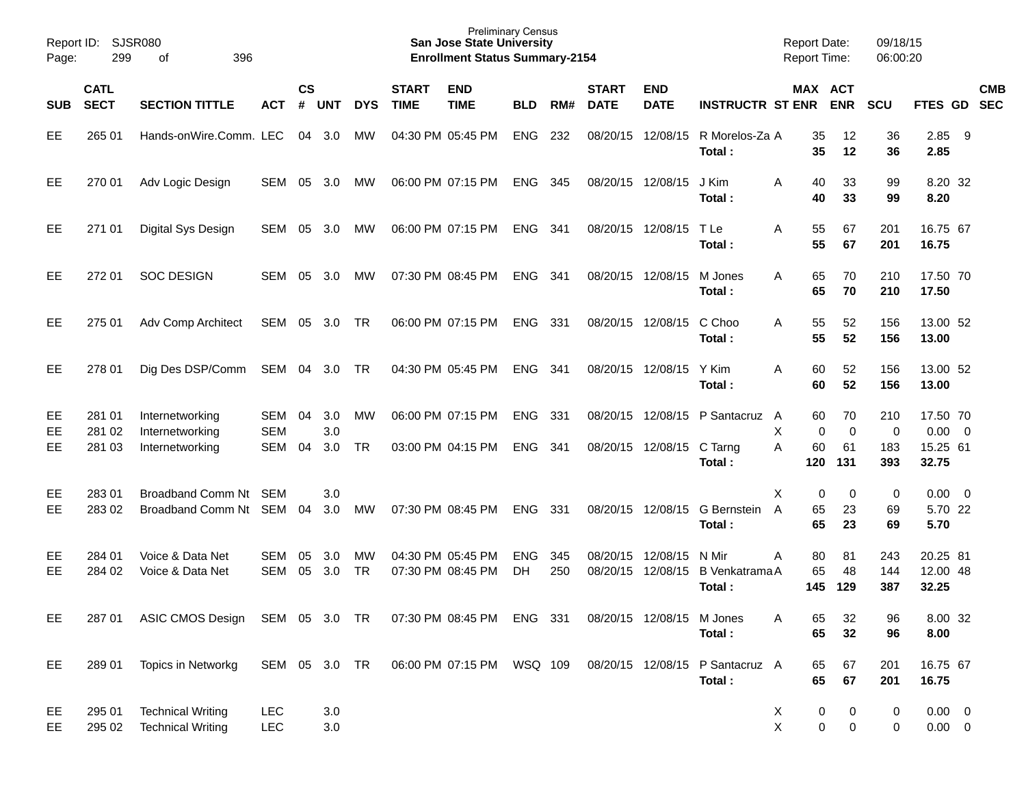| Report ID:<br>Page: | 299                        | <b>SJSR080</b><br>396<br>οf                           |                          |                |                   |                 |                             | <b>Preliminary Census</b><br><b>San Jose State University</b><br><b>Enrollment Status Summary-2154</b> |                          |            |                             |                           |                                                    | <b>Report Date:</b><br><b>Report Time:</b>  |                                | 09/18/15<br>06:00:20   |                                              |     |            |
|---------------------|----------------------------|-------------------------------------------------------|--------------------------|----------------|-------------------|-----------------|-----------------------------|--------------------------------------------------------------------------------------------------------|--------------------------|------------|-----------------------------|---------------------------|----------------------------------------------------|---------------------------------------------|--------------------------------|------------------------|----------------------------------------------|-----|------------|
| <b>SUB</b>          | <b>CATL</b><br><b>SECT</b> | <b>SECTION TITTLE</b>                                 | <b>ACT</b>               | <b>CS</b><br># | <b>UNT</b>        | <b>DYS</b>      | <b>START</b><br><b>TIME</b> | <b>END</b><br><b>TIME</b>                                                                              | <b>BLD</b>               | RM#        | <b>START</b><br><b>DATE</b> | <b>END</b><br><b>DATE</b> | <b>INSTRUCTR ST ENR</b>                            |                                             | <b>MAX ACT</b><br><b>ENR</b>   | <b>SCU</b>             | FTES GD SEC                                  |     | <b>CMB</b> |
| EE                  | 265 01                     | Hands-onWire.Comm. LEC                                |                          |                | 04 3.0            | МW              |                             | 04:30 PM 05:45 PM                                                                                      | <b>ENG</b>               | 232        | 08/20/15                    | 12/08/15                  | R Morelos-Za A<br>Total:                           | 35<br>35                                    | 12<br>12                       | 36<br>36               | 2.85<br>2.85                                 | - 9 |            |
| EE                  | 270 01                     | Adv Logic Design                                      | SEM                      | 05             | 3.0               | МW              |                             | 06:00 PM 07:15 PM                                                                                      | <b>ENG</b>               | 345        |                             | 08/20/15 12/08/15         | J Kim<br>Total:                                    | 40<br>Α<br>40                               | 33<br>33                       | 99<br>99               | 8.20 32<br>8.20                              |     |            |
| EE                  | 271 01                     | Digital Sys Design                                    | SEM                      | 05             | 3.0               | МW              |                             | 06:00 PM 07:15 PM                                                                                      | <b>ENG</b>               | 341        |                             | 08/20/15 12/08/15         | TLe<br>Total:                                      | 55<br>Α<br>55                               | 67<br>67                       | 201<br>201             | 16.75 67<br>16.75                            |     |            |
| EE                  | 272 01                     | <b>SOC DESIGN</b>                                     | SEM                      | 05             | -3.0              | МW              |                             | 07:30 PM 08:45 PM                                                                                      | <b>ENG</b>               | 341        |                             | 08/20/15 12/08/15         | M Jones<br>Total:                                  | 65<br>Α<br>65                               | 70<br>70                       | 210<br>210             | 17.50 70<br>17.50                            |     |            |
| EE                  | 275 01                     | Adv Comp Architect                                    | SEM                      |                | 05 3.0            | TR              |                             | 06:00 PM 07:15 PM                                                                                      | <b>ENG</b>               | 331        |                             | 08/20/15 12/08/15         | C Choo<br>Total:                                   | 55<br>Α<br>55                               | 52<br>52                       | 156<br>156             | 13.00 52<br>13.00                            |     |            |
| EE                  | 278 01                     | Dig Des DSP/Comm                                      | SEM 04 3.0               |                |                   | <b>TR</b>       |                             | 04:30 PM 05:45 PM                                                                                      | <b>ENG</b>               | 341        |                             | 08/20/15 12/08/15         | Y Kim<br>Total:                                    | 60<br>A<br>60                               | 52<br>52                       | 156<br>156             | 13.00 52<br>13.00                            |     |            |
| EE<br>EE<br>EЕ      | 281 01<br>281 02<br>281 03 | Internetworking<br>Internetworking<br>Internetworking | SEM<br><b>SEM</b><br>SEM | 04<br>04       | 3.0<br>3.0<br>3.0 | МW<br><b>TR</b> |                             | 06:00 PM 07:15 PM<br>03:00 PM 04:15 PM                                                                 | <b>ENG</b><br><b>ENG</b> | 331<br>341 | 08/20/15                    | 12/08/15                  | 08/20/15 12/08/15 P Santacruz<br>C Tarng<br>Total: | A<br>60<br>X<br>$\pmb{0}$<br>A<br>60<br>120 | 70<br>$\mathbf 0$<br>61<br>131 | 210<br>0<br>183<br>393 | 17.50 70<br>$0.00 \t 0$<br>15.25 61<br>32.75 |     |            |
| EE<br>EE            | 283 01<br>283 02           | Broadband Comm Nt<br>Broadband Comm Nt SEM            | SEM                      | 04             | 3.0<br>3.0        | <b>MW</b>       |                             | 07:30 PM 08:45 PM                                                                                      | <b>ENG</b>               | 331        |                             | 08/20/15 12/08/15         | G Bernstein<br>Total:                              | X<br>0<br>65<br>$\overline{A}$<br>65        | 0<br>23<br>23                  | 0<br>69<br>69          | $0.00 \t 0$<br>5.70 22<br>5.70               |     |            |
| EE<br>EE            | 284 01<br>284 02           | Voice & Data Net<br>Voice & Data Net                  | <b>SEM</b><br><b>SEM</b> | 05<br>05       | 3.0<br>3.0        | MW<br><b>TR</b> |                             | 04:30 PM 05:45 PM<br>07:30 PM 08:45 PM                                                                 | <b>ENG</b><br>DH         | 345<br>250 | 08/20/15<br>08/20/15        | 12/08/15<br>12/08/15      | N Mir<br><b>B</b> Venkatrama A<br>Total:           | 80<br>Α<br>65<br>145                        | 81<br>48<br>129                | 243<br>144<br>387      | 20.25 81<br>12.00 48<br>32.25                |     |            |
| EE                  | 287 01                     | ASIC CMOS Design SEM 05 3.0 TR                        |                          |                |                   |                 |                             | 07:30 PM 08:45 PM ENG 331                                                                              |                          |            |                             | 08/20/15 12/08/15 M Jones | Total:                                             | 65<br>Α<br>65                               | 32<br>32                       | 96<br>96               | 8.00 32<br>8.00                              |     |            |
| EE                  | 289 01                     | Topics in Networkg                                    | SEM 05 3.0 TR            |                |                   |                 |                             | 06:00 PM 07:15 PM WSQ 109                                                                              |                          |            |                             |                           | 08/20/15 12/08/15 P Santacruz A<br>Total:          | 65<br>65                                    | 67<br>67                       | 201<br>201             | 16.75 67<br>16.75                            |     |            |
| EE<br>EE            | 295 01<br>295 02           | <b>Technical Writing</b><br><b>Technical Writing</b>  | <b>LEC</b><br>LEC        |                | 3.0<br>3.0        |                 |                             |                                                                                                        |                          |            |                             |                           |                                                    | Χ<br>$\boldsymbol{0}$<br>X                  | 0<br>0<br>0                    | 0<br>0                 | $0.00 \t 0$<br>$0.00 \t 0$                   |     |            |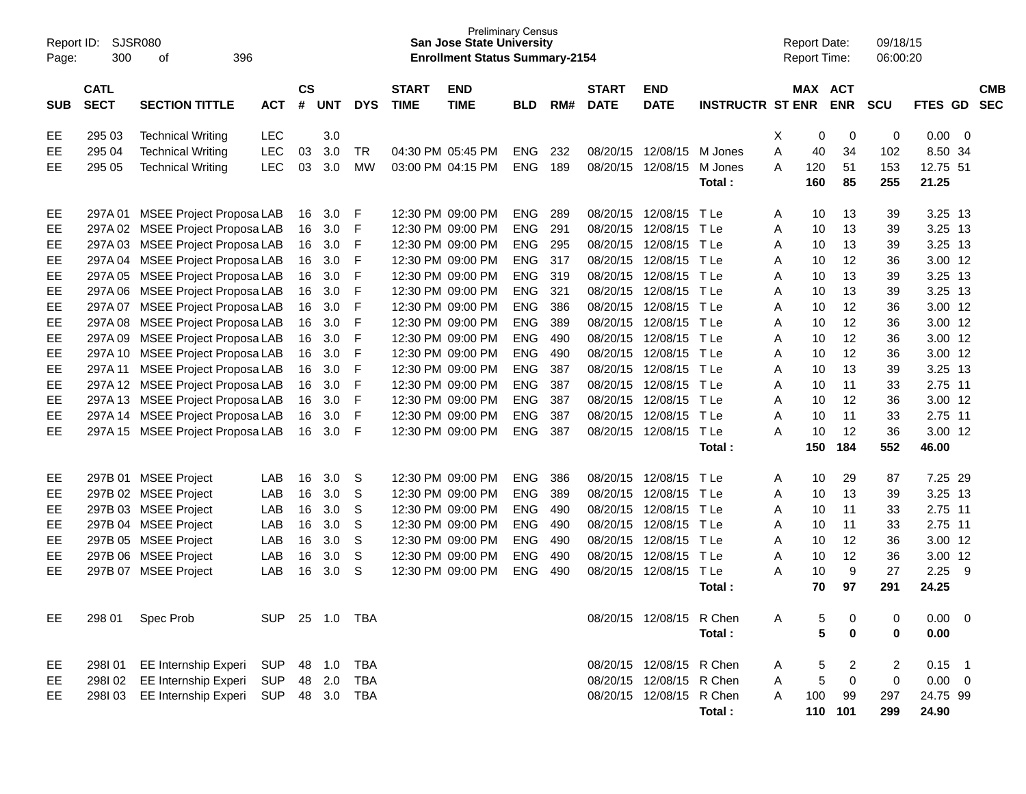| Report ID:<br>Page: | 300                        | <b>SJSR080</b><br>396<br>оf      |                |                    |            |            |                             | <b>Preliminary Census</b><br><b>San Jose State University</b><br><b>Enrollment Status Summary-2154</b> |            |     |                             |                           |                         |   | <b>Report Date:</b><br>Report Time: |            | 09/18/15<br>06:00:20 |             |     |                          |
|---------------------|----------------------------|----------------------------------|----------------|--------------------|------------|------------|-----------------------------|--------------------------------------------------------------------------------------------------------|------------|-----|-----------------------------|---------------------------|-------------------------|---|-------------------------------------|------------|----------------------|-------------|-----|--------------------------|
| <b>SUB</b>          | <b>CATL</b><br><b>SECT</b> | <b>SECTION TITTLE</b>            | <b>ACT</b>     | $\mathsf{cs}$<br># | <b>UNT</b> | <b>DYS</b> | <b>START</b><br><b>TIME</b> | <b>END</b><br><b>TIME</b>                                                                              | <b>BLD</b> | RM# | <b>START</b><br><b>DATE</b> | <b>END</b><br><b>DATE</b> | <b>INSTRUCTR ST ENR</b> |   | MAX ACT                             | <b>ENR</b> | <b>SCU</b>           | FTES GD     |     | <b>CMB</b><br><b>SEC</b> |
| EE                  | 295 03                     | <b>Technical Writing</b>         | <b>LEC</b>     |                    | 3.0        |            |                             |                                                                                                        |            |     |                             |                           |                         | Х | 0                                   | 0          | 0                    | 0.00        | - 0 |                          |
| EЕ                  | 295 04                     | <b>Technical Writing</b>         | <b>LEC</b>     | 03                 | 3.0        | TR.        |                             | 04:30 PM 05:45 PM                                                                                      | <b>ENG</b> | 232 | 08/20/15                    | 12/08/15                  | M Jones                 | A | 40                                  | 34         | 102                  | 8.50 34     |     |                          |
| EE.                 | 295 05                     | <b>Technical Writing</b>         | <b>LEC</b>     | 03                 | 3.0        | <b>MW</b>  |                             | 03:00 PM 04:15 PM                                                                                      | <b>ENG</b> | 189 | 08/20/15                    | 12/08/15                  | M Jones                 | A | 120                                 | 51         | 153                  | 12.75 51    |     |                          |
|                     |                            |                                  |                |                    |            |            |                             |                                                                                                        |            |     |                             |                           | Total:                  |   | 160                                 | 85         | 255                  | 21.25       |     |                          |
| EE                  | 297A 01                    | <b>MSEE Project Proposa LAB</b>  |                | 16                 | 3.0        | F          |                             | 12:30 PM 09:00 PM                                                                                      | <b>ENG</b> | 289 | 08/20/15                    | 12/08/15                  | T Le                    | A | 10                                  | 13         | 39                   | 3.25 13     |     |                          |
| EE                  |                            | 297A 02 MSEE Project Proposa LAB |                | 16                 | 3.0        | F          |                             | 12:30 PM 09:00 PM                                                                                      | <b>ENG</b> | 291 | 08/20/15                    | 12/08/15                  | TLe                     | A | 10                                  | 13         | 39                   | 3.25 13     |     |                          |
| EЕ                  | 297A03                     | <b>MSEE Project Proposa LAB</b>  |                | 16                 | 3.0        | F          |                             | 12:30 PM 09:00 PM                                                                                      | <b>ENG</b> | 295 | 08/20/15                    | 12/08/15                  | TLe                     | A | 10                                  | 13         | 39                   | 3.25 13     |     |                          |
| EЕ                  | 297A 04                    | <b>MSEE Project Proposa LAB</b>  |                | 16                 | 3.0        | F          |                             | 12:30 PM 09:00 PM                                                                                      | <b>ENG</b> | 317 | 08/20/15                    | 12/08/15                  | TLe                     | A | 10                                  | 12         | 36                   | 3.00 12     |     |                          |
| EE                  | 297A 05                    | <b>MSEE Project Proposa LAB</b>  |                | 16                 | 3.0        | F          |                             | 12:30 PM 09:00 PM                                                                                      | <b>ENG</b> | 319 | 08/20/15                    | 12/08/15                  | TLe                     | A | 10                                  | 13         | 39                   | 3.25 13     |     |                          |
| EE                  | 297A06                     | <b>MSEE Project Proposa LAB</b>  |                | 16                 | 3.0        | F          |                             | 12:30 PM 09:00 PM                                                                                      | <b>ENG</b> | 321 | 08/20/15                    | 12/08/15                  | TLe                     | A | 10                                  | 13         | 39                   | 3.25 13     |     |                          |
| EE                  | 297A 07                    | <b>MSEE Project Proposa LAB</b>  |                | 16                 | 3.0        | F          |                             | 12:30 PM 09:00 PM                                                                                      | <b>ENG</b> | 386 | 08/20/15                    | 12/08/15                  | TLe                     | A | 10                                  | 12         | 36                   | 3.00 12     |     |                          |
| EE                  | 297A 08                    | <b>MSEE Project Proposa LAB</b>  |                | 16                 | 3.0        | F          |                             | 12:30 PM 09:00 PM                                                                                      | <b>ENG</b> | 389 | 08/20/15                    | 12/08/15                  | TLe                     | A | 10                                  | 12         | 36                   | 3.00 12     |     |                          |
| EE                  | 297A09                     | <b>MSEE Project Proposa LAB</b>  |                | 16                 | 3.0        | F          |                             | 12:30 PM 09:00 PM                                                                                      | <b>ENG</b> | 490 | 08/20/15                    | 12/08/15                  | TLe                     | A | 10                                  | 12         | 36                   | 3.00 12     |     |                          |
| EE                  | 297A 10                    | <b>MSEE Project Proposa LAB</b>  |                | 16                 | 3.0        | F          |                             | 12:30 PM 09:00 PM                                                                                      | <b>ENG</b> | 490 | 08/20/15                    | 12/08/15                  | TLe                     | A | 10                                  | 12         | 36                   | 3.00 12     |     |                          |
| EЕ                  | 297A 11                    | <b>MSEE Project Proposa LAB</b>  |                | 16                 | 3.0        | F          |                             | 12:30 PM 09:00 PM                                                                                      | <b>ENG</b> | 387 | 08/20/15                    | 12/08/15                  | T Le                    | A | 10                                  | 13         | 39                   | 3.25 13     |     |                          |
| EE                  |                            | 297A 12 MSEE Project Proposa LAB |                | 16                 | 3.0        | F          |                             | 12:30 PM 09:00 PM                                                                                      | <b>ENG</b> | 387 | 08/20/15                    | 12/08/15                  | T Le                    | A | 10                                  | 11         | 33                   | 2.75 11     |     |                          |
| EE                  |                            | 297A 13 MSEE Project Proposa LAB |                | 16                 | 3.0        | F          |                             | 12:30 PM 09:00 PM                                                                                      | <b>ENG</b> | 387 | 08/20/15                    | 12/08/15                  | TLe                     | A | 10                                  | 12         | 36                   | 3.00 12     |     |                          |
| EЕ                  | 297A 14                    | <b>MSEE Project Proposa LAB</b>  |                | 16                 | 3.0        | F          |                             | 12:30 PM 09:00 PM                                                                                      | <b>ENG</b> | 387 | 08/20/15                    | 12/08/15                  | T Le                    | A | 10                                  | 11         | 33                   | 2.75 11     |     |                          |
| EE.                 |                            | 297A 15 MSEE Project Proposa LAB |                | 16                 | 3.0        | F          |                             | 12:30 PM 09:00 PM                                                                                      | <b>ENG</b> | 387 | 08/20/15                    | 12/08/15                  | TLe                     | A | 10                                  | 12         | 36                   | 3.00 12     |     |                          |
|                     |                            |                                  |                |                    |            |            |                             |                                                                                                        |            |     |                             |                           | Total:                  |   | 150                                 | 184        | 552                  | 46.00       |     |                          |
| EE                  | 297B 01                    | <b>MSEE Project</b>              | LAB            | 16                 | 3.0        | S          |                             | 12:30 PM 09:00 PM                                                                                      | <b>ENG</b> | 386 | 08/20/15                    | 12/08/15                  | T Le                    | A | 10                                  | 29         | 87                   | 7.25 29     |     |                          |
| EЕ                  |                            | 297B 02 MSEE Project             | LAB            | 16                 | 3.0        | S          |                             | 12:30 PM 09:00 PM                                                                                      | <b>ENG</b> | 389 | 08/20/15                    | 12/08/15                  | TLe                     | A | 10                                  | 13         | 39                   | 3.25 13     |     |                          |
| EЕ                  |                            | 297B 03 MSEE Project             | LAB            | 16                 | 3.0        | S          |                             | 12:30 PM 09:00 PM                                                                                      | <b>ENG</b> | 490 | 08/20/15                    | 12/08/15                  | TLe                     | A | 10                                  | 11         | 33                   | 2.75 11     |     |                          |
| EЕ                  |                            | 297B 04 MSEE Project             | LAB            | 16                 | 3.0        | S          |                             | 12:30 PM 09:00 PM                                                                                      | <b>ENG</b> | 490 | 08/20/15                    | 12/08/15                  | TLe                     | A | 10                                  | 11         | 33                   | 2.75 11     |     |                          |
| EЕ                  |                            | 297B 05 MSEE Project             | LAB            | 16                 | 3.0        | S          |                             | 12:30 PM 09:00 PM                                                                                      | <b>ENG</b> | 490 | 08/20/15                    | 12/08/15                  | TLe                     | A | 10                                  | 12         | 36                   | 3.00 12     |     |                          |
| EЕ                  |                            | 297B 06 MSEE Project             | LAB            | 16                 | 3.0        | S          |                             | 12:30 PM 09:00 PM                                                                                      | <b>ENG</b> | 490 | 08/20/15                    | 12/08/15                  | TLe                     | A | 10                                  | 12         | 36                   | 3.00 12     |     |                          |
| EE.                 |                            | 297B 07 MSEE Project             | LAB            | 16                 | 3.0        | S          |                             | 12:30 PM 09:00 PM                                                                                      | <b>ENG</b> | 490 | 08/20/15                    | 12/08/15                  | TLe                     | A | 10                                  | 9          | 27                   | 2.25        | -9  |                          |
|                     |                            |                                  |                |                    |            |            |                             |                                                                                                        |            |     |                             |                           | Total:                  |   | 70                                  | 97         | 291                  | 24.25       |     |                          |
| EE                  | 298 01                     | Spec Prob                        | SUP 25 1.0 TBA |                    |            |            |                             |                                                                                                        |            |     |                             | 08/20/15 12/08/15 R Chen  |                         | A | 5                                   | 0          | 0                    | $0.00 \t 0$ |     |                          |
|                     |                            |                                  |                |                    |            |            |                             |                                                                                                        |            |     |                             |                           | Total:                  |   | 5                                   | 0          | 0                    | 0.00        |     |                          |
| EE                  | 298I 01                    | EE Internship Experi             | SUP            |                    | 48 1.0     | TBA        |                             |                                                                                                        |            |     |                             | 08/20/15 12/08/15 R Chen  |                         | A | 5                                   | 2          | 2                    | $0.15$ 1    |     |                          |
| EE                  | 298I02                     | EE Internship Experi             | <b>SUP</b>     |                    | 48 2.0     | TBA        |                             |                                                                                                        |            |     |                             | 08/20/15 12/08/15 R Chen  |                         | A | 5                                   | 0          | 0                    | $0.00 \t 0$ |     |                          |
| EE.                 | 298103                     | EE Internship Experi             | <b>SUP</b>     |                    | 48 3.0     | TBA        |                             |                                                                                                        |            |     |                             | 08/20/15 12/08/15 R Chen  |                         | A | 100                                 | 99         | 297                  | 24.75 99    |     |                          |
|                     |                            |                                  |                |                    |            |            |                             |                                                                                                        |            |     |                             |                           | Total:                  |   |                                     | 110 101    | 299                  | 24.90       |     |                          |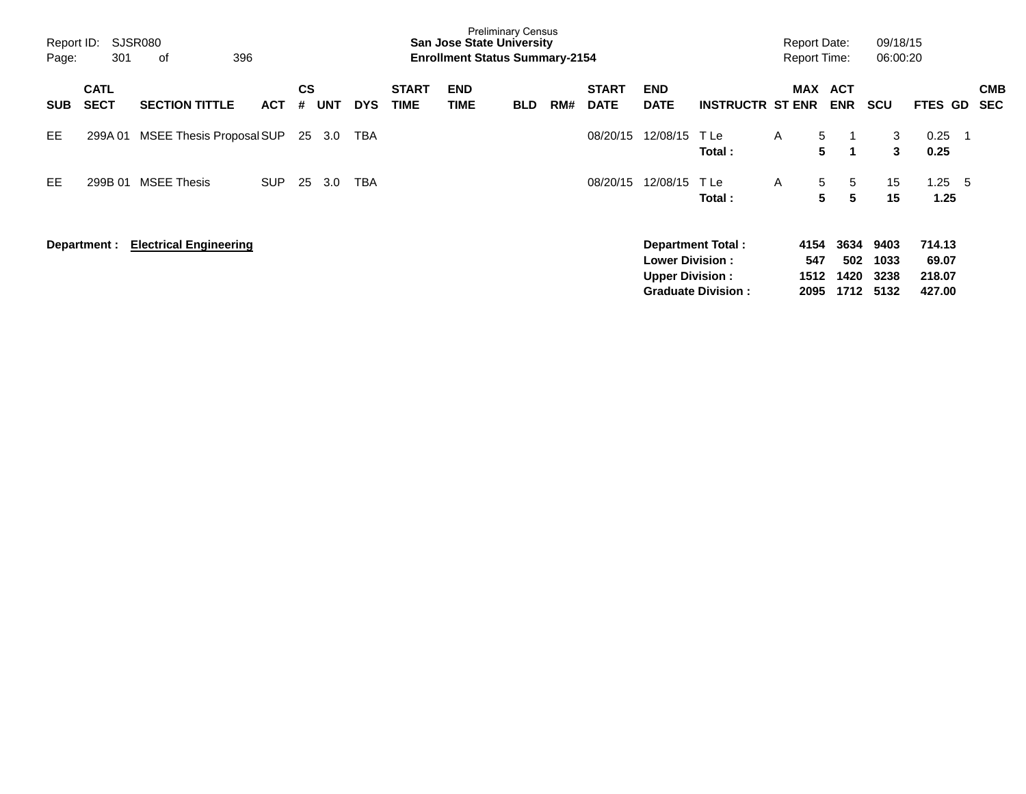| Report ID:<br>Page: | 301                        | SJSR080<br>396<br>οf          |            |         |        |            |                             | <b>San Jose State University</b><br><b>Enrollment Status Summary-2154</b> | <b>Preliminary Census</b> |     |                             |                                                  |                                                       |   | <b>Report Date:</b><br><b>Report Time:</b> |                             | 09/18/15<br>06:00:20         |                                     |     |                          |
|---------------------|----------------------------|-------------------------------|------------|---------|--------|------------|-----------------------------|---------------------------------------------------------------------------|---------------------------|-----|-----------------------------|--------------------------------------------------|-------------------------------------------------------|---|--------------------------------------------|-----------------------------|------------------------------|-------------------------------------|-----|--------------------------|
| <b>SUB</b>          | <b>CATL</b><br><b>SECT</b> | <b>SECTION TITTLE</b>         | <b>ACT</b> | CS<br># | UNT    | <b>DYS</b> | <b>START</b><br><b>TIME</b> | <b>END</b><br><b>TIME</b>                                                 | <b>BLD</b>                | RM# | <b>START</b><br><b>DATE</b> | <b>END</b><br><b>DATE</b>                        | <b>INSTRUCTR ST ENR</b>                               |   | <b>MAX</b>                                 | <b>ACT</b><br><b>ENR</b>    | <b>SCU</b>                   | <b>FTES GD</b>                      |     | <b>CMB</b><br><b>SEC</b> |
| <b>EE</b>           | 299A01                     | MSEE Thesis Proposal SUP      |            |         | 25 3.0 | TBA        |                             |                                                                           |                           |     | 08/20/15                    | 12/08/15                                         | T Le<br>Total:                                        | A | 5<br>5                                     | 1                           | 3<br>$\mathbf{3}$            | 0.25<br>0.25                        | -1  |                          |
| EE                  | 299B 01                    | <b>MSEE Thesis</b>            | <b>SUP</b> | 25      | 3.0    | <b>TBA</b> |                             |                                                                           |                           |     | 08/20/15                    | 12/08/15                                         | T Le<br>Total:                                        | A | 5<br>5                                     | 5<br>5                      | 15<br>15                     | 1.25<br>1.25                        | - 5 |                          |
|                     | Department :               | <b>Electrical Engineering</b> |            |         |        |            |                             |                                                                           |                           |     |                             | <b>Lower Division:</b><br><b>Upper Division:</b> | <b>Department Total:</b><br><b>Graduate Division:</b> |   | 4154<br>547<br>1512<br>2095                | 3634<br>502<br>1420<br>1712 | 9403<br>1033<br>3238<br>5132 | 714.13<br>69.07<br>218.07<br>427.00 |     |                          |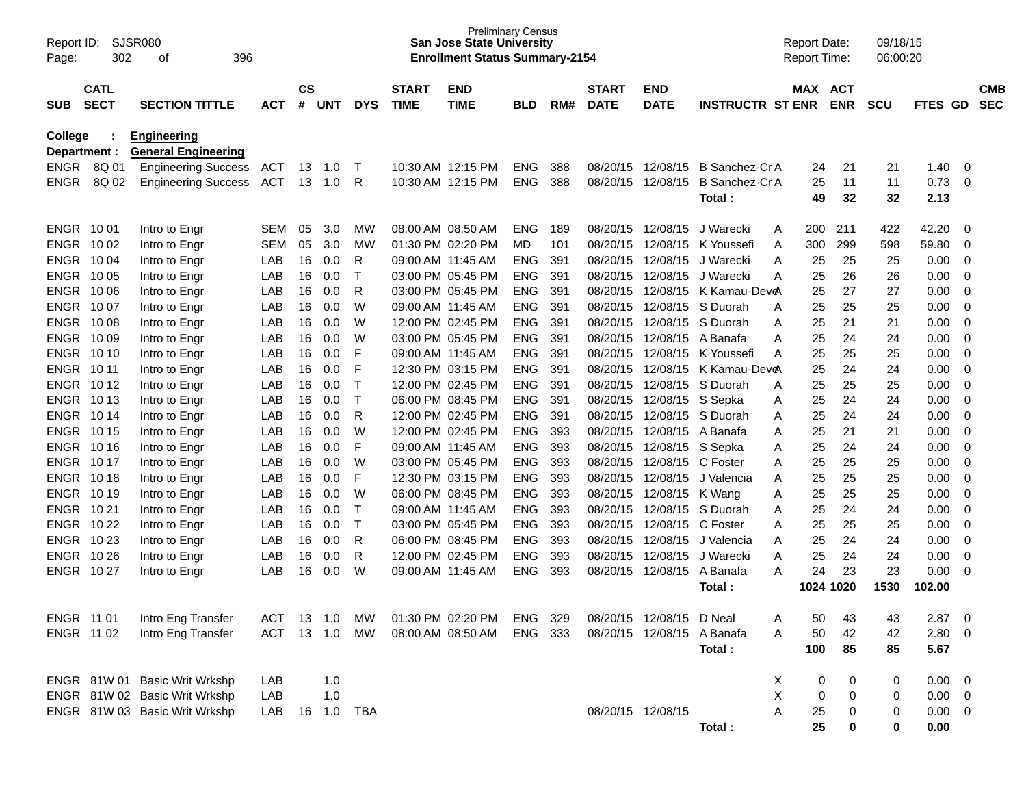| Page:          | SJSR080<br>Report ID:<br>302<br>396<br>οf |                               |            |               |            |             |                   | <b>Preliminary Census</b><br><b>San Jose State University</b><br><b>Enrollment Status Summary-2154</b> |            |     |              |                   |                         | <b>Report Date:</b><br><b>Report Time:</b> |            | 09/18/15<br>06:00:20 |                |                |            |
|----------------|-------------------------------------------|-------------------------------|------------|---------------|------------|-------------|-------------------|--------------------------------------------------------------------------------------------------------|------------|-----|--------------|-------------------|-------------------------|--------------------------------------------|------------|----------------------|----------------|----------------|------------|
|                | <b>CATL</b>                               |                               |            | $\mathsf{cs}$ |            |             | <b>START</b>      | <b>END</b>                                                                                             |            |     | <b>START</b> | <b>END</b>        |                         | MAX ACT                                    |            |                      |                |                | <b>CMB</b> |
| <b>SUB</b>     | <b>SECT</b>                               | <b>SECTION TITTLE</b>         | <b>ACT</b> | #             | <b>UNT</b> | <b>DYS</b>  | <b>TIME</b>       | <b>TIME</b>                                                                                            | <b>BLD</b> | RM# | <b>DATE</b>  | <b>DATE</b>       | <b>INSTRUCTR ST ENR</b> |                                            | <b>ENR</b> | <b>SCU</b>           | <b>FTES GD</b> |                | <b>SEC</b> |
| <b>College</b> |                                           | <b>Engineering</b>            |            |               |            |             |                   |                                                                                                        |            |     |              |                   |                         |                                            |            |                      |                |                |            |
| Department :   |                                           | <b>General Engineering</b>    |            |               |            |             |                   |                                                                                                        |            |     |              |                   |                         |                                            |            |                      |                |                |            |
|                | ENGR 8Q 01                                | <b>Engineering Success</b>    | ACT        | 13            | 1.0        | $\top$      |                   | 10:30 AM 12:15 PM                                                                                      | <b>ENG</b> | 388 | 08/20/15     | 12/08/15          | B Sanchez-Cr A          | 24                                         | 21         | 21                   | 1.40           | 0              |            |
| <b>ENGR</b>    | 8Q 02                                     | <b>Engineering Success</b>    | <b>ACT</b> | 13            | 1.0        | R           |                   | 10:30 AM 12:15 PM                                                                                      | <b>ENG</b> | 388 | 08/20/15     | 12/08/15          | <b>B</b> Sanchez-Cr A   | 25<br>49                                   | 11<br>32   | 11<br>32             | 0.73<br>2.13   | $\mathbf 0$    |            |
|                |                                           |                               |            |               |            |             |                   |                                                                                                        |            |     |              |                   | Total:                  |                                            |            |                      |                |                |            |
| ENGR 1001      |                                           | Intro to Engr                 | SEM        | 05            | 3.0        | МW          |                   | 08:00 AM 08:50 AM                                                                                      | <b>ENG</b> | 189 | 08/20/15     | 12/08/15          | J Warecki               | 200<br>A                                   | 211        | 422                  | 42.20          | 0              |            |
| ENGR 1002      |                                           | Intro to Engr                 | SEM        | 05            | 3.0        | <b>MW</b>   |                   | 01:30 PM 02:20 PM                                                                                      | MD         | 101 | 08/20/15     | 12/08/15          | K Youssefi              | 300<br>Α                                   | 299        | 598                  | 59.80          | $\mathbf 0$    |            |
| ENGR 1004      |                                           | Intro to Engr                 | LAB        | 16            | 0.0        | R           |                   | 09:00 AM 11:45 AM                                                                                      | <b>ENG</b> | 391 | 08/20/15     | 12/08/15          | J Warecki               | A<br>25                                    | 25         | 25                   | 0.00           | $\mathbf 0$    |            |
| ENGR 1005      |                                           | Intro to Engr                 | LAB        | 16            | 0.0        | $\mathsf T$ |                   | 03:00 PM 05:45 PM                                                                                      | <b>ENG</b> | 391 | 08/20/15     | 12/08/15          | J Warecki               | A<br>25                                    | 26         | 26                   | 0.00           | $\mathbf 0$    |            |
| ENGR 1006      |                                           | Intro to Engr                 | LAB        | 16            | 0.0        | R           |                   | 03:00 PM 05:45 PM                                                                                      | <b>ENG</b> | 391 | 08/20/15     | 12/08/15          | K Kamau-DeveA           | 25                                         | 27         | 27                   | 0.00           | $\mathbf 0$    |            |
| ENGR 1007      |                                           | Intro to Engr                 | LAB        | 16            | 0.0        | W           |                   | 09:00 AM 11:45 AM                                                                                      | <b>ENG</b> | 391 | 08/20/15     | 12/08/15          | S Duorah                | A<br>25                                    | 25         | 25                   | 0.00           | $\mathbf 0$    |            |
| ENGR 1008      |                                           | Intro to Engr                 | LAB        | 16            | 0.0        | W           |                   | 12:00 PM 02:45 PM                                                                                      | <b>ENG</b> | 391 | 08/20/15     | 12/08/15          | S Duorah                | Α<br>25                                    | 21         | 21                   | 0.00           | $\mathbf 0$    |            |
| ENGR 1009      |                                           | Intro to Engr                 | LAB        | 16            | 0.0        | W           |                   | 03:00 PM 05:45 PM                                                                                      | <b>ENG</b> | 391 | 08/20/15     | 12/08/15          | A Banafa                | 25<br>Α                                    | 24         | 24                   | 0.00           | $\mathbf 0$    |            |
| ENGR 1010      |                                           | Intro to Engr                 | LAB        | 16            | 0.0        | F           |                   | 09:00 AM 11:45 AM                                                                                      | <b>ENG</b> | 391 | 08/20/15     | 12/08/15          | K Youssefi              | 25<br>A                                    | 25         | 25                   | 0.00           | $\mathbf 0$    |            |
| ENGR 10 11     |                                           | Intro to Engr                 | LAB        | 16            | 0.0        | F           |                   | 12:30 PM 03:15 PM                                                                                      | <b>ENG</b> | 391 | 08/20/15     | 12/08/15          | K Kamau-Dev <b>e</b> A  | 25                                         | 24         | 24                   | 0.00           | $\mathbf 0$    |            |
| ENGR 1012      |                                           | Intro to Engr                 | LAB        | 16            | 0.0        | $\mathsf T$ |                   | 12:00 PM 02:45 PM                                                                                      | <b>ENG</b> | 391 | 08/20/15     | 12/08/15          | S Duorah                | Α<br>25                                    | 25         | 25                   | 0.00           | $\mathbf 0$    |            |
| ENGR 1013      |                                           | Intro to Engr                 | LAB        | 16            | 0.0        | $\mathsf T$ |                   | 06:00 PM 08:45 PM                                                                                      | <b>ENG</b> | 391 | 08/20/15     | 12/08/15          | S Sepka                 | 25<br>Α                                    | 24         | 24                   | 0.00           | $\mathbf 0$    |            |
| ENGR 1014      |                                           | Intro to Engr                 | LAB        | 16            | 0.0        | R           |                   | 12:00 PM 02:45 PM                                                                                      | <b>ENG</b> | 391 | 08/20/15     | 12/08/15          | S Duorah                | Α<br>25                                    | 24         | 24                   | 0.00           | $\mathbf 0$    |            |
| ENGR 1015      |                                           | Intro to Engr                 | LAB        | 16            | 0.0        | W           |                   | 12:00 PM 02:45 PM                                                                                      | <b>ENG</b> | 393 | 08/20/15     | 12/08/15          | A Banafa                | Α<br>25                                    | 21         | 21                   | 0.00           | $\mathbf 0$    |            |
| ENGR 1016      |                                           | Intro to Engr                 | LAB        | 16            | 0.0        | F           |                   | 09:00 AM 11:45 AM                                                                                      | <b>ENG</b> | 393 | 08/20/15     | 12/08/15          | S Sepka                 | Α<br>25                                    | 24         | 24                   | 0.00           | $\mathbf 0$    |            |
| ENGR 1017      |                                           | Intro to Engr                 | LAB        | 16            | 0.0        | W           |                   | 03:00 PM 05:45 PM                                                                                      | <b>ENG</b> | 393 | 08/20/15     | 12/08/15          | C Foster                | Α<br>25                                    | 25         | 25                   | 0.00           | $\mathbf 0$    |            |
| ENGR 1018      |                                           | Intro to Engr                 | LAB        | 16            | 0.0        | F           |                   | 12:30 PM 03:15 PM                                                                                      | <b>ENG</b> | 393 | 08/20/15     | 12/08/15          | J Valencia              | Α<br>25                                    | 25         | 25                   | 0.00           | $\mathbf 0$    |            |
| ENGR 1019      |                                           | Intro to Engr                 | LAB        | 16            | 0.0        | W           |                   | 06:00 PM 08:45 PM                                                                                      | <b>ENG</b> | 393 | 08/20/15     | 12/08/15          | K Wang                  | Α<br>25                                    | 25         | 25                   | 0.00           | $\mathbf 0$    |            |
| ENGR 1021      |                                           | Intro to Engr                 | LAB        | 16            | 0.0        | $\top$      |                   | 09:00 AM 11:45 AM                                                                                      | <b>ENG</b> | 393 | 08/20/15     | 12/08/15          | S Duorah                | 25<br>Α                                    | 24         | 24                   | 0.00           | $\mathbf 0$    |            |
| ENGR 1022      |                                           | Intro to Engr                 | LAB        | 16            | 0.0        | $\top$      |                   | 03:00 PM 05:45 PM                                                                                      | <b>ENG</b> | 393 | 08/20/15     | 12/08/15          | C Foster                | Α<br>25                                    | 25         | 25                   | 0.00           | $\mathbf 0$    |            |
| ENGR 1023      |                                           | Intro to Engr                 | LAB        | 16            | 0.0        | R           |                   | 06:00 PM 08:45 PM                                                                                      | <b>ENG</b> | 393 | 08/20/15     | 12/08/15          | J Valencia              | Α<br>25                                    | 24         | 24                   | 0.00           | $\mathbf 0$    |            |
| ENGR 10 26     |                                           | Intro to Engr                 | LAB        | 16            | 0.0        | R           |                   | 12:00 PM 02:45 PM                                                                                      | <b>ENG</b> | 393 | 08/20/15     | 12/08/15          | J Warecki               | 25<br>Α                                    | 24         | 24                   | 0.00           | 0              |            |
| ENGR 1027      |                                           | Intro to Engr                 | LAB        | 16            | 0.0        | W           | 09:00 AM 11:45 AM |                                                                                                        | <b>ENG</b> | 393 | 08/20/15     | 12/08/15          | A Banafa                | A<br>24                                    | 23         | 23                   | 0.00           | 0              |            |
|                |                                           |                               |            |               |            |             |                   |                                                                                                        |            |     |              |                   | Total:                  | 1024 1020                                  |            | 1530                 | 102.00         |                |            |
| ENGR 11 01     |                                           | Intro Eng Transfer            | ACT        | 13            | 1.0        | МW          |                   | 01:30 PM 02:20 PM                                                                                      | ENG 329    |     |              | 08/20/15 12/08/15 | D Neal                  | 50                                         | 43         | 43                   | 2.87           | $\mathbf 0$    |            |
| ENGR 11 02     |                                           | Intro Eng Transfer            | <b>ACT</b> |               | 13 1.0     | MW          |                   | 08:00 AM 08:50 AM                                                                                      | ENG 333    |     |              | 08/20/15 12/08/15 | A Banafa                | 50<br>A                                    | 42         | 42                   | 2.80           | 0              |            |
|                |                                           |                               |            |               |            |             |                   |                                                                                                        |            |     |              |                   | Total:                  | 100                                        | 85         | 85                   | 5.67           |                |            |
|                |                                           |                               |            |               |            |             |                   |                                                                                                        |            |     |              |                   |                         |                                            |            |                      |                |                |            |
|                |                                           | ENGR 81W 01 Basic Writ Wrkshp | LAB        |               | 1.0        |             |                   |                                                                                                        |            |     |              |                   |                         | X<br>0                                     | 0          | 0                    | 0.00           | 0              |            |
|                |                                           | ENGR 81W 02 Basic Writ Wrkshp | LAB        |               | 1.0        |             |                   |                                                                                                        |            |     |              |                   |                         | X<br>0                                     | 0          | 0                    | 0.00           | $\overline{0}$ |            |
|                |                                           | ENGR 81W 03 Basic Writ Wrkshp | LAB        | 16            | 1.0        | TBA         |                   |                                                                                                        |            |     |              | 08/20/15 12/08/15 |                         | Α<br>25                                    | 0          | 0                    | 0.00           | 0              |            |
|                |                                           |                               |            |               |            |             |                   |                                                                                                        |            |     |              |                   | Total:                  | 25                                         | 0          | 0                    | 0.00           |                |            |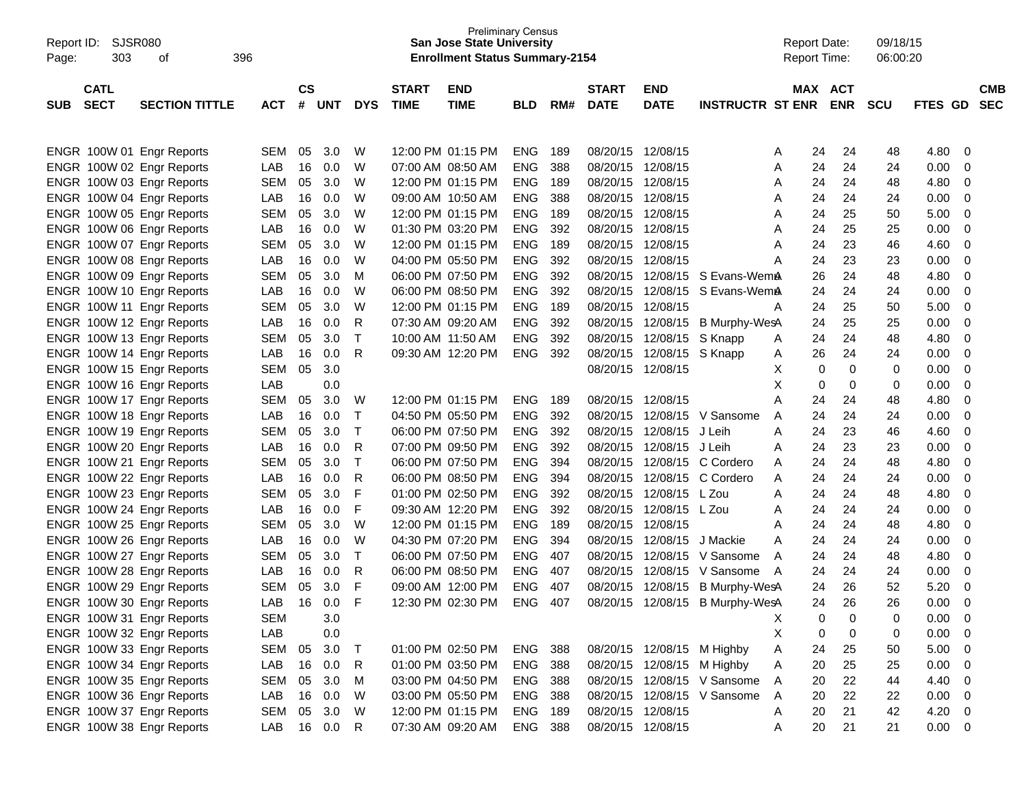| <b>SJSR080</b><br>Report ID: |                       |            |               |            |            |                   | <b>Preliminary Census</b><br><b>San Jose State University</b> |                |     |                   |                   |                             |   | <b>Report Date:</b> |    | 09/18/15 |             |                         |
|------------------------------|-----------------------|------------|---------------|------------|------------|-------------------|---------------------------------------------------------------|----------------|-----|-------------------|-------------------|-----------------------------|---|---------------------|----|----------|-------------|-------------------------|
| 303<br>Page:                 | 396<br>оf             |            |               |            |            |                   | <b>Enrollment Status Summary-2154</b>                         |                |     |                   |                   |                             |   | Report Time:        |    | 06:00:20 |             |                         |
|                              |                       |            |               |            |            |                   |                                                               |                |     |                   |                   |                             |   |                     |    |          |             |                         |
| <b>CATL</b>                  |                       |            | $\mathsf{cs}$ |            |            | <b>START</b>      | <b>END</b>                                                    |                |     | <b>START</b>      | <b>END</b>        |                             |   | MAX ACT             |    |          |             | <b>CMB</b>              |
| <b>SECT</b><br><b>SUB</b>    | <b>SECTION TITTLE</b> | <b>ACT</b> | #             | UNT        | <b>DYS</b> | <b>TIME</b>       | <b>TIME</b>                                                   | <b>BLD</b>     | RM# | <b>DATE</b>       | <b>DATE</b>       | <b>INSTRUCTR ST ENR</b>     |   | <b>ENR</b>          |    | SCU      | FTES GD     | <b>SEC</b>              |
|                              |                       |            |               |            |            |                   |                                                               |                |     |                   |                   |                             |   |                     |    |          |             |                         |
|                              |                       |            |               |            |            |                   |                                                               |                |     |                   |                   |                             |   |                     |    |          |             |                         |
| ENGR 100W 01 Engr Reports    |                       | <b>SEM</b> | 05            | 3.0        | W          |                   | 12:00 PM 01:15 PM                                             | ENG.           | 189 | 08/20/15 12/08/15 |                   |                             | Α | 24                  | 24 | 48       | 4.80        | 0                       |
| ENGR 100W 02 Engr Reports    |                       | LAB        | 16            | 0.0        | W          |                   | 07:00 AM 08:50 AM                                             | <b>ENG</b>     | 388 | 08/20/15          | 12/08/15          |                             | Α | 24                  | 24 | 24       | 0.00        | 0                       |
| ENGR 100W 03 Engr Reports    |                       | <b>SEM</b> | 05            | 3.0        | W          |                   | 12:00 PM 01:15 PM                                             | <b>ENG</b>     | 189 | 08/20/15          | 12/08/15          |                             | Α | 24                  | 24 | 48       | 4.80        | 0                       |
| ENGR 100W 04 Engr Reports    |                       | LAB        | 16            | 0.0        | W          |                   | 09:00 AM 10:50 AM                                             | <b>ENG</b>     | 388 | 08/20/15          | 12/08/15          |                             | Α | 24                  | 24 | 24       | 0.00        | 0                       |
| ENGR 100W 05 Engr Reports    |                       | <b>SEM</b> | 05            | 3.0        | W          |                   | 12:00 PM 01:15 PM                                             | <b>ENG</b>     | 189 | 08/20/15          | 12/08/15          |                             | Α | 24                  | 25 | 50       | 5.00        | 0                       |
| ENGR 100W 06 Engr Reports    |                       | LAB        | 16            | 0.0        | W          |                   | 01:30 PM 03:20 PM                                             | <b>ENG</b>     | 392 | 08/20/15          | 12/08/15          |                             | Α | 24                  | 25 | 25       | 0.00        | 0                       |
| ENGR 100W 07 Engr Reports    |                       | <b>SEM</b> | 05            | 3.0        | W          |                   | 12:00 PM 01:15 PM                                             | <b>ENG</b>     | 189 | 08/20/15          | 12/08/15          |                             | Α | 24                  | 23 | 46       | 4.60        | 0                       |
| ENGR 100W 08 Engr Reports    |                       | LAB        | 16            | 0.0        | W          |                   | 04:00 PM 05:50 PM                                             | <b>ENG</b>     | 392 | 08/20/15          | 12/08/15          |                             | Α | 24                  | 23 | 23       | 0.00        | 0                       |
| ENGR 100W 09 Engr Reports    |                       | <b>SEM</b> | 05            | 3.0        | M          | 06:00 PM 07:50 PM |                                                               | <b>ENG</b>     | 392 | 08/20/15          |                   | 12/08/15 S Evans-WemA       |   | 26                  | 24 | 48       | 4.80        | 0                       |
| ENGR 100W 10 Engr Reports    |                       | LAB        | 16            | 0.0        | W          |                   | 06:00 PM 08:50 PM                                             | <b>ENG</b>     | 392 | 08/20/15          |                   | 12/08/15 S Evans-WemA       |   | 24                  | 24 | 24       | 0.00        | 0                       |
| ENGR 100W 11 Engr Reports    |                       | <b>SEM</b> | 05            | 3.0        | W          |                   | 12:00 PM 01:15 PM                                             | <b>ENG</b>     | 189 | 08/20/15          | 12/08/15          |                             | A | 24                  | 25 | 50       | 5.00        | 0                       |
| ENGR 100W 12 Engr Reports    |                       | LAB        | 16            | 0.0        | R          |                   | 07:30 AM 09:20 AM                                             | <b>ENG</b>     | 392 | 08/20/15          | 12/08/15          | B Murphy-WesA               |   | 24                  | 25 | 25       | 0.00        | 0                       |
| ENGR 100W 13 Engr Reports    |                       | <b>SEM</b> | 05            | 3.0        | Т          |                   | 10:00 AM 11:50 AM                                             | <b>ENG</b>     | 392 | 08/20/15          | 12/08/15 S Knapp  |                             | Α | 24                  | 24 | 48       | 4.80        | 0                       |
| ENGR 100W 14 Engr Reports    |                       | LAB        | 16            | 0.0        | R          |                   | 09:30 AM 12:20 PM                                             | <b>ENG</b>     | 392 | 08/20/15          | 12/08/15 S Knapp  |                             | A | 26                  | 24 | 24       | 0.00        | 0                       |
| ENGR 100W 15 Engr Reports    |                       | <b>SEM</b> | 05            | 3.0        |            |                   |                                                               |                |     | 08/20/15 12/08/15 |                   |                             | X | 0                   | 0  | 0        | 0.00        | 0                       |
| ENGR 100W 16 Engr Reports    |                       | LAB        |               | 0.0        |            |                   |                                                               |                |     |                   |                   |                             | X | 0                   | 0  | 0        | 0.00        | 0                       |
| ENGR 100W 17 Engr Reports    |                       | <b>SEM</b> | 05            | 3.0        | W          |                   | 12:00 PM 01:15 PM                                             | <b>ENG</b>     | 189 | 08/20/15          | 12/08/15          |                             | Α | 24                  | 24 | 48       | 4.80        | 0                       |
| ENGR 100W 18 Engr Reports    |                       | LAB        | 16            | 0.0        | Т          |                   | 04:50 PM 05:50 PM                                             | <b>ENG</b>     | 392 | 08/20/15          | 12/08/15          | V Sansome                   | A | 24                  | 24 | 24       | 0.00        | 0                       |
| ENGR 100W 19 Engr Reports    |                       | <b>SEM</b> | 05            | 3.0        | Т          | 06:00 PM 07:50 PM |                                                               | <b>ENG</b>     | 392 | 08/20/15          | 12/08/15 J Leih   |                             | Α | 24                  | 23 | 46       | 4.60        | 0                       |
| ENGR 100W 20 Engr Reports    |                       | LAB        | 16            | 0.0        | R          |                   | 07:00 PM 09:50 PM                                             | <b>ENG</b>     | 392 | 08/20/15          | 12/08/15 J Leih   |                             | Α | 24                  | 23 | 23       | 0.00        | 0                       |
| ENGR 100W 21 Engr Reports    |                       | <b>SEM</b> | 05            | 3.0        | Т          | 06:00 PM 07:50 PM |                                                               | <b>ENG</b>     | 394 | 08/20/15          |                   | 12/08/15 C Cordero          | Α | 24                  | 24 | 48       | 4.80        | 0                       |
| ENGR 100W 22 Engr Reports    |                       | LAB        | 16            | 0.0        | R          | 06:00 PM 08:50 PM |                                                               | <b>ENG</b>     | 394 | 08/20/15          |                   | 12/08/15 C Cordero          | Α | 24                  | 24 | 24       | 0.00        | 0                       |
| ENGR 100W 23 Engr Reports    |                       | <b>SEM</b> | 05            | 3.0        | F          | 01:00 PM 02:50 PM |                                                               | <b>ENG</b>     | 392 | 08/20/15          | 12/08/15 L Zou    |                             | Α | 24                  | 24 | 48       | 4.80        | 0                       |
| ENGR 100W 24 Engr Reports    |                       | LAB        | 16            | 0.0        | F          |                   | 09:30 AM 12:20 PM                                             | <b>ENG</b>     | 392 | 08/20/15          | 12/08/15 L Zou    |                             | Α | 24                  | 24 | 24       | 0.00        | 0                       |
| ENGR 100W 25 Engr Reports    |                       | <b>SEM</b> | 05            | 3.0        | W          |                   | 12:00 PM 01:15 PM                                             | <b>ENG</b>     | 189 | 08/20/15          | 12/08/15          |                             | Α | 24                  | 24 | 48       | 4.80        | 0                       |
| ENGR 100W 26 Engr Reports    |                       | LAB        | 16            | 0.0        | W          |                   | 04:30 PM 07:20 PM                                             | <b>ENG</b>     | 394 | 08/20/15          | 12/08/15          | J Mackie                    | Α | 24                  | 24 | 24       | 0.00        | 0                       |
| ENGR 100W 27 Engr Reports    |                       | <b>SEM</b> | 05            | 3.0        | Т          | 06:00 PM 07:50 PM |                                                               | <b>ENG</b>     | 407 | 08/20/15          | 12/08/15          | V Sansome                   | A | 24                  | 24 | 48       | 4.80        | 0                       |
| ENGR 100W 28 Engr Reports    |                       | LAB        | 16            | 0.0        | R          | 06:00 PM 08:50 PM |                                                               | <b>ENG</b>     | 407 | 08/20/15          | 12/08/15          | V Sansome                   | A | 24                  | 24 | 24       | 0.00        | 0                       |
| ENGR 100W 29 Engr Reports    |                       | <b>SEM</b> | 05            | 3.0        | F          | 09:00 AM 12:00 PM |                                                               | <b>ENG</b>     | 407 | 08/20/15          |                   | 12/08/15 B Murphy-WesA      |   | 24                  | 26 | 52       | 5.20        | 0                       |
| ENGR 100W 30 Engr Reports    |                       | LAB        | 16            | 0.0        | F          |                   | 12:30 PM 02:30 PM                                             | <b>ENG</b>     | 407 | 08/20/15          |                   | 12/08/15 B Murphy-WesA      |   | 24                  | 26 | 26       | 0.00        | $\Omega$                |
| ENGR 100W 31 Engr Reports    |                       | <b>SEM</b> |               | 3.0        |            |                   |                                                               |                |     |                   |                   |                             | X | 0                   | 0  | 0        | 0.00        | $\overline{0}$          |
| ENGR 100W 32 Engr Reports    |                       | LAB        |               | 0.0        |            |                   |                                                               |                |     |                   |                   |                             | X | 0                   | 0  | 0        | 0.00        | $\overline{\mathbf{0}}$ |
| ENGR 100W 33 Engr Reports    |                       | <b>SEM</b> | 05            | 3.0        | $\top$     |                   | 01:00 PM 02:50 PM                                             | <b>ENG 388</b> |     |                   |                   | 08/20/15 12/08/15 M Highby  | Α | 24                  | 25 | 50       | 5.00        | $\overline{\mathbf{0}}$ |
| ENGR 100W 34 Engr Reports    |                       | LAB        | 16            | 0.0        | R          |                   | 01:00 PM 03:50 PM                                             | <b>ENG 388</b> |     |                   |                   | 08/20/15 12/08/15 M Highby  | Α | 20                  | 25 | 25       | 0.00        | $\overline{\mathbf{0}}$ |
| ENGR 100W 35 Engr Reports    |                       | <b>SEM</b> | 05            | 3.0        | M          |                   | 03:00 PM 04:50 PM                                             | <b>ENG 388</b> |     |                   |                   | 08/20/15 12/08/15 V Sansome | A | 20                  | 22 | 44       | 4.40        | $\overline{0}$          |
| ENGR 100W 36 Engr Reports    |                       | LAB        | 16            | 0.0        | W          |                   | 03:00 PM 05:50 PM                                             | ENG 388        |     |                   |                   | 08/20/15 12/08/15 V Sansome | A | 20                  | 22 | 22       | 0.00        | $\overline{\mathbf{0}}$ |
| ENGR 100W 37 Engr Reports    |                       | SEM        | 05            | 3.0        | W          |                   | 12:00 PM 01:15 PM                                             | ENG 189        |     |                   | 08/20/15 12/08/15 |                             | Α | 20                  | 21 | 42       | 4.20        | $\overline{\mathbf{0}}$ |
| ENGR 100W 38 Engr Reports    |                       | LAB        |               | 16  0.0  R |            |                   | 07:30 AM 09:20 AM                                             | <b>ENG 388</b> |     |                   | 08/20/15 12/08/15 |                             | A | 20                  | 21 | 21       | $0.00 \t 0$ |                         |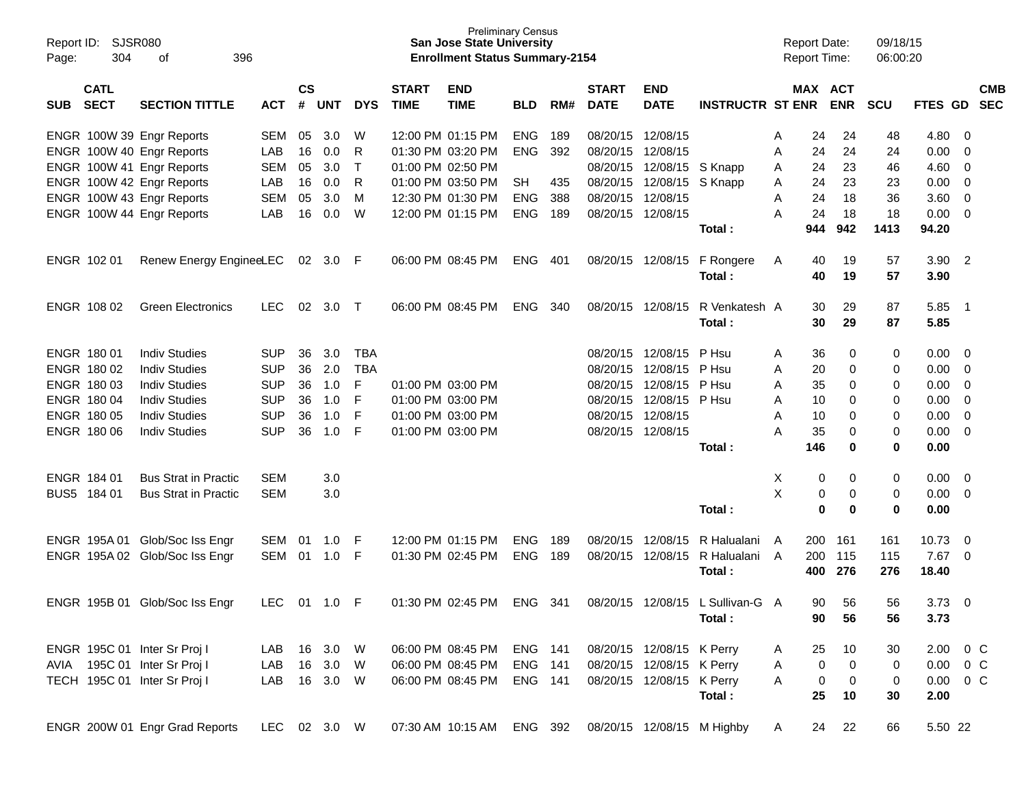| Report ID:<br>Page: | SJSR080<br>304             | 396<br>οf                      |              |                    |            |            |                             | <b>Preliminary Census</b><br><b>San Jose State University</b><br><b>Enrollment Status Summary-2154</b> |                |     |                             |                           |                            | <b>Report Date:</b><br><b>Report Time:</b> |                                 | 09/18/15<br>06:00:20 |               |                          |                          |
|---------------------|----------------------------|--------------------------------|--------------|--------------------|------------|------------|-----------------------------|--------------------------------------------------------------------------------------------------------|----------------|-----|-----------------------------|---------------------------|----------------------------|--------------------------------------------|---------------------------------|----------------------|---------------|--------------------------|--------------------------|
| <b>SUB</b>          | <b>CATL</b><br><b>SECT</b> | <b>SECTION TITTLE</b>          | <b>ACT</b>   | $\mathsf{cs}$<br># | <b>UNT</b> | <b>DYS</b> | <b>START</b><br><b>TIME</b> | <b>END</b><br><b>TIME</b>                                                                              | <b>BLD</b>     | RM# | <b>START</b><br><b>DATE</b> | <b>END</b><br><b>DATE</b> | <b>INSTRUCTR ST ENR</b>    |                                            | MAX ACT<br><b>ENR</b>           | <b>SCU</b>           | FTES GD       |                          | <b>CMB</b><br><b>SEC</b> |
|                     |                            | ENGR 100W 39 Engr Reports      | <b>SEM</b>   | 05                 | 3.0        | W          |                             | 12:00 PM 01:15 PM                                                                                      | <b>ENG</b>     | 189 | 08/20/15                    | 12/08/15                  |                            | 24<br>Α                                    | 24                              | 48                   | 4.80          | 0                        |                          |
|                     |                            | ENGR 100W 40 Engr Reports      | LAB          | 16                 | 0.0        | R          |                             | 01:30 PM 03:20 PM                                                                                      | <b>ENG</b>     | 392 | 08/20/15                    | 12/08/15                  |                            | 24<br>Α                                    | 24                              | 24                   | 0.00          | 0                        |                          |
|                     |                            | ENGR 100W 41 Engr Reports      | <b>SEM</b>   | 05                 | 3.0        | T          |                             | 01:00 PM 02:50 PM                                                                                      |                |     | 08/20/15                    |                           | 12/08/15 S Knapp           | 24<br>Α                                    | 23                              | 46                   | 4.60          | 0                        |                          |
|                     |                            | ENGR 100W 42 Engr Reports      | LAB          | 16                 | 0.0        | R          |                             | 01:00 PM 03:50 PM                                                                                      | <b>SH</b>      | 435 | 08/20/15                    |                           | 12/08/15 S Knapp           | 24<br>A                                    | 23                              | 23                   | 0.00          | 0                        |                          |
|                     |                            | ENGR 100W 43 Engr Reports      | <b>SEM</b>   | 05                 | 3.0        | M          |                             | 12:30 PM 01:30 PM                                                                                      | <b>ENG</b>     | 388 | 08/20/15                    | 12/08/15                  |                            | 24<br>Α                                    | 18                              | 36                   | 3.60          | 0                        |                          |
|                     |                            | ENGR 100W 44 Engr Reports      | LAB          | 16                 | 0.0        | W          |                             | 12:00 PM 01:15 PM                                                                                      | <b>ENG</b>     | 189 |                             | 08/20/15 12/08/15         |                            | 24<br>Α                                    | 18                              | 18                   | 0.00          | 0                        |                          |
|                     |                            |                                |              |                    |            |            |                             |                                                                                                        |                |     |                             |                           | Total:                     | 944                                        | 942                             | 1413                 | 94.20         |                          |                          |
|                     | ENGR 102 01                | Renew Energy EngineeLEC        |              | 02                 | 3.0        | -F         |                             | 06:00 PM 08:45 PM                                                                                      | <b>ENG</b>     | 401 |                             | 08/20/15 12/08/15         | F Rongere                  | 40<br>A                                    | 19                              | 57                   | 3.90          | $\overline{\phantom{0}}$ |                          |
|                     |                            |                                |              |                    |            |            |                             |                                                                                                        |                |     |                             |                           | Total:                     | 40                                         | 19                              | 57                   | 3.90          |                          |                          |
|                     | ENGR 108 02                | <b>Green Electronics</b>       | <b>LEC</b>   | 02                 | 3.0        | $\top$     |                             | 06:00 PM 08:45 PM                                                                                      | <b>ENG</b>     | 340 |                             | 08/20/15 12/08/15         | R Venkatesh A              | 30                                         | 29                              | 87                   | 5.85          | - 1                      |                          |
|                     |                            |                                |              |                    |            |            |                             |                                                                                                        |                |     |                             |                           | Total:                     | 30                                         | 29                              | 87                   | 5.85          |                          |                          |
|                     | ENGR 180 01                | <b>Indiv Studies</b>           | <b>SUP</b>   | 36                 | 3.0        | <b>TBA</b> |                             |                                                                                                        |                |     | 08/20/15                    | 12/08/15                  | P Hsu                      | 36<br>Α                                    | 0                               | 0                    | 0.00          | 0                        |                          |
|                     | ENGR 180 02                | <b>Indiv Studies</b>           | <b>SUP</b>   | 36                 | 2.0        | <b>TBA</b> |                             |                                                                                                        |                |     | 08/20/15                    | 12/08/15 P Hsu            |                            | 20<br>Α                                    | 0                               | 0                    | 0.00          | 0                        |                          |
|                     | ENGR 180 03                | <b>Indiv Studies</b>           | <b>SUP</b>   | 36                 | 1.0        | F          |                             | 01:00 PM 03:00 PM                                                                                      |                |     | 08/20/15                    | 12/08/15                  | P Hsu                      | 35<br>Α                                    | 0                               | 0                    | 0.00          | 0                        |                          |
|                     | ENGR 180 04                | <b>Indiv Studies</b>           | <b>SUP</b>   | 36                 | 1.0        | F          |                             | 01:00 PM 03:00 PM                                                                                      |                |     | 08/20/15                    | 12/08/15 P Hsu            |                            | 10<br>Α                                    | 0                               | 0                    | 0.00          | 0                        |                          |
|                     | ENGR 180 05                | <b>Indiv Studies</b>           | <b>SUP</b>   | 36                 | 1.0        | F          |                             | 01:00 PM 03:00 PM                                                                                      |                |     | 08/20/15                    | 12/08/15                  |                            | 10<br>Α                                    | 0                               | 0                    | 0.00          | 0                        |                          |
|                     | ENGR 180 06                | <b>Indiv Studies</b>           | <b>SUP</b>   | 36                 | 1.0        | F          |                             | 01:00 PM 03:00 PM                                                                                      |                |     |                             | 08/20/15 12/08/15         |                            | 35<br>Α                                    | 0                               | 0                    | 0.00          | 0                        |                          |
|                     |                            |                                |              |                    |            |            |                             |                                                                                                        |                |     |                             |                           | Total:                     | 146                                        | 0                               | 0                    | 0.00          |                          |                          |
|                     | ENGR 184 01                | <b>Bus Strat in Practic</b>    | <b>SEM</b>   |                    | 3.0        |            |                             |                                                                                                        |                |     |                             |                           |                            | х                                          | 0<br>0                          | 0                    | 0.00          | $\overline{\mathbf{0}}$  |                          |
|                     | BUS5 184 01                | <b>Bus Strat in Practic</b>    | <b>SEM</b>   |                    | 3.0        |            |                             |                                                                                                        |                |     |                             |                           |                            | X                                          | 0<br>0                          | 0                    | 0.00          | 0                        |                          |
|                     |                            |                                |              |                    |            |            |                             |                                                                                                        |                |     |                             |                           | Total:                     |                                            | $\mathbf 0$<br>0                | 0                    | 0.00          |                          |                          |
|                     |                            | ENGR 195A 01 Glob/Soc Iss Engr | SEM          | 01                 | 1.0        | F          |                             | 12:00 PM 01:15 PM                                                                                      | <b>ENG</b>     | 189 | 08/20/15                    | 12/08/15                  | R Halualani                | 200<br>A                                   | 161                             | 161                  | 10.73         | 0                        |                          |
|                     |                            | ENGR 195A 02 Glob/Soc Iss Engr | SEM          |                    | 01 1.0     | - F        |                             | 01:30 PM 02:45 PM                                                                                      | <b>ENG</b>     | 189 | 08/20/15                    | 12/08/15                  | R Halualani                | 200<br>A                                   | 115                             | 115                  | 7.67          | $\overline{\mathbf{0}}$  |                          |
|                     |                            |                                |              |                    |            |            |                             |                                                                                                        |                |     |                             |                           | Total:                     | 400                                        | 276                             | 276                  | 18.40         |                          |                          |
|                     | ENGR 195B 01               | Glob/Soc Iss Engr              | LEC          | 01                 | 1.0        | F          |                             | 01:30 PM 02:45 PM                                                                                      | <b>ENG</b>     | 341 |                             | 08/20/15 12/08/15         | L Sullivan-G A             |                                            | 90<br>56                        | 56                   | 3.73          | 0                        |                          |
|                     |                            |                                |              |                    |            |            |                             |                                                                                                        |                |     |                             |                           | Total:                     | 90                                         | 56                              | 56                   | 3.73          |                          |                          |
|                     |                            | ENGR 195C 01 Inter Sr Proj I   | LAB          | 16                 | 3.0 W      |            |                             | 06:00 PM 08:45 PM                                                                                      | <b>ENG 141</b> |     |                             | 08/20/15 12/08/15 K Perry |                            | 25<br>A                                    | 10                              | 30                   | 2.00          | $0\,$ C                  |                          |
|                     |                            | AVIA 195C 01 Inter Sr Proj I   | LAB          |                    | 16 3.0 W   |            |                             | 06:00 PM 08:45 PM                                                                                      | <b>ENG 141</b> |     |                             | 08/20/15 12/08/15 K Perry |                            | A                                          | $\mathbf 0$<br>0                | 0                    | $0.00 \t 0 C$ |                          |                          |
|                     |                            | TECH 195C 01 Inter Sr Proj I   | LAB          |                    | 16 3.0 W   |            |                             | 06:00 PM 08:45 PM                                                                                      | <b>ENG 141</b> |     |                             | 08/20/15 12/08/15 K Perry |                            | A                                          | $\boldsymbol{0}$<br>$\mathbf 0$ | 0                    | $0.00 \t 0 C$ |                          |                          |
|                     |                            |                                |              |                    |            |            |                             |                                                                                                        |                |     |                             |                           | Total:                     | 25                                         | 10                              | 30                   | 2.00          |                          |                          |
|                     |                            | ENGR 200W 01 Engr Grad Reports | LEC 02 3.0 W |                    |            |            |                             | 07:30 AM 10:15 AM ENG 392                                                                              |                |     |                             |                           | 08/20/15 12/08/15 M Highby | A                                          | 24<br>22                        | 66                   | 5.50 22       |                          |                          |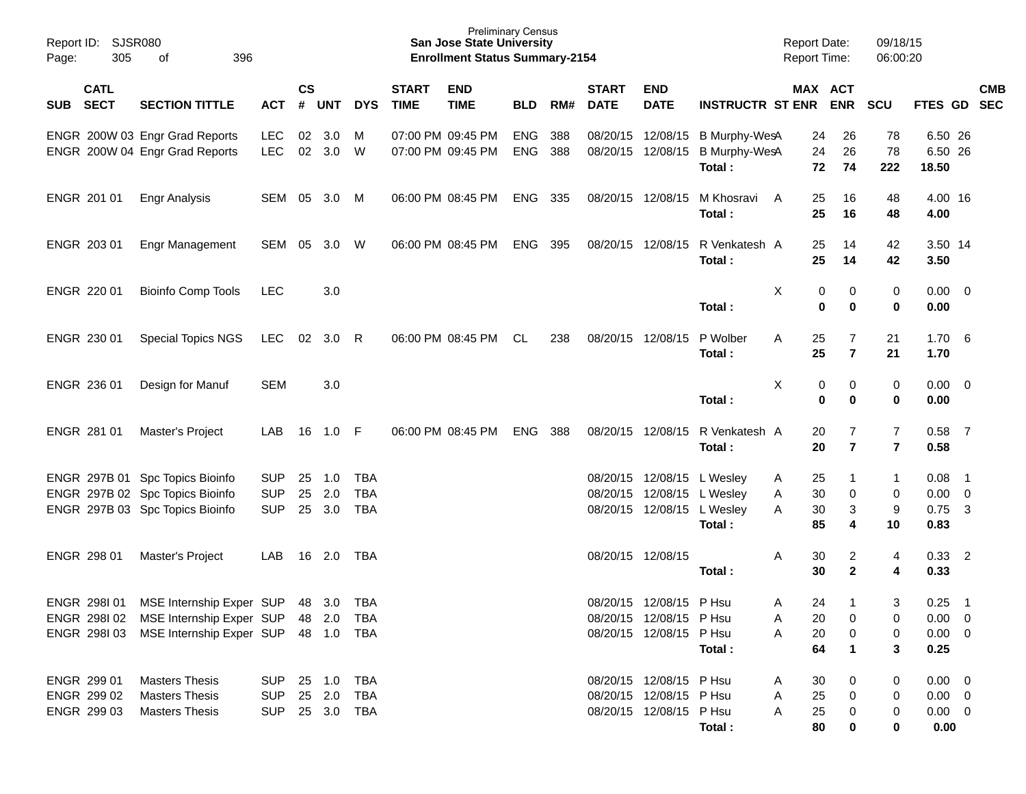| Report ID:<br>305<br>Page:               | SJSR080<br>396<br>оf                                             |                          |               |               |            |                             | <b>Preliminary Census</b><br><b>San Jose State University</b><br><b>Enrollment Status Summary-2154</b> |                   |            |                             |                           |                                          | <b>Report Date:</b><br>Report Time: |                                          | 09/18/15<br>06:00:20             |                             |                          |            |
|------------------------------------------|------------------------------------------------------------------|--------------------------|---------------|---------------|------------|-----------------------------|--------------------------------------------------------------------------------------------------------|-------------------|------------|-----------------------------|---------------------------|------------------------------------------|-------------------------------------|------------------------------------------|----------------------------------|-----------------------------|--------------------------|------------|
| <b>CATL</b><br><b>SECT</b><br><b>SUB</b> | <b>SECTION TITTLE</b>                                            | <b>ACT</b>               | $\mathsf{cs}$ | # UNT         | <b>DYS</b> | <b>START</b><br><b>TIME</b> | <b>END</b><br><b>TIME</b>                                                                              | <b>BLD</b>        | RM#        | <b>START</b><br><b>DATE</b> | <b>END</b><br><b>DATE</b> | <b>INSTRUCTR ST ENR ENR</b>              |                                     | MAX ACT                                  | <b>SCU</b>                       | FTES GD SEC                 |                          | <b>CMB</b> |
|                                          | ENGR 200W 03 Engr Grad Reports<br>ENGR 200W 04 Engr Grad Reports | <b>LEC</b><br><b>LEC</b> | 02            | 3.0<br>02 3.0 | M<br>W     |                             | 07:00 PM 09:45 PM<br>07:00 PM 09:45 PM                                                                 | ENG<br><b>ENG</b> | 388<br>388 | 08/20/15 12/08/15           | 08/20/15 12/08/15         | B Murphy-WesA<br>B Murphy-WesA<br>Total: |                                     | 24<br>26<br>24<br>26<br>72<br>74         | 78<br>78<br>222                  | 6.50 26<br>6.50 26<br>18.50 |                          |            |
| ENGR 201 01                              | <b>Engr Analysis</b>                                             | SEM                      | 05            | 3.0           | M          |                             | 06:00 PM 08:45 PM                                                                                      | ENG 335           |            |                             | 08/20/15 12/08/15         | M Khosravi<br>Total:                     | A                                   | 25<br>16<br>25<br>16                     | 48<br>48                         | 4.00 16<br>4.00             |                          |            |
| ENGR 203 01                              | Engr Management                                                  | SEM                      | 05            | 3.0           | W          |                             | 06:00 PM 08:45 PM                                                                                      | ENG               | 395        |                             | 08/20/15 12/08/15         | R Venkatesh A<br>Total:                  |                                     | 25<br>14<br>25<br>14                     | 42<br>42                         | 3.50 14<br>3.50             |                          |            |
| ENGR 220 01                              | <b>Bioinfo Comp Tools</b>                                        | <b>LEC</b>               |               | 3.0           |            |                             |                                                                                                        |                   |            |                             |                           | Total:                                   | Χ                                   | 0<br>0<br>0<br>0                         | 0<br>$\bf{0}$                    | $0.00 \t 0$<br>0.00         |                          |            |
| ENGR 230 01                              | <b>Special Topics NGS</b>                                        | LEC                      | 02            | 3.0           | - R        |                             | 06:00 PM 08:45 PM                                                                                      | CL                | 238        |                             | 08/20/15 12/08/15         | P Wolber<br>Total:                       | Α                                   | 7<br>25<br>25<br>$\overline{\mathbf{r}}$ | 21<br>21                         | 1.706<br>1.70               |                          |            |
| ENGR 236 01                              | Design for Manuf                                                 | <b>SEM</b>               |               | 3.0           |            |                             |                                                                                                        |                   |            |                             |                           | Total:                                   | х                                   | 0<br>0<br>$\bf{0}$<br>$\bf{0}$           | 0<br>$\bf{0}$                    | $0.00 \t 0$<br>0.00         |                          |            |
| ENGR 281 01                              | Master's Project                                                 | LAB                      | 16            | 1.0           | - F        |                             | 06:00 PM 08:45 PM                                                                                      | <b>ENG</b>        | 388        |                             | 08/20/15 12/08/15         | R Venkatesh A<br>Total:                  |                                     | 7<br>20<br>$\overline{\mathbf{r}}$<br>20 | $\overline{7}$<br>$\overline{7}$ | 0.58<br>0.58                | $\overline{7}$           |            |
|                                          | ENGR 297B 01 Spc Topics Bioinfo                                  | <b>SUP</b>               | 25            | 1.0           | <b>TBA</b> |                             |                                                                                                        |                   |            |                             | 08/20/15 12/08/15         | L Wesley                                 | Α                                   | 25                                       | $\mathbf 1$                      | 0.08                        | - 1                      |            |
|                                          | ENGR 297B 02 Spc Topics Bioinfo                                  | <b>SUP</b>               | 25            | 2.0           | <b>TBA</b> |                             |                                                                                                        |                   |            | 08/20/15                    | 12/08/15                  | L Wesley                                 | Α                                   | 30<br>0                                  | 0                                | $0.00 \t 0$                 |                          |            |
|                                          | ENGR 297B 03 Spc Topics Bioinfo                                  | <b>SUP</b>               | 25            | 3.0           | <b>TBA</b> |                             |                                                                                                        |                   |            |                             | 08/20/15 12/08/15         | L Wesley<br>Total:                       | Α                                   | 3<br>30<br>85<br>4                       | 9<br>10                          | $0.75$ 3<br>0.83            |                          |            |
| ENGR 298 01                              | Master's Project                                                 | LAB                      | 16            | 2.0           | TBA        |                             |                                                                                                        |                   |            |                             | 08/20/15 12/08/15         | Total:                                   | Α                                   | 2<br>30<br>30<br>$\overline{2}$          | 4<br>4                           | 0.33<br>0.33                | $\overline{\phantom{0}}$ |            |
| ENGR 298101                              | MSE Internship Exper SUP                                         |                          |               | 48 3.0        | TBA        |                             |                                                                                                        |                   |            |                             | 08/20/15 12/08/15 P Hsu   |                                          | Α                                   | 24<br>-1                                 | 3                                | 0.25                        | - 1                      |            |
|                                          | ENGR 298I 02 MSE Internship Exper SUP                            |                          |               | 48 2.0        | TBA        |                             |                                                                                                        |                   |            |                             | 08/20/15 12/08/15 P Hsu   |                                          | Α                                   | 20<br>0                                  | 0                                | $0.00 \t 0$                 |                          |            |
| ENGR 298103                              | MSE Internship Exper SUP 48 1.0                                  |                          |               |               | TBA        |                             |                                                                                                        |                   |            |                             | 08/20/15 12/08/15 P Hsu   | Total:                                   | Α                                   | 20<br>0<br>64<br>$\mathbf 1$             | 0<br>3                           | $0.00 \t 0$<br>0.25         |                          |            |
| ENGR 299 01                              | <b>Masters Thesis</b>                                            | <b>SUP</b>               |               | 25 1.0        | <b>TBA</b> |                             |                                                                                                        |                   |            |                             | 08/20/15 12/08/15 P Hsu   |                                          | A                                   | 30<br>0                                  | 0                                | $0.00 \t 0$                 |                          |            |
| ENGR 299 02                              | <b>Masters Thesis</b>                                            | <b>SUP</b>               |               | 25 2.0        | <b>TBA</b> |                             |                                                                                                        |                   |            |                             | 08/20/15 12/08/15 P Hsu   |                                          | Α                                   | 25<br>0                                  | 0                                | $0.00 \t 0$                 |                          |            |
| ENGR 299 03                              | <b>Masters Thesis</b>                                            | <b>SUP</b>               |               | 25 3.0 TBA    |            |                             |                                                                                                        |                   |            |                             | 08/20/15 12/08/15 P Hsu   | Total:                                   | A                                   | 25<br>0<br>80<br>0                       | 0<br>0                           | $0.00 \t 0$<br>0.00         |                          |            |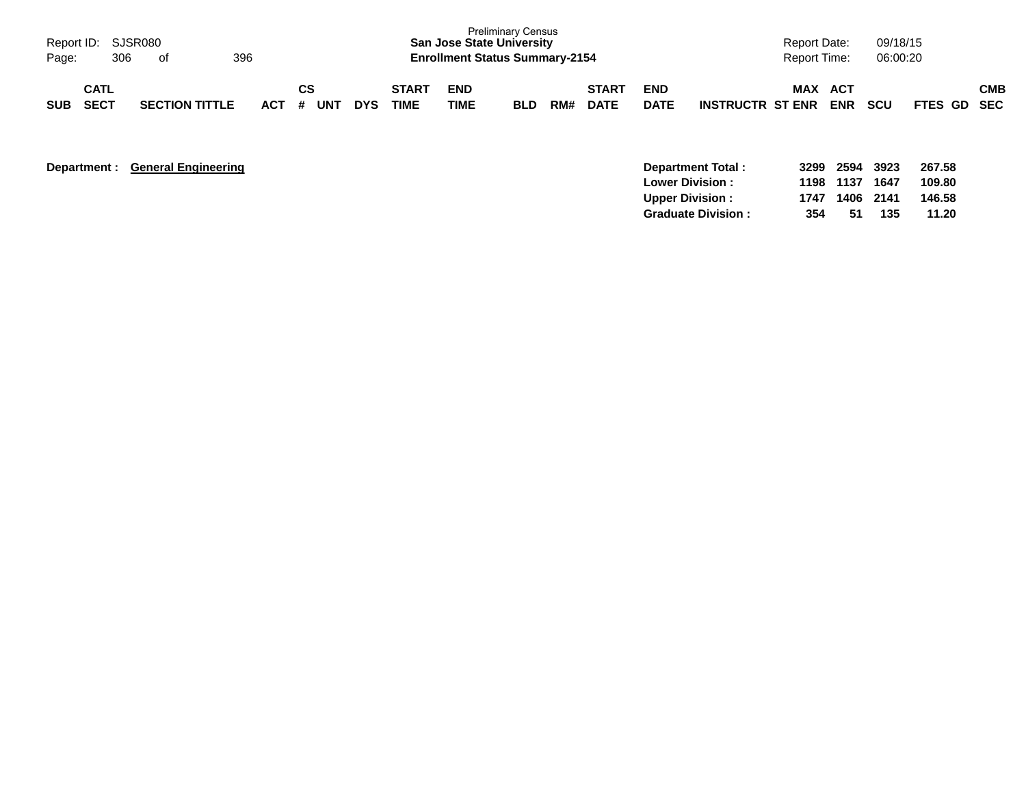| Page:      | Report ID: SJSR080<br>306  | of                    | 396     |    |     |            |                             | <b>San Jose State University</b><br><b>Enrollment Status Summary-2154</b> | <b>Preliminary Census</b> |     |                             |                           |                         |     | Report Date:<br>Report Time: | 09/18/15<br>06:00:20 |             |            |
|------------|----------------------------|-----------------------|---------|----|-----|------------|-----------------------------|---------------------------------------------------------------------------|---------------------------|-----|-----------------------------|---------------------------|-------------------------|-----|------------------------------|----------------------|-------------|------------|
| <b>SUB</b> | <b>CATL</b><br><b>SECT</b> | <b>SECTION TITTLE</b> | $ACT$ # | CS | UNT | <b>DYS</b> | <b>START</b><br><b>TIME</b> | <b>END</b><br><b>TIME</b>                                                 | <b>BLD</b>                | RM# | <b>START</b><br><b>DATE</b> | <b>END</b><br><b>DATE</b> | <b>INSTRUCTR ST ENR</b> | MAX | ACT<br><b>ENR</b>            | <b>SCU</b>           | FTES GD SEC | <b>CMB</b> |

| Department: General Engineering | Department Total:         | 3299 | 2594 | 3923 | 267.58 |
|---------------------------------|---------------------------|------|------|------|--------|
|                                 | <b>Lower Division:</b>    | 1198 | 1137 | 1647 | 109.80 |
|                                 | <b>Upper Division:</b>    | 1747 | 1406 | 2141 | 146.58 |
|                                 | <b>Graduate Division:</b> | 354  | -51  | 135  | 11.20  |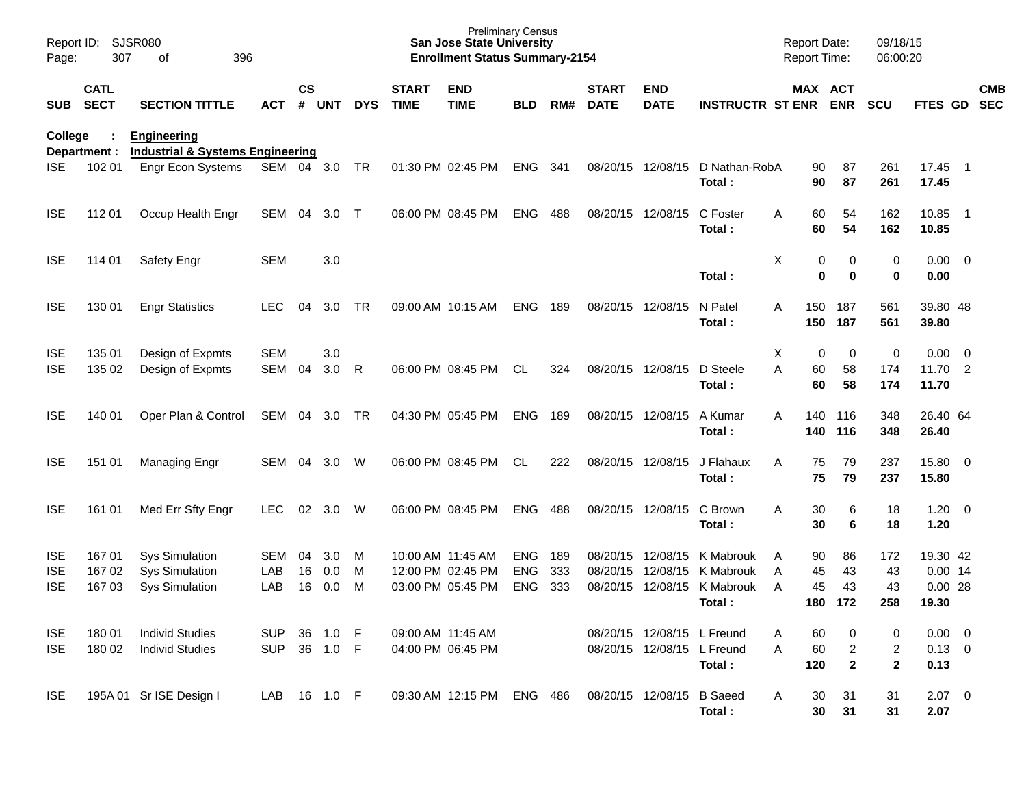| Report ID:<br>Page:                    | 307                        | <b>SJSR080</b><br>396<br>οf                                             |                          |                    |                   |              |                                        | <b>Preliminary Census</b><br><b>San Jose State University</b><br><b>Enrollment Status Summary-2154</b> |                                        |                   |                               |                                                          |                                               | <b>Report Date:</b><br>Report Time:  |                        | 09/18/15<br>06:00:20    |                                             |            |
|----------------------------------------|----------------------------|-------------------------------------------------------------------------|--------------------------|--------------------|-------------------|--------------|----------------------------------------|--------------------------------------------------------------------------------------------------------|----------------------------------------|-------------------|-------------------------------|----------------------------------------------------------|-----------------------------------------------|--------------------------------------|------------------------|-------------------------|---------------------------------------------|------------|
| <b>SUB</b>                             | <b>CATL</b><br><b>SECT</b> | <b>SECTION TITTLE</b>                                                   | <b>ACT</b>               | $\mathsf{cs}$<br># | UNT               | <b>DYS</b>   | <b>START</b><br><b>TIME</b>            | <b>END</b><br><b>TIME</b>                                                                              | <b>BLD</b>                             | RM#               | <b>START</b><br><b>DATE</b>   | <b>END</b><br><b>DATE</b>                                | <b>INSTRUCTR ST ENR ENR</b>                   | MAX ACT                              |                        | <b>SCU</b>              | FTES GD SEC                                 | <b>CMB</b> |
| College                                | Department :               | <b>Engineering</b><br><b>Industrial &amp; Systems Engineering</b>       |                          |                    |                   |              |                                        |                                                                                                        |                                        |                   |                               |                                                          |                                               |                                      |                        |                         |                                             |            |
| <b>ISE</b>                             | 102 01                     | Engr Econ Systems                                                       | SEM 04 3.0               |                    |                   | TR           |                                        | 01:30 PM 02:45 PM                                                                                      | <b>ENG</b>                             | 341               | 08/20/15 12/08/15             |                                                          | D Nathan-RobA<br>Total:                       | 90<br>90                             | 87<br>87               | 261<br>261              | 17.45 1<br>17.45                            |            |
| <b>ISE</b>                             | 112 01                     | Occup Health Engr                                                       | SEM 04                   |                    | 3.0               | $\top$       |                                        | 06:00 PM 08:45 PM                                                                                      | <b>ENG</b>                             | 488               | 08/20/15 12/08/15             |                                                          | C Foster<br>Total:                            | 60<br>Α<br>60                        | 54<br>54               | 162<br>162              | 10.85 1<br>10.85                            |            |
| <b>ISE</b>                             | 114 01                     | Safety Engr                                                             | <b>SEM</b>               |                    | 3.0               |              |                                        |                                                                                                        |                                        |                   |                               |                                                          | Total:                                        | Χ<br>0<br>0                          | 0<br>$\mathbf 0$       | 0<br>$\bf{0}$           | $0.00 \t 0$<br>0.00                         |            |
| <b>ISE</b>                             | 130 01                     | <b>Engr Statistics</b>                                                  | <b>LEC</b>               | 04                 | 3.0               | TR           |                                        | 09:00 AM 10:15 AM                                                                                      | <b>ENG</b>                             | 189               | 08/20/15 12/08/15             |                                                          | N Patel<br>Total:                             | 150<br>A<br>150                      | 187<br>187             | 561<br>561              | 39.80 48<br>39.80                           |            |
| <b>ISE</b><br><b>ISE</b>               | 135 01<br>135 02           | Design of Expmts<br>Design of Expmts                                    | <b>SEM</b><br><b>SEM</b> | 04                 | 3.0<br>3.0        | R            |                                        | 06:00 PM 08:45 PM                                                                                      | CL                                     | 324               | 08/20/15 12/08/15             |                                                          | D Steele<br>Total:                            | х<br>0<br>A<br>60<br>60              | 0<br>58<br>58          | $\pmb{0}$<br>174<br>174 | $0.00 \t 0$<br>11.70 2<br>11.70             |            |
| <b>ISE</b>                             | 140 01                     | Oper Plan & Control                                                     | SEM 04                   |                    | 3.0               | <b>TR</b>    |                                        | 04:30 PM 05:45 PM                                                                                      | <b>ENG</b>                             | 189               | 08/20/15 12/08/15             |                                                          | A Kumar<br>Total:                             | A<br>140<br>140                      | 116<br>116             | 348<br>348              | 26.40 64<br>26.40                           |            |
| <b>ISE</b>                             | 151 01                     | <b>Managing Engr</b>                                                    | <b>SEM</b>               | -04                | 3.0               | W            |                                        | 06:00 PM 08:45 PM                                                                                      | <b>CL</b>                              | 222               | 08/20/15 12/08/15             |                                                          | J Flahaux<br>Total:                           | A<br>75<br>75                        | 79<br>79               | 237<br>237              | 15.80 0<br>15.80                            |            |
| <b>ISE</b>                             | 161 01                     | Med Err Sfty Engr                                                       | <b>LEC</b>               | 02                 | 3.0               | W            |                                        | 06:00 PM 08:45 PM                                                                                      | <b>ENG</b>                             | 488               |                               | 08/20/15 12/08/15                                        | C Brown<br>Total:                             | Α<br>30<br>30                        | 6<br>6                 | 18<br>18                | $1.20 \t 0$<br>1.20                         |            |
| <b>ISE</b><br><b>ISE</b><br><b>ISE</b> | 167 01<br>167 02<br>167 03 | <b>Sys Simulation</b><br><b>Sys Simulation</b><br><b>Sys Simulation</b> | <b>SEM</b><br>LAB<br>LAB | 04<br>16<br>16     | 3.0<br>0.0<br>0.0 | M<br>M<br>M  | 10:00 AM 11:45 AM                      | 12:00 PM 02:45 PM<br>03:00 PM 05:45 PM                                                                 | <b>ENG</b><br><b>ENG</b><br><b>ENG</b> | 189<br>333<br>333 | 08/20/15 12/08/15<br>08/20/15 | 12/08/15<br>08/20/15 12/08/15                            | K Mabrouk<br>K Mabrouk<br>K Mabrouk<br>Total: | 90<br>A<br>45<br>A<br>45<br>A<br>180 | 86<br>43<br>43<br>172  | 172<br>43<br>43<br>258  | 19.30 42<br>$0.00$ 14<br>$0.00$ 28<br>19.30 |            |
| <b>ISE</b><br><b>ISE</b>               | 180 01<br>180 02           | <b>Individ Studies</b><br><b>Individ Studies</b>                        | <b>SUP</b><br><b>SUP</b> | 36                 | 1.0<br>36 1.0 F   | $\mathsf{F}$ | 09:00 AM 11:45 AM<br>04:00 PM 06:45 PM |                                                                                                        |                                        |                   |                               | 08/20/15 12/08/15 L Freund<br>08/20/15 12/08/15 L Freund | Total:                                        | 60<br>A<br>60<br>Α<br>120            | 0<br>2<br>$\mathbf{2}$ | 0<br>2<br>$\mathbf{2}$  | $0.00 \t 0$<br>$0.13 \ 0$<br>0.13           |            |
| <b>ISE</b>                             |                            | 195A 01 Sr ISE Design I                                                 | LAB                      |                    | 16 1.0 F          |              |                                        | 09:30 AM 12:15 PM                                                                                      | ENG 486                                |                   | 08/20/15 12/08/15             |                                                          | <b>B</b> Saeed<br>Total:                      | Α<br>30<br>30                        | 31<br>31               | 31<br>31                | $2.07$ 0<br>2.07                            |            |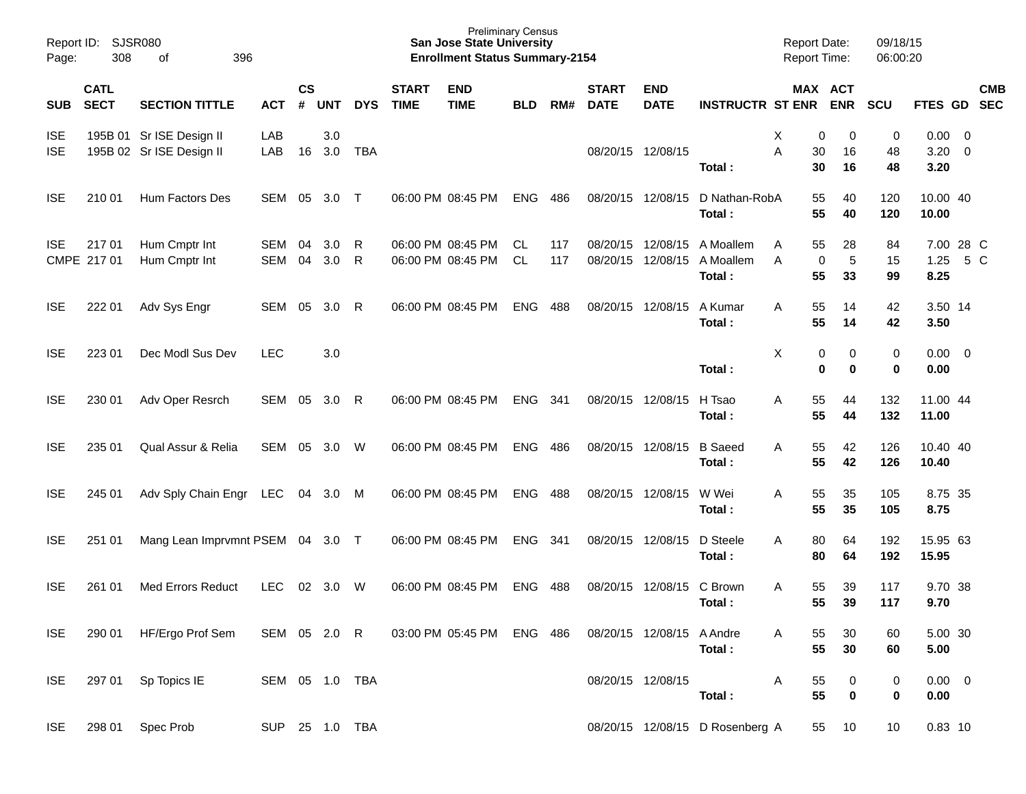| Report ID:<br>Page:      | 308                        | <b>SJSR080</b><br>396<br>οf                          |                |                    |            |            |                             | <b>Preliminary Census</b><br><b>San Jose State University</b><br><b>Enrollment Status Summary-2154</b> |            |            |                             |                                        |                                  | <b>Report Date:</b><br><b>Report Time:</b> |                  | 09/18/15<br>06:00:20 |                            |                          |            |
|--------------------------|----------------------------|------------------------------------------------------|----------------|--------------------|------------|------------|-----------------------------|--------------------------------------------------------------------------------------------------------|------------|------------|-----------------------------|----------------------------------------|----------------------------------|--------------------------------------------|------------------|----------------------|----------------------------|--------------------------|------------|
| <b>SUB</b>               | <b>CATL</b><br><b>SECT</b> | <b>SECTION TITTLE</b>                                | <b>ACT</b>     | $\mathsf{cs}$<br># | <b>UNT</b> | <b>DYS</b> | <b>START</b><br><b>TIME</b> | <b>END</b><br><b>TIME</b>                                                                              | <b>BLD</b> | RM#        | <b>START</b><br><b>DATE</b> | <b>END</b><br><b>DATE</b>              | <b>INSTRUCTR ST ENR ENR</b>      | MAX ACT                                    |                  | <b>SCU</b>           | FTES GD SEC                |                          | <b>CMB</b> |
| <b>ISE</b><br><b>ISE</b> |                            | 195B 01 Sr ISE Design II<br>195B 02 Sr ISE Design II | LAB<br>LAB     | 16                 | 3.0<br>3.0 | <b>TBA</b> |                             |                                                                                                        |            |            | 08/20/15 12/08/15           |                                        | Total:                           | Χ<br>0<br>A<br>30<br>30                    | 0<br>16<br>16    | 0<br>48<br>48        | 0.00<br>$3.20 \ 0$<br>3.20 | $\overline{\phantom{0}}$ |            |
| <b>ISE</b>               | 210 01                     | Hum Factors Des                                      | SEM            | 05                 | 3.0        | $\top$     |                             | 06:00 PM 08:45 PM                                                                                      | <b>ENG</b> | 486        | 08/20/15 12/08/15           |                                        | D Nathan-RobA<br>Total:          | 55<br>55                                   | 40<br>40         | 120<br>120           | 10.00 40<br>10.00          |                          |            |
| ISE.                     | 21701<br>CMPE 217 01       | Hum Cmptr Int<br>Hum Cmptr Int                       | SEM<br>SEM     | 04<br>04           | 3.0<br>3.0 | R<br>R     |                             | 06:00 PM 08:45 PM<br>06:00 PM 08:45 PM                                                                 | CL.<br>CL  | 117<br>117 |                             | 08/20/15 12/08/15<br>08/20/15 12/08/15 | A Moallem<br>A Moallem<br>Total: | 55<br>Α<br>$\mathbf 0$<br>A<br>55          | 28<br>5<br>33    | 84<br>15<br>99       | 7.00 28 C<br>1.25<br>8.25  |                          | 5 C        |
| <b>ISE</b>               | 222 01                     | Adv Sys Engr                                         | SEM            | 05                 | 3.0        | R          |                             | 06:00 PM 08:45 PM                                                                                      | <b>ENG</b> | 488        |                             | 08/20/15 12/08/15                      | A Kumar<br>Total:                | A<br>55<br>55                              | 14<br>14         | 42<br>42             | 3.50 14<br>3.50            |                          |            |
| <b>ISE</b>               | 223 01                     | Dec Modl Sus Dev                                     | <b>LEC</b>     |                    | 3.0        |            |                             |                                                                                                        |            |            |                             |                                        | Total:                           | X<br>0<br>0                                | 0<br>$\mathbf 0$ | 0<br>$\bf{0}$        | $0.00 \t 0$<br>0.00        |                          |            |
| <b>ISE</b>               | 230 01                     | Adv Oper Resrch                                      | SEM            | 05                 | 3.0        | R          |                             | 06:00 PM 08:45 PM                                                                                      | <b>ENG</b> | 341        | 08/20/15 12/08/15           |                                        | H Tsao<br>Total:                 | 55<br>Α<br>55                              | 44<br>44         | 132<br>132           | 11.00 44<br>11.00          |                          |            |
| <b>ISE</b>               | 235 01                     | Qual Assur & Relia                                   | SEM            | 05                 | 3.0        | W          |                             | 06:00 PM 08:45 PM                                                                                      | <b>ENG</b> | 486        | 08/20/15 12/08/15           |                                        | <b>B</b> Saeed<br>Total:         | 55<br>A<br>55                              | 42<br>42         | 126<br>126           | 10.40 40<br>10.40          |                          |            |
| <b>ISE</b>               | 245 01                     | Adv Sply Chain Engr                                  | LEC            | 04                 | 3.0        | M          |                             | 06:00 PM 08:45 PM                                                                                      | <b>ENG</b> | 488        |                             | 08/20/15 12/08/15                      | W Wei<br>Total:                  | 55<br>Α<br>55                              | 35<br>35         | 105<br>105           | 8.75 35<br>8.75            |                          |            |
| <b>ISE</b>               | 251 01                     | Mang Lean Imprvmnt PSEM 04 3.0 T                     |                |                    |            |            |                             | 06:00 PM 08:45 PM                                                                                      | <b>ENG</b> | 341        | 08/20/15 12/08/15           |                                        | D Steele<br>Total:               | A<br>80<br>80                              | 64<br>64         | 192<br>192           | 15.95 63<br>15.95          |                          |            |
| <b>ISE</b>               | 261 01                     | <b>Med Errors Reduct</b>                             | <b>LEC</b>     | 02                 | 3.0        | W          |                             | 06:00 PM 08:45 PM                                                                                      | <b>ENG</b> | 488        |                             | 08/20/15 12/08/15                      | C Brown<br>Total:                | 55<br>A<br>55                              | 39<br>39         | 117<br>117           | 9.70 38<br>9.70            |                          |            |
| <b>ISE</b>               |                            | 290 01 HF/Ergo Prof Sem                              | SEM 05 2.0 R   |                    |            |            |                             | 03:00 PM 05:45 PM ENG 486                                                                              |            |            |                             | 08/20/15 12/08/15 A Andre              | Total:                           | 55<br>A<br>55                              | 30<br>30         | 60<br>60             | 5.00 30<br>5.00            |                          |            |
| <b>ISE</b>               | 297 01                     | Sp Topics IE                                         | SEM 05 1.0 TBA |                    |            |            |                             |                                                                                                        |            |            |                             | 08/20/15 12/08/15                      | Total:                           | 55<br>A<br>55                              | 0<br>$\mathbf 0$ | 0<br>$\bf{0}$        | $0.00 \t 0$<br>0.00        |                          |            |
| <b>ISE</b>               | 298 01                     | Spec Prob                                            | SUP 25 1.0 TBA |                    |            |            |                             |                                                                                                        |            |            |                             |                                        | 08/20/15 12/08/15 D Rosenberg A  | 55                                         | 10               | 10                   | $0.83$ 10                  |                          |            |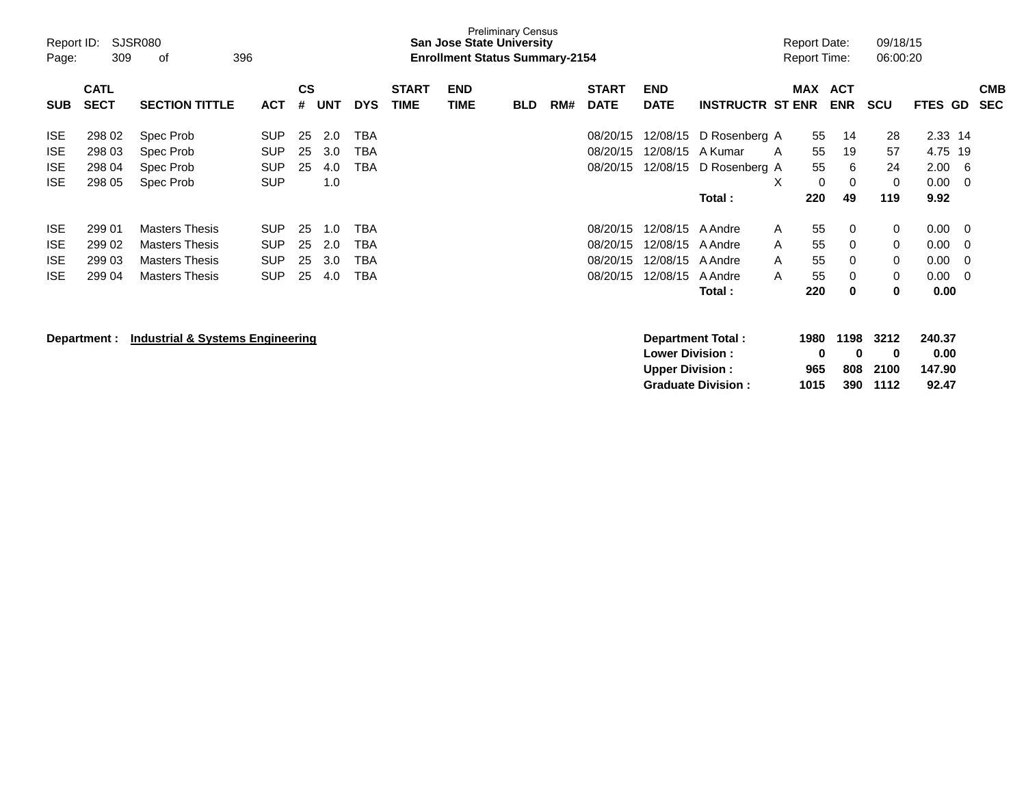| Report ID:<br>Page: | 309                        | SJSR080<br>396<br>оf                        |            |                    |            |            |                             | <b>San Jose State University</b><br><b>Enrollment Status Summary-2154</b> | <b>Preliminary Census</b> |     |                             |                           |                           |            | Report Date:<br><b>Report Time:</b> | 09/18/15<br>06:00:20 |             |                          |
|---------------------|----------------------------|---------------------------------------------|------------|--------------------|------------|------------|-----------------------------|---------------------------------------------------------------------------|---------------------------|-----|-----------------------------|---------------------------|---------------------------|------------|-------------------------------------|----------------------|-------------|--------------------------|
| <b>SUB</b>          | <b>CATL</b><br><b>SECT</b> | <b>SECTION TITTLE</b>                       | <b>ACT</b> | $\mathsf{cs}$<br># | <b>UNT</b> | <b>DYS</b> | <b>START</b><br><b>TIME</b> | <b>END</b><br><b>TIME</b>                                                 | <b>BLD</b>                | RM# | <b>START</b><br><b>DATE</b> | <b>END</b><br><b>DATE</b> | <b>INSTRUCTR ST ENR</b>   | <b>MAX</b> | <b>ACT</b><br><b>ENR</b>            | <b>SCU</b>           | FTES GD     | <b>CMB</b><br><b>SEC</b> |
| <b>ISE</b>          | 298 02                     | Spec Prob                                   | <b>SUP</b> | 25                 | 2.0        | TBA        |                             |                                                                           |                           |     | 08/20/15                    | 12/08/15                  | D Rosenberg A             |            | 55<br>14                            | 28                   | 2.33 14     |                          |
| <b>ISE</b>          | 298 03                     | Spec Prob                                   | <b>SUP</b> | 25                 | 3.0        | <b>TBA</b> |                             |                                                                           |                           |     | 08/20/15                    | 12/08/15                  | A Kumar                   | A          | 55<br>19                            | 57                   | 4.75<br>19  |                          |
| <b>ISE</b>          | 298 04                     | Spec Prob                                   | <b>SUP</b> | 25                 | 4.0        | <b>TBA</b> |                             |                                                                           |                           |     | 08/20/15                    | 12/08/15                  | D Rosenberg A             |            | 55<br>6                             | 24                   | 2.00        | -6                       |
| <b>ISE</b>          | 298 05                     | Spec Prob                                   | <b>SUP</b> |                    | 1.0        |            |                             |                                                                           |                           |     |                             |                           |                           | X          | $\mathbf 0$<br>0                    | 0                    | 0.00        | 0                        |
|                     |                            |                                             |            |                    |            |            |                             |                                                                           |                           |     |                             |                           | Total :                   | 220        | 49                                  | 119                  | 9.92        |                          |
| <b>ISE</b>          | 299 01                     | <b>Masters Thesis</b>                       | <b>SUP</b> | 25                 | 1.0        | TBA        |                             |                                                                           |                           |     | 08/20/15                    | 12/08/15                  | A Andre                   | A          | 55<br>0                             | 0                    | 0.00<br>- 0 |                          |
| <b>ISE</b>          | 299 02                     | <b>Masters Thesis</b>                       | <b>SUP</b> | 25                 | 2.0        | <b>TBA</b> |                             |                                                                           |                           |     | 08/20/15                    | 12/08/15                  | A Andre                   | A          | 55<br>0                             | $\mathbf 0$          | 0.00<br>-0  |                          |
| <b>ISE</b>          | 299 03                     | <b>Masters Thesis</b>                       | <b>SUP</b> | 25                 | 3.0        | <b>TBA</b> |                             |                                                                           |                           |     | 08/20/15                    | 12/08/15                  | A Andre                   | A          | 0<br>55                             | 0                    | 0.00        | 0                        |
| <b>ISE</b>          | 299 04                     | <b>Masters Thesis</b>                       | <b>SUP</b> | 25                 | 4.0        | TBA        |                             |                                                                           |                           |     | 08/20/15                    | 12/08/15                  | A Andre                   | A          | 55<br>0                             | 0                    | 0.00<br>- 0 |                          |
|                     |                            |                                             |            |                    |            |            |                             |                                                                           |                           |     |                             |                           | Total:                    |            | 220<br>$\bf{0}$                     | 0                    | 0.00        |                          |
|                     | Department :               | <b>Industrial &amp; Systems Engineering</b> |            |                    |            |            |                             |                                                                           |                           |     |                             |                           | <b>Department Total:</b>  | 1980       | 1198                                | 3212                 | 240.37      |                          |
|                     |                            |                                             |            |                    |            |            |                             |                                                                           |                           |     |                             | <b>Lower Division:</b>    |                           |            | 0                                   | 0<br>0               | 0.00        |                          |
|                     |                            |                                             |            |                    |            |            |                             |                                                                           |                           |     |                             | <b>Upper Division:</b>    |                           | 965        | 808                                 | 2100                 | 147.90      |                          |
|                     |                            |                                             |            |                    |            |            |                             |                                                                           |                           |     |                             |                           | <b>Graduate Division:</b> | 1015       | 390                                 | 1112                 | 92.47       |                          |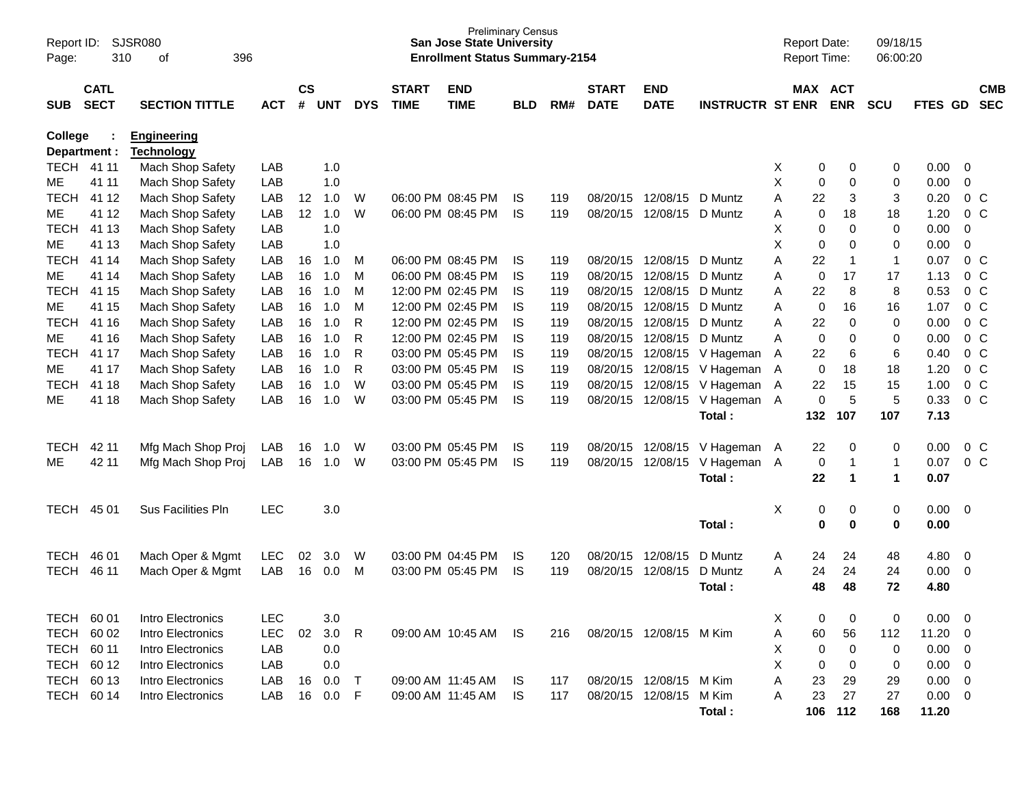| Report ID:<br>Page: | 310          | SJSR080<br>396<br>of  |            |               |            |            |              | <b>Preliminary Census</b><br><b>San Jose State University</b><br><b>Enrollment Status Summary-2154</b> |            |     |              |                         |                         |        | <b>Report Date:</b><br>Report Time: |                  | 09/18/15<br>06:00:20 |              |                          |            |
|---------------------|--------------|-----------------------|------------|---------------|------------|------------|--------------|--------------------------------------------------------------------------------------------------------|------------|-----|--------------|-------------------------|-------------------------|--------|-------------------------------------|------------------|----------------------|--------------|--------------------------|------------|
|                     | <b>CATL</b>  |                       |            | $\mathsf{cs}$ |            |            | <b>START</b> | <b>END</b>                                                                                             |            |     | <b>START</b> | <b>END</b>              |                         |        | MAX ACT                             |                  |                      |              |                          | <b>CMB</b> |
| <b>SUB</b>          | <b>SECT</b>  | <b>SECTION TITTLE</b> | <b>ACT</b> | #             | <b>UNT</b> | <b>DYS</b> | <b>TIME</b>  | <b>TIME</b>                                                                                            | <b>BLD</b> | RM# | <b>DATE</b>  | <b>DATE</b>             | <b>INSTRUCTR ST ENR</b> |        |                                     | <b>ENR</b>       | <b>SCU</b>           | FTES GD      |                          | <b>SEC</b> |
| College             |              | <b>Engineering</b>    |            |               |            |            |              |                                                                                                        |            |     |              |                         |                         |        |                                     |                  |                      |              |                          |            |
|                     | Department : | <u>Technology</u>     |            |               |            |            |              |                                                                                                        |            |     |              |                         |                         |        |                                     |                  |                      |              |                          |            |
|                     | TECH 41 11   | Mach Shop Safety      | LAB        |               | 1.0        |            |              |                                                                                                        |            |     |              |                         |                         | Х      | 0                                   | 0                | 0                    | 0.00         | $\overline{0}$           |            |
| ME                  | 41 11        | Mach Shop Safety      | LAB        |               | 1.0        |            |              |                                                                                                        |            |     |              |                         |                         | Χ      | 0                                   | $\mathbf 0$      | 0                    | 0.00         | $\mathbf 0$              |            |
| <b>TECH</b>         | 41 12        | Mach Shop Safety      | LAB        | 12            | 1.0        | W          |              | 06:00 PM 08:45 PM                                                                                      | IS         | 119 | 08/20/15     | 12/08/15                | D Muntz                 | А      | 22                                  | 3                | 3                    | 0.20         | $0\,C$                   |            |
| ME                  | 41 12        | Mach Shop Safety      | LAB        | 12            | 1.0        | W          |              | 06:00 PM 08:45 PM                                                                                      | <b>IS</b>  | 119 | 08/20/15     | 12/08/15                | D Muntz                 | Α      | 0                                   | 18               | 18                   | 1.20         | $0\,C$                   |            |
| <b>TECH</b>         | 41 13        | Mach Shop Safety      | LAB        |               | 1.0        |            |              |                                                                                                        |            |     |              |                         |                         | X      | 0                                   | $\Omega$         | $\mathbf 0$          | 0.00         | 0                        |            |
| ME                  | 41 13        | Mach Shop Safety      | LAB        |               | 1.0        |            |              |                                                                                                        |            |     |              |                         |                         | Χ      | $\pmb{0}$                           | $\mathbf 0$      | 0                    | 0.00         | $\mathbf 0$              |            |
| <b>TECH</b>         | 41 14        | Mach Shop Safety      | LAB        | 16            | 1.0        | M          |              | 06:00 PM 08:45 PM                                                                                      | IS         | 119 | 08/20/15     | 12/08/15                | D Muntz                 | A      | 22                                  | $\mathbf{1}$     | $\mathbf 1$<br>17    | 0.07         | 0 <sup>C</sup><br>$0\,C$ |            |
| ME                  | 41 14        | Mach Shop Safety      | LAB        | 16<br>16      | 1.0        | M          |              | 06:00 PM 08:45 PM                                                                                      | IS         | 119 | 08/20/15     | 12/08/15                | D Muntz                 | A      | 0                                   | 17               |                      | 1.13         | $0\,C$                   |            |
| <b>TECH</b>         | 41 15        | Mach Shop Safety      | LAB        | 16            | 1.0        | M<br>M     |              | 12:00 PM 02:45 PM                                                                                      | IS         | 119 | 08/20/15     | 12/08/15                | D Muntz                 | Α      | 22                                  | 8<br>16          | 8                    | 0.53         | $0\,C$                   |            |
| ME                  | 41 15        | Mach Shop Safety      | LAB        | 16            | 1.0        |            |              | 12:00 PM 02:45 PM                                                                                      | IS         | 119 | 08/20/15     | 12/08/15                | D Muntz                 | Α<br>A | $\pmb{0}$                           | $\Omega$         | 16                   | 1.07         | $0\,C$                   |            |
| <b>TECH</b>         | 41 16        | Mach Shop Safety      | LAB        | 16            | 1.0        | R          |              | 12:00 PM 02:45 PM                                                                                      | IS         | 119 | 08/20/15     | 12/08/15                | D Muntz                 | A      | 22                                  | 0                | $\mathbf 0$          | 0.00         | $0\,C$                   |            |
| ME                  | 41 16        | Mach Shop Safety      | LAB        | 16            | 1.0        | R          |              | 12:00 PM 02:45 PM<br>03:00 PM 05:45 PM                                                                 | IS         | 119 | 08/20/15     | 12/08/15<br>12/08/15    | D Muntz                 |        | $\mathbf 0$                         |                  | 0                    | 0.00         | $0\,C$                   |            |
| <b>TECH</b>         | 41 17        | Mach Shop Safety      | LAB        | 16            | 1.0        | R          |              |                                                                                                        | IS         | 119 | 08/20/15     |                         | V Hageman               | Α      | 22                                  | 6<br>18          | 6                    | 0.40         | $0\,C$                   |            |
| ME                  | 41 17        | Mach Shop Safety      | LAB        |               | 1.0        | R<br>W     |              | 03:00 PM 05:45 PM                                                                                      | IS         | 119 | 08/20/15     | 12/08/15                | V Hageman               | Α      | 0                                   | 15               | 18<br>15             | 1.20         | $0\,C$                   |            |
| <b>TECH</b>         | 41 18        | Mach Shop Safety      | LAB        | 16            | 1.0        |            |              | 03:00 PM 05:45 PM                                                                                      | IS         | 119 | 08/20/15     | 12/08/15<br>12/08/15    | V Hageman               | Α      | 22                                  | 5                | 5                    | 1.00<br>0.33 | $0\,C$                   |            |
| ME                  | 41 18        | Mach Shop Safety      | LAB        | 16            | 1.0        | W          |              | 03:00 PM 05:45 PM                                                                                      | IS         | 119 | 08/20/15     |                         | V Hageman A             |        | $\pmb{0}$                           | 107              | 107                  |              |                          |            |
|                     |              |                       |            |               |            |            |              |                                                                                                        |            |     |              |                         | Total:                  |        | 132                                 |                  |                      | 7.13         |                          |            |
| <b>TECH</b>         | 42 11        | Mfg Mach Shop Proj    | LAB        | 16            | 1.0        | W          |              | 03:00 PM 05:45 PM                                                                                      | IS         | 119 |              | 08/20/15 12/08/15       | V Hageman A             |        | 22                                  | 0                | 0                    | 0.00         | 0 <sup>C</sup>           |            |
| ME                  | 42 11        | Mfg Mach Shop Proj    | LAB        | 16            | 1.0        | W          |              | 03:00 PM 05:45 PM                                                                                      | <b>IS</b>  | 119 | 08/20/15     | 12/08/15                | V Hageman A             |        | 0                                   | $\mathbf{1}$     | $\mathbf{1}$         | 0.07         | $0\,C$                   |            |
|                     |              |                       |            |               |            |            |              |                                                                                                        |            |     |              |                         | Total:                  |        | 22                                  | $\mathbf{1}$     | $\blacktriangleleft$ | 0.07         |                          |            |
|                     |              |                       |            |               |            |            |              |                                                                                                        |            |     |              |                         |                         |        |                                     |                  |                      |              |                          |            |
| <b>TECH</b>         | 45 01        | Sus Facilities Pln    | <b>LEC</b> |               | 3.0        |            |              |                                                                                                        |            |     |              |                         |                         | X      | 0                                   | 0<br>$\mathbf 0$ | $\pmb{0}$<br>0       | 0.00<br>0.00 | $\overline{\mathbf{0}}$  |            |
|                     |              |                       |            |               |            |            |              |                                                                                                        |            |     |              |                         | Total:                  |        | 0                                   |                  |                      |              |                          |            |
| <b>TECH</b>         | 46 01        | Mach Oper & Mgmt      | LEC        | 02            | 3.0        | W          |              | 03:00 PM 04:45 PM                                                                                      | IS         | 120 | 08/20/15     | 12/08/15                | D Muntz                 | Α      | 24                                  | 24               | 48                   | 4.80         | $\overline{0}$           |            |
| <b>TECH</b>         | 46 11        | Mach Oper & Mgmt      | LAB        | 16            | 0.0        | M          |              | 03:00 PM 05:45 PM                                                                                      | IS         | 119 |              | 08/20/15 12/08/15       | D Muntz                 | A      | 24                                  | 24               | 24                   | 0.00         | 0                        |            |
|                     |              |                       |            |               |            |            |              |                                                                                                        |            |     |              |                         | Total:                  |        | 48                                  | 48               | 72                   | 4.80         |                          |            |
|                     | TECH 60 01   | Intro Electronics     | <b>LEC</b> |               | 3.0        |            |              |                                                                                                        |            |     |              |                         |                         | х      | 0                                   | 0                | 0                    | $0.00 \t 0$  |                          |            |
|                     | TECH 60 02   | Intro Electronics     | <b>LEC</b> | 02            | 3.0        | R          |              | 09:00 AM 10:45 AM                                                                                      | - IS       | 216 |              | 08/20/15 12/08/15 M Kim |                         | A      | 60                                  | 56               | 112                  | 11.20        | $\overline{\mathbf{0}}$  |            |
|                     | TECH 60 11   | Intro Electronics     | LAB        |               | 0.0        |            |              |                                                                                                        |            |     |              |                         |                         | Х      | 0                                   | 0                | 0                    | $0.00 \t 0$  |                          |            |
|                     | TECH 60 12   | Intro Electronics     | LAB        |               | 0.0        |            |              |                                                                                                        |            |     |              |                         |                         | X      | 0                                   | 0                | 0                    | $0.00 \t 0$  |                          |            |
|                     | TECH 60 13   | Intro Electronics     | LAB        | 16            | 0.0        | $\top$     |              | 09:00 AM 11:45 AM                                                                                      | IS         | 117 |              | 08/20/15 12/08/15 M Kim |                         | Α      | 23                                  | 29               | 29                   | $0.00 \t 0$  |                          |            |
|                     | TECH 60 14   | Intro Electronics     | LAB        | 16            | 0.0        | -F         |              | 09:00 AM 11:45 AM                                                                                      | IS.        | 117 |              | 08/20/15 12/08/15       | M Kim                   | Α      | 23                                  | 27               | 27                   | $0.00 \t 0$  |                          |            |
|                     |              |                       |            |               |            |            |              |                                                                                                        |            |     |              |                         | Total:                  |        |                                     | 106 112          | 168                  | 11.20        |                          |            |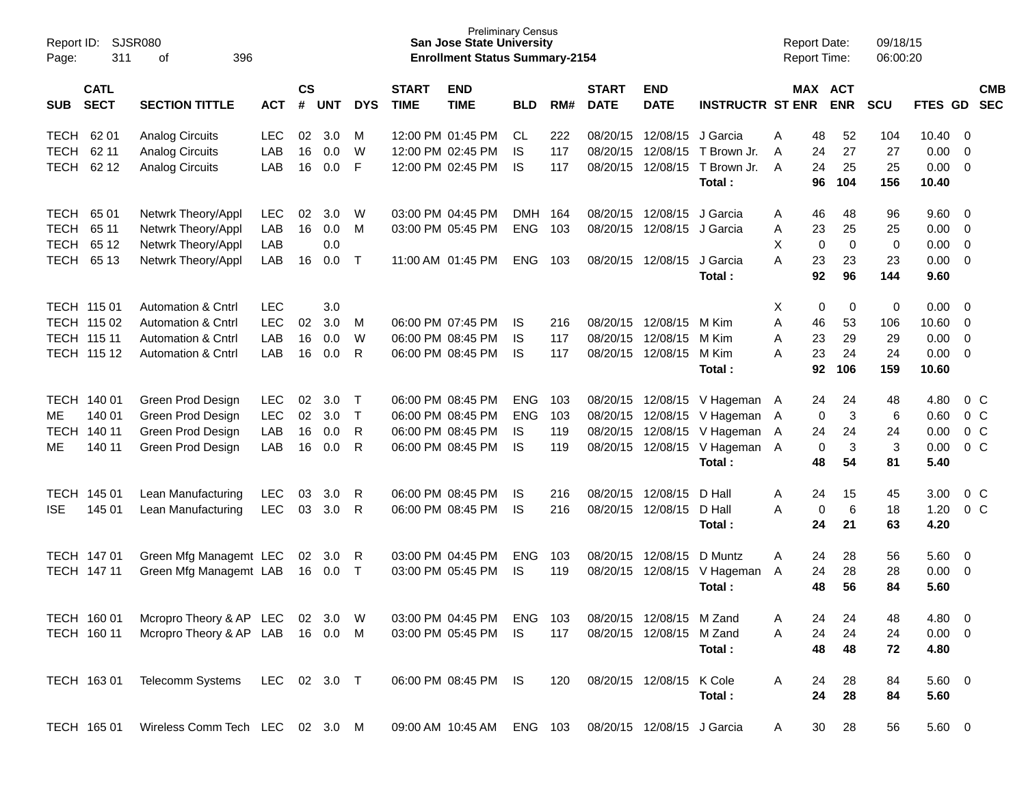| Report ID:<br>Page: | 311                        | SJSR080<br>396<br>оf             |              |                |            |              |                             | <b>Preliminary Census</b><br><b>San Jose State University</b><br><b>Enrollment Status Summary-2154</b> |            |     |                             |                            |                         |   |             | <b>Report Date:</b><br>Report Time: | 09/18/15<br>06:00:20 |                |                         |                          |
|---------------------|----------------------------|----------------------------------|--------------|----------------|------------|--------------|-----------------------------|--------------------------------------------------------------------------------------------------------|------------|-----|-----------------------------|----------------------------|-------------------------|---|-------------|-------------------------------------|----------------------|----------------|-------------------------|--------------------------|
| <b>SUB</b>          | <b>CATL</b><br><b>SECT</b> | <b>SECTION TITTLE</b>            | <b>ACT</b>   | <b>CS</b><br># | <b>UNT</b> | <b>DYS</b>   | <b>START</b><br><b>TIME</b> | <b>END</b><br><b>TIME</b>                                                                              | <b>BLD</b> | RM# | <b>START</b><br><b>DATE</b> | <b>END</b><br><b>DATE</b>  | <b>INSTRUCTR ST ENR</b> |   |             | MAX ACT<br><b>ENR</b>               | <b>SCU</b>           | <b>FTES GD</b> |                         | <b>CMB</b><br><b>SEC</b> |
| <b>TECH</b>         | 62 01                      | <b>Analog Circuits</b>           | <b>LEC</b>   | 02             | 3.0        | м            |                             | 12:00 PM 01:45 PM                                                                                      | CL.        | 222 | 08/20/15                    | 12/08/15                   | J Garcia                | A | 48          | 52                                  | 104                  | 10.40          | - 0                     |                          |
| <b>TECH</b>         | 62 11                      | <b>Analog Circuits</b>           | LAB          | 16             | 0.0        | W            |                             | 12:00 PM 02:45 PM                                                                                      | IS         | 117 | 08/20/15                    | 12/08/15                   | T Brown Jr.             | A | 24          | 27                                  | 27                   | 0.00           | $\mathbf 0$             |                          |
| <b>TECH</b>         | 62 12                      | <b>Analog Circuits</b>           | LAB          | 16             | 0.0        | F            |                             | 12:00 PM 02:45 PM                                                                                      | IS         | 117 | 08/20/15                    | 12/08/15                   | T Brown Jr.             | A | 24          | 25                                  | 25                   | 0.00           | $\overline{0}$          |                          |
|                     |                            |                                  |              |                |            |              |                             |                                                                                                        |            |     |                             |                            | Total:                  |   | 96          | 104                                 | 156                  | 10.40          |                         |                          |
| <b>TECH</b>         | 65 01                      | Netwrk Theory/Appl               | <b>LEC</b>   | 02             | 3.0        | W            |                             | 03:00 PM 04:45 PM                                                                                      | <b>DMH</b> | 164 | 08/20/15                    | 12/08/15                   | J Garcia                | A | 46          | 48                                  | 96                   | 9.60           | - 0                     |                          |
| <b>TECH</b>         | 65 11                      | Netwrk Theory/Appl               | LAB          | 16             | 0.0        | M            |                             | 03:00 PM 05:45 PM                                                                                      | <b>ENG</b> | 103 | 08/20/15                    | 12/08/15 J Garcia          |                         | A | 23          | 25                                  | 25                   | 0.00           | $\overline{0}$          |                          |
| <b>TECH</b>         | 65 12                      | Netwrk Theory/Appl               | LAB          |                | 0.0        |              |                             |                                                                                                        |            |     |                             |                            |                         | X | 0           | $\mathbf 0$                         | 0                    | 0.00           | $\mathbf 0$             |                          |
| <b>TECH</b>         | 65 13                      | Netwrk Theory/Appl               | LAB          | 16             | 0.0        | $\top$       |                             | 11:00 AM 01:45 PM                                                                                      | <b>ENG</b> | 103 | 08/20/15                    | 12/08/15                   | J Garcia                | A | 23          | 23                                  | 23                   | 0.00           | $\overline{0}$          |                          |
|                     |                            |                                  |              |                |            |              |                             |                                                                                                        |            |     |                             |                            | Total:                  |   | 92          | 96                                  | 144                  | 9.60           |                         |                          |
|                     | TECH 115 01                | <b>Automation &amp; Cntrl</b>    | <b>LEC</b>   |                | 3.0        |              |                             |                                                                                                        |            |     |                             |                            |                         | Χ | 0           | 0                                   | 0                    | 0.00           | - 0                     |                          |
|                     | TECH 115 02                | Automation & Cntrl               | LEC          | 02             | 3.0        | м            |                             | 06:00 PM 07:45 PM                                                                                      | IS         | 216 | 08/20/15                    | 12/08/15                   | M Kim                   | A | 46          | 53                                  | 106                  | 10.60          | $\mathbf 0$             |                          |
|                     | TECH 115 11                | <b>Automation &amp; Cntrl</b>    | LAB          | 16             | 0.0        | W            |                             | 06:00 PM 08:45 PM                                                                                      | IS         | 117 | 08/20/15                    | 12/08/15                   | M Kim                   | A | 23          | 29                                  | 29                   | 0.00           | $\mathbf 0$             |                          |
|                     | TECH 115 12                | <b>Automation &amp; Cntrl</b>    | LAB          | 16             | 0.0        | R            |                             | 06:00 PM 08:45 PM                                                                                      | IS         | 117 |                             | 08/20/15 12/08/15          | M Kim                   | A | 23          | 24                                  | 24                   | 0.00           | - 0                     |                          |
|                     |                            |                                  |              |                |            |              |                             |                                                                                                        |            |     |                             |                            | Total:                  |   | 92          | 106                                 | 159                  | 10.60          |                         |                          |
|                     | TECH 140 01                | Green Prod Design                | <b>LEC</b>   | 02             | 3.0        | $\top$       |                             | 06:00 PM 08:45 PM                                                                                      | <b>ENG</b> | 103 | 08/20/15                    | 12/08/15                   | V Hageman A             |   | 24          | 24                                  | 48                   | 4.80           |                         | 0 <sup>C</sup>           |
| МE                  | 140 01                     | Green Prod Design                | <b>LEC</b>   | 02             | 3.0        | $\mathsf{T}$ |                             | 06:00 PM 08:45 PM                                                                                      | <b>ENG</b> | 103 | 08/20/15                    | 12/08/15                   | V Hageman A             |   | 0           | 3                                   | 6                    | 0.60           |                         | $0\,C$                   |
| TECH                | 140 11                     | Green Prod Design                | LAB          | 16             | 0.0        | R            |                             | 06:00 PM 08:45 PM                                                                                      | IS         | 119 | 08/20/15                    | 12/08/15                   | V Hageman               | A | 24          | 24                                  | 24                   | 0.00           |                         | $0\,C$                   |
| МE                  | 140 11                     | Green Prod Design                | LAB          | 16             | 0.0        | R            |                             | 06:00 PM 08:45 PM                                                                                      | IS         | 119 | 08/20/15                    | 12/08/15                   | V Hageman A             |   | $\mathbf 0$ | 3                                   | 3                    | 0.00           |                         | $0\,C$                   |
|                     |                            |                                  |              |                |            |              |                             |                                                                                                        |            |     |                             |                            | Total:                  |   | 48          | 54                                  | 81                   | 5.40           |                         |                          |
| TECH                | 145 01                     | Lean Manufacturing               | <b>LEC</b>   | 03             | 3.0        | R            |                             | 06:00 PM 08:45 PM                                                                                      | IS         | 216 | 08/20/15                    | 12/08/15                   | D Hall                  | Α | 24          | 15                                  | 45                   | 3.00           |                         | 0 <sup>C</sup>           |
| <b>ISE</b>          | 145 01                     | Lean Manufacturing               | <b>LEC</b>   | 03             | 3.0        | R            |                             | 06:00 PM 08:45 PM                                                                                      | IS         | 216 |                             | 08/20/15 12/08/15          | D Hall                  | A | $\mathbf 0$ | $6\phantom{1}6$                     | 18                   | 1.20           |                         | $0\,C$                   |
|                     |                            |                                  |              |                |            |              |                             |                                                                                                        |            |     |                             |                            | Total:                  |   | 24          | 21                                  | 63                   | 4.20           |                         |                          |
|                     | TECH 147 01                | Green Mfg Managemt LEC           |              | 02             | 3.0        | R            |                             | 03:00 PM 04:45 PM                                                                                      | <b>ENG</b> | 103 | 08/20/15                    | 12/08/15                   | D Muntz                 | Α | 24          | 28                                  | 56                   | 5.60           | $\overline{\mathbf{0}}$ |                          |
|                     | TECH 147 11                | Green Mfg Managemt LAB           |              |                | 16 0.0     | $\mathsf{T}$ |                             | 03:00 PM 05:45 PM                                                                                      | <b>IS</b>  | 119 |                             | 08/20/15 12/08/15          | V Hageman               | A | 24          | 28                                  | 28                   | 0.00           | $\overline{\mathbf{0}}$ |                          |
|                     |                            |                                  |              |                |            |              |                             |                                                                                                        |            |     |                             |                            | Total:                  |   | 48          | 56                                  | 84                   | 5.60           |                         |                          |
|                     | TECH 160 01                | Mcropro Theory & AP LEC          |              |                | 02 3.0     | W            |                             | 03:00 PM 04:45 PM                                                                                      | ENG        | 103 |                             | 08/20/15 12/08/15 M Zand   |                         | A | 24          | 24                                  | 48                   | 4.80 0         |                         |                          |
|                     | TECH 160 11                | Mcropro Theory & AP LAB 16 0.0 M |              |                |            |              |                             | 03:00 PM 05:45 PM                                                                                      | IS.        | 117 |                             | 08/20/15 12/08/15          | M Zand                  | A | 24          | 24                                  | 24                   | $0.00 \t 0$    |                         |                          |
|                     |                            |                                  |              |                |            |              |                             |                                                                                                        |            |     |                             |                            | Total:                  |   | 48          | 48                                  | 72                   | 4.80           |                         |                          |
|                     | TECH 163 01                | Telecomm Systems                 | LEC 02 3.0 T |                |            |              |                             | 06:00 PM 08:45 PM IS                                                                                   |            | 120 |                             | 08/20/15 12/08/15 K Cole   |                         | A | 24          | 28                                  | 84                   | $5.60 \t 0$    |                         |                          |
|                     |                            |                                  |              |                |            |              |                             |                                                                                                        |            |     |                             |                            | Total:                  |   | 24          | 28                                  | 84                   | 5.60           |                         |                          |
|                     | TECH 165 01                | Wireless Comm Tech LEC 02 3.0 M  |              |                |            |              |                             | 09:00 AM 10:45 AM ENG 103                                                                              |            |     |                             | 08/20/15 12/08/15 J Garcia |                         | A | 30          | 28                                  | 56                   | 5.60 0         |                         |                          |
|                     |                            |                                  |              |                |            |              |                             |                                                                                                        |            |     |                             |                            |                         |   |             |                                     |                      |                |                         |                          |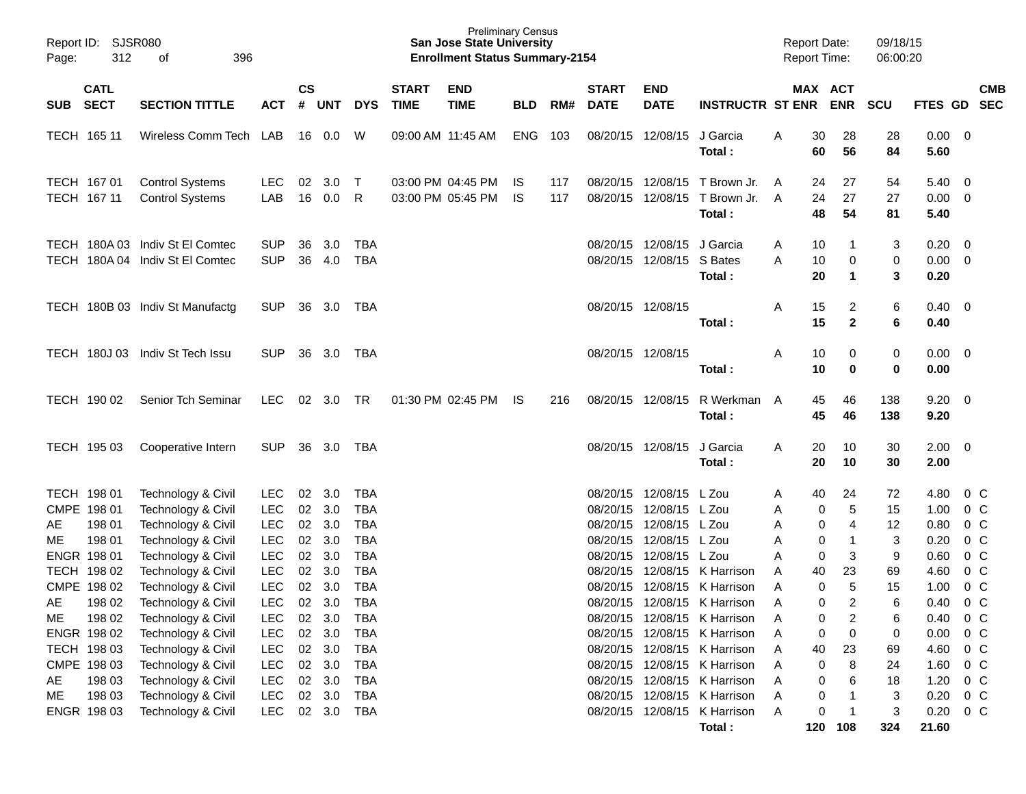| Page: | Report ID: SJSR080<br>312<br>396<br>оf |                                                                    |                          |                    |            |                          |                             | <b>Preliminary Census</b><br><b>San Jose State University</b><br><b>Enrollment Status Summary-2154</b> |            |            |                             |                                                         |                                                        |        |                | <b>Report Date:</b><br><b>Report Time:</b> | 09/18/15<br>06:00:20 |                                       |               |            |
|-------|----------------------------------------|--------------------------------------------------------------------|--------------------------|--------------------|------------|--------------------------|-----------------------------|--------------------------------------------------------------------------------------------------------|------------|------------|-----------------------------|---------------------------------------------------------|--------------------------------------------------------|--------|----------------|--------------------------------------------|----------------------|---------------------------------------|---------------|------------|
| SUB   | <b>CATL</b><br><b>SECT</b>             | <b>SECTION TITTLE</b>                                              | <b>ACT</b>               | $\mathsf{cs}$<br># | <b>UNT</b> | <b>DYS</b>               | <b>START</b><br><b>TIME</b> | <b>END</b><br><b>TIME</b>                                                                              | <b>BLD</b> | RM#        | <b>START</b><br><b>DATE</b> | <b>END</b><br><b>DATE</b>                               | <b>INSTRUCTR ST ENR</b>                                |        |                | MAX ACT<br><b>ENR</b>                      | <b>SCU</b>           | FTES GD SEC                           |               | <b>CMB</b> |
|       | TECH 165 11                            | Wireless Comm Tech LAB                                             |                          |                    |            | W                        | 09:00 AM 11:45 AM           |                                                                                                        | ENG        | 103        |                             | 08/20/15 12/08/15                                       | J Garcia<br>Total:                                     | A      | 30<br>60       | 28<br>56                                   | 28<br>84             | $0.00 \t 0$<br>5.60                   |               |            |
|       | TECH 167 01<br>TECH 167 11             | <b>Control Systems</b><br><b>Control Systems</b>                   | LEC.<br>LAB              | 02<br>16           | 3.0<br>0.0 | $\top$<br>R              |                             | 03:00 PM 04:45 PM<br>03:00 PM 05:45 PM                                                                 | IS.<br>IS. | 117<br>117 |                             | 08/20/15 12/08/15                                       | 08/20/15 12/08/15 T Brown Jr.<br>T Brown Jr.<br>Total: | A<br>A | 24<br>24<br>48 | 27<br>27<br>54                             | 54<br>27<br>81       | $5.40 \quad 0$<br>$0.00 \t 0$<br>5.40 |               |            |
|       |                                        | TECH 180A 03 Indiv St El Comtec<br>TECH 180A 04 Indiv St El Comtec | <b>SUP</b><br><b>SUP</b> | 36<br>36           | 3.0<br>4.0 | TBA<br><b>TBA</b>        |                             |                                                                                                        |            |            |                             | 08/20/15 12/08/15 J Garcia<br>08/20/15 12/08/15 S Bates | Total:                                                 | A<br>A | 10<br>10<br>20 | -1<br>0<br>$\mathbf{1}$                    | 3<br>$\,0\,$<br>3    | $0.20 \ 0$<br>$0.00 \t 0$<br>0.20     |               |            |
|       |                                        | TECH 180B 03 Indiv St Manufactg                                    | <b>SUP</b>               |                    | 36 3.0 TBA |                          |                             |                                                                                                        |            |            | 08/20/15 12/08/15           |                                                         | Total:                                                 | Α      | 15<br>15       | $\overline{c}$<br>$\mathbf{2}$             | 6<br>6               | $0.40 \quad 0$<br>0.40                |               |            |
|       |                                        | TECH 180J 03 Indiv St Tech Issu                                    | <b>SUP</b>               | 36                 | 3.0 TBA    |                          |                             |                                                                                                        |            |            | 08/20/15 12/08/15           |                                                         | Total:                                                 | A      | 10<br>10       | 0<br>$\mathbf 0$                           | $\pmb{0}$<br>0       | $0.00 \t 0$<br>0.00                   |               |            |
|       | TECH 190 02                            | Senior Tch Seminar                                                 | <b>LEC</b>               |                    | 02 3.0 TR  |                          |                             | 01:30 PM 02:45 PM                                                                                      | IS.        | 216        |                             | 08/20/15 12/08/15                                       | R Werkman A<br>Total:                                  |        | 45<br>45       | 46<br>46                                   | 138<br>138           | $9.20 \ 0$<br>9.20                    |               |            |
|       | TECH 195 03                            | Cooperative Intern                                                 | <b>SUP</b>               |                    | 36 3.0 TBA |                          |                             |                                                                                                        |            |            |                             | 08/20/15 12/08/15                                       | J Garcia<br>Total:                                     | A      | 20<br>20       | 10<br>10                                   | 30<br>30             | $2.00 \t 0$<br>2.00                   |               |            |
|       | TECH 198 01                            | Technology & Civil                                                 | <b>LEC</b>               | 02                 | 3.0        | TBA                      |                             |                                                                                                        |            |            |                             | 08/20/15 12/08/15 L Zou                                 |                                                        | A      | 40             | 24                                         | 72                   | 4.80                                  | $0\,C$        |            |
|       | CMPE 198 01                            | Technology & Civil                                                 | <b>LEC</b>               | 02                 | 3.0        | <b>TBA</b>               |                             |                                                                                                        |            |            |                             | 08/20/15 12/08/15 L Zou                                 |                                                        | A      | 0              | 5                                          | 15                   | 1.00                                  | $0\,C$        |            |
| AE    | 198 01                                 | Technology & Civil                                                 | <b>LEC</b>               | $02\,$             | 3.0        | <b>TBA</b>               |                             |                                                                                                        |            |            |                             | 08/20/15 12/08/15 L Zou                                 |                                                        | Α      | 0              | 4                                          | 12                   | 0.80                                  | 0 C           |            |
| ME    | 198 01                                 | Technology & Civil                                                 | <b>LEC</b>               | 02                 | 3.0        | <b>TBA</b>               |                             |                                                                                                        |            |            |                             | 08/20/15 12/08/15 L Zou                                 |                                                        | A      | 0              | $\mathbf{1}$                               | 3                    | 0.20                                  | 0 C           |            |
|       | ENGR 198 01<br>TECH 198 02             | Technology & Civil<br>Technology & Civil                           | <b>LEC</b><br><b>LEC</b> | 02<br>02           | 3.0<br>3.0 | <b>TBA</b><br><b>TBA</b> |                             |                                                                                                        |            |            |                             | 08/20/15 12/08/15 L Zou                                 | 08/20/15 12/08/15 K Harrison                           | A<br>A | 0<br>40        | 3<br>23                                    | 9<br>69              | 0.60<br>4.60                          | 0 C<br>$0\,C$ |            |
|       | CMPE 198 02                            | Technology & Civil                                                 | <b>LEC</b>               | 02                 | 3.0        | <b>TBA</b>               |                             |                                                                                                        |            |            |                             |                                                         | 08/20/15 12/08/15 K Harrison                           | A      | 0              | $\sqrt{5}$                                 | 15                   | 1.00                                  | $0\,C$        |            |
| AE    | 198 02                                 | Technology & Civil                                                 | <b>LEC</b>               |                    | 02 3.0     | <b>TBA</b>               |                             |                                                                                                        |            |            |                             |                                                         | 08/20/15 12/08/15 K Harrison                           | A      | $\mathbf 0$    | $\overline{2}$                             | 6                    | 0.40                                  | $0\,$ C       |            |
| ME    | 198 02                                 | Technology & Civil                                                 | <b>LEC</b>               | 02                 | 3.0        | <b>TBA</b>               |                             |                                                                                                        |            |            |                             |                                                         | 08/20/15 12/08/15 K Harrison                           | A      | 0              | 2                                          | 6                    | 0.40                                  | $0\,C$        |            |
|       | ENGR 198 02                            | Technology & Civil                                                 | <b>LEC</b>               |                    | 02 3.0     | <b>TBA</b>               |                             |                                                                                                        |            |            |                             |                                                         | 08/20/15 12/08/15 K Harrison                           | A      | 0              | 0                                          | 0                    | 0.00                                  | $0\,$ C       |            |
|       | TECH 198 03                            | Technology & Civil                                                 | <b>LEC</b>               |                    | 02 3.0     | <b>TBA</b>               |                             |                                                                                                        |            |            |                             |                                                         | 08/20/15 12/08/15 K Harrison                           | A      | 40             | 23                                         | 69                   | 4.60                                  | $0\,$ C       |            |
|       | CMPE 198 03                            | Technology & Civil                                                 | <b>LEC</b>               |                    | 02 3.0     | <b>TBA</b>               |                             |                                                                                                        |            |            |                             |                                                         | 08/20/15 12/08/15 K Harrison                           | A      | 0              | 8                                          | 24                   | 1.60                                  | $0\,$ C       |            |
| AE    | 198 03                                 | Technology & Civil                                                 | <b>LEC</b>               |                    | 02 3.0     | <b>TBA</b>               |                             |                                                                                                        |            |            |                             |                                                         | 08/20/15 12/08/15 K Harrison                           | A      | 0              | 6                                          | 18                   | 1.20                                  | $0\,$ C       |            |
| ME    | 198 03                                 | Technology & Civil                                                 | <b>LEC</b>               |                    | 02 3.0     | <b>TBA</b>               |                             |                                                                                                        |            |            |                             |                                                         | 08/20/15 12/08/15 K Harrison                           | Α      | 0              | -1                                         | 3                    | 0.20                                  | $0\,C$        |            |
|       | ENGR 198 03                            | Technology & Civil                                                 | <b>LEC</b>               |                    | 02 3.0 TBA |                          |                             |                                                                                                        |            |            |                             |                                                         | 08/20/15 12/08/15 K Harrison                           | A      | 0              | $\overline{1}$                             | 3                    | 0.20                                  | $0\,C$        |            |
|       |                                        |                                                                    |                          |                    |            |                          |                             |                                                                                                        |            |            |                             |                                                         | Total:                                                 |        | 120            | 108                                        | 324                  | 21.60                                 |               |            |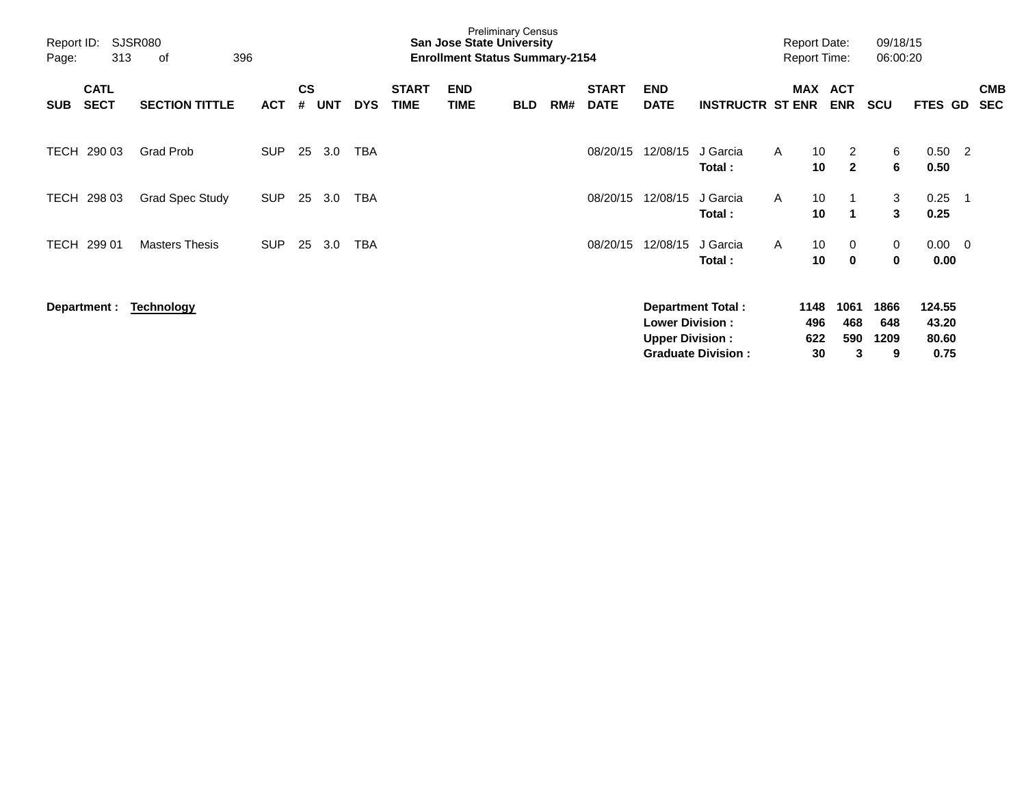| Report ID:<br>Page: | SJSR080<br>396<br>313<br>οf<br><b>CATL</b> |                        |            |                    |            |            |                             | <b>San Jose State University</b><br><b>Enrollment Status Summary-2154</b> | <b>Preliminary Census</b> |     |                             |                                                  |                                                       | <b>Report Date:</b><br><b>Report Time:</b> |                                            | 09/18/15<br>06:00:20     |                                  |                         |                          |
|---------------------|--------------------------------------------|------------------------|------------|--------------------|------------|------------|-----------------------------|---------------------------------------------------------------------------|---------------------------|-----|-----------------------------|--------------------------------------------------|-------------------------------------------------------|--------------------------------------------|--------------------------------------------|--------------------------|----------------------------------|-------------------------|--------------------------|
| <b>SUB</b>          | <b>SECT</b>                                | <b>SECTION TITTLE</b>  | <b>ACT</b> | $\mathsf{cs}$<br># | <b>UNT</b> | <b>DYS</b> | <b>START</b><br><b>TIME</b> | <b>END</b><br><b>TIME</b>                                                 | <b>BLD</b>                | RM# | <b>START</b><br><b>DATE</b> | <b>END</b><br><b>DATE</b>                        | <b>INSTRUCTR ST ENR</b>                               | MAX                                        | <b>ACT</b><br><b>ENR</b>                   | <b>SCU</b>               | FTES GD                          |                         | <b>CMB</b><br><b>SEC</b> |
| TECH                | 290 03                                     | <b>Grad Prob</b>       | <b>SUP</b> | 25                 | 3.0        | <b>TBA</b> |                             |                                                                           |                           |     | 08/20/15                    | 12/08/15                                         | J Garcia<br>Total:                                    | $\mathsf{A}$                               | 10 <sup>°</sup><br>2<br>$\mathbf{2}$<br>10 | 6<br>6                   | 0.50<br>0.50                     | $\overline{2}$          |                          |
| TECH                | 298 03                                     | <b>Grad Spec Study</b> | <b>SUP</b> | 25                 | 3.0        | <b>TBA</b> |                             |                                                                           |                           |     | 08/20/15                    | 12/08/15                                         | J Garcia<br>Total:                                    | $\mathsf{A}$                               | 10<br>10<br>1                              | 3<br>3                   | 0.25<br>0.25                     | -1                      |                          |
| TECH                | 299 01                                     | <b>Masters Thesis</b>  | <b>SUP</b> | 25                 | 3.0        | TBA        |                             |                                                                           |                           |     | 08/20/15                    | 12/08/15                                         | J Garcia<br>Total:                                    | A                                          | 10<br>0<br>$\mathbf 0$<br>10               | 0<br>0                   | 0.00<br>0.00                     | $\overline{\mathbf{0}}$ |                          |
|                     | Department :                               | Technology             |            |                    |            |            |                             |                                                                           |                           |     |                             | <b>Lower Division:</b><br><b>Upper Division:</b> | <b>Department Total:</b><br><b>Graduate Division:</b> | 1148<br>496<br>622                         | 1061<br>468<br>590<br>30<br>3              | 1866<br>648<br>1209<br>9 | 124.55<br>43.20<br>80.60<br>0.75 |                         |                          |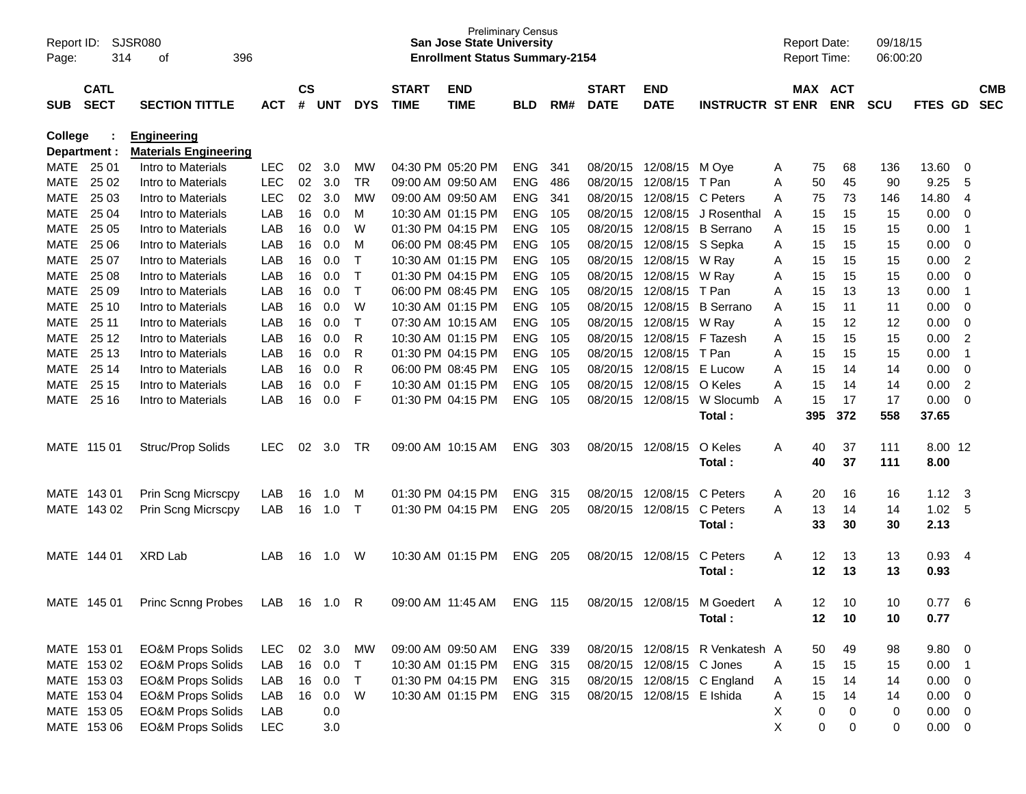| Report ID:<br>Page: | 314          | SJSR080<br>396<br>οf         |            |                        |     |            |              | <b>Preliminary Census</b><br><b>San Jose State University</b><br><b>Enrollment Status Summary-2154</b> |            |     |              |                            |                                 |   | <b>Report Date:</b><br><b>Report Time:</b> |             | 09/18/15<br>06:00:20 |                 |                |            |
|---------------------|--------------|------------------------------|------------|------------------------|-----|------------|--------------|--------------------------------------------------------------------------------------------------------|------------|-----|--------------|----------------------------|---------------------------------|---|--------------------------------------------|-------------|----------------------|-----------------|----------------|------------|
|                     | <b>CATL</b>  |                              |            | $\mathbf{c}\mathbf{s}$ |     |            | <b>START</b> |                                                                                                        |            |     | <b>START</b> | <b>END</b>                 |                                 |   |                                            | MAX ACT     |                      |                 |                | <b>CMB</b> |
| SUB                 | <b>SECT</b>  | <b>SECTION TITTLE</b>        | <b>ACT</b> | #                      | UNT | <b>DYS</b> | <b>TIME</b>  | <b>END</b><br><b>TIME</b>                                                                              | <b>BLD</b> | RM# | <b>DATE</b>  | <b>DATE</b>                | <b>INSTRUCTR ST ENR</b>         |   |                                            | <b>ENR</b>  | <b>SCU</b>           | FTES GD         |                | <b>SEC</b> |
| <b>College</b>      |              | <b>Engineering</b>           |            |                        |     |            |              |                                                                                                        |            |     |              |                            |                                 |   |                                            |             |                      |                 |                |            |
|                     | Department : | <b>Materials Engineering</b> |            |                        |     |            |              |                                                                                                        |            |     |              |                            |                                 |   |                                            |             |                      |                 |                |            |
| <b>MATE</b>         | 25 01        | Intro to Materials           | <b>LEC</b> | 02                     | 3.0 | МW         |              | 04:30 PM 05:20 PM                                                                                      | ENG        | 341 | 08/20/15     | 12/08/15                   | M Oye                           | A | 75                                         | 68          | 136                  | 13.60           | 0              |            |
| <b>MATE</b>         | 25 02        | Intro to Materials           | <b>LEC</b> | 02                     | 3.0 | <b>TR</b>  |              | 09:00 AM 09:50 AM                                                                                      | <b>ENG</b> | 486 | 08/20/15     | 12/08/15                   | T Pan                           | Α | 50                                         | 45          | 90                   | 9.25            | 5              |            |
| MATE                | 25 03        | Intro to Materials           | <b>LEC</b> | 02                     | 3.0 | MW         |              | 09:00 AM 09:50 AM                                                                                      | ENG        | 341 | 08/20/15     | 12/08/15                   | C Peters                        | Α | 75                                         | 73          | 146                  | 14.80           | $\overline{4}$ |            |
| <b>MATE</b>         | 25 04        | Intro to Materials           | LAB        | 16                     | 0.0 | M          |              | 10:30 AM 01:15 PM                                                                                      | <b>ENG</b> | 105 | 08/20/15     | 12/08/15                   | J Rosenthal                     | A | 15                                         | 15          | 15                   | 0.00            | 0              |            |
| <b>MATE</b>         | 25 05        | Intro to Materials           | LAB        | 16                     | 0.0 | W          |              | 01:30 PM 04:15 PM                                                                                      | <b>ENG</b> | 105 | 08/20/15     | 12/08/15                   | <b>B</b> Serrano                | Α | 15                                         | 15          | 15                   | 0.00            | -1             |            |
| MATE                | 25 06        | Intro to Materials           | LAB        | 16                     | 0.0 | M          |              | 06:00 PM 08:45 PM                                                                                      | ENG        | 105 | 08/20/15     | 12/08/15                   | S Sepka                         | A | 15                                         | 15          | 15                   | 0.00            | 0              |            |
| <b>MATE</b>         | 25 07        | Intro to Materials           | LAB        | 16                     | 0.0 | т          |              | 10:30 AM 01:15 PM                                                                                      | ENG        | 105 | 08/20/15     | 12/08/15                   | W Ray                           | Α | 15                                         | 15          | 15                   | 0.00            | $\overline{2}$ |            |
| <b>MATE</b>         | 25 08        | Intro to Materials           | LAB        | 16                     | 0.0 | Τ          |              | 01:30 PM 04:15 PM                                                                                      | ENG        | 105 | 08/20/15     | 12/08/15                   | W Ray                           | Α | 15                                         | 15          | 15                   | 0.00            | $\mathbf 0$    |            |
| <b>MATE</b>         | 25 09        | Intro to Materials           | LAB        | 16                     | 0.0 | Т          |              | 06:00 PM 08:45 PM                                                                                      | <b>ENG</b> | 105 | 08/20/15     | 12/08/15                   | T Pan                           | A | 15                                         | 13          | 13                   | 0.00            | -1             |            |
| MATE                | 25 10        | Intro to Materials           | LAB        | 16                     | 0.0 | W          |              | 10:30 AM 01:15 PM                                                                                      | ENG        | 105 | 08/20/15     | 12/08/15                   | <b>B</b> Serrano                | Α | 15                                         | 11          | 11                   | 0.00            | 0              |            |
| MATE                | 25 11        | Intro to Materials           | LAB        | 16                     | 0.0 | т          |              | 07:30 AM 10:15 AM                                                                                      | ENG        | 105 | 08/20/15     | 12/08/15                   | W Ray                           | Α | 15                                         | 12          | 12                   | 0.00            | $\mathbf 0$    |            |
| <b>MATE</b>         | 25 12        | Intro to Materials           | LAB        | 16                     | 0.0 | R          |              | 10:30 AM 01:15 PM                                                                                      | <b>ENG</b> | 105 | 08/20/15     | 12/08/15                   | F Tazesh                        | Α | 15                                         | 15          | 15                   | 0.00            | $\overline{2}$ |            |
| MATE                | 25 13        | Intro to Materials           | LAB        | 16                     | 0.0 | R          |              | 01:30 PM 04:15 PM                                                                                      | <b>ENG</b> | 105 | 08/20/15     | 12/08/15                   | T Pan                           | A | 15                                         | 15          | 15                   | 0.00            | -1             |            |
| MATE                | 25 14        | Intro to Materials           | LAB        | 16                     | 0.0 | R          |              | 06:00 PM 08:45 PM                                                                                      | ENG        | 105 | 08/20/15     | 12/08/15                   | E Lucow                         | A | 15                                         | 14          | 14                   | 0.00            | 0              |            |
| MATE                | 25 15        | Intro to Materials           | LAB        | 16                     | 0.0 | F          |              | 10:30 AM 01:15 PM                                                                                      | <b>ENG</b> | 105 | 08/20/15     | 12/08/15                   | O Keles                         | A | 15                                         | 14          | 14                   | 0.00            | $\overline{2}$ |            |
| MATE                | 25 16        | Intro to Materials           | LAB        | 16                     | 0.0 | F          |              | 01:30 PM 04:15 PM                                                                                      | <b>ENG</b> | 105 | 08/20/15     | 12/08/15                   | W Slocumb                       | A | 15                                         | 17          | 17                   | 0.00            | 0              |            |
|                     |              |                              |            |                        |     |            |              |                                                                                                        |            |     |              |                            | Total:                          |   | 395                                        | 372         | 558                  | 37.65           |                |            |
|                     |              |                              | <b>LEC</b> |                        | 3.0 | TR         |              | 09:00 AM 10:15 AM                                                                                      | <b>ENG</b> | 303 | 08/20/15     | 12/08/15                   | O Keles                         |   | 40                                         |             | 111                  |                 |                |            |
|                     | MATE 115 01  | <b>Struc/Prop Solids</b>     |            | 02                     |     |            |              |                                                                                                        |            |     |              |                            | Total:                          | Α | 40                                         | 37<br>37    | 111                  | 8.00 12<br>8.00 |                |            |
|                     |              |                              |            |                        |     |            |              |                                                                                                        |            |     |              |                            |                                 |   |                                            |             |                      |                 |                |            |
| MATE                | 143 01       | Prin Scng Micrscpy           | LAB        | 16                     | 1.0 | M          |              | 01:30 PM 04:15 PM                                                                                      | <b>ENG</b> | 315 | 08/20/15     | 12/08/15                   | C Peters                        | A | 20                                         | 16          | 16                   | 1.12            | 3              |            |
|                     | MATE 143 02  | Prin Scng Micrscpy           | LAB        | 16                     | 1.0 | T          |              | 01:30 PM 04:15 PM                                                                                      | ENG.       | 205 | 08/20/15     | 12/08/15                   | C Peters                        | A | 13                                         | 14          | 14                   | 1.02            | 5              |            |
|                     |              |                              |            |                        |     |            |              |                                                                                                        |            |     |              |                            | Total:                          |   | 33                                         | 30          | 30                   | 2.13            |                |            |
| <b>MATE</b>         | 144 01       | XRD Lab                      | LAB        | 16                     | 1.0 | W          |              | 10:30 AM 01:15 PM                                                                                      | <b>ENG</b> | 205 | 08/20/15     | 12/08/15                   | C Peters                        | A | 12                                         | 13          | 13                   | 0.93            | 4              |            |
|                     |              |                              |            |                        |     |            |              |                                                                                                        |            |     |              |                            | Total:                          |   | 12                                         | 13          | 13                   | 0.93            |                |            |
| <b>MATE</b>         | 145 01       | <b>Princ Scnng Probes</b>    | LAB        | 16                     | 1.0 | R          |              | 09:00 AM 11:45 AM                                                                                      | ENG        | 115 | 08/20/15     | 12/08/15                   | M Goedert                       | A | 12 <sup>2</sup>                            | 10          | 10                   | 0.77            | 6              |            |
|                     |              |                              |            |                        |     |            |              |                                                                                                        |            |     |              |                            | Total:                          |   | 12                                         | 10          | 10                   | 0.77            |                |            |
|                     |              |                              |            |                        |     |            |              |                                                                                                        |            |     |              |                            |                                 |   |                                            |             |                      |                 |                |            |
|                     | MATE 153 01  | <b>EO&amp;M Props Solids</b> | <b>LEC</b> | 02                     | 3.0 | MW         |              | 09:00 AM 09:50 AM                                                                                      | ENG        | 339 |              |                            | 08/20/15 12/08/15 R Venkatesh A |   | 50                                         | 49          | 98                   | 9.80 0          |                |            |
|                     | MATE 153 02  | <b>EO&amp;M Props Solids</b> | LAB        | 16                     | 0.0 | $\top$     |              | 10:30 AM 01:15 PM                                                                                      | ENG 315    |     |              | 08/20/15 12/08/15 C Jones  |                                 | A | 15                                         | 15          | 15                   | $0.00$ 1        |                |            |
|                     | MATE 153 03  | <b>EO&amp;M Props Solids</b> | LAB        | 16                     | 0.0 | $\top$     |              | 01:30 PM 04:15 PM                                                                                      | ENG 315    |     |              |                            | 08/20/15 12/08/15 C England     | Α | 15                                         | 14          | 14                   | $0.00 \t 0$     |                |            |
|                     | MATE 153 04  | <b>EO&amp;M Props Solids</b> | LAB        | 16                     | 0.0 | W          |              | 10:30 AM 01:15 PM                                                                                      | ENG 315    |     |              | 08/20/15 12/08/15 E Ishida |                                 | Α | 15                                         | 14          | 14                   | $0.00 \t 0$     |                |            |
|                     | MATE 153 05  | <b>EO&amp;M Props Solids</b> | LAB        |                        | 0.0 |            |              |                                                                                                        |            |     |              |                            |                                 | х | $\pmb{0}$                                  | $\mathbf 0$ | 0                    | $0.00 \t 0$     |                |            |
|                     | MATE 153 06  | <b>EO&amp;M Props Solids</b> | <b>LEC</b> |                        | 3.0 |            |              |                                                                                                        |            |     |              |                            |                                 | X | 0                                          | 0           | 0                    | $0.00 \t 0$     |                |            |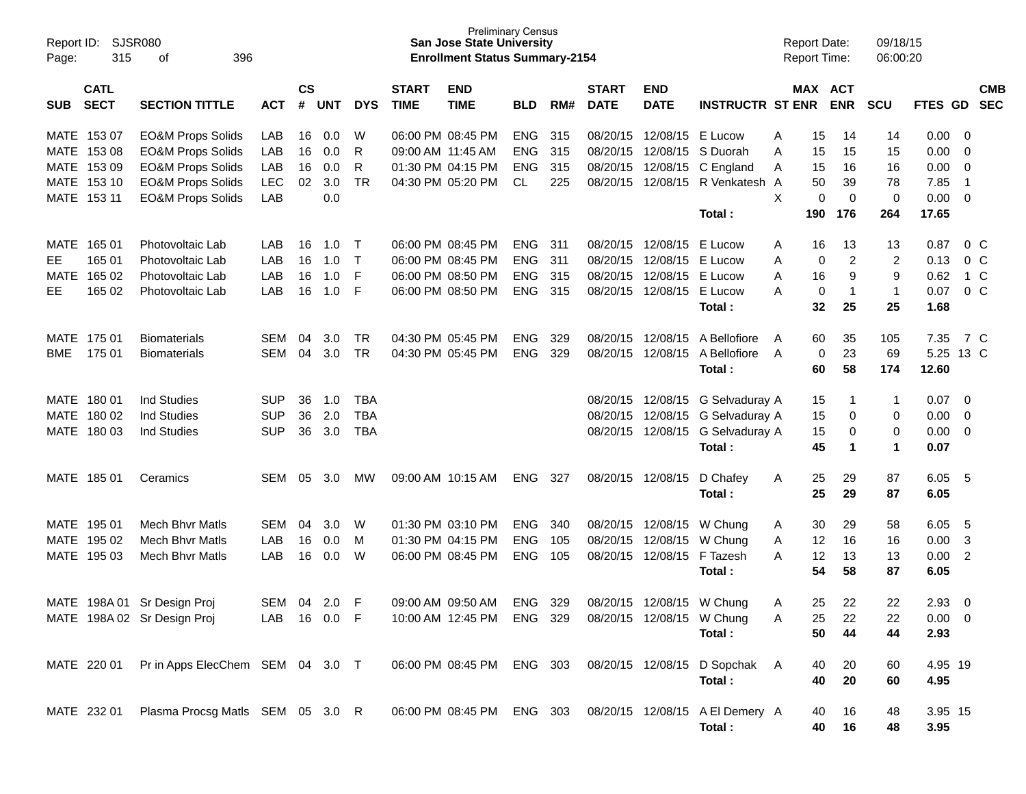| Page:       | <b>SJSR080</b><br>Report ID:<br>315<br>396<br>οf<br><b>CATL</b> |                                  |            |                    |            |            |                             | <b>San Jose State University</b><br><b>Enrollment Status Summary-2154</b> | <b>Preliminary Census</b> |      |                             |                           |                                 | <b>Report Date:</b><br><b>Report Time:</b> |             |                       | 09/18/15<br>06:00:20 |             |                |            |
|-------------|-----------------------------------------------------------------|----------------------------------|------------|--------------------|------------|------------|-----------------------------|---------------------------------------------------------------------------|---------------------------|------|-----------------------------|---------------------------|---------------------------------|--------------------------------------------|-------------|-----------------------|----------------------|-------------|----------------|------------|
| <b>SUB</b>  | <b>SECT</b>                                                     | <b>SECTION TITTLE</b>            | <b>ACT</b> | $\mathsf{cs}$<br># | <b>UNT</b> | <b>DYS</b> | <b>START</b><br><b>TIME</b> | <b>END</b><br><b>TIME</b>                                                 | <b>BLD</b>                | RM#  | <b>START</b><br><b>DATE</b> | <b>END</b><br><b>DATE</b> | <b>INSTRUCTR ST ENR</b>         |                                            |             | MAX ACT<br><b>ENR</b> | <b>SCU</b>           | FTES GD SEC |                | <b>CMB</b> |
|             | MATE 153 07                                                     | <b>EO&amp;M Props Solids</b>     | LAB        | 16                 | 0.0        | W          |                             | 06:00 PM 08:45 PM                                                         | ENG                       | 315  |                             | 08/20/15 12/08/15         | E Lucow                         | Α                                          | 15          | 14                    | 14                   | 0.00        | $\overline{0}$ |            |
|             | MATE 153 08                                                     | <b>EO&amp;M Props Solids</b>     | LAB        | 16                 | 0.0        | R          |                             | 09:00 AM 11:45 AM                                                         | <b>ENG</b>                | 315  | 08/20/15                    | 12/08/15                  | S Duorah                        | Α                                          | 15          | 15                    | 15                   | 0.00        | 0              |            |
|             | MATE 153 09                                                     | <b>EO&amp;M Props Solids</b>     | LAB        | 16                 | 0.0        | R          |                             | 01:30 PM 04:15 PM                                                         | ENG                       | 315  | 08/20/15                    | 12/08/15                  | C England                       | Α                                          | 15          | 16                    | 16                   | 0.00        | 0              |            |
|             | MATE 153 10                                                     | <b>EO&amp;M Props Solids</b>     | <b>LEC</b> | 02                 | 3.0        | <b>TR</b>  |                             | 04:30 PM 05:20 PM                                                         | CL                        | 225  |                             | 08/20/15 12/08/15         | R Venkatesh A                   |                                            | 50          | 39                    | 78                   | 7.85        | -1             |            |
|             | MATE 153 11                                                     | <b>EO&amp;M Props Solids</b>     | LAB        |                    | 0.0        |            |                             |                                                                           |                           |      |                             |                           |                                 | X                                          | $\mathbf 0$ | 0                     | 0                    | 0.00        | $\overline{0}$ |            |
|             |                                                                 |                                  |            |                    |            |            |                             |                                                                           |                           |      |                             |                           | Total:                          |                                            | 190         | 176                   | 264                  | 17.65       |                |            |
| MATE        | 165 01                                                          | Photovoltaic Lab                 | LAB        | 16                 | 1.0        | $\top$     |                             | 06:00 PM 08:45 PM                                                         | <b>ENG</b>                | -311 |                             | 08/20/15 12/08/15         | E Lucow                         | Α                                          | 16          | 13                    | 13                   | 0.87        |                | $0\,C$     |
| EE.         | 165 01                                                          | Photovoltaic Lab                 | LAB        | 16                 | 1.0        | T          |                             | 06:00 PM 08:45 PM                                                         | ENG                       | -311 |                             | 08/20/15 12/08/15         | E Lucow                         | Α                                          | 0           | 2                     | 2                    | 0.13        |                | $0\,C$     |
| <b>MATE</b> | 165 02                                                          | Photovoltaic Lab                 | LAB        | 16                 | 1.0        | F          |                             | 06:00 PM 08:50 PM                                                         | ENG                       | 315  | 08/20/15                    | 12/08/15                  | E Lucow                         | Α                                          | 16          | 9                     | 9                    | 0.62        |                | 1 C        |
| EE.         | 165 02                                                          | Photovoltaic Lab                 | LAB        | 16                 | 1.0        | F          |                             | 06:00 PM 08:50 PM                                                         | ENG 315                   |      |                             | 08/20/15 12/08/15         | E Lucow                         | A                                          | 0           | -1                    | $\mathbf{1}$         | 0.07        |                | $0\,C$     |
|             |                                                                 |                                  |            |                    |            |            |                             |                                                                           |                           |      |                             |                           | Total:                          |                                            | 32          | 25                    | 25                   | 1.68        |                |            |
|             | MATE 175 01                                                     | <b>Biomaterials</b>              | <b>SEM</b> | 04                 | 3.0        | TR         |                             | 04:30 PM 05:45 PM                                                         | ENG                       | 329  | 08/20/15                    | 12/08/15                  | A Bellofiore                    | A                                          | 60          | 35                    | 105                  | 7.35        |                | 7 C        |
| <b>BME</b>  | 175 01                                                          | <b>Biomaterials</b>              | <b>SEM</b> | 04                 | 3.0        | <b>TR</b>  |                             | 04:30 PM 05:45 PM                                                         | <b>ENG</b>                | 329  |                             | 08/20/15 12/08/15         | A Bellofiore                    | A                                          | 0           | 23                    | 69                   | 5.25 13 C   |                |            |
|             |                                                                 |                                  |            |                    |            |            |                             |                                                                           |                           |      |                             |                           | Total:                          |                                            | 60          | 58                    | 174                  | 12.60       |                |            |
|             | MATE 180 01                                                     | <b>Ind Studies</b>               | <b>SUP</b> | 36                 | 1.0        | <b>TBA</b> |                             |                                                                           |                           |      |                             | 08/20/15 12/08/15         | G Selvaduray A                  |                                            | 15          | -1                    | $\mathbf 1$          | 0.07        | 0              |            |
|             | MATE 180 02                                                     | <b>Ind Studies</b>               | <b>SUP</b> | 36                 | 2.0        | <b>TBA</b> |                             |                                                                           |                           |      |                             | 08/20/15 12/08/15         | G Selvaduray A                  |                                            | 15          | 0                     | 0                    | 0.00        | 0              |            |
|             | MATE 180 03                                                     | <b>Ind Studies</b>               | <b>SUP</b> | 36                 | 3.0        | <b>TBA</b> |                             |                                                                           |                           |      |                             | 08/20/15 12/08/15         | G Selvaduray A                  |                                            | 15          | 0                     | 0                    | 0.00        | 0              |            |
|             |                                                                 |                                  |            |                    |            |            |                             |                                                                           |                           |      |                             |                           | Total:                          |                                            | 45          | 1                     | 1                    | 0.07        |                |            |
|             | MATE 185 01                                                     | Ceramics                         | <b>SEM</b> | 05                 | 3.0        | МW         |                             | 09:00 AM 10:15 AM                                                         | <b>ENG</b>                | 327  |                             | 08/20/15 12/08/15         | D Chafey                        | A                                          | 25          | 29                    | 87                   | 6.05        | -5             |            |
|             |                                                                 |                                  |            |                    |            |            |                             |                                                                           |                           |      |                             |                           | Total:                          |                                            | 25          | 29                    | 87                   | 6.05        |                |            |
|             | MATE 195 01                                                     | <b>Mech Bhyr Matls</b>           | SEM        | 04                 | 3.0        | W          |                             | 01:30 PM 03:10 PM                                                         | ENG                       | 340  |                             | 08/20/15 12/08/15         | W Chung                         | Α                                          | 30          | 29                    | 58                   | 6.05        | 5              |            |
|             | MATE 195 02                                                     | <b>Mech Bhyr Matls</b>           | LAB        | 16                 | 0.0        | м          |                             | 01:30 PM 04:15 PM                                                         | <b>ENG</b>                | 105  | 08/20/15                    | 12/08/15                  | W Chung                         | A                                          | 12          | 16                    | 16                   | 0.00        | 3              |            |
|             | MATE 195 03                                                     | <b>Mech Bhyr Matls</b>           | LAB        | 16                 | 0.0        | W          |                             | 06:00 PM 08:45 PM                                                         | <b>ENG</b>                | 105  |                             | 08/20/15 12/08/15         | F Tazesh                        | A                                          | 12          | 13                    | 13                   | 0.00        | $\overline{2}$ |            |
|             |                                                                 |                                  |            |                    |            |            |                             |                                                                           |                           |      |                             |                           | Total:                          |                                            | 54          | 58                    | 87                   | 6.05        |                |            |
| MATE        | 198A 01                                                         | Sr Design Proj                   | SEM        | 04                 | 2.0        | F          |                             | 09:00 AM 09:50 AM                                                         | <b>ENG</b>                | 329  |                             | 08/20/15 12/08/15         | W Chung                         | Α                                          | 25          | 22                    | 22.                  | 2.93        | 0              |            |
|             |                                                                 | MATE 198A 02 Sr Design Proj      | LAB        |                    | 16  0.0  F |            |                             | 10:00 AM 12:45 PM                                                         | ENG 329                   |      |                             | 08/20/15 12/08/15 W Chung |                                 | А                                          | 25          | 22                    | 22                   | $0.00 \t 0$ |                |            |
|             |                                                                 |                                  |            |                    |            |            |                             |                                                                           |                           |      |                             |                           | Total:                          |                                            | 50          | 44                    | 44                   | 2.93        |                |            |
|             | MATE 220 01                                                     | Pr in Apps ElecChem SEM 04 3.0 T |            |                    |            |            |                             | 06:00 PM 08:45 PM                                                         | ENG 303                   |      |                             |                           | 08/20/15 12/08/15 D Sopchak     | A                                          | 40          | 20                    | 60                   | 4.95 19     |                |            |
|             |                                                                 |                                  |            |                    |            |            |                             |                                                                           |                           |      |                             |                           | Total:                          |                                            | 40          | 20                    | 60                   | 4.95        |                |            |
|             |                                                                 |                                  |            |                    |            |            |                             |                                                                           |                           |      |                             |                           |                                 |                                            |             |                       |                      |             |                |            |
|             | MATE 232 01                                                     | Plasma Procsg Matls SEM 05 3.0 R |            |                    |            |            |                             | 06:00 PM 08:45 PM                                                         | ENG 303                   |      |                             |                           | 08/20/15 12/08/15 A El Demery A |                                            | 40          | 16                    | 48                   | 3.95 15     |                |            |
|             |                                                                 |                                  |            |                    |            |            |                             |                                                                           |                           |      |                             |                           | Total:                          |                                            | 40          | 16                    | 48                   | 3.95        |                |            |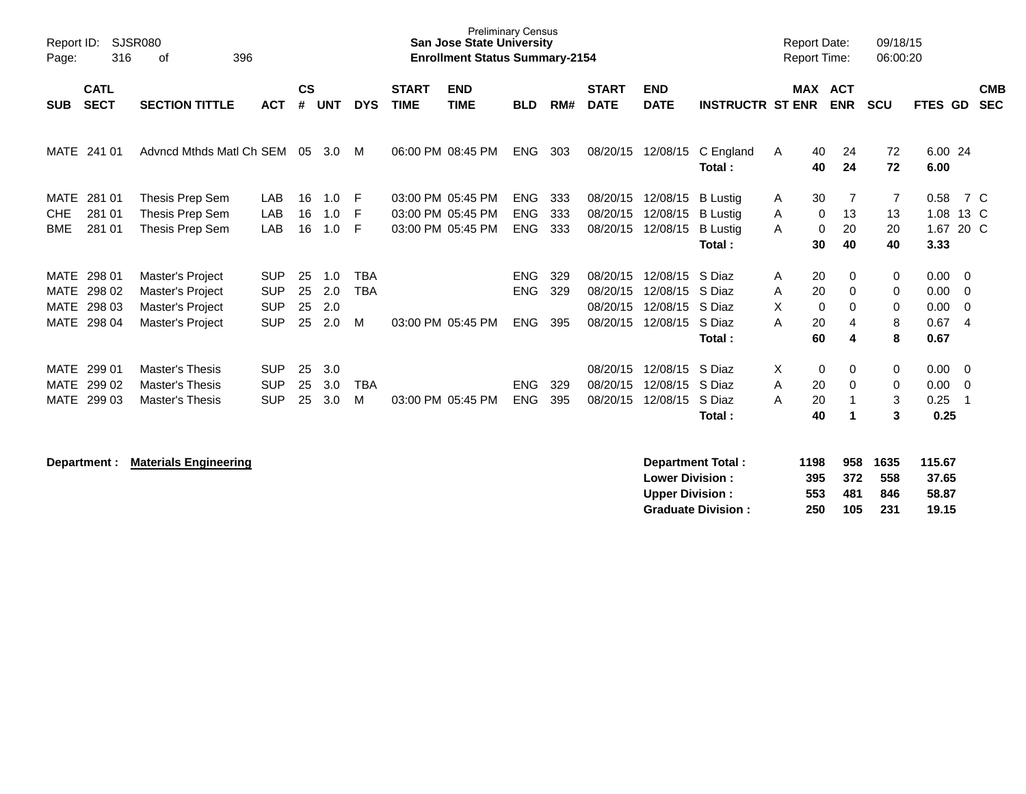| Report ID:<br>Page:                               | 316                                  | <b>SJSR080</b><br>396<br>οf                                                  |                                                      |                      |                          |                               |                             | <b>Preliminary Census</b><br><b>San Jose State University</b><br><b>Enrollment Status Summary-2154</b> |                                        |                   |                                              |                                              |                                                                 | <b>Report Date:</b><br><b>Report Time:</b>               |                              | 09/18/15<br>06:00:20             |                                      |                                                |                          |
|---------------------------------------------------|--------------------------------------|------------------------------------------------------------------------------|------------------------------------------------------|----------------------|--------------------------|-------------------------------|-----------------------------|--------------------------------------------------------------------------------------------------------|----------------------------------------|-------------------|----------------------------------------------|----------------------------------------------|-----------------------------------------------------------------|----------------------------------------------------------|------------------------------|----------------------------------|--------------------------------------|------------------------------------------------|--------------------------|
| <b>SUB</b>                                        | <b>CATL</b><br><b>SECT</b>           | <b>SECTION TITTLE</b>                                                        | <b>ACT</b>                                           | $\mathsf{cs}$<br>#   | <b>UNT</b>               | <b>DYS</b>                    | <b>START</b><br><b>TIME</b> | <b>END</b><br><b>TIME</b>                                                                              | <b>BLD</b>                             | RM#               | <b>START</b><br><b>DATE</b>                  | <b>END</b><br><b>DATE</b>                    | <b>INSTRUCTR ST ENR</b>                                         | <b>MAX</b>                                               | <b>ACT</b><br><b>ENR</b>     | <b>SCU</b>                       | <b>FTES GD</b>                       |                                                | <b>CMB</b><br><b>SEC</b> |
|                                                   | MATE 241 01                          | Advncd Mthds Matl Ch SEM                                                     |                                                      | 05                   | 3.0                      | M                             |                             | 06:00 PM 08:45 PM                                                                                      | <b>ENG</b>                             | 303               | 08/20/15                                     | 12/08/15                                     | C England<br>Total:                                             | 40<br>A<br>40                                            | 24<br>24                     | 72<br>72                         | 6.00 24<br>6.00                      |                                                |                          |
| <b>MATE</b><br><b>CHE</b><br><b>BME</b>           | 281 01<br>281 01<br>281 01           | Thesis Prep Sem<br>Thesis Prep Sem<br>Thesis Prep Sem                        | LAB<br>LAB<br>LAB                                    | 16<br>16<br>16       | 1.0<br>1.0<br>1.0        | F<br>F<br>F                   |                             | 03:00 PM 05:45 PM<br>03:00 PM 05:45 PM<br>03:00 PM 05:45 PM                                            | <b>ENG</b><br><b>ENG</b><br><b>ENG</b> | 333<br>333<br>333 | 08/20/15<br>08/20/15<br>08/20/15             | 12/08/15<br>12/08/15<br>12/08/15             | <b>B</b> Lustig<br><b>B</b> Lustig<br><b>B</b> Lustig<br>Total: | 30<br>Α<br>$\mathbf 0$<br>A<br>A<br>$\mathbf 0$<br>30    | 13<br>20<br>40               | $\overline{7}$<br>13<br>20<br>40 | 0.58<br>1.08<br>1.67<br>3.33         | 7 C<br>13 C<br>20 C                            |                          |
| MATE<br><b>MATE</b><br><b>MATE</b><br><b>MATE</b> | 298 01<br>298 02<br>298 03<br>298 04 | Master's Project<br>Master's Project<br>Master's Project<br>Master's Project | <b>SUP</b><br><b>SUP</b><br><b>SUP</b><br><b>SUP</b> | 25<br>25<br>25<br>25 | 1.0<br>2.0<br>2.0<br>2.0 | <b>TBA</b><br><b>TBA</b><br>м |                             | 03:00 PM 05:45 PM                                                                                      | <b>ENG</b><br><b>ENG</b><br><b>ENG</b> | 329<br>329<br>395 | 08/20/15<br>08/20/15<br>08/20/15<br>08/20/15 | 12/08/15<br>12/08/15<br>12/08/15<br>12/08/15 | S Diaz<br>S Diaz<br>S Diaz<br>S Diaz<br>Total:                  | 20<br>A<br>20<br>Α<br>X.<br>$\mathbf 0$<br>20<br>A<br>60 | 0<br>0<br>$\Omega$<br>4<br>4 | 0<br>0<br>0<br>8<br>8            | 0.00<br>0.00<br>0.00<br>0.67<br>0.67 | $\overline{\mathbf{0}}$<br>0<br>$\Omega$<br>-4 |                          |
| MATE<br><b>MATE</b><br><b>MATE</b>                | 299 01<br>299 02<br>299 03           | <b>Master's Thesis</b><br><b>Master's Thesis</b><br>Master's Thesis          | <b>SUP</b><br><b>SUP</b><br><b>SUP</b>               | 25<br>25<br>25       | 3.0<br>3.0<br>3.0        | <b>TBA</b><br>м               |                             | 03:00 PM 05:45 PM                                                                                      | ENG<br><b>ENG</b>                      | 329<br>395        | 08/20/15<br>08/20/15<br>08/20/15             | 12/08/15<br>12/08/15<br>12/08/15             | S Diaz<br>S Diaz<br>S Diaz<br>Total:                            | X.<br>$\mathbf 0$<br>20<br>A<br>20<br>A<br>40            | 0<br>$\Omega$                | 0<br>$\mathbf 0$<br>3<br>3       | 0.00<br>0.00<br>0.25<br>0.25         | $\overline{\mathbf{0}}$<br>$\overline{0}$      |                          |

**Department : Materials Engineering** 

| Department Total:         | 1198 |     | 958 1635 | 115.67 |
|---------------------------|------|-----|----------|--------|
| <b>Lower Division:</b>    | 395  | 372 | 558      | 37.65  |
| <b>Upper Division:</b>    | 553  | 481 | 846      | 58.87  |
| <b>Graduate Division:</b> | 250  | 105 | -231     | 19.15  |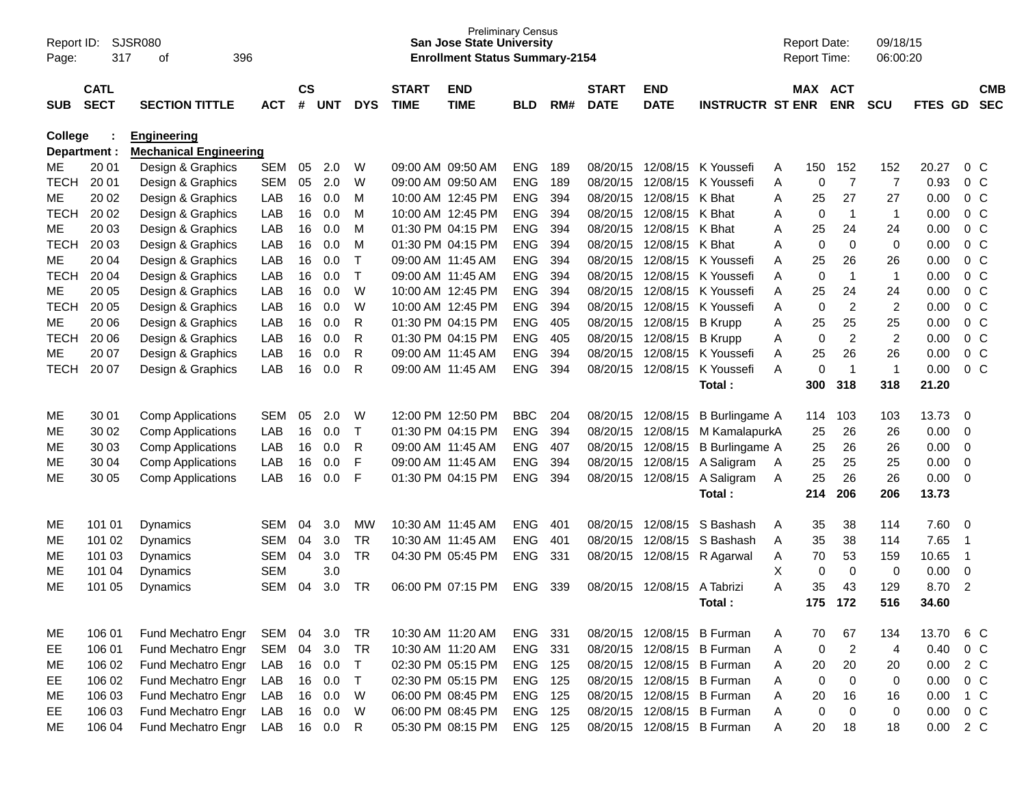| Report ID:<br>Page: | 317              | SJSR080<br>396<br>οf                                 |            |               |            |                             |              | <b>Preliminary Census</b><br><b>San Jose State University</b><br><b>Enrollment Status Summary-2154</b> |                   |            |                      |             |                                        |        | <b>Report Date:</b><br>Report Time: |                   | 09/18/15<br>06:00:20 |              |                |            |
|---------------------|------------------|------------------------------------------------------|------------|---------------|------------|-----------------------------|--------------|--------------------------------------------------------------------------------------------------------|-------------------|------------|----------------------|-------------|----------------------------------------|--------|-------------------------------------|-------------------|----------------------|--------------|----------------|------------|
|                     |                  |                                                      |            |               |            |                             |              |                                                                                                        |                   |            |                      |             |                                        |        |                                     |                   |                      |              |                |            |
|                     | <b>CATL</b>      |                                                      |            | $\mathsf{cs}$ |            |                             | <b>START</b> | <b>END</b>                                                                                             |                   |            | <b>START</b>         | <b>END</b>  |                                        |        | MAX ACT                             |                   |                      |              |                | <b>CMB</b> |
| <b>SUB</b>          | <b>SECT</b>      | <b>SECTION TITTLE</b>                                | <b>ACT</b> | #             | <b>UNT</b> | <b>DYS</b>                  | <b>TIME</b>  | <b>TIME</b>                                                                                            | <b>BLD</b>        | RM#        | <b>DATE</b>          | <b>DATE</b> | <b>INSTRUCTR ST ENR</b>                |        |                                     | <b>ENR</b>        | <b>SCU</b>           | FTES GD      |                | <b>SEC</b> |
| College             |                  | <b>Engineering</b>                                   |            |               |            |                             |              |                                                                                                        |                   |            |                      |             |                                        |        |                                     |                   |                      |              |                |            |
|                     | Department :     | <b>Mechanical Engineering</b>                        |            |               |            |                             |              |                                                                                                        |                   |            |                      |             |                                        |        |                                     |                   |                      |              |                |            |
| MЕ                  | 20 01            | Design & Graphics                                    | <b>SEM</b> | 05            | 2.0        | W                           |              | 09:00 AM 09:50 AM                                                                                      | <b>ENG</b>        | 189        | 08/20/15             | 12/08/15    | K Youssefi                             | Α      | 150                                 | 152               | 152                  | 20.27        |                | $0\,$ C    |
| <b>TECH</b>         | 20 01            | Design & Graphics                                    | <b>SEM</b> | 05            | 2.0        | W                           |              | 09:00 AM 09:50 AM                                                                                      | <b>ENG</b>        | 189        | 08/20/15             | 12/08/15    | K Youssefi                             | Α      | 0                                   | $\overline{7}$    | 7                    | 0.93         | 0 <sup>o</sup> |            |
| ME                  | 20 02            | Design & Graphics                                    | LAB        | 16            | 0.0        | M                           |              | 10:00 AM 12:45 PM                                                                                      | <b>ENG</b>        | 394        | 08/20/15             | 12/08/15    | K Bhat                                 | Α      | 25                                  | 27                | 27                   | 0.00         | 0 <sup>o</sup> |            |
| <b>TECH</b>         | 20 02            | Design & Graphics                                    | LAB        | 16            | 0.0        | M                           |              | 10:00 AM 12:45 PM                                                                                      | <b>ENG</b>        | 394        | 08/20/15             | 12/08/15    | K Bhat                                 | Α      | 0                                   | $\mathbf 1$       | $\mathbf{1}$         | 0.00         | 0 <sup>o</sup> |            |
| ME                  | 20 03            | Design & Graphics                                    | LAB        | 16            | 0.0        | M                           |              | 01:30 PM 04:15 PM                                                                                      | <b>ENG</b>        | 394        | 08/20/15             | 12/08/15    | K Bhat                                 | Α      | 25                                  | 24                | 24                   | 0.00         | 0 <sup>o</sup> |            |
| <b>TECH</b>         | 20 03            | Design & Graphics                                    | LAB        | 16            | 0.0        | M                           |              | 01:30 PM 04:15 PM                                                                                      | <b>ENG</b>        | 394        | 08/20/15             | 12/08/15    | K Bhat                                 | Α      | 0                                   | 0                 | 0                    | 0.00         | 0 <sup>o</sup> |            |
| ME                  | 20 04            | Design & Graphics                                    | LAB        | 16            | 0.0        | $\mathsf{T}$                |              | 09:00 AM 11:45 AM                                                                                      | <b>ENG</b>        | 394        | 08/20/15             | 12/08/15    | K Youssefi                             | A      | 25                                  | 26                | 26                   | 0.00         | $0\,C$         |            |
| <b>TECH</b>         | 20 04            | Design & Graphics                                    | LAB        | 16            | 0.0        | $\top$                      |              | 09:00 AM 11:45 AM                                                                                      | <b>ENG</b>        | 394        | 08/20/15             | 12/08/15    | K Youssefi                             | Α      | 0                                   | $\mathbf 1$       | $\mathbf{1}$         | 0.00         | 0 <sup>o</sup> |            |
| ME                  | 20 05            | Design & Graphics                                    | LAB        | 16            | 0.0        | W                           |              | 10:00 AM 12:45 PM                                                                                      | <b>ENG</b>        | 394        | 08/20/15             | 12/08/15    | K Youssefi                             | Α      | 25                                  | 24                | 24                   | 0.00         | 0 <sup>o</sup> |            |
| <b>TECH</b>         | 20 05            | Design & Graphics                                    | LAB        | 16            | 0.0        | W                           |              | 10:00 AM 12:45 PM                                                                                      | <b>ENG</b>        | 394        | 08/20/15             | 12/08/15    | K Youssefi                             | Α      | 0                                   | $\overline{c}$    | $\overline{2}$       | 0.00         | 0 <sup>o</sup> |            |
| ME                  | 20 06            | Design & Graphics                                    | LAB        | 16            | 0.0        | R                           |              | 01:30 PM 04:15 PM                                                                                      | <b>ENG</b>        | 405        | 08/20/15             | 12/08/15    | <b>B</b> Krupp                         | Α      | 25                                  | 25                | 25                   | 0.00         | 0 <sup>o</sup> |            |
| <b>TECH</b>         | 20 06            | Design & Graphics                                    | LAB        | 16            | 0.0        | R                           |              | 01:30 PM 04:15 PM                                                                                      | <b>ENG</b>        | 405        | 08/20/15             | 12/08/15    | <b>B</b> Krupp                         | Α      | 0                                   | $\overline{c}$    | $\overline{c}$       | 0.00         | 0 <sup>o</sup> |            |
| ME                  | 20 07            | Design & Graphics                                    | LAB        | 16            | 0.0        | R                           |              | 09:00 AM 11:45 AM                                                                                      | <b>ENG</b>        | 394        | 08/20/15             | 12/08/15    | K Youssefi                             | A      | 25                                  | 26                | 26                   | 0.00         | $0\,C$         |            |
| <b>TECH</b>         | 20 07            | Design & Graphics                                    | LAB        | 16            | 0.0        | R                           |              | 09:00 AM 11:45 AM                                                                                      | <b>ENG</b>        | 394        | 08/20/15             | 12/08/15    | K Youssefi                             | A      | 0                                   | $\mathbf 1$       | $\mathbf{1}$         | 0.00         |                | $0\,C$     |
|                     |                  |                                                      |            |               |            |                             |              |                                                                                                        |                   |            |                      |             | Total:                                 |        | 300                                 | 318               | 318                  | 21.20        |                |            |
| ME                  | 30 01            |                                                      | <b>SEM</b> | 05            | 2.0        | W                           |              | 12:00 PM 12:50 PM                                                                                      | <b>BBC</b>        | 204        | 08/20/15             | 12/08/15    | <b>B</b> Burlingame A                  |        | 114                                 | 103               |                      | 13.73        | 0              |            |
| ME                  | 30 02            | <b>Comp Applications</b>                             | LAB        | 16            | 0.0        | $\top$                      |              | 01:30 PM 04:15 PM                                                                                      | <b>ENG</b>        | 394        | 08/20/15             | 12/08/15    |                                        |        | 25                                  | 26                | 103<br>26            | 0.00         | $\mathbf 0$    |            |
| ME                  | 30 03            | <b>Comp Applications</b><br><b>Comp Applications</b> | LAB        | 16            | 0.0        | R                           |              | 09:00 AM 11:45 AM                                                                                      | <b>ENG</b>        | 407        | 08/20/15             | 12/08/15    | M KamalapurkA<br>B Burlingame A        |        | 25                                  | 26                | 26                   | 0.00         | $\mathbf 0$    |            |
| ME                  | 30 04            | <b>Comp Applications</b>                             | LAB        | 16            | 0.0        | F                           |              | 09:00 AM 11:45 AM                                                                                      | <b>ENG</b>        | 394        | 08/20/15             | 12/08/15    | A Saligram                             | A      | 25                                  | 25                | 25                   | 0.00         | $\mathbf 0$    |            |
| ME                  | 30 05            | <b>Comp Applications</b>                             | LAB        | 16            | 0.0        | F                           |              | 01:30 PM 04:15 PM                                                                                      | <b>ENG</b>        | 394        | 08/20/15             | 12/08/15    | A Saligram                             | Α      | 25                                  | 26                | 26                   | 0.00         | $\mathbf 0$    |            |
|                     |                  |                                                      |            |               |            |                             |              |                                                                                                        |                   |            |                      |             | Total:                                 |        | 214                                 | 206               | 206                  | 13.73        |                |            |
|                     |                  |                                                      |            |               |            |                             |              |                                                                                                        |                   |            |                      |             |                                        |        |                                     |                   |                      |              |                |            |
| ME                  | 101 01           | <b>Dynamics</b>                                      | <b>SEM</b> | 04            | 3.0        | <b>MW</b>                   |              | 10:30 AM 11:45 AM                                                                                      | <b>ENG</b>        | 401        | 08/20/15             | 12/08/15    | S Bashash                              | Α      | 35                                  | 38                | 114                  | 7.60         | $\overline{0}$ |            |
| ME                  | 101 02           | Dynamics                                             | <b>SEM</b> | 04            | 3.0        | <b>TR</b>                   |              | 10:30 AM 11:45 AM                                                                                      | <b>ENG</b>        | 401        | 08/20/15             | 12/08/15    | S Bashash                              | A      | 35                                  | 38                | 114                  | 7.65         | -1             |            |
| ME                  | 101 03           | Dynamics                                             | <b>SEM</b> | 04            | 3.0        | <b>TR</b>                   |              | 04:30 PM 05:45 PM                                                                                      | <b>ENG</b>        | 331        | 08/20/15             | 12/08/15    | R Agarwal                              | Α      | 70                                  | 53                | 159                  | 10.65        | -1             |            |
| ME                  | 101 04           | <b>Dynamics</b>                                      | <b>SEM</b> |               | 3.0        |                             |              |                                                                                                        |                   |            |                      |             |                                        | Χ      | 0                                   | $\mathbf 0$       | 0                    | 0.00         | $\mathbf 0$    |            |
| ME                  | 101 05           | Dynamics                                             | <b>SEM</b> | 04            | 3.0        | <b>TR</b>                   |              | 06:00 PM 07:15 PM                                                                                      | <b>ENG</b>        | 339        | 08/20/15             | 12/08/15    | A Tabrizi                              | A      | 35                                  | 43                | 129                  | 8.70         | 2              |            |
|                     |                  |                                                      |            |               |            |                             |              |                                                                                                        |                   |            |                      |             | Total :                                |        | 175                                 | 172               | 516                  | 34.60        |                |            |
|                     |                  |                                                      |            |               |            |                             |              |                                                                                                        |                   |            |                      |             |                                        |        |                                     |                   |                      |              |                |            |
| ME                  | 106 01           | Fund Mechatro Engr                                   | SEM        | 04            | 3.0        | <b>TR</b>                   |              | 10:30 AM 11:20 AM                                                                                      | <b>ENG</b>        | 331        | 08/20/15             |             | 12/08/15 B Furman                      | A      | 70                                  | 67                | 134                  | 13.70        |                | 6 C        |
| EE                  | 106 01           | Fund Mechatro Engr                                   | <b>SEM</b> | 04            | 3.0        | <b>TR</b>                   |              | 10:30 AM 11:20 AM                                                                                      | ENG               | 331        | 08/20/15             |             | 12/08/15 B Furman                      | Α      | $\mathbf 0$                         | $\overline{2}$    | 4                    | 0.40         | 0 C            |            |
| ME                  | 106 02           | Fund Mechatro Engr<br>Fund Mechatro Engr             | LAB        | 16            | 0.0        | $\mathsf T$<br>$\mathsf{T}$ |              | 02:30 PM 05:15 PM                                                                                      | <b>ENG</b>        | 125        | 08/20/15             |             | 12/08/15 B Furman                      | Α      | 20                                  | 20<br>$\mathbf 0$ | 20                   | 0.00<br>0.00 | $0\,C$         | 2 C        |
| EE                  | 106 02<br>106 03 | Fund Mechatro Engr                                   | LAB<br>LAB | 16<br>16      | 0.0<br>0.0 | W                           |              | 02:30 PM 05:15 PM<br>06:00 PM 08:45 PM                                                                 | <b>ENG</b><br>ENG | 125<br>125 | 08/20/15<br>08/20/15 |             | 12/08/15 B Furman<br>12/08/15 B Furman | Α      | $\mathbf 0$                         | 16                | 0                    |              |                | 1 C        |
| ME<br>EE.           | 106 03           | Fund Mechatro Engr                                   |            | 16            | 0.0        | W                           |              | 06:00 PM 08:45 PM                                                                                      | <b>ENG</b>        | 125        | 08/20/15             |             | 12/08/15 B Furman                      | Α<br>Α | 20                                  | $\mathbf 0$       | 16                   | 0.00<br>0.00 |                | $0\,C$     |
|                     |                  | Fund Mechatro Engr                                   | LAB        |               |            |                             |              |                                                                                                        | ENG 125           |            |                      |             |                                        |        | $\mathbf 0$                         |                   | 0                    |              |                |            |
| ME                  | 106 04           |                                                      | LAB        |               | 16 0.0     | $\mathsf{R}$                |              | 05:30 PM 08:15 PM                                                                                      |                   |            | 08/20/15             |             | 12/08/15 B Furman                      | Α      | 20                                  | 18                | 18                   | 0.00         |                | 2 C        |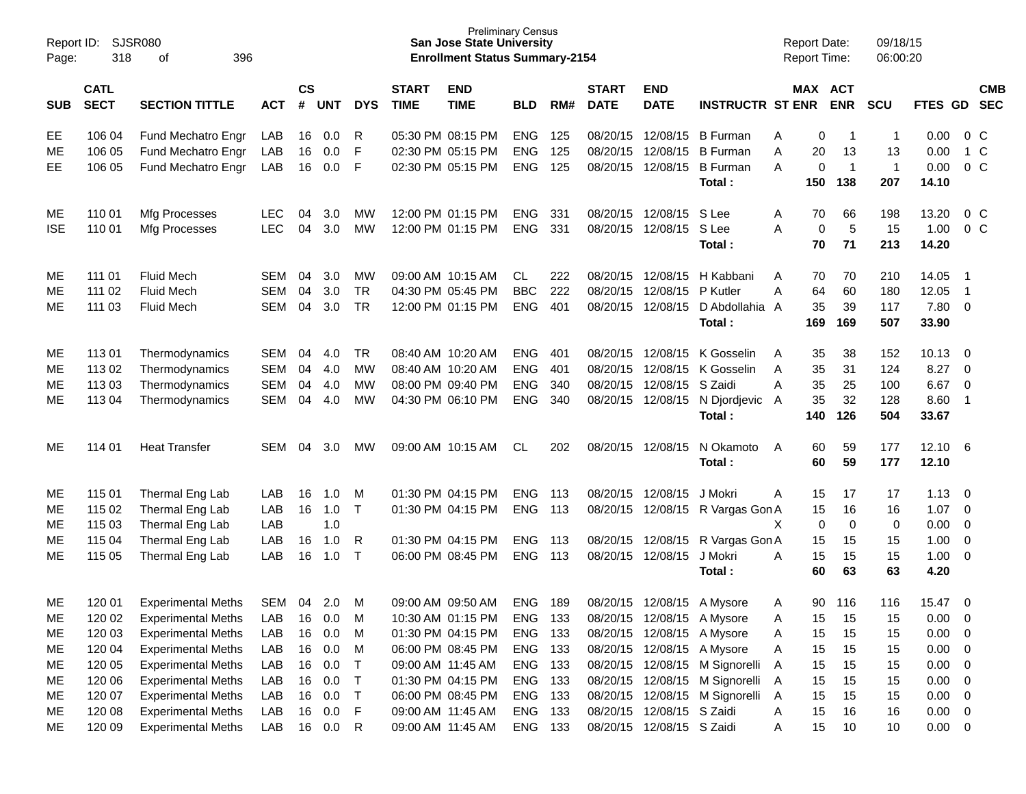| Report ID:<br>Page: | 318                        | SJSR080<br>396<br>of      |            |                    |            |              |                             | <b>Preliminary Census</b><br><b>San Jose State University</b><br><b>Enrollment Status Summary-2154</b> |            |     |                             |                            |                                | <b>Report Date:</b><br><b>Report Time:</b> |     |                | 09/18/15<br>06:00:20 |                |                         |                          |
|---------------------|----------------------------|---------------------------|------------|--------------------|------------|--------------|-----------------------------|--------------------------------------------------------------------------------------------------------|------------|-----|-----------------------------|----------------------------|--------------------------------|--------------------------------------------|-----|----------------|----------------------|----------------|-------------------------|--------------------------|
| <b>SUB</b>          | <b>CATL</b><br><b>SECT</b> | <b>SECTION TITTLE</b>     | <b>ACT</b> | $\mathsf{cs}$<br># | <b>UNT</b> | <b>DYS</b>   | <b>START</b><br><b>TIME</b> | <b>END</b><br><b>TIME</b>                                                                              | <b>BLD</b> | RM# | <b>START</b><br><b>DATE</b> | <b>END</b><br><b>DATE</b>  | <b>INSTRUCTR ST ENR</b>        | MAX ACT                                    |     | <b>ENR</b>     | <b>SCU</b>           | <b>FTES GD</b> |                         | <b>CMB</b><br><b>SEC</b> |
| EE                  | 106 04                     | Fund Mechatro Engr        | LAB        | 16                 | 0.0        | R            |                             | 05:30 PM 08:15 PM                                                                                      | <b>ENG</b> | 125 | 08/20/15                    | 12/08/15                   | <b>B</b> Furman                | Α                                          | 0   | $\overline{1}$ | -1                   | 0.00           | 0 C                     |                          |
| ME                  | 106 05                     | Fund Mechatro Engr        | LAB        | 16                 | 0.0        | F            |                             | 02:30 PM 05:15 PM                                                                                      | <b>ENG</b> | 125 | 08/20/15                    | 12/08/15                   | <b>B</b> Furman                | Α                                          | 20  | 13             | 13                   | 0.00           | 1 C                     |                          |
| EЕ                  | 106 05                     | Fund Mechatro Engr        | LAB        | 16                 | 0.0        | F            |                             | 02:30 PM 05:15 PM                                                                                      | <b>ENG</b> | 125 | 08/20/15                    | 12/08/15                   | <b>B</b> Furman                | A                                          | 0   | $\overline{1}$ | $\mathbf{1}$         | 0.00           | 0 <sup>C</sup>          |                          |
|                     |                            |                           |            |                    |            |              |                             |                                                                                                        |            |     |                             |                            | Total:                         |                                            | 150 | 138            | 207                  | 14.10          |                         |                          |
| ME                  | 110 01                     | Mfg Processes             | <b>LEC</b> | 04                 | 3.0        | MW           |                             | 12:00 PM 01:15 PM                                                                                      | <b>ENG</b> | 331 | 08/20/15                    | 12/08/15                   | S Lee                          | A                                          | 70  | 66             | 198                  | 13.20          | $0\,C$                  |                          |
| <b>ISE</b>          | 110 01                     | Mfg Processes             | <b>LEC</b> | 04                 | 3.0        | <b>MW</b>    |                             | 12:00 PM 01:15 PM                                                                                      | <b>ENG</b> | 331 |                             | 08/20/15 12/08/15          | S Lee                          | A                                          | 0   | 5              | 15                   | 1.00           | 0 <sup>C</sup>          |                          |
|                     |                            |                           |            |                    |            |              |                             |                                                                                                        |            |     |                             |                            | Total:                         |                                            | 70  | 71             | 213                  | 14.20          |                         |                          |
| ME                  | 111 01                     | <b>Fluid Mech</b>         | <b>SEM</b> | 04                 | 3.0        | MW           |                             | 09:00 AM 10:15 AM                                                                                      | CL.        | 222 | 08/20/15                    | 12/08/15                   | H Kabbani                      | A                                          | 70  | 70             | 210                  | 14.05          | - 1                     |                          |
| ME                  | 111 02                     | <b>Fluid Mech</b>         | <b>SEM</b> | 04                 | 3.0        | <b>TR</b>    |                             | 04:30 PM 05:45 PM                                                                                      | <b>BBC</b> | 222 | 08/20/15                    | 12/08/15                   | P Kutler                       | Α                                          | 64  | 60             | 180                  | 12.05          | $\overline{\mathbf{1}}$ |                          |
| ME                  | 111 03                     | <b>Fluid Mech</b>         | <b>SEM</b> | 04                 | 3.0        | <b>TR</b>    |                             | 12:00 PM 01:15 PM                                                                                      | <b>ENG</b> | 401 | 08/20/15                    | 12/08/15                   | D Abdollahia A                 |                                            | 35  | 39             | 117                  | 7.80           | 0                       |                          |
|                     |                            |                           |            |                    |            |              |                             |                                                                                                        |            |     |                             |                            | Total:                         |                                            | 169 | 169            | 507                  | 33.90          |                         |                          |
| ME                  | 11301                      | Thermodynamics            | <b>SEM</b> | 04                 | 4.0        | <b>TR</b>    |                             | 08:40 AM 10:20 AM                                                                                      | <b>ENG</b> | 401 | 08/20/15                    | 12/08/15                   | K Gosselin                     | A                                          | 35  | 38             | 152                  | 10.13          | $\overline{\mathbf{0}}$ |                          |
| ME                  | 113 02                     | Thermodynamics            | <b>SEM</b> | 04                 | 4.0        | MW           |                             | 08:40 AM 10:20 AM                                                                                      | <b>ENG</b> | 401 | 08/20/15                    | 12/08/15                   | K Gosselin                     | A                                          | 35  | 31             | 124                  | 8.27           | - 0                     |                          |
| ME                  | 113 03                     | Thermodynamics            | <b>SEM</b> | 04                 | 4.0        | <b>MW</b>    |                             | 08:00 PM 09:40 PM                                                                                      | <b>ENG</b> | 340 | 08/20/15                    | 12/08/15                   | S Zaidi                        | A                                          | 35  | 25             | 100                  | 6.67           | 0                       |                          |
| ME                  | 113 04                     | Thermodynamics            | <b>SEM</b> | 04                 | 4.0        | <b>MW</b>    |                             | 04:30 PM 06:10 PM                                                                                      | <b>ENG</b> | 340 | 08/20/15                    | 12/08/15                   | N Djordjevic                   | A                                          | 35  | 32             | 128                  | 8.60           | $\overline{\mathbf{1}}$ |                          |
|                     |                            |                           |            |                    |            |              |                             |                                                                                                        |            |     |                             |                            | Total:                         |                                            | 140 | 126            | 504                  | 33.67          |                         |                          |
| ME                  | 114 01                     | <b>Heat Transfer</b>      | <b>SEM</b> | 04                 | 3.0        | MW           |                             | 09:00 AM 10:15 AM                                                                                      | <b>CL</b>  | 202 | 08/20/15                    | 12/08/15                   | N Okamoto                      | A                                          | 60  | 59             | 177                  | 12.10          | - 6                     |                          |
|                     |                            |                           |            |                    |            |              |                             |                                                                                                        |            |     |                             |                            | Total:                         |                                            | 60  | 59             | 177                  | 12.10          |                         |                          |
| ME                  | 115 01                     | Thermal Eng Lab           | LAB        | 16                 | 1.0        | M            | 01:30 PM 04:15 PM           |                                                                                                        | <b>ENG</b> | 113 | 08/20/15                    | 12/08/15                   | J Mokri                        | A                                          | 15  | 17             | 17                   | 1.13           | $\overline{0}$          |                          |
| ME                  | 115 02                     | Thermal Eng Lab           | LAB        | 16                 | 1.0        | $\mathsf{T}$ |                             | 01:30 PM 04:15 PM                                                                                      | <b>ENG</b> | 113 | 08/20/15                    | 12/08/15                   | R Vargas Gon A                 |                                            | 15  | 16             | 16                   | 1.07           | 0                       |                          |
| ME                  | 115 03                     | Thermal Eng Lab           | LAB        |                    | 1.0        |              |                             |                                                                                                        |            |     |                             |                            |                                | Χ                                          | 0   | $\mathbf 0$    | 0                    | 0.00           | $\overline{0}$          |                          |
| ME                  | 115 04                     | Thermal Eng Lab           | LAB        | 16                 | 1.0        | R            | 01:30 PM 04:15 PM           |                                                                                                        | <b>ENG</b> | 113 | 08/20/15 12/08/15           |                            | R Vargas Gon A                 |                                            | 15  | 15             | 15                   | 1.00           | 0                       |                          |
| ME                  | 115 05                     | Thermal Eng Lab           | LAB        | 16                 | 1.0        | $\mathsf{T}$ |                             | 06:00 PM 08:45 PM                                                                                      | <b>ENG</b> | 113 |                             | 08/20/15 12/08/15          | J Mokri                        | A                                          | 15  | 15             | 15                   | 1.00           | 0                       |                          |
|                     |                            |                           |            |                    |            |              |                             |                                                                                                        |            |     |                             |                            | Total :                        |                                            | 60  | 63             | 63                   | 4.20           |                         |                          |
| ME                  | 120 01                     | <b>Experimental Meths</b> | <b>SEM</b> | 04                 | 2.0        | м            |                             | 09:00 AM 09:50 AM                                                                                      | ENG        | 189 | 08/20/15                    | 12/08/15                   | A Mysore                       | A                                          | 90  | 116            | 116                  | 15.47          | 0                       |                          |
| ME                  | 120 02                     | <b>Experimental Meths</b> | LAB        | 16                 | 0.0        | M            |                             | 10:30 AM 01:15 PM                                                                                      | <b>ENG</b> | 133 |                             | 08/20/15 12/08/15 A Mysore |                                | A                                          | 15  | 15             | 15                   | 0.00           | - 0                     |                          |
| ME                  | 120 03                     | <b>Experimental Meths</b> | LAB        | 16                 | 0.0        | M            |                             | 01:30 PM 04:15 PM                                                                                      | <b>ENG</b> | 133 |                             | 08/20/15 12/08/15          | A Mysore                       | A                                          | 15  | 15             | 15                   | 0.00           | - 0                     |                          |
| ME                  | 120 04                     | <b>Experimental Meths</b> | LAB        | 16                 | 0.0        | M            |                             | 06:00 PM 08:45 PM                                                                                      | ENG 133    |     |                             | 08/20/15 12/08/15          | A Mysore                       | A                                          | 15  | 15             | 15                   | 0.00           | 0                       |                          |
| ME                  | 120 05                     | <b>Experimental Meths</b> | LAB        | 16                 | 0.0        | $\mathsf T$  |                             | 09:00 AM 11:45 AM                                                                                      | ENG        | 133 |                             |                            | 08/20/15 12/08/15 M Signorelli | A                                          | 15  | 15             | 15                   | 0.00           | $\overline{0}$          |                          |
| ME                  | 120 06                     | <b>Experimental Meths</b> | LAB        | 16                 | 0.0        | $\mathsf T$  |                             | 01:30 PM 04:15 PM                                                                                      | ENG        | 133 |                             | 08/20/15 12/08/15          | M Signorelli                   | A                                          | 15  | 15             | 15                   | 0.00           | $\overline{\mathbf{0}}$ |                          |
| ME                  | 120 07                     | <b>Experimental Meths</b> | LAB        | 16                 | 0.0        | $\top$       |                             | 06:00 PM 08:45 PM                                                                                      | ENG        | 133 |                             | 08/20/15 12/08/15          | M Signorelli                   | A                                          | 15  | 15             | 15                   | 0.00           | $\overline{0}$          |                          |
| ME                  | 120 08                     | <b>Experimental Meths</b> | LAB        | 16                 | 0.0        | F            |                             | 09:00 AM 11:45 AM                                                                                      | ENG        | 133 |                             | 08/20/15 12/08/15 S Zaidi  |                                | A                                          | 15  | 16             | 16                   | 0.00           | $\overline{\mathbf{0}}$ |                          |
| ME                  | 120 09                     | <b>Experimental Meths</b> | LAB        |                    | 16 0.0     | $\mathsf{R}$ |                             | 09:00 AM 11:45 AM                                                                                      | ENG 133    |     |                             | 08/20/15 12/08/15 S Zaidi  |                                | A                                          | 15  | 10             | 10                   | $0.00 \t 0$    |                         |                          |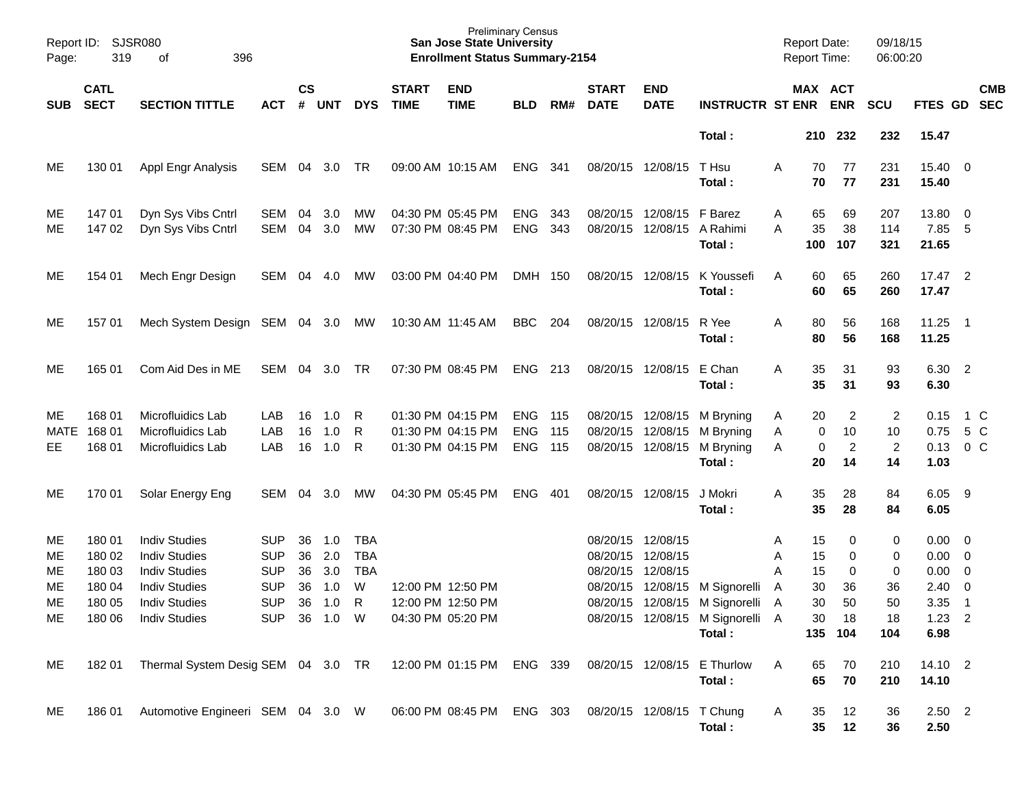| Page:       | Report ID: SJSR080<br>319  | 396<br>оf                                |            |                |            |            |                             | <b>Preliminary Census</b><br><b>San Jose State University</b><br><b>Enrollment Status Summary-2154</b> |                          |            |                             |                           |                                       |        | <b>Report Date:</b><br><b>Report Time:</b> |                       | 09/18/15<br>06:00:20 |                          |                          |            |
|-------------|----------------------------|------------------------------------------|------------|----------------|------------|------------|-----------------------------|--------------------------------------------------------------------------------------------------------|--------------------------|------------|-----------------------------|---------------------------|---------------------------------------|--------|--------------------------------------------|-----------------------|----------------------|--------------------------|--------------------------|------------|
| <b>SUB</b>  | <b>CATL</b><br><b>SECT</b> | <b>SECTION TITTLE</b>                    | <b>ACT</b> | <b>CS</b><br># | UNT        | <b>DYS</b> | <b>START</b><br><b>TIME</b> | <b>END</b><br><b>TIME</b>                                                                              | <b>BLD</b>               | RM#        | <b>START</b><br><b>DATE</b> | <b>END</b><br><b>DATE</b> | <b>INSTRUCTR ST ENR</b>               |        |                                            | MAX ACT<br><b>ENR</b> | <b>SCU</b>           | FTES GD                  | <b>SEC</b>               | <b>CMB</b> |
|             |                            |                                          |            |                |            |            |                             |                                                                                                        |                          |            |                             |                           | Total:                                |        | 210                                        | 232                   | 232                  | 15.47                    |                          |            |
| ME.         | 130 01                     | Appl Engr Analysis                       | SEM        | 04             | 3.0        | TR         |                             | 09:00 AM 10:15 AM                                                                                      | <b>ENG</b>               | 341        |                             | 08/20/15 12/08/15         | T Hsu<br>Total:                       | Α      | 70<br>70                                   | 77<br>77              | 231<br>231           | 15.40 0<br>15.40         |                          |            |
| ME.<br>MЕ   | 147 01<br>147 02           | Dyn Sys Vibs Cntrl<br>Dyn Sys Vibs Cntrl | SEM<br>SEM | 04<br>04       | 3.0<br>3.0 | МW<br>МW   |                             | 04:30 PM 05:45 PM<br>07:30 PM 08:45 PM                                                                 | <b>ENG</b><br><b>ENG</b> | 343<br>343 | 08/20/15<br>08/20/15        | 12/08/15<br>12/08/15      | F Barez<br>A Rahimi<br>Total:         | Α<br>A | 65<br>35<br>100                            | 69<br>38<br>107       | 207<br>114<br>321    | 13.80 0<br>7.85<br>21.65 | 5                        |            |
| ME.         | 154 01                     | Mech Engr Design                         | SEM        | 04             | 4.0        | MW         |                             | 03:00 PM 04:40 PM                                                                                      | DMH 150                  |            |                             | 08/20/15 12/08/15         | K Youssefi<br>Total:                  | A      | 60<br>60                                   | 65<br>65              | 260<br>260           | 17.47 2<br>17.47         |                          |            |
| MЕ          | 157 01                     | Mech System Design SEM 04 3.0 MW         |            |                |            |            | 10:30 AM 11:45 AM           |                                                                                                        | <b>BBC</b>               | 204        |                             | 08/20/15 12/08/15         | R Yee<br>Total:                       | Α      | 80<br>80                                   | 56<br>56              | 168<br>168           | 11.25<br>11.25           | $\overline{\phantom{1}}$ |            |
| ME          | 165 01                     | Com Aid Des in ME                        | SEM        | 04             | 3.0        | TR         |                             | 07:30 PM 08:45 PM                                                                                      | <b>ENG</b>               | 213        |                             | 08/20/15 12/08/15         | E Chan<br>Total:                      | Α      | 35<br>35                                   | 31<br>31              | 93<br>93             | 6.30 2<br>6.30           |                          |            |
| ME.         | 168 01                     | Microfluidics Lab                        | LAB        | 16             | 1.0        | R          |                             | 01:30 PM 04:15 PM                                                                                      | <b>ENG</b>               | 115        | 08/20/15 12/08/15           |                           | M Bryning                             | Α      | 20                                         | 2                     | $\overline{c}$       | 0.15                     | 1 C                      |            |
| <b>MATE</b> | 168 01                     | Microfluidics Lab                        | LAB        | 16             | 1.0        | R          |                             | 01:30 PM 04:15 PM                                                                                      | <b>ENG</b>               | 115        | 08/20/15                    | 12/08/15                  | M Bryning                             | Α      | 0                                          | 10                    | 10                   | 0.75                     | 5 C                      |            |
| EE          | 168 01                     | Microfluidics Lab                        | LAB        | 16             | 1.0        | R          |                             | 01:30 PM 04:15 PM                                                                                      | <b>ENG</b>               | 115        |                             | 08/20/15 12/08/15         | M Bryning<br>Total:                   | A      | 0<br>20                                    | $\overline{c}$<br>14  | $\overline{2}$<br>14 | 0.13<br>1.03             | 0 <sup>o</sup>           |            |
| ME          | 170 01                     | Solar Energy Eng                         | SEM        | 04             | 3.0        | МW         |                             | 04:30 PM 05:45 PM                                                                                      | <b>ENG</b>               | 401        |                             | 08/20/15 12/08/15         | J Mokri<br>Total:                     | Α      | 35<br>35                                   | 28<br>28              | 84<br>84             | 6.05<br>6.05             | - 9                      |            |
| ME          | 180 01                     | <b>Indiv Studies</b>                     | SUP        | 36             | 1.0        | <b>TBA</b> |                             |                                                                                                        |                          |            | 08/20/15                    | 12/08/15                  |                                       | Α      | 15                                         | 0                     | 0                    | $0.00 \quad 0$           |                          |            |
| ME          | 180 02                     | <b>Indiv Studies</b>                     | <b>SUP</b> | 36             | 2.0        | <b>TBA</b> |                             |                                                                                                        |                          |            | 08/20/15                    | 12/08/15                  |                                       | Α      | 15                                         | 0                     | 0                    | $0.00 \t 0$              |                          |            |
| MЕ          | 180 03                     | <b>Indiv Studies</b>                     | <b>SUP</b> | 36             | 3.0        | <b>TBA</b> |                             |                                                                                                        |                          |            | 08/20/15                    | 12/08/15                  |                                       | Α      | 15                                         | 0                     | 0                    | 0.00                     | $\overline{\phantom{0}}$ |            |
| МE          | 180 04                     | <b>Indiv Studies</b>                     | <b>SUP</b> | 36             | 1.0        | W          | 12:00 PM 12:50 PM           |                                                                                                        |                          |            | 08/20/15                    | 12/08/15                  | M Signorelli                          | Α      | 30                                         | 36                    | 36                   | 2.40                     | $\overline{0}$           |            |
| ME          | 180 05                     | <b>Indiv Studies</b>                     | <b>SUP</b> | 36             | 1.0        | R          |                             | 12:00 PM 12:50 PM                                                                                      |                          |            |                             |                           | 08/20/15 12/08/15 M Signorelli        | A      | 30                                         | 50                    | 50                   | 3.35                     | $\overline{1}$           |            |
| ME          | 180 06                     | <b>Indiv Studies</b>                     | <b>SUP</b> |                | 36 1.0 W   |            |                             | 04:30 PM 05:20 PM                                                                                      |                          |            |                             |                           | 08/20/15 12/08/15 M Signorelli A      |        | 30                                         | 18                    | 18                   | $1.23$ 2                 |                          |            |
|             |                            |                                          |            |                |            |            |                             |                                                                                                        |                          |            |                             |                           | Total:                                |        |                                            | 135 104               | 104                  | 6.98                     |                          |            |
| ME          | 18201                      | Thermal System Desig SEM 04 3.0 TR       |            |                |            |            |                             | 12:00 PM 01:15 PM ENG 339                                                                              |                          |            |                             |                           | 08/20/15 12/08/15 E Thurlow<br>Total: | Α      | 65<br>65                                   | 70<br>70              | 210<br>210           | 14.10 2<br>14.10         |                          |            |
| ME          | 18601                      | Automotive Engineeri SEM 04 3.0 W        |            |                |            |            |                             | 06:00 PM 08:45 PM ENG 303                                                                              |                          |            | 08/20/15 12/08/15 T Chung   |                           | Total:                                | A      | 35<br>35                                   | 12<br>12              | 36<br>36             | $2.50$ 2<br>2.50         |                          |            |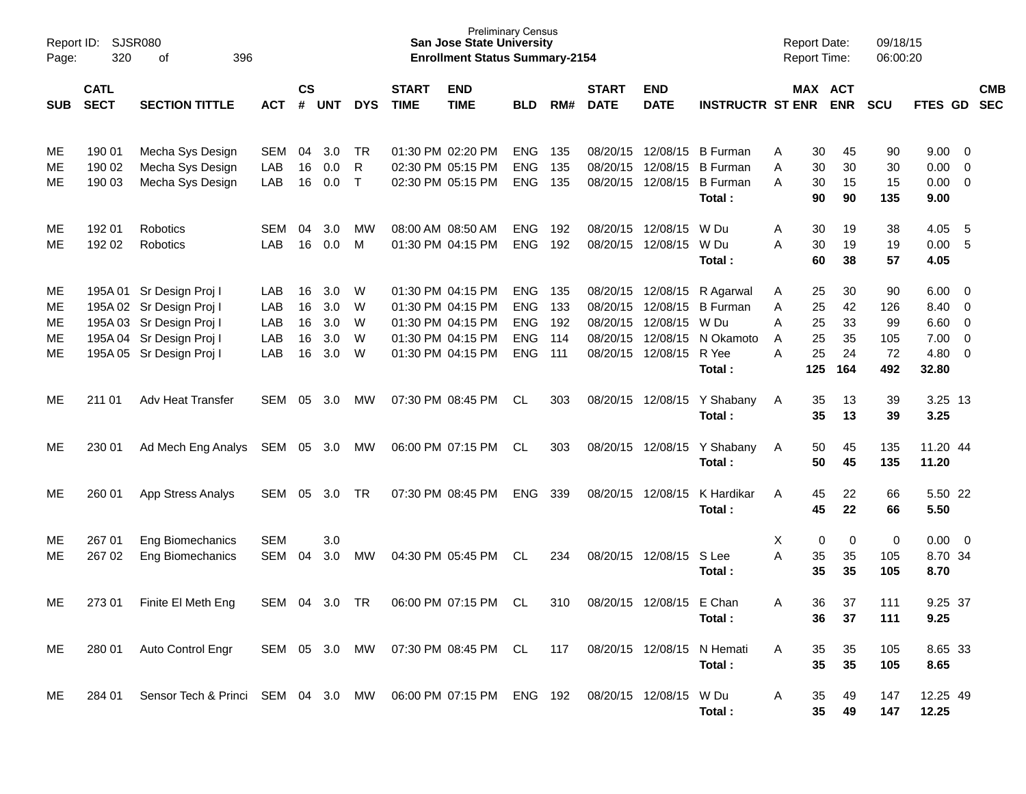| Report ID:<br>Page:        | 320                        | <b>SJSR080</b><br>396<br>οf                                                                                                              |                                 |                            |                                 |                       |                             | <b>Preliminary Census</b><br><b>San Jose State University</b><br><b>Enrollment Status Summary-2154</b> |                                                                    |                                 |                                                          |                                                          |                                                                      | <b>Report Date:</b><br><b>Report Time:</b> |                                   |                                   | 09/18/15<br>06:00:20                |                                               |                       |                          |
|----------------------------|----------------------------|------------------------------------------------------------------------------------------------------------------------------------------|---------------------------------|----------------------------|---------------------------------|-----------------------|-----------------------------|--------------------------------------------------------------------------------------------------------|--------------------------------------------------------------------|---------------------------------|----------------------------------------------------------|----------------------------------------------------------|----------------------------------------------------------------------|--------------------------------------------|-----------------------------------|-----------------------------------|-------------------------------------|-----------------------------------------------|-----------------------|--------------------------|
| <b>SUB</b>                 | <b>CATL</b><br><b>SECT</b> | <b>SECTION TITTLE</b>                                                                                                                    | <b>ACT</b>                      | <b>CS</b><br>#             | <b>UNT</b>                      | <b>DYS</b>            | <b>START</b><br><b>TIME</b> | <b>END</b><br><b>TIME</b>                                                                              | <b>BLD</b>                                                         | RM#                             | <b>START</b><br><b>DATE</b>                              | <b>END</b><br><b>DATE</b>                                | <b>INSTRUCTR ST ENR</b>                                              |                                            |                                   | MAX ACT<br><b>ENR</b>             | <b>SCU</b>                          | <b>FTES GD</b>                                |                       | <b>CMB</b><br><b>SEC</b> |
| ME<br>MЕ<br>ME             | 190 01<br>190 02<br>190 03 | Mecha Sys Design<br>Mecha Sys Design<br>Mecha Sys Design                                                                                 | <b>SEM</b><br>LAB<br>LAB        | 04<br>16<br>16             | 3.0<br>0.0<br>0.0               | TR<br>R<br>$\top$     |                             | 01:30 PM 02:20 PM<br>02:30 PM 05:15 PM<br>02:30 PM 05:15 PM                                            | <b>ENG</b><br><b>ENG</b><br><b>ENG</b>                             | 135<br>135<br>135               | 08/20/15<br>08/20/15<br>08/20/15                         | 12/08/15<br>12/08/15<br>12/08/15                         | <b>B</b> Furman<br><b>B</b> Furman<br><b>B</b> Furman<br>Total:      | Α<br>Α<br>A                                | 30<br>30<br>30<br>90              | 45<br>30<br>15<br>90              | 90<br>30<br>15<br>135               | 9.00<br>0.00<br>0.00<br>9.00                  | 0<br>0<br>0           |                          |
| MЕ<br>ME                   | 192 01<br>192 02           | Robotics<br>Robotics                                                                                                                     | <b>SEM</b><br>LAB               | 04<br>16                   | 3.0<br>0.0                      | <b>MW</b><br>M        |                             | 08:00 AM 08:50 AM<br>01:30 PM 04:15 PM                                                                 | <b>ENG</b><br><b>ENG</b>                                           | 192<br>192                      | 08/20/15<br>08/20/15                                     | 12/08/15<br>12/08/15                                     | W Du<br>W Du<br>Total:                                               | Α<br>Α                                     | 30<br>30<br>60                    | 19<br>19<br>38                    | 38<br>19<br>57                      | 4.05<br>0.00<br>4.05                          | - 5<br>-5             |                          |
| ME<br>MЕ<br>MЕ<br>ME<br>ME |                            | 195A 01 Sr Design Proj I<br>195A 02 Sr Design Proj I<br>195A 03 Sr Design Proj I<br>195A 04 Sr Design Proj I<br>195A 05 Sr Design Proj I | LAB<br>LAB<br>LAB<br>LAB<br>LAB | 16<br>16<br>16<br>16<br>16 | 3.0<br>3.0<br>3.0<br>3.0<br>3.0 | W<br>W<br>W<br>W<br>W |                             | 01:30 PM 04:15 PM<br>01:30 PM 04:15 PM<br>01:30 PM 04:15 PM<br>01:30 PM 04:15 PM<br>01:30 PM 04:15 PM  | <b>ENG</b><br><b>ENG</b><br><b>ENG</b><br><b>ENG</b><br><b>ENG</b> | 135<br>133<br>192<br>114<br>111 | 08/20/15<br>08/20/15<br>08/20/15<br>08/20/15<br>08/20/15 | 12/08/15<br>12/08/15<br>12/08/15<br>12/08/15<br>12/08/15 | R Agarwal<br><b>B</b> Furman<br>W Du<br>N Okamoto<br>R Yee<br>Total: | Α<br>Α<br>Α<br>A<br>A                      | 25<br>25<br>25<br>25<br>25<br>125 | 30<br>42<br>33<br>35<br>24<br>164 | 90<br>126<br>99<br>105<br>72<br>492 | 6.00<br>8.40<br>6.60<br>7.00<br>4.80<br>32.80 | 0<br>0<br>0<br>0<br>0 |                          |
| ME                         | 211 01                     | Adv Heat Transfer                                                                                                                        | SEM                             | 05                         | 3.0                             | МW                    |                             | 07:30 PM 08:45 PM                                                                                      | CL.                                                                | 303                             | 08/20/15                                                 | 12/08/15                                                 | Y Shabany<br>Total:                                                  | A                                          | 35<br>35                          | 13<br>13                          | 39<br>39                            | 3.25 13<br>3.25                               |                       |                          |
| ME                         | 230 01                     | Ad Mech Eng Analys                                                                                                                       | SEM                             | 05                         | 3.0                             | <b>MW</b>             |                             | 06:00 PM 07:15 PM                                                                                      | CL                                                                 | 303                             | 08/20/15                                                 | 12/08/15                                                 | Y Shabany<br>Total:                                                  | A                                          | 50<br>50                          | 45<br>45                          | 135<br>135                          | 11.20 44<br>11.20                             |                       |                          |
| ME                         | 260 01                     | App Stress Analys                                                                                                                        | SEM                             | 05                         | 3.0                             | TR                    |                             | 07:30 PM 08:45 PM                                                                                      | <b>ENG</b>                                                         | 339                             | 08/20/15                                                 | 12/08/15                                                 | K Hardikar<br>Total:                                                 | A                                          | 45<br>45                          | 22<br>22                          | 66<br>66                            | 5.50 22<br>5.50                               |                       |                          |
| МE<br>ME                   | 267 01<br>267 02           | Eng Biomechanics<br><b>Eng Biomechanics</b>                                                                                              | <b>SEM</b><br>SEM               | 04                         | 3.0<br>3.0                      | MW                    |                             | 04:30 PM 05:45 PM                                                                                      | CL                                                                 | 234                             | 08/20/15                                                 | 12/08/15                                                 | S Lee<br>Total:                                                      | х<br>A                                     | 0<br>35<br>35                     | 0<br>35<br>35                     | 0<br>105<br>105                     | 0.00<br>8.70 34<br>8.70                       | 0                     |                          |
| ME                         | 273 01                     | Finite El Meth Eng                                                                                                                       | SEM                             | 04                         | 3.0                             | TR                    |                             | 06:00 PM 07:15 PM                                                                                      | CL                                                                 | 310                             | 08/20/15                                                 | 12/08/15                                                 | E Chan<br>Total:                                                     | Α                                          | 36<br>36                          | 37<br>37                          | 111<br>111                          | 9.25 37<br>9.25                               |                       |                          |
| ME                         | 280 01                     | Auto Control Engr                                                                                                                        |                                 |                            |                                 |                       |                             | SEM 05 3.0 MW 07:30 PM 08:45 PM CL                                                                     |                                                                    | 117                             |                                                          |                                                          | 08/20/15 12/08/15 N Hemati<br>Total:                                 | A                                          | 35<br>35                          | 35<br>35                          | 105<br>105                          | 8.65 33<br>8.65                               |                       |                          |
| ME                         | 284 01                     | Sensor Tech & Princi SEM 04 3.0 MW 06:00 PM 07:15 PM ENG 192 08/20/15 12/08/15 W Du                                                      |                                 |                            |                                 |                       |                             |                                                                                                        |                                                                    |                                 |                                                          |                                                          | Total:                                                               | A                                          | 35<br>35                          | 49<br>49                          | 147<br>147                          | 12.25 49<br>12.25                             |                       |                          |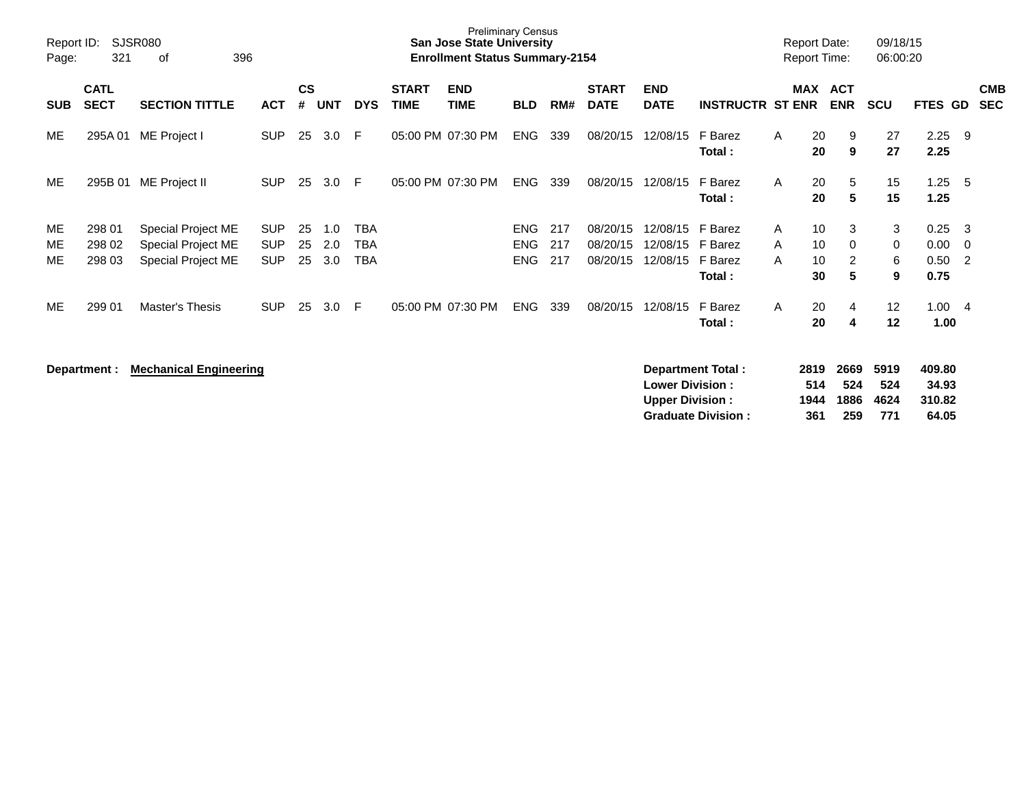| Report ID:<br>Page: | 321                        | SJSR080<br>396<br>оf                                           |                                        |                |                   |                   |                             | <b>Preliminary Census</b><br><b>San Jose State University</b><br><b>Enrollment Status Summary-2154</b> |                                        |                   |                                  |                                  |                                         | <b>Report Date:</b><br><b>Report Time:</b> |                      |                          | 09/18/15<br>06:00:20    |                              |                              |                          |
|---------------------|----------------------------|----------------------------------------------------------------|----------------------------------------|----------------|-------------------|-------------------|-----------------------------|--------------------------------------------------------------------------------------------------------|----------------------------------------|-------------------|----------------------------------|----------------------------------|-----------------------------------------|--------------------------------------------|----------------------|--------------------------|-------------------------|------------------------------|------------------------------|--------------------------|
| <b>SUB</b>          | <b>CATL</b><br><b>SECT</b> | <b>SECTION TITTLE</b>                                          | <b>ACT</b>                             | <b>CS</b><br># | <b>UNT</b>        | <b>DYS</b>        | <b>START</b><br><b>TIME</b> | <b>END</b><br>TIME                                                                                     | <b>BLD</b>                             | RM#               | <b>START</b><br><b>DATE</b>      | <b>END</b><br><b>DATE</b>        | <b>INSTRUCTR ST ENR</b>                 | MAX                                        |                      | <b>ACT</b><br><b>ENR</b> | <b>SCU</b>              | <b>FTES</b>                  | GD                           | <b>CMB</b><br><b>SEC</b> |
| ME                  | 295A01                     | ME Project I                                                   | <b>SUP</b>                             | 25             | 3.0               | E                 | 05:00 PM 07:30 PM           |                                                                                                        | <b>ENG</b>                             | 339               | 08/20/15                         | 12/08/15                         | F Barez<br>Total:                       | A                                          | 20<br>20             | 9<br>9                   | 27<br>27                | 2.25<br>2.25                 | - 9                          |                          |
| ME                  | 295B 01                    | ME Project II                                                  | <b>SUP</b>                             | 25             | 3.0               | E                 | 05:00 PM 07:30 PM           |                                                                                                        | <b>ENG</b>                             | 339               | 08/20/15                         | 12/08/15                         | F Barez<br>Total:                       | $\mathsf{A}$                               | 20<br>20             | 5<br>5                   | 15<br>15                | 1.25<br>1.25                 | - 5                          |                          |
| ME<br>ME.<br>ME.    | 298 01<br>298 02<br>298 03 | Special Project ME<br>Special Project ME<br>Special Project ME | <b>SUP</b><br><b>SUP</b><br><b>SUP</b> | 25<br>25<br>25 | 1.0<br>2.0<br>3.0 | TBA<br>TBA<br>TBA |                             |                                                                                                        | <b>ENG</b><br><b>ENG</b><br><b>ENG</b> | 217<br>217<br>217 | 08/20/15<br>08/20/15<br>08/20/15 | 12/08/15<br>12/08/15<br>12/08/15 | F Barez<br>F Barez<br>F Barez<br>Total: | A<br>A<br>A                                | 10<br>10<br>10<br>30 | 3<br>0<br>2<br>5         | 3<br>0<br>6<br>9        | 0.25<br>0.00<br>0.50<br>0.75 | - 3<br>- 0<br>$\overline{2}$ |                          |
| ME                  | 299 01                     | Master's Thesis                                                | <b>SUP</b>                             | 25             | 3.0               | E                 | 05:00 PM 07:30 PM           |                                                                                                        | <b>ENG</b>                             | 339               | 08/20/15                         | 12/08/15                         | F Barez<br>Total:                       | A                                          | 20<br>20             | 4<br>-4                  | $12 \overline{ }$<br>12 | 1.00<br>1.00                 | - 4                          |                          |

**Department : Mechanical Engineering Department Total : 2819 2669 5919 409.80 Lower Division : 514 524 524 34.93 Upper Division : 1944 1886 4624 310.82 Graduate Division : 361 259 771 64.05**